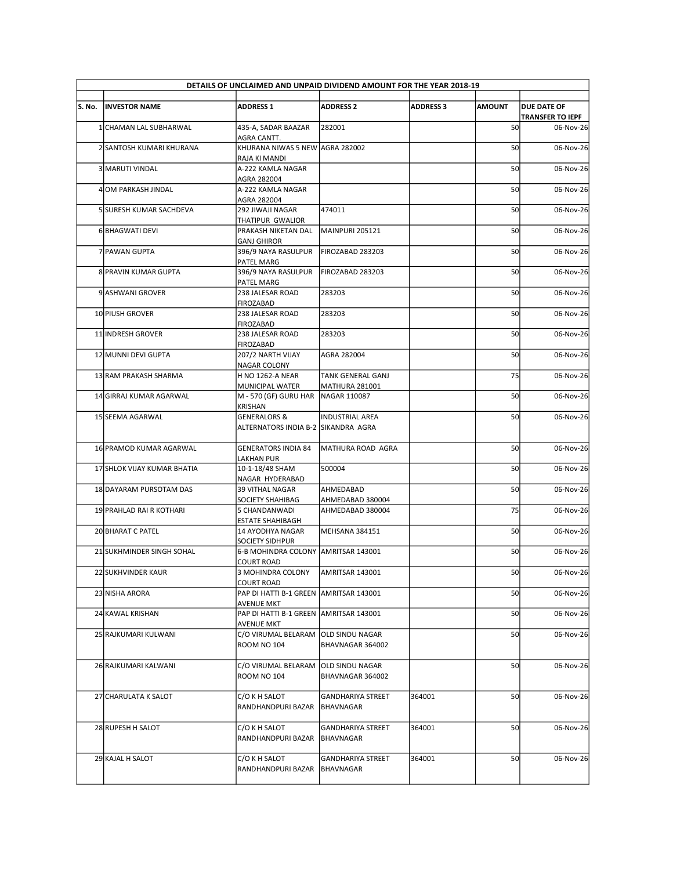|        |                             |                                                                | DETAILS OF UNCLAIMED AND UNPAID DIVIDEND AMOUNT FOR THE YEAR 2018-19 |                  |               |                                      |
|--------|-----------------------------|----------------------------------------------------------------|----------------------------------------------------------------------|------------------|---------------|--------------------------------------|
| S. No. | <b>INVESTOR NAME</b>        | <b>ADDRESS 1</b>                                               | <b>ADDRESS 2</b>                                                     | <b>ADDRESS 3</b> | <b>AMOUNT</b> | <b>DUE DATE OF</b>                   |
|        |                             |                                                                | 282001                                                               |                  | 50            | <b>TRANSFER TO IEPF</b><br>06-Nov-26 |
|        | 1 CHAMAN LAL SUBHARWAL      | 435-A, SADAR BAAZAR<br>AGRA CANTT.                             |                                                                      |                  |               |                                      |
|        | 2 SANTOSH KUMARI KHURANA    | KHURANA NIWAS 5 NEW AGRA 282002<br>RAJA KI MANDI               |                                                                      |                  | 50            | 06-Nov-26                            |
|        | 3 MARUTI VINDAL             | A-222 KAMLA NAGAR<br>AGRA 282004                               |                                                                      |                  | 50            | 06-Nov-26                            |
|        | 4 OM PARKASH JINDAL         | A-222 KAMLA NAGAR<br>AGRA 282004                               |                                                                      |                  | 50            | 06-Nov-26                            |
|        | 5 SURESH KUMAR SACHDEVA     | 292 JIWAJI NAGAR<br>THATIPUR GWALIOR                           | 474011                                                               |                  | 50            | 06-Nov-26                            |
|        | 6 BHAGWATI DEVI             | PRAKASH NIKETAN DAL<br><b>GANJ GHIROR</b>                      | MAINPURI 205121                                                      |                  | 50            | 06-Nov-26                            |
|        | 7 PAWAN GUPTA               | 396/9 NAYA RASULPUR   FIROZABAD 283203                         |                                                                      |                  | 50            | 06-Nov-26                            |
|        | 8 PRAVIN KUMAR GUPTA        | PATEL MARG<br>396/9 NAYA RASULPUR                              | FIROZABAD 283203                                                     |                  | 50            | 06-Nov-26                            |
|        | 9 ASHWANI GROVER            | PATEL MARG<br>238 JALESAR ROAD                                 | 283203                                                               |                  | 50            | 06-Nov-26                            |
|        | 10 PIUSH GROVER             | FIROZABAD<br>238 JALESAR ROAD                                  | 283203                                                               |                  | 50            | 06-Nov-26                            |
|        | 11 INDRESH GROVER           | FIROZABAD<br>238 JALESAR ROAD                                  | 283203                                                               |                  | 50            | 06-Nov-26                            |
|        |                             | FIROZABAD                                                      | AGRA 282004                                                          |                  | 50            | 06-Nov-26                            |
|        | 12 MUNNI DEVI GUPTA         | 207/2 NARTH VIJAY<br><b>NAGAR COLONY</b>                       |                                                                      |                  |               |                                      |
|        | 13 RAM PRAKASH SHARMA       | <b>H NO 1262-A NEAR</b><br>MUNICIPAL WATER                     | <b>TANK GENERAL GANJ</b><br>MATHURA 281001                           |                  | 75            | 06-Nov-26                            |
|        | 14 GIRRAJ KUMAR AGARWAL     | M - 570 (GF) GURU HAR NAGAR 110087<br>KRISHAN                  |                                                                      |                  | 50            | 06-Nov-26                            |
|        | 15 SEEMA AGARWAL            | <b>GENERALORS &amp;</b><br>ALTERNATORS INDIA B-2 SIKANDRA AGRA | <b>INDUSTRIAL AREA</b>                                               |                  | 50            | 06-Nov-26                            |
|        |                             |                                                                |                                                                      |                  |               |                                      |
|        | 16 PRAMOD KUMAR AGARWAL     | <b>GENERATORS INDIA 84</b><br>LAKHAN PUR                       | MATHURA ROAD AGRA                                                    |                  | 50            | 06-Nov-26                            |
|        | 17 SHLOK VIJAY KUMAR BHATIA | 10-1-18/48 SHAM<br>NAGAR HYDERABAD                             | 500004                                                               |                  | 50            | 06-Nov-26                            |
|        | 18 DAYARAM PURSOTAM DAS     | <b>39 VITHAL NAGAR</b><br>SOCIETY SHAHIBAG                     | AHMEDABAD<br>AHMEDABAD 380004                                        |                  | 50            | 06-Nov-26                            |
|        | 19 PRAHLAD RAI R KOTHARI    | 5 CHANDANWADI                                                  | AHMEDABAD 380004                                                     |                  | 75            | 06-Nov-26                            |
|        | 20 BHARAT C PATEL           | <b>ESTATE SHAHIBAGH</b><br>14 AYODHYA NAGAR                    | MEHSANA 384151                                                       |                  | 50            | 06-Nov-26                            |
|        | 21 SUKHMINDER SINGH SOHAL   | SOCIETY SIDHPUR<br>6-B MOHINDRA COLONY AMRITSAR 143001         |                                                                      |                  | 50            | 06-Nov-26                            |
|        | 22 SUKHVINDER KAUR          | <b>COURT ROAD</b><br>3 MOHINDRA COLONY                         | AMRITSAR 143001                                                      |                  | 50            | 06-Nov-26                            |
|        |                             | <b>COURT ROAD</b>                                              |                                                                      |                  |               |                                      |
|        | 23 NISHA ARORA              | PAP DI HATTI B-1 GREEN AMRITSAR 143001<br><b>AVENUE MKT</b>    |                                                                      |                  | 50            | 06-Nov-26                            |
|        | 24 KAWAL KRISHAN            | PAP DI HATTI B-1 GREEN AMRITSAR 143001<br><b>AVENUE MKT</b>    |                                                                      |                  | 50            | 06-Nov-26                            |
|        | 25 RAJKUMARI KULWANI        | C/O VIRUMAL BELARAM OLD SINDU NAGAR<br><b>ROOM NO 104</b>      | BHAVNAGAR 364002                                                     |                  | 50            | 06-Nov-26                            |
|        | 26 RAJKUMARI KALWANI        | C/O VIRUMAL BELARAM OLD SINDU NAGAR                            |                                                                      |                  | 50            | 06-Nov-26                            |
|        |                             | <b>ROOM NO 104</b>                                             | BHAVNAGAR 364002                                                     |                  |               |                                      |
|        | 27 CHARULATA K SALOT        | C/O K H SALOT                                                  | <b>GANDHARIYA STREET</b>                                             | 364001           | 50            | 06-Nov-26                            |
|        |                             | RANDHANDPURI BAZAR                                             | BHAVNAGAR                                                            |                  |               |                                      |
|        | 28 RUPESH H SALOT           | C/O K H SALOT<br>RANDHANDPURI BAZAR   BHAVNAGAR                | <b>GANDHARIYA STREET</b>                                             | 364001           | 50            | 06-Nov-26                            |
|        | 29 KAJAL H SALOT            | C/O K H SALOT                                                  | <b>GANDHARIYA STREET</b>                                             | 364001           | 50            | 06-Nov-26                            |
|        |                             | RANDHANDPURI BAZAR                                             | BHAVNAGAR                                                            |                  |               |                                      |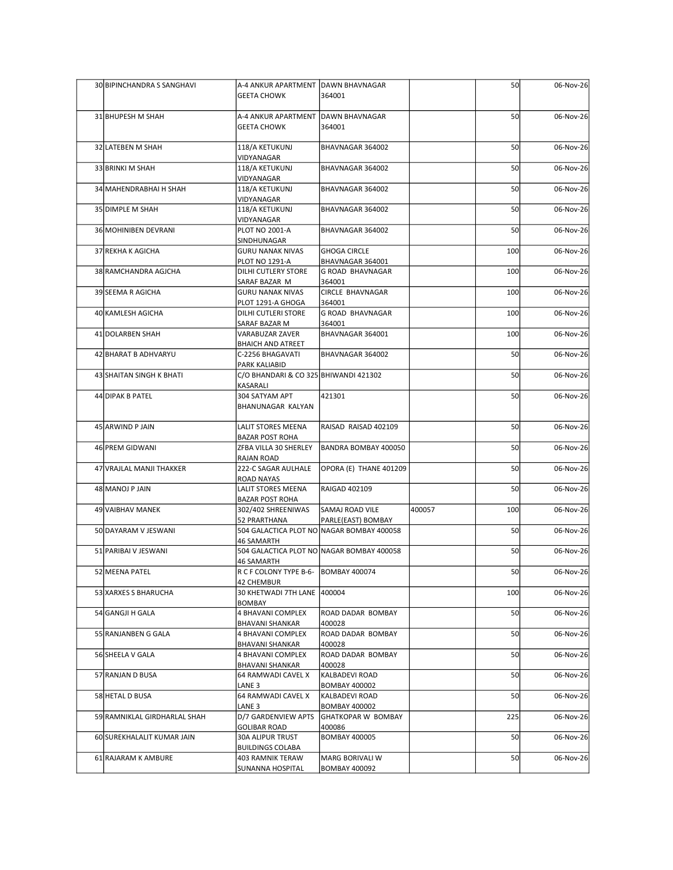| 30 BIPINCHANDRA S SANGHAVI   | A-4 ANKUR APARTMENT DAWN BHAVNAGAR<br><b>GEETA CHOWK</b>              | 364001                                     |        | 50  | 06-Nov-26 |
|------------------------------|-----------------------------------------------------------------------|--------------------------------------------|--------|-----|-----------|
| 31 BHUPESH M SHAH            | A-4 ANKUR APARTMENT DAWN BHAVNAGAR<br><b>GEETA CHOWK</b>              | 364001                                     |        | 50  | 06-Nov-26 |
| 32 LATEBEN M SHAH            | 118/A KETUKUNJ                                                        | BHAVNAGAR 364002                           |        | 50  | 06-Nov-26 |
| 33 BRINKI M SHAH             | VIDYANAGAR<br>118/A KETUKUNJ                                          | BHAVNAGAR 364002                           |        | 50  | 06-Nov-26 |
| 34 MAHENDRABHAI H SHAH       | VIDYANAGAR<br>118/A KETUKUNJ                                          | BHAVNAGAR 364002                           |        | 50  | 06-Nov-26 |
| 35 DIMPLE M SHAH             | VIDYANAGAR<br>118/A KETUKUNJ                                          | BHAVNAGAR 364002                           |        | 50  | 06-Nov-26 |
| 36 MOHINIBEN DEVRANI         | VIDYANAGAR<br><b>PLOT NO 2001-A</b>                                   | BHAVNAGAR 364002                           |        | 50  | 06-Nov-26 |
| 37 REKHA K AGICHA            | SINDHUNAGAR<br><b>GURU NANAK NIVAS</b>                                | <b>GHOGA CIRCLE</b>                        |        | 100 | 06-Nov-26 |
|                              | <b>PLOT NO 1291-A</b>                                                 | BHAVNAGAR 364001                           |        |     |           |
| 38 RAMCHANDRA AGJCHA         | DILHI CUTLERY STORE<br>SARAF BAZAR M                                  | G ROAD BHAVNAGAR<br>364001                 |        | 100 | 06-Nov-26 |
| 39 SEEMA R AGICHA            | <b>GURU NANAK NIVAS</b><br>PLOT 1291-A GHOGA                          | CIRCLE BHAVNAGAR<br>364001                 |        | 100 | 06-Nov-26 |
| 40 KAMLESH AGICHA            | DILHI CUTLERI STORE<br>SARAF BAZAR M                                  | G ROAD BHAVNAGAR<br>364001                 |        | 100 | 06-Nov-26 |
| 41 DOLARBEN SHAH             | <b>VARABUZAR ZAVER</b><br><b>BHAICH AND ATREET</b>                    | BHAVNAGAR 364001                           |        | 100 | 06-Nov-26 |
| 42 BHARAT B ADHVARYU         | C-2256 BHAGAVATI<br>PARK KALIABID                                     | BHAVNAGAR 364002                           |        | 50  | 06-Nov-26 |
| 43 SHAITAN SINGH K BHATI     | C/O BHANDARI & CO 325 BHIWANDI 421302<br>KASARALI                     |                                            |        | 50  | 06-Nov-26 |
| 44 DIPAK B PATEL             | 304 SATYAM APT<br>BHANUNAGAR KALYAN                                   | 421301                                     |        | 50  | 06-Nov-26 |
| 45 ARWIND P JAIN             | LALIT STORES MEENA                                                    | RAISAD RAISAD 402109                       |        | 50  | 06-Nov-26 |
| 46 PREM GIDWANI              | <b>BAZAR POST ROHA</b><br>ZFBA VILLA 30 SHERLEY                       | BANDRA BOMBAY 400050                       |        | 50  | 06-Nov-26 |
| 47 VRAJLAL MANJI THAKKER     | RAJAN ROAD<br>222-C SAGAR AULHALE                                     | OPORA (E) THANE 401209                     |        | 50  | 06-Nov-26 |
| 48 MANOJ P JAIN              | ROAD NAYAS<br>LALIT STORES MEENA                                      | RAIGAD 402109                              |        | 50  | 06-Nov-26 |
|                              | <b>BAZAR POST ROHA</b>                                                |                                            |        |     |           |
| 49 VAIBHAV MANEK             | 302/402 SHREENIWAS<br>52 PRARTHANA                                    | SAMAJ ROAD VILE<br>PARLE(EAST) BOMBAY      | 400057 | 100 | 06-Nov-26 |
| 50 DAYARAM V JESWANI         | 46 SAMARTH                                                            | 504 GALACTICA PLOT NO NAGAR BOMBAY 400058  |        | 50  | 06-Nov-26 |
| 51 PARIBAI V JESWANI         | 504 GALACTICA PLOT NO NAGAR BOMBAY 400058<br><b>46 SAMARTH</b>        |                                            |        | 50  | 06-Nov-26 |
| 52 MEENA PATEL               | R C F COLONY TYPE B-6- BOMBAY 400074<br>42 CHEMBUR                    |                                            |        | 50  | 06-Nov-26 |
| 53 XARXES S BHARUCHA         | 30 KHETWADI 7TH LANE 400004<br>BOMBAY                                 |                                            |        | 100 | 06-Nov-26 |
| 54 GANGJI H GALA             | 4 BHAVANI COMPLEX<br><b>BHAVANI SHANKAR</b>                           | ROAD DADAR BOMBAY<br>400028                |        | 50  | 06-Nov-26 |
| 55 RANJANBEN G GALA          | 4 BHAVANI COMPLEX                                                     | ROAD DADAR BOMBAY                          |        | 50  | 06-Nov-26 |
| 56 SHEELA V GALA             | <b>BHAVANI SHANKAR</b><br>4 BHAVANI COMPLEX<br><b>BHAVANI SHANKAR</b> | 400028<br>ROAD DADAR BOMBAY<br>400028      |        | 50  | 06-Nov-26 |
| 57 RANJAN D BUSA             | 64 RAMWADI CAVEL X<br>LANE 3                                          | KALBADEVI ROAD                             |        | 50  | 06-Nov-26 |
| 58 HETAL D BUSA              | 64 RAMWADI CAVEL X                                                    | <b>BOMBAY 400002</b><br>KALBADEVI ROAD     |        | 50  | 06-Nov-26 |
| 59 RAMNIKLAL GIRDHARLAL SHAH | LANE 3<br>D/7 GARDENVIEW APTS                                         | <b>BOMBAY 400002</b><br>GHATKOPAR W BOMBAY |        | 225 | 06-Nov-26 |
| 60 SUREKHALALIT KUMAR JAIN   | <b>GOLIBAR ROAD</b><br><b>30A ALIPUR TRUST</b>                        | 400086<br><b>BOMBAY 400005</b>             |        | 50  | 06-Nov-26 |
| 61 RAJARAM K AMBURE          | <b>BUILDINGS COLABA</b><br>403 RAMNIK TERAW                           | MARG BORIVALI W                            |        | 50  | 06-Nov-26 |
|                              | <b>SUNANNA HOSPITAL</b>                                               | <b>BOMBAY 400092</b>                       |        |     |           |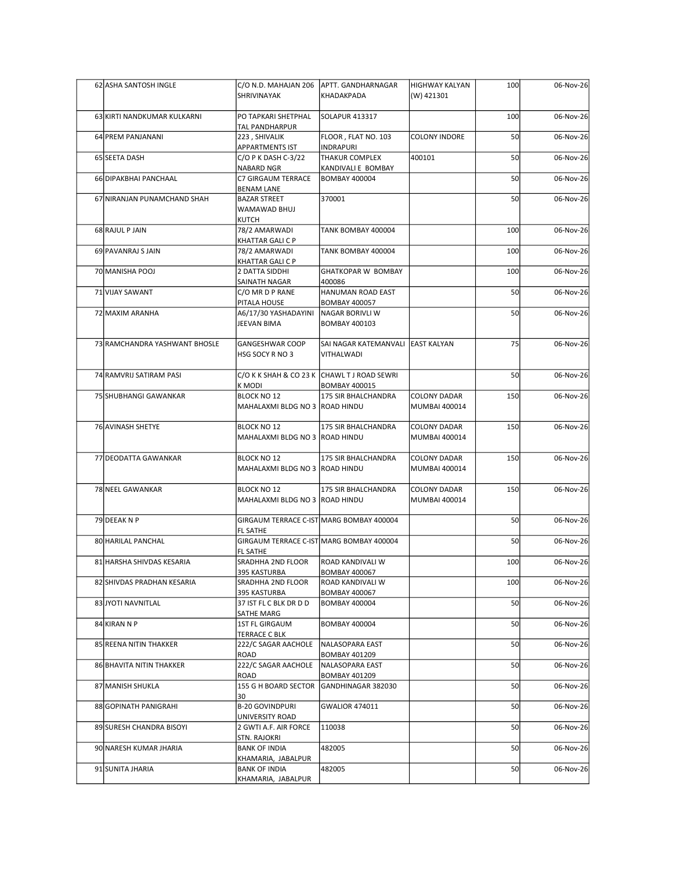|  | 62 ASHA SANTOSH INGLE         | C/O N.D. MAHAJAN 206                                           | APTT. GANDHARNAGAR                                              | HIGHWAY KALYAN                       | 100 | 06-Nov-26 |
|--|-------------------------------|----------------------------------------------------------------|-----------------------------------------------------------------|--------------------------------------|-----|-----------|
|  |                               | SHRIVINAYAK                                                    | KHADAKPADA                                                      | (W) 421301                           |     |           |
|  | 63 KIRTI NANDKUMAR KULKARNI   | PO TAPKARI SHETPHAL<br>TAL PANDHARPUR                          | SOLAPUR 413317                                                  |                                      | 100 | 06-Nov-26 |
|  | 64 PREM PANJANANI             | 223, SHIVALIK<br><b>APPARTMENTS IST</b>                        | FLOOR, FLAT NO. 103<br><b>INDRAPURI</b>                         | <b>COLONY INDORE</b>                 | 50  | 06-Nov-26 |
|  | 65 SEETA DASH                 | C/O P K DASH C-3/22                                            | <b>THAKUR COMPLEX</b>                                           | 400101                               | 50  | 06-Nov-26 |
|  | 66 DIPAKBHAI PANCHAAL         | NABARD NGR<br>C7 GIRGAUM TERRACE                               | KANDIVALI E BOMBAY<br><b>BOMBAY 400004</b>                      |                                      | 50  | 06-Nov-26 |
|  | 67 NIRANJAN PUNAMCHAND SHAH   | <b>BENAM LANE</b><br><b>BAZAR STREET</b>                       | 370001                                                          |                                      | 50  | 06-Nov-26 |
|  |                               | WAMAWAD BHUJ<br>KUTCH                                          |                                                                 |                                      |     |           |
|  | 68 RAJUL P JAIN               | 78/2 AMARWADI<br><b>KHATTAR GALI C P</b>                       | TANK BOMBAY 400004                                              |                                      | 100 | 06-Nov-26 |
|  | 69 PAVANRAJ S JAIN            | 78/2 AMARWADI<br><b>KHATTAR GALI C P</b>                       | TANK BOMBAY 400004                                              |                                      | 100 | 06-Nov-26 |
|  | 70 MANISHA POOJ               | 2 DATTA SIDDHI<br>SAINATH NAGAR                                | <b>GHATKOPAR W BOMBAY</b><br>400086                             |                                      | 100 | 06-Nov-26 |
|  | 71 VIJAY SAWANT               | C/O MR D P RANE                                                | HANUMAN ROAD EAST                                               |                                      | 50  | 06-Nov-26 |
|  | 72 MAXIM ARANHA               | PITALA HOUSE<br>A6/17/30 YASHADAYINI<br>JEEVAN BIMA            | <b>BOMBAY 400057</b><br>NAGAR BORIVLI W<br><b>BOMBAY 400103</b> |                                      | 50  | 06-Nov-26 |
|  | 73 RAMCHANDRA YASHWANT BHOSLE | <b>GANGESHWAR COOP</b><br>HSG SOCY R NO 3                      | SAI NAGAR KATEMANVALI EAST KALYAN<br>VITHALWADI                 |                                      | 75  | 06-Nov-26 |
|  | 74 RAMVRIJ SATIRAM PASI       |                                                                | C/O K K SHAH & CO 23 K CHAWL T J ROAD SEWRI                     |                                      | 50  | 06-Nov-26 |
|  | 75 SHUBHANGI GAWANKAR         | K MODI<br><b>BLOCK NO 12</b><br>MAHALAXMI BLDG NO 3 ROAD HINDU | <b>BOMBAY 400015</b><br>175 SIR BHALCHANDRA                     | <b>COLONY DADAR</b><br>MUMBAI 400014 | 150 | 06-Nov-26 |
|  | 76 AVINASH SHETYE             | <b>BLOCK NO 12</b><br>MAHALAXMI BLDG NO 3 ROAD HINDU           | 175 SIR BHALCHANDRA                                             | <b>COLONY DADAR</b><br>MUMBAI 400014 | 150 | 06-Nov-26 |
|  | 77 DEODATTA GAWANKAR          | <b>BLOCK NO 12</b><br>MAHALAXMI BLDG NO 3 ROAD HINDU           | 175 SIR BHALCHANDRA                                             | <b>COLONY DADAR</b><br>MUMBAI 400014 | 150 | 06-Nov-26 |
|  | 78 NEEL GAWANKAR              | <b>BLOCK NO 12</b><br>MAHALAXMI BLDG NO 3 ROAD HINDU           | 175 SIR BHALCHANDRA                                             | <b>COLONY DADAR</b><br>MUMBAI 400014 | 150 | 06-Nov-26 |
|  | 79 DEEAK N P                  |                                                                | GIRGAUM TERRACE C-IST MARG BOMBAY 400004                        |                                      | 50  | 06-Nov-26 |
|  | 80 HARILAL PANCHAL            | FL SATHE                                                       | GIRGAUM TERRACE C-IST MARG BOMBAY 400004                        |                                      | 50  | 06-Nov-26 |
|  | 81 HARSHA SHIVDAS KESARIA     | FL SATHE<br>SRADHHA 2ND FLOOR                                  | <b>ROAD KANDIVALI W</b>                                         |                                      | 100 | 06-Nov-26 |
|  |                               | 395 KASTURBA                                                   | <b>BOMBAY 400067</b>                                            |                                      |     |           |
|  | 82 SHIVDAS PRADHAN KESARIA    | SRADHHA 2ND FLOOR<br>395 KASTURBA                              | <b>ROAD KANDIVALI W</b><br><b>BOMBAY 400067</b>                 |                                      | 100 | 06-Nov-26 |
|  | 83 JYOTI NAVNITLAL            | 37 IST FL C BLK DR D D<br>SATHE MARG                           | <b>BOMBAY 400004</b>                                            |                                      | 50  | 06-Nov-26 |
|  | 84 KIRAN N P                  | 1ST FL GIRGAUM<br><b>TERRACE C BLK</b>                         | <b>BOMBAY 400004</b>                                            |                                      | 50  | 06-Nov-26 |
|  | 85 REENA NITIN THAKKER        | 222/C SAGAR AACHOLE<br>ROAD                                    | NALASOPARA EAST<br><b>BOMBAY 401209</b>                         |                                      | 50  | 06-Nov-26 |
|  | 86 BHAVITA NITIN THAKKER      | 222/C SAGAR AACHOLE<br>ROAD                                    | NALASOPARA EAST<br><b>BOMBAY 401209</b>                         |                                      | 50  | 06-Nov-26 |
|  | 87 MANISH SHUKLA              | 155 G H BOARD SECTOR GANDHINAGAR 382030                        |                                                                 |                                      | 50  | 06-Nov-26 |
|  | 88 GOPINATH PANIGRAHI         | 30<br><b>B-20 GOVINDPURI</b>                                   | <b>GWALIOR 474011</b>                                           |                                      | 50  | 06-Nov-26 |
|  | 89 SURESH CHANDRA BISOYI      | UNIVERSITY ROAD<br>2 GWTI A.F. AIR FORCE                       | 110038                                                          |                                      | 50  | 06-Nov-26 |
|  | 90 NARESH KUMAR JHARIA        | STN. RAJOKRI<br><b>BANK OF INDIA</b>                           | 482005                                                          |                                      | 50  | 06-Nov-26 |
|  | 91 SUNITA JHARIA              | KHAMARIA, JABALPUR<br><b>BANK OF INDIA</b>                     | 482005                                                          |                                      |     |           |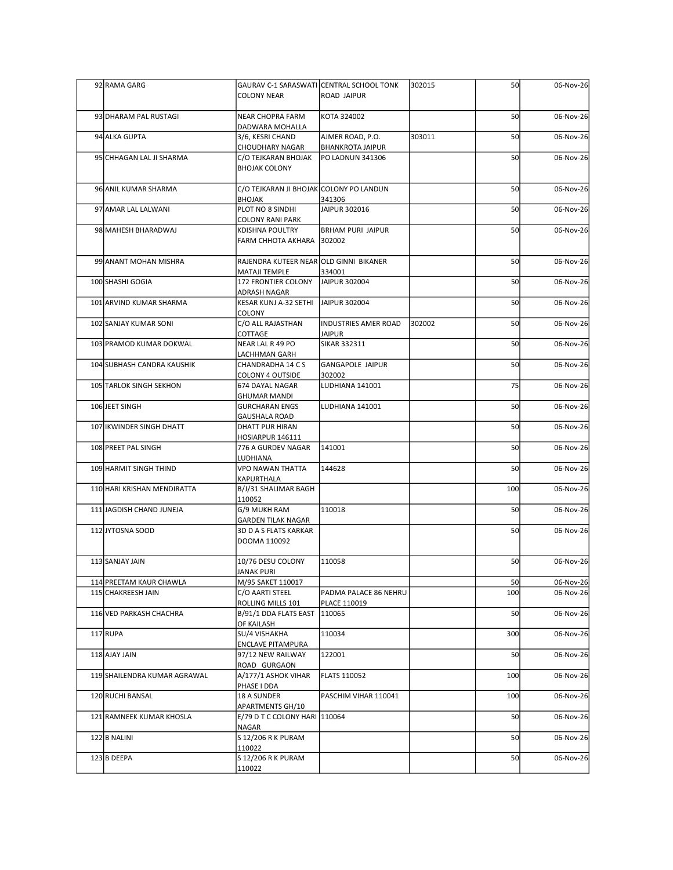| 92 RAMA GARG                                  | <b>COLONY NEAR</b>                                  | GAURAV C-1 SARASWATI CENTRAL SCHOOL TONK<br>ROAD JAIPUR | 302015 | 50        | 06-Nov-26              |
|-----------------------------------------------|-----------------------------------------------------|---------------------------------------------------------|--------|-----------|------------------------|
| 93 DHARAM PAL RUSTAGI                         | NEAR CHOPRA FARM                                    | KOTA 324002                                             |        | 50        | 06-Nov-26              |
| 94 ALKA GUPTA                                 | DADWARA MOHALLA<br>3/6, KESRI CHAND                 | AJMER ROAD, P.O.                                        | 303011 | 50        | 06-Nov-26              |
| 95 CHHAGAN LAL JI SHARMA                      | <b>CHOUDHARY NAGAR</b><br>C/O TEJKARAN BHOJAK       | <b>BHANKROTA JAIPUR</b><br>PO LADNUN 341306             |        | 50        | 06-Nov-26              |
|                                               | <b>BHOJAK COLONY</b>                                |                                                         |        |           |                        |
| 96 ANIL KUMAR SHARMA                          | C/O TEJKARAN JI BHOJAK COLONY PO LANDUN<br>BHOJAK   | 341306                                                  |        | 50        | 06-Nov-26              |
| 97 AMAR LAL LALWANI                           | PLOT NO 8 SINDHI<br><b>COLONY RANI PARK</b>         | JAIPUR 302016                                           |        | 50        | 06-Nov-26              |
| 98 MAHESH BHARADWAJ                           | KDISHNA POULTRY<br>FARM CHHOTA AKHARA 302002        | <b>BRHAM PURI JAIPUR</b>                                |        | 50        | 06-Nov-26              |
| 99 ANANT MOHAN MISHRA                         | RAJENDRA KUTEER NEAR OLD GINNI BIKANER              |                                                         |        | 50        | 06-Nov-26              |
| 100 SHASHI GOGIA                              | MATAJI TEMPLE<br>172 FRONTIER COLONY                | 334001<br>JAIPUR 302004                                 |        | 50        | 06-Nov-26              |
| 101 ARVIND KUMAR SHARMA                       | ADRASH NAGAR<br>KESAR KUNJ A-32 SETHI JAIPUR 302004 |                                                         |        | 50        | 06-Nov-26              |
| 102 SANJAY KUMAR SONI                         | COLONY<br>C/O ALL RAJASTHAN                         | <b>INDUSTRIES AMER ROAD</b>                             | 302002 | 50        | 06-Nov-26              |
| 103 PRAMOD KUMAR DOKWAL                       | COTTAGE<br>NEAR LAL R 49 PO                         | <b>JAIPUR</b><br>SIKAR 332311                           |        | 50        | 06-Nov-26              |
| 104 SUBHASH CANDRA KAUSHIK                    | LACHHMAN GARH<br>CHANDRADHA 14 C S                  | GANGAPOLE JAIPUR                                        |        | 50        | 06-Nov-26              |
| 105 TARLOK SINGH SEKHON                       | COLONY 4 OUTSIDE<br>674 DAYAL NAGAR                 | 302002<br>LUDHIANA 141001                               |        | 75        | 06-Nov-26              |
| 106 JEET SINGH                                | <b>GHUMAR MANDI</b><br><b>GURCHARAN ENGS</b>        | LUDHIANA 141001                                         |        | 50        | 06-Nov-26              |
| 107 IKWINDER SINGH DHATT                      | <b>GAUSHALA ROAD</b><br>DHATT PUR HIRAN             |                                                         |        | 50        | 06-Nov-26              |
| 108 PREET PAL SINGH                           | HOSIARPUR 146111<br>776 A GURDEV NAGAR              | 141001                                                  |        | 50        | 06-Nov-26              |
| 109 HARMIT SINGH THIND                        | LUDHIANA<br>VPO NAWAN THATTA                        | 144628                                                  |        | 50        | 06-Nov-26              |
| 110 HARI KRISHAN MENDIRATTA                   | KAPURTHALA<br>B/J/31 SHALIMAR BAGH                  |                                                         |        | 100       | 06-Nov-26              |
| 111 JAGDISH CHAND JUNEJA                      | 110052<br>G/9 MUKH RAM                              | 110018                                                  |        | 50        | 06-Nov-26              |
| 112JYTOSNA SOOD                               | GARDEN TILAK NAGAR<br>3D D A S FLATS KARKAR         |                                                         |        | 50        | 06-Nov-26              |
|                                               | DOOMA 110092                                        |                                                         |        |           |                        |
| 113 SANJAY JAIN                               | 10/76 DESU COLONY<br>JANAK PURI                     | 110058                                                  |        | 50        | 06-Nov-26              |
| 114 PREETAM KAUR CHAWLA<br>115 CHAKREESH JAIN | M/95 SAKET 110017<br>C/O AARTI STEEL                | PADMA PALACE 86 NEHRU                                   |        | 50<br>100 | 06-Nov-26<br>06-Nov-26 |
| 116 VED PARKASH CHACHRA                       | ROLLING MILLS 101                                   | PLACE 110019                                            |        | 50        |                        |
|                                               | B/91/1 DDA FLATS EAST<br><b>OF KAILASH</b>          | 110065                                                  |        |           | 06-Nov-26              |
| $117$ RUPA                                    | SU/4 VISHAKHA<br><b>ENCLAVE PITAMPURA</b>           | 110034                                                  |        | 300       | 06-Nov-26              |
| 118 AJAY JAIN                                 | 97/12 NEW RAILWAY<br>ROAD GURGAON                   | 122001                                                  |        | 50        | 06-Nov-26              |
| 119 SHAILENDRA KUMAR AGRAWAL                  | A/177/1 ASHOK VIHAR<br>PHASE I DDA                  | FLATS 110052                                            |        | 100       | 06-Nov-26              |
| 120 RUCHI BANSAL                              | 18 A SUNDER<br>APARTMENTS GH/10                     | PASCHIM VIHAR 110041                                    |        | 100       | 06-Nov-26              |
| 121 RAMNEEK KUMAR KHOSLA                      | E/79 D T C COLONY HARI 110064<br>NAGAR              |                                                         |        | 50        | 06-Nov-26              |
| 122 B NALINI                                  | S 12/206 R K PURAM<br>110022                        |                                                         |        | 50        | 06-Nov-26              |
| 123 B DEEPA                                   | S 12/206 R K PURAM<br>110022                        |                                                         |        | 50        | 06-Nov-26              |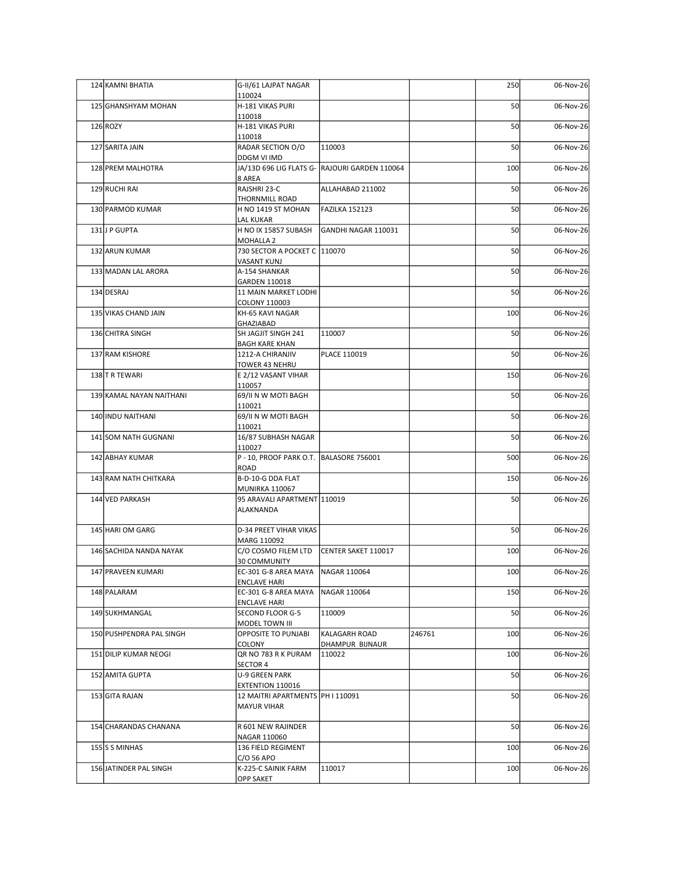| 124 KAMNI BHATIA     |                          | G-II/61 LAJPAT NAGAR                                 |                                               |        | 250 | 06-Nov-26               |
|----------------------|--------------------------|------------------------------------------------------|-----------------------------------------------|--------|-----|-------------------------|
|                      | 125 GHANSHYAM MOHAN      | 110024<br>H-181 VIKAS PURI                           |                                               |        | 50  | 06-Nov-26               |
| $126$ ROZY           |                          | 110018<br>H-181 VIKAS PURI                           |                                               |        | 50  | 06-Nov-26               |
| 127 SARITA JAIN      |                          | 110018<br>RADAR SECTION O/O                          | 110003                                        |        | 50  | 06-Nov-26               |
|                      |                          | DDGM VI IMD                                          |                                               |        |     |                         |
| 128 PREM MALHOTRA    |                          | 8 AREA                                               | JA/13D 696 LIG FLATS G- RAJOURI GARDEN 110064 |        | 100 | 06-Nov-26               |
| 129 RUCHI RAI        |                          | RAJSHRI 23-C<br><b>THORNMILL ROAD</b>                | ALLAHABAD 211002                              |        | 50  | 06-Nov-26               |
| 130 PARMOD KUMAR     |                          | H NO 1419 ST MOHAN<br><b>LAL KUKAR</b>               | FAZILKA 152123                                |        | 50  | 06-Nov-26               |
| 131J P GUPTA         |                          | H NO IX 15857 SUBASH<br>MOHALLA 2                    | GANDHI NAGAR 110031                           |        | 50  | 06-Nov-26               |
| 132 ARUN KUMAR       |                          | 730 SECTOR A POCKET C 110070                         |                                               |        | 50  | 06-Nov-26               |
|                      | 133 MADAN LAL ARORA      | <b>VASANT KUNJ</b><br>A-154 SHANKAR                  |                                               |        | 50  | 06-Nov-26               |
| 134 DESRAJ           |                          | GARDEN 110018<br>11 MAIN MARKET LODHI                |                                               |        | 50  | 06-Nov-26               |
| 135 VIKAS CHAND JAIN |                          | COLONY 110003<br>KH-65 KAVI NAGAR                    |                                               |        | 100 | 06-Nov-26               |
|                      |                          | GHAZIABAD                                            |                                               |        |     |                         |
| 136 CHITRA SINGH     |                          | SH JAGJIT SINGH 241<br><b>BAGH KARE KHAN</b>         | 110007                                        |        | 50  | 06-Nov-26               |
| 137 RAM KISHORE      |                          | 1212-A CHIRANJIV<br>TOWER 43 NEHRU                   | PLACE 110019                                  |        | 50  | 06-Nov-26               |
| 138 TR TEWARI        |                          | E 2/12 VASANT VIHAR<br>110057                        |                                               |        | 150 | 06-Nov-26               |
|                      | 139 KAMAL NAYAN NAITHANI | 69/II N W MOTI BAGH<br>110021                        |                                               |        | 50  | 06-Nov-26               |
| 140 INDU NAITHANI    |                          | 69/II N W MOTI BAGH                                  |                                               |        | 50  | 06-Nov-26               |
|                      | 141 SOM NATH GUGNANI     | 110021<br>16/87 SUBHASH NAGAR                        |                                               |        | 50  | 06-Nov-26               |
| 142 ABHAY KUMAR      |                          | 110027<br>P - 10, PROOF PARK O.T. BALASORE 756001    |                                               |        | 500 | 06-Nov-26               |
|                      | 143 RAM NATH CHITKARA    | ROAD<br>B-D-10-G DDA FLAT                            |                                               |        | 150 | 06-Nov-26               |
|                      |                          | <b>MUNIRKA 110067</b>                                |                                               |        |     |                         |
| 144 VED PARKASH      |                          | 95 ARAVALI APARTMENT 110019<br>ALAKNANDA             |                                               |        | 50  | 06-Nov-26               |
| 145 HARIOM GARG      |                          | D-34 PREET VIHAR VIKAS                               |                                               |        | 50  | 06-Nov-26               |
|                      | 146 SACHIDA NANDA NAYAK  | MARG 110092<br>C/O COSMO FILEM LTD                   | CENTER SAKET 110017                           |        | 100 | 06-Nov-26               |
|                      |                          | <b>30 COMMUNITY</b>                                  |                                               |        | 100 |                         |
| 147 PRAVEEN KUMARI   |                          | EC-301 G-8 AREA MAYA<br><b>ENCLAVE HARI</b>          | NAGAR 110064                                  |        |     | 06-Nov-26               |
| 148 PALARAM          |                          | EC-301 G-8 AREA MAYA<br><b>ENCLAVE HARI</b>          | NAGAR 110064                                  |        | 150 | 06-Nov-26               |
| 149 SUKHMANGAL       |                          | SECOND FLOOR G-5<br>MODEL TOWN III                   | 110009                                        |        | 50  | 06-Nov-26               |
|                      | 150 PUSHPENDRA PAL SINGH | <b>OPPOSITE TO PUNJABI</b><br>COLONY                 | KALAGARH ROAD<br>DHAMPUR BIJNAUR              | 246761 | 100 | 06-Nov-26               |
|                      | 151 DILIP KUMAR NEOGI    | QR NO 783 R K PURAM                                  | 110022                                        |        | 100 | $\overline{06}$ -Nov-26 |
| 152 AMITA GUPTA      |                          | <b>SECTOR 4</b><br>U-9 GREEN PARK                    |                                               |        | 50  | 06-Nov-26               |
| 153 GITA RAJAN       |                          | EXTENTION 110016<br>12 MAITRI APARTMENTS PH I 110091 |                                               |        | 50  | 06-Nov-26               |
|                      |                          | <b>MAYUR VIHAR</b>                                   |                                               |        |     |                         |
|                      | 154 CHARANDAS CHANANA    | R 601 NEW RAJINDER                                   |                                               |        | 50  | 06-Nov-26               |
| 155 S MINHAS         |                          | NAGAR 110060<br>136 FIELD REGIMENT                   |                                               |        | 100 | 06-Nov-26               |
|                      | 156 JATINDER PAL SINGH   | C/O 56 APO<br>K-225-C SAINIK FARM                    |                                               |        |     |                         |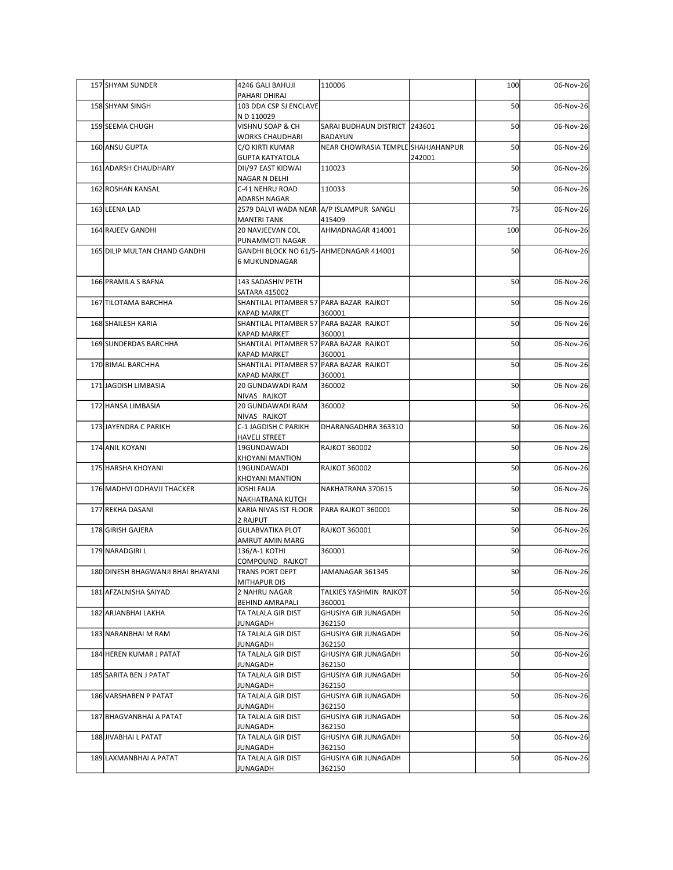| 157 SHYAM SUNDER                  | 4246 GALI BAHUJI<br>PAHARI DHIRAJ                              | 110006                                   |        | 100 | 06-Nov-26 |
|-----------------------------------|----------------------------------------------------------------|------------------------------------------|--------|-----|-----------|
| 158 SHYAM SINGH                   | 103 DDA CSP SJ ENCLAVE<br>N D 110029                           |                                          |        | 50  | 06-Nov-26 |
| 159 SEEMA CHUGH                   | VISHNU SOAP & CH<br><b>WORKS CHAUDHARI</b>                     | SARAI BUDHAUN DISTRICT 243601<br>BADAYUN |        | 50  | 06-Nov-26 |
| 160 ANSU GUPTA                    | C/O KIRTI KUMAR<br><b>GUPTA KATYATOLA</b>                      | NEAR CHOWRASIA TEMPLE SHAHJAHANPUR       | 242001 | 50  | 06-Nov-26 |
| 161 ADARSH CHAUDHARY              | DII/97 EAST KIDWAI<br>NAGAR N DELHI                            | 110023                                   |        | 50  | 06-Nov-26 |
| 162 ROSHAN KANSAL                 | C-41 NEHRU ROAD                                                | 110033                                   |        | 50  | 06-Nov-26 |
| 163 LEENA LAD                     | ADARSH NAGAR<br>2579 DALVI WADA NEAR A/P ISLAMPUR SANGLI       |                                          |        | 75  | 06-Nov-26 |
| 164 RAJEEV GANDHI                 | <b>MANTRI TANK</b><br>20 NAVJEEVAN COL                         | 415409<br>AHMADNAGAR 414001              |        | 100 | 06-Nov-26 |
| 165 DILIP MULTAN CHAND GANDHI     | PUNAMMOTI NAGAR<br>GANDHI BLOCK NO 61/5- AHMEDNAGAR 414001     |                                          |        | 50  | 06-Nov-26 |
|                                   | 6 MUKUNDNAGAR                                                  |                                          |        |     |           |
| 166 PRAMILA S BAFNA               | 143 SADASHIV PETH<br>SATARA 415002                             |                                          |        | 50  | 06-Nov-26 |
| 167 TILOTAMA BARCHHA              | SHANTILAL PITAMBER 57 PARA BAZAR RAJKOT<br>KAPAD MARKET        | 360001                                   |        | 50  | 06-Nov-26 |
| 168 SHAILESH KARIA                | SHANTILAL PITAMBER 57 PARA BAZAR RAJKOT<br><b>KAPAD MARKET</b> | 360001                                   |        | 50  | 06-Nov-26 |
| 169 SUNDERDAS BARCHHA             | SHANTILAL PITAMBER 57 PARA BAZAR RAJKOT<br>KAPAD MARKET        | 360001                                   |        | 50  | 06-Nov-26 |
| 170 BIMAL BARCHHA                 | SHANTILAL PITAMBER 57 PARA BAZAR RAJKOT<br><b>KAPAD MARKET</b> | 360001                                   |        | 50  | 06-Nov-26 |
| 171 JAGDISH LIMBASIA              | 20 GUNDAWADI RAM<br>NIVAS RAJKOT                               | 360002                                   |        | 50  | 06-Nov-26 |
| 172 HANSA LIMBASIA                | 20 GUNDAWADI RAM<br>NIVAS RAJKOT                               | 360002                                   |        | 50  | 06-Nov-26 |
| 173 JAYENDRA C PARIKH             | C-1 JAGDISH C PARIKH<br><b>HAVELI STREET</b>                   | DHARANGADHRA 363310                      |        | 50  | 06-Nov-26 |
| 174 ANIL KOYANI                   | 19GUNDAWADI<br>KHOYANI MANTION                                 | <b>RAJKOT 360002</b>                     |        | 50  | 06-Nov-26 |
| 175 HARSHA KHOYANI                | 19GUNDAWADI<br><b>KHOYANI MANTION</b>                          | <b>RAJKOT 360002</b>                     |        | 50  | 06-Nov-26 |
| 176 MADHVI ODHAVJI THACKER        | <b>JOSHI FALIA</b><br>NAKHATRANA KUTCH                         | NAKHATRANA 370615                        |        | 50  | 06-Nov-26 |
| 177 REKHA DASANI                  | KARIA NIVAS IST FLOOR<br>2 RAJPUT                              | PARA RAJKOT 360001                       |        | 50  | 06-Nov-26 |
| 178 GIRISH GAJERA                 | <b>GULABVATIKA PLOT</b><br>AMRUT AMIN MARG                     | <b>RAJKOT 360001</b>                     |        | 50  | 06-Nov-26 |
| 179 NARADGIRI L                   | 136/A-1 KOTHI<br>COMPOUND RAJKOT                               | 360001                                   |        | 50  | 06-Nov-26 |
| 180 DINESH BHAGWANJI BHAI BHAYANI | TRANS PORT DEPT                                                | JAMANAGAR 361345                         |        | 50  | 06-Nov-26 |
| 181 AFZALNISHA SAIYAD             | MITHAPUR DIS<br>2 NAHRU NAGAR                                  | TALKIES YASHMIN RAJKOT                   |        | 50  | 06-Nov-26 |
| 182 ARJANBHAI LAKHA               | BEHIND AMRAPALI<br>TA TALALA GIR DIST                          | 360001<br>GHUSIYA GIR JUNAGADH           |        | 50  | 06-Nov-26 |
| 183 NARANBHAI M RAM               | <b>JUNAGADH</b><br>TA TALALA GIR DIST                          | 362150<br>GHUSIYA GIR JUNAGADH           |        | 50  | 06-Nov-26 |
| 184 HEREN KUMAR J PATAT           | JUNAGADH<br>TA TALALA GIR DIST                                 | 362150<br>GHUSIYA GIR JUNAGADH           |        | 50  | 06-Nov-26 |
| 185 SARITA BEN J PATAT            | JUNAGADH<br>TA TALALA GIR DIST                                 | 362150<br>GHUSIYA GIR JUNAGADH           |        | 50  | 06-Nov-26 |
| 186 VARSHABEN P PATAT             | JUNAGADH<br>TA TALALA GIR DIST                                 | 362150<br>GHUSIYA GIR JUNAGADH           |        | 50  | 06-Nov-26 |
| 187 BHAGVANBHAI A PATAT           | <b>JUNAGADH</b><br>TA TALALA GIR DIST                          | 362150<br><b>GHUSIYA GIR JUNAGADH</b>    |        | 50  | 06-Nov-26 |
| 188 JIVABHAI L PATAT              | JUNAGADH<br>TA TALALA GIR DIST                                 | 362150<br>GHUSIYA GIR JUNAGADH           |        | 50  | 06-Nov-26 |
| 189 LAXMANBHAI A PATAT            | JUNAGADH<br>TA TALALA GIR DIST                                 | 362150<br>GHUSIYA GIR JUNAGADH           |        | 50  | 06-Nov-26 |
|                                   | <b>JUNAGADH</b>                                                | 362150                                   |        |     |           |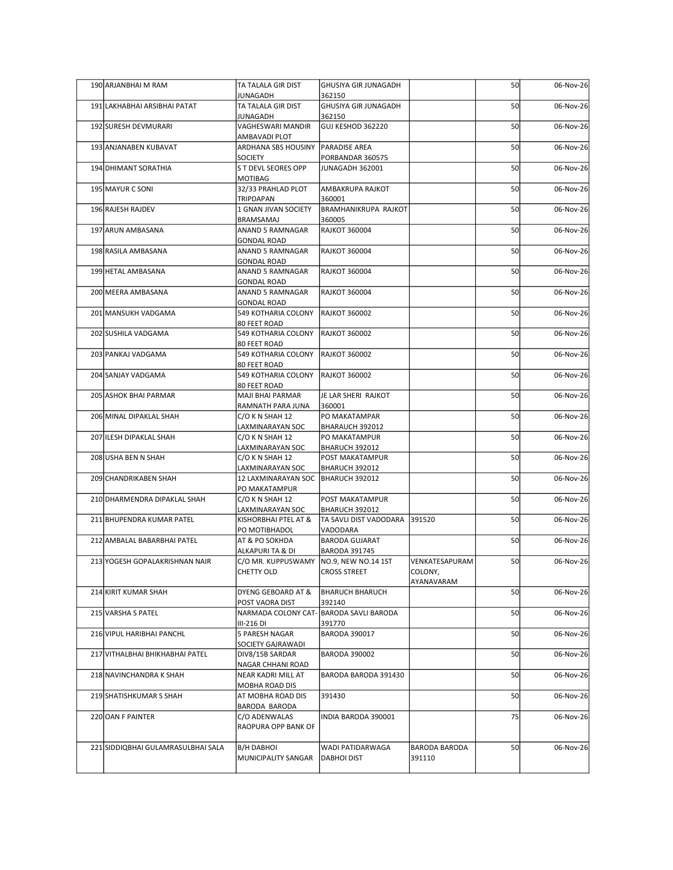| 190 ARJANBHAI M RAM                | TA TALALA GIR DIST                                    | GHUSIYA GIR JUNAGADH                                               |                                | 50 | 06-Nov-26 |
|------------------------------------|-------------------------------------------------------|--------------------------------------------------------------------|--------------------------------|----|-----------|
| 191 LAKHABHAI ARSIBHAI PATAT       | <b>JUNAGADH</b><br>TA TALALA GIR DIST                 | 362150<br>GHUSIYA GIR JUNAGADH                                     |                                | 50 | 06-Nov-26 |
| 192 SURESH DEVMURARI               | <b>JUNAGADH</b><br>VAGHESWARI MANDIR                  | 362150<br>GUJ KESHOD 362220                                        |                                | 50 | 06-Nov-26 |
| 193 ANJANABEN KUBAVAT              | AMBAVADI PLOT<br>ARDHANA SBS HOUSINY                  | <b>PARADISE AREA</b>                                               |                                | 50 | 06-Nov-26 |
| 194 DHIMANT SORATHIA               | SOCIETY<br>S T DEVL SEORES OPP                        | PORBANDAR 360575<br>JUNAGADH 362001                                |                                | 50 | 06-Nov-26 |
| 195 MAYUR C SONI                   | MOTIBAG<br>32/33 PRAHLAD PLOT                         | AMBAKRUPA RAJKOT                                                   |                                | 50 | 06-Nov-26 |
| 196 RAJESH RAJDEV                  | TRIPDAPAN<br>1 GNAN JIVAN SOCIETY                     | 360001<br>BRAMHANIKRUPA RAJKOT                                     |                                | 50 | 06-Nov-26 |
| 197 ARUN AMBASANA                  | BRAMSAMAJ<br>ANAND 5 RAMNAGAR                         | 360005<br><b>RAJKOT 360004</b>                                     |                                | 50 | 06-Nov-26 |
| 198 RASILA AMBASANA                | <b>GONDAL ROAD</b><br>ANAND 5 RAMNAGAR                | <b>RAJKOT 360004</b>                                               |                                | 50 | 06-Nov-26 |
| 199 HETAL AMBASANA                 | <b>GONDAL ROAD</b><br>ANAND 5 RAMNAGAR                | <b>RAJKOT 360004</b>                                               |                                | 50 | 06-Nov-26 |
| 200 MEERA AMBASANA                 | <b>GONDAL ROAD</b><br>ANAND 5 RAMNAGAR                | <b>RAJKOT 360004</b>                                               |                                | 50 | 06-Nov-26 |
| 201 MANSUKH VADGAMA                | <b>GONDAL ROAD</b><br>549 KOTHARIA COLONY             | <b>RAJKOT 360002</b>                                               |                                | 50 | 06-Nov-26 |
| 202 SUSHILA VADGAMA                | 80 FEET ROAD<br>549 KOTHARIA COLONY                   | <b>RAJKOT 360002</b>                                               |                                | 50 | 06-Nov-26 |
| 203 PANKAJ VADGAMA                 | 80 FEET ROAD<br>549 KOTHARIA COLONY                   | RAJKOT 360002                                                      |                                | 50 | 06-Nov-26 |
| 204 SANJAY VADGAMA                 | 80 FEET ROAD<br>549 KOTHARIA COLONY                   | <b>RAJKOT 360002</b>                                               |                                | 50 | 06-Nov-26 |
| 205 ASHOK BHAI PARMAR              | 80 FEET ROAD<br>MAJI BHAI PARMAR                      | JE LAR SHERI RAJKOT                                                |                                | 50 | 06-Nov-26 |
| 206 MINAL DIPAKLAL SHAH            | RAMNATH PARA JUNA<br>C/O K N SHAH 12                  | 360001<br>PO MAKATAMPAR                                            |                                | 50 | 06-Nov-26 |
| 207 ILESH DIPAKLAL SHAH            | LAXMINARAYAN SOC<br>C/O K N SHAH 12                   | BHARAUCH 392012<br>PO MAKATAMPUR                                   |                                | 50 | 06-Nov-26 |
| 208 USHA BEN N SHAH                | LAXMINARAYAN SOC<br>C/O K N SHAH 12                   | BHARUCH 392012<br>POST MAKATAMPUR                                  |                                | 50 | 06-Nov-26 |
| 209 CHANDRIKABEN SHAH              | <b>LAXMINARAYAN SOC</b><br>12 LAXMINARAYAN SOC        | BHARUCH 392012<br><b>BHARUCH 392012</b>                            |                                | 50 | 06-Nov-26 |
| 210 DHARMENDRA DIPAKLAL SHAH       | PO MAKATAMPUR<br>C/O K N SHAH 12                      | POST MAKATAMPUR                                                    |                                | 50 | 06-Nov-26 |
| 211 BHUPENDRA KUMAR PATEL          | LAXMINARAYAN SOC<br>KISHORBHAI PTEL AT &              | BHARUCH 392012<br>TA SAVLI DIST VADODARA 391520                    |                                | 50 | 06-Nov-26 |
| 212 AMBALAL BABARBHAI PATEL        | PO MOTIBHADOL<br>AT & PO SOKHDA                       | VADODARA<br><b>BARODA GUJARAT</b>                                  |                                | 50 | 06-Nov-26 |
| 213 YOGESH GOPALAKRISHNAN NAIR     | ALKAPURI TA & DI<br>C/O MR. KUPPUSWAMY<br>CHETTY OLD  | <b>BARODA 391745</b><br>NO.9, NEW NO.14 1ST<br><b>CROSS STREET</b> | VENKATESAPURAM<br>COLONY,      | 50 | 06-Nov-26 |
| 214 KIRIT KUMAR SHAH               | DYENG GEBOARD AT &                                    | <b>BHARUCH BHARUCH</b>                                             | AYANAVARAM                     | 50 | 06-Nov-26 |
| 215 VARSHA S PATEL                 | POST VAORA DIST                                       | 392140<br>NARMADA COLONY CAT- BARODA SAVLI BARODA                  |                                | 50 | 06-Nov-26 |
| 216 VIPUL HARIBHAI PANCHL          | III-216 DI<br>5 PARESH NAGAR                          | 391770<br><b>BARODA 390017</b>                                     |                                | 50 | 06-Nov-26 |
| 217 VITHALBHAI BHIKHABHAI PATEL    | SOCIETY GAJRAWADI<br>DIV8/15B SARDAR                  | <b>BARODA 390002</b>                                               |                                | 50 | 06-Nov-26 |
| 218 NAVINCHANDRA K SHAH            | NAGAR CHHANI ROAD<br>NEAR KADRI MILL AT               | BARODA BARODA 391430                                               |                                | 50 | 06-Nov-26 |
| 219 SHATISHKUMAR S SHAH            | MOBHA ROAD DIS<br>AT MOBHA ROAD DIS                   | 391430                                                             |                                | 50 | 06-Nov-26 |
| 220 OAN F PAINTER                  | BARODA BARODA<br>C/O ADENWALAS<br>RAOPURA OPP BANK OF | INDIA BARODA 390001                                                |                                | 75 | 06-Nov-26 |
| 221 SIDDIQBHAI GULAMRASULBHAI SALA | <b>B/H DABHOI</b><br>MUNICIPALITY SANGAR              | WADI PATIDARWAGA<br><b>DABHOI DIST</b>                             | <b>BARODA BARODA</b><br>391110 | 50 | 06-Nov-26 |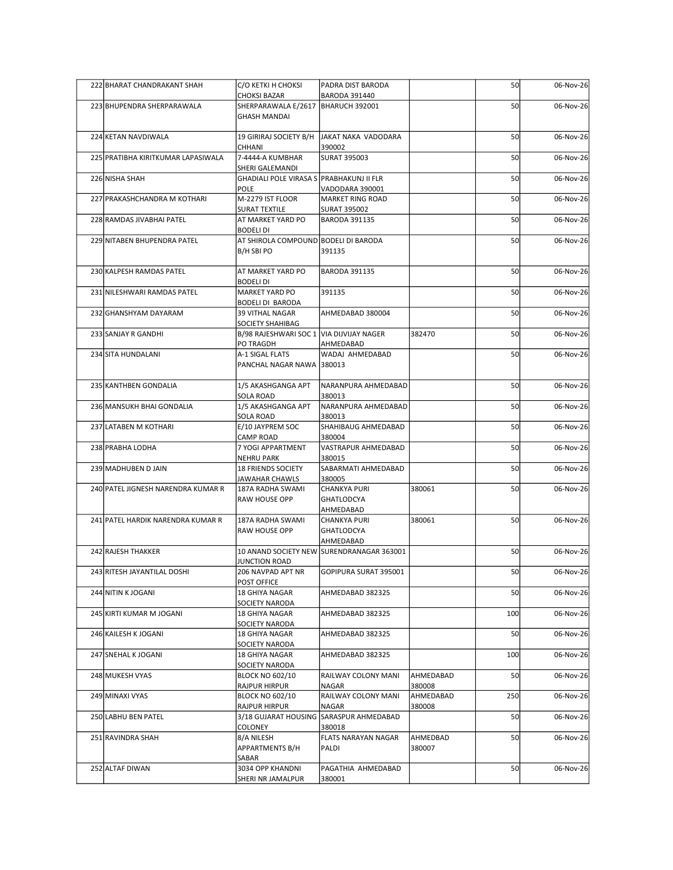| 222 BHARAT CHANDRAKANT SHAH        | C/O KETKI H CHOKSI                                          | PADRA DIST BARODA                                      |                     | 50  | 06-Nov-26 |
|------------------------------------|-------------------------------------------------------------|--------------------------------------------------------|---------------------|-----|-----------|
| 223 BHUPENDRA SHERPARAWALA         | <b>CHOKSI BAZAR</b><br>SHERPARAWALA E/2617   BHARUCH 392001 | <b>BARODA 391440</b>                                   |                     | 50  | 06-Nov-26 |
|                                    | <b>GHASH MANDAI</b>                                         |                                                        |                     |     |           |
| 224 KETAN NAVDIWALA                | CHHANI                                                      | 19 GIRIRAJ SOCIETY B/H   JAKAT NAKA VADODARA<br>390002 |                     | 50  | 06-Nov-26 |
| 225 PRATIBHA KIRITKUMAR LAPASIWALA | 7-4444-A KUMBHAR                                            | SURAT 395003                                           |                     | 50  | 06-Nov-26 |
| 226 NISHA SHAH                     | SHERI GALEMANDI<br>GHADIALI POLE VIRASA S PRABHAKUNJ II FLR |                                                        |                     | 50  | 06-Nov-26 |
| 227 PRAKASHCHANDRA M KOTHARI       | POLE<br>M-2279 IST FLOOR                                    | VADODARA 390001<br>MARKET RING ROAD                    |                     | 50  | 06-Nov-26 |
|                                    | <b>SURAT TEXTILE</b>                                        | <b>SURAT 395002</b>                                    |                     |     |           |
| 228 RAMDAS JIVABHAI PATEL          | AT MARKET YARD PO<br><b>BODELI DI</b>                       | <b>BARODA 391135</b>                                   |                     | 50  | 06-Nov-26 |
| 229 NITABEN BHUPENDRA PATEL        | AT SHIROLA COMPOUND BODELI DI BARODA<br>B/H SBI PO          | 391135                                                 |                     | 50  | 06-Nov-26 |
| 230 KALPESH RAMDAS PATEL           | AT MARKET YARD PO                                           | <b>BARODA 391135</b>                                   |                     | 50  | 06-Nov-26 |
| 231 NILESHWARI RAMDAS PATEL        | <b>BODELI DI</b><br>MARKET YARD PO                          | 391135                                                 |                     | 50  | 06-Nov-26 |
| 232 GHANSHYAM DAYARAM              | <b>BODELI DI BARODA</b><br><b>39 VITHAL NAGAR</b>           | AHMEDABAD 380004                                       |                     | 50  | 06-Nov-26 |
|                                    | SOCIETY SHAHIBAG                                            |                                                        |                     |     |           |
| 233 SANJAY R GANDHI                | B/98 RAJESHWARI SOC 1 VIA DIJVIJAY NAGER<br>PO TRAGDH       | AHMEDABAD                                              | 382470              | 50  | 06-Nov-26 |
| 234 SITA HUNDALANI                 | A-1 SIGAL FLATS<br>PANCHAL NAGAR NAWA 380013                | WADAJ AHMEDABAD                                        |                     | 50  | 06-Nov-26 |
| 235 KANTHBEN GONDALIA              | 1/5 AKASHGANGA APT                                          | NARANPURA AHMEDABAD                                    |                     | 50  | 06-Nov-26 |
| 236 MANSUKH BHAI GONDALIA          | SOLA ROAD<br>1/5 AKASHGANGA APT                             | 380013<br>NARANPURA AHMEDABAD                          |                     | 50  | 06-Nov-26 |
| 237 LATABEN M KOTHARI              | SOLA ROAD<br>E/10 JAYPREM SOC                               | 380013<br>SHAHIBAUG AHMEDABAD                          |                     | 50  | 06-Nov-26 |
|                                    | CAMP ROAD                                                   | 380004                                                 |                     |     |           |
| 238 PRABHA LODHA                   | 7 YOGI APPARTMENT<br><b>NEHRU PARK</b>                      | VASTRAPUR AHMEDABAD<br>380015                          |                     | 50  | 06-Nov-26 |
| 239 MADHUBEN D JAIN                | <b>18 FRIENDS SOCIETY</b><br>JAWAHAR CHAWLS                 | SABARMATI AHMEDABAD<br>380005                          |                     | 50  | 06-Nov-26 |
| 240 PATEL JIGNESH NARENDRA KUMAR R | 187A RADHA SWAMI                                            | CHANKYA PURI                                           | 380061              | 50  | 06-Nov-26 |
|                                    | RAW HOUSE OPP                                               | <b>GHATLODCYA</b><br>AHMEDABAD                         |                     |     |           |
| 241 PATEL HARDIK NARENDRA KUMAR R  | 187A RADHA SWAMI<br>RAW HOUSE OPP                           | <b>CHANKYA PURI</b><br><b>GHATLODCYA</b>               | 380061              | 50  | 06-Nov-26 |
| 242 RAJESH THAKKER                 |                                                             | AHMEDABAD<br>10 ANAND SOCIETY NEW SURENDRANAGAR 363001 |                     | 50  | 06-Nov-26 |
| 243 RITESH JAYANTILAL DOSHI        | <b>JUNCTION ROAD</b><br>206 NAVPAD APT NR                   | GOPIPURA SURAT 395001                                  |                     | 50  | 06-Nov-26 |
|                                    | POST OFFICE                                                 |                                                        |                     |     |           |
| 244 NITIN K JOGANI                 | 18 GHIYA NAGAR<br>SOCIETY NARODA                            | AHMEDABAD 382325                                       |                     | 50  | 06-Nov-26 |
| 245 KIRTI KUMAR M JOGANI           | 18 GHIYA NAGAR<br>SOCIETY NARODA                            | AHMEDABAD 382325                                       |                     | 100 | 06-Nov-26 |
| 246 KAILESH K JOGANI               | 18 GHIYA NAGAR<br>SOCIETY NARODA                            | AHMEDABAD 382325                                       |                     | 50  | 06-Nov-26 |
| 247 SNEHAL K JOGANI                | 18 GHIYA NAGAR                                              | AHMEDABAD 382325                                       |                     | 100 | 06-Nov-26 |
| 248 MUKESH VYAS                    | SOCIETY NARODA<br><b>BLOCK NO 602/10</b>                    | RAILWAY COLONY MANI                                    | AHMEDABAD           | 50  | 06-Nov-26 |
| 249 MINAXI VYAS                    | RAJPUR HIRPUR<br><b>BLOCK NO 602/10</b>                     | NAGAR<br>RAILWAY COLONY MANI                           | 380008<br>AHMEDABAD | 250 | 06-Nov-26 |
|                                    | RAJPUR HIRPUR                                               | <b>NAGAR</b>                                           | 380008              |     |           |
| 250 LABHU BEN PATEL                | COLONEY                                                     | 3/18 GUJARAT HOUSING SARASPUR AHMEDABAD<br>380018      |                     | 50  | 06-Nov-26 |
| 251 RAVINDRA SHAH                  | 8/A NILESH<br>APPARTMENTS B/H                               | <b>FLATS NARAYAN NAGAR</b><br>PALDI                    | AHMEDBAD<br>380007  | 50  | 06-Nov-26 |
| 252 ALTAF DIWAN                    | SABAR<br>3034 OPP KHANDNI                                   | PAGATHIA AHMEDABAD                                     |                     | 50  | 06-Nov-26 |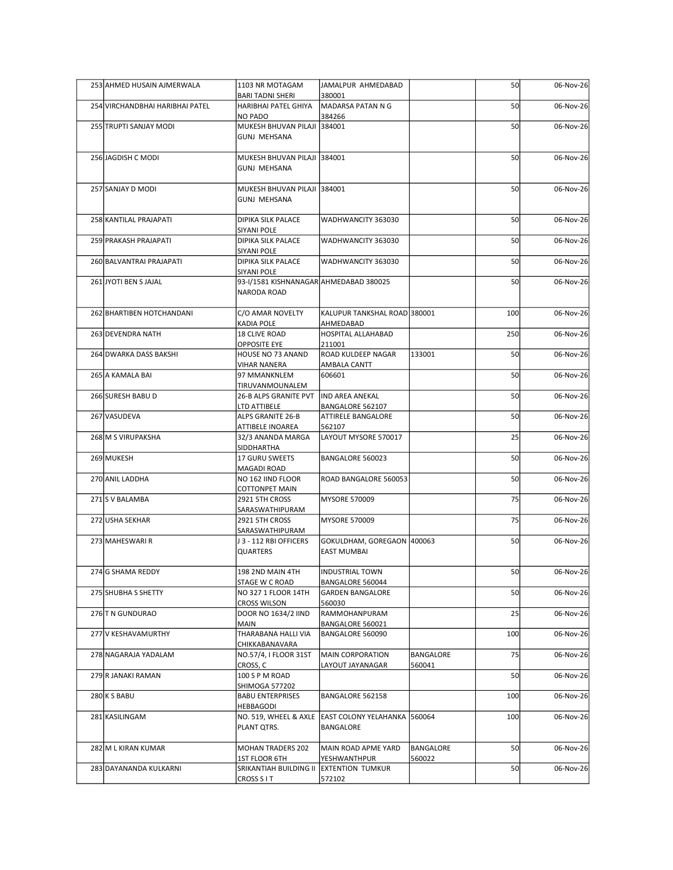| 253 AHMED HUSAIN AJMERWALA      | 1103 NR MOTAGAM                                       | JAMALPUR AHMEDABAD                                                |                     | 50        | 06-Nov-26 |
|---------------------------------|-------------------------------------------------------|-------------------------------------------------------------------|---------------------|-----------|-----------|
|                                 | <b>BARI TADNI SHERI</b>                               | 380001                                                            |                     |           |           |
| 254 VIRCHANDBHAI HARIBHAI PATEL | HARIBHAI PATEL GHIYA<br>NO PADO                       | MADARSA PATAN N G<br>384266                                       |                     | 50        | 06-Nov-26 |
| 255 TRUPTI SANJAY MODI          | MUKESH BHUVAN PILAJI 384001<br><b>GUNJ MEHSANA</b>    |                                                                   |                     | 50        | 06-Nov-26 |
| 256 JAGDISH C MODI              | MUKESH BHUVAN PILAJI 384001                           |                                                                   |                     | <b>50</b> | 06-Nov-26 |
|                                 | <b>GUNJ MEHSANA</b>                                   |                                                                   |                     |           |           |
| 257 SANJAY D MODI               | MUKESH BHUVAN PILAJI 384001                           |                                                                   |                     | 50        | 06-Nov-26 |
|                                 | <b>GUNJ MEHSANA</b>                                   |                                                                   |                     |           |           |
| 258 KANTILAL PRAJAPATI          | <b>DIPIKA SILK PALACE</b>                             | WADHWANCITY 363030                                                |                     | 50        | 06-Nov-26 |
| 259 PRAKASH PRAJAPATI           | SIYANI POLE<br><b>DIPIKA SILK PALACE</b>              | WADHWANCITY 363030                                                |                     | 50        | 06-Nov-26 |
| 260 BALVANTRAI PRAJAPATI        | SIYANI POLE<br><b>DIPIKA SILK PALACE</b>              | WADHWANCITY 363030                                                |                     | 50        | 06-Nov-26 |
|                                 | SIYANI POLE                                           |                                                                   |                     |           |           |
| 261 JYOTI BEN S JAJAL           | 93-I/1581 KISHNANAGAR AHMEDABAD 380025<br>NARODA ROAD |                                                                   |                     | 50        | 06-Nov-26 |
| 262 BHARTIBEN HOTCHANDANI       | C/O AMAR NOVELTY                                      | KALUPUR TANKSHAL ROAD 380001                                      |                     | 100       | 06-Nov-26 |
|                                 | KADIA POLE                                            | AHMEDABAD                                                         |                     |           |           |
| 263 DEVENDRA NATH               | 18 CLIVE ROAD<br><b>OPPOSITE EYE</b>                  | HOSPITAL ALLAHABAD<br>211001                                      |                     | 250       | 06-Nov-26 |
| 264 DWARKA DASS BAKSHI          | HOUSE NO 73 ANAND<br><b>VIHAR NANERA</b>              | ROAD KULDEEP NAGAR<br>AMBALA CANTT                                | 133001              | 50        | 06-Nov-26 |
| 265 A KAMALA BAI                | 97 MMANKNLEM                                          | 606601                                                            |                     | 50        | 06-Nov-26 |
| 266 SURESH BABU D               | TIRUVANMOUNALEM<br><b>26-B ALPS GRANITE PVT</b>       | IND AREA ANEKAL                                                   |                     | 50        | 06-Nov-26 |
| 267 VASUDEVA                    | LTD ATTIBELE<br>ALPS GRANITE 26-B                     | BANGALORE 562107<br>ATTIRELE BANGALORE                            |                     | 50        | 06-Nov-26 |
|                                 | ATTIBELE INOAREA                                      | 562107                                                            |                     |           |           |
| 268 M S VIRUPAKSHA              | 32/3 ANANDA MARGA<br>SIDDHARTHA                       | LAYOUT MYSORE 570017                                              |                     | 25        | 06-Nov-26 |
| 269 MUKESH                      | 17 GURU SWEETS<br>MAGADI ROAD                         | BANGALORE 560023                                                  |                     | 50        | 06-Nov-26 |
| 270 ANIL LADDHA                 | NO 162 IIND FLOOR                                     | ROAD BANGALORE 560053                                             |                     | 50        | 06-Nov-26 |
| 271 S V BALAMBA                 | <b>COTTONPET MAIN</b><br>2921 5TH CROSS               | <b>MYSORE 570009</b>                                              |                     | 75        | 06-Nov-26 |
| 272 USHA SEKHAR                 | SARASWATHIPURAM<br>2921 5TH CROSS                     | MYSORE 570009                                                     |                     | 75        | 06-Nov-26 |
|                                 | SARASWATHIPURAM                                       |                                                                   |                     |           |           |
| 273 MAHESWARI R                 | J 3 - 112 RBI OFFICERS<br><b>QUARTERS</b>             | GOKULDHAM, GOREGAON 400063<br><b>EAST MUMBAI</b>                  |                     | <b>50</b> | 06-Nov-26 |
| 274 G SHAMA REDDY               | 198 2ND MAIN 4TH                                      | INDUSTRIAL TOWN                                                   |                     | 50        | 06-Nov-26 |
|                                 | STAGE W C ROAD                                        | BANGALORE 560044                                                  |                     |           |           |
| 275 SHUBHA S SHETTY             | NO 327 1 FLOOR 14TH<br><b>CROSS WILSON</b>            | <b>GARDEN BANGALORE</b><br>560030                                 |                     | 50        | 06-Nov-26 |
| 276 T N GUNDURAO                | <b>DOOR NO 1634/2 IIND</b><br><b>MAIN</b>             | RAMMOHANPURAM                                                     |                     | 25        | 06-Nov-26 |
| 277 V KESHAVAMURTHY             | THARABANA HALLI VIA                                   | BANGALORE 560021<br>BANGALORE 560090                              |                     | 100       | 06-Nov-26 |
| 278 NAGARAJA YADALAM            | CHIKKABANAVARA<br>NO.57/4, I FLOOR 31ST               | MAIN CORPORATION                                                  | BANGALORE           | 75        | 06-Nov-26 |
| 279 R JANAKI RAMAN              | CROSS, C<br>100 S P M ROAD                            | LAYOUT JAYANAGAR                                                  | 560041              | 50        | 06-Nov-26 |
|                                 | <b>SHIMOGA 577202</b>                                 |                                                                   |                     |           |           |
| 280 K S BABU                    | <b>BABU ENTERPRISES</b><br>HEBBAGODI                  | BANGALORE 562158                                                  |                     | 100       | 06-Nov-26 |
| 281 KASILINGAM                  | PLANT QTRS.                                           | NO. 519, WHEEL & AXLE  EAST COLONY YELAHANKA  560064<br>BANGALORE |                     | 100       | 06-Nov-26 |
|                                 |                                                       |                                                                   |                     |           |           |
| 282 M L KIRAN KUMAR             | <b>MOHAN TRADERS 202</b><br><b>1ST FLOOR 6TH</b>      | MAIN ROAD APME YARD<br>YESHWANTHPUR                               | BANGALORE<br>560022 | 50        | 06-Nov-26 |
| 283 DAYANANDA KULKARNI          | SRIKANTIAH BUILDING II EXTENTION TUMKUR               |                                                                   |                     | 50        | 06-Nov-26 |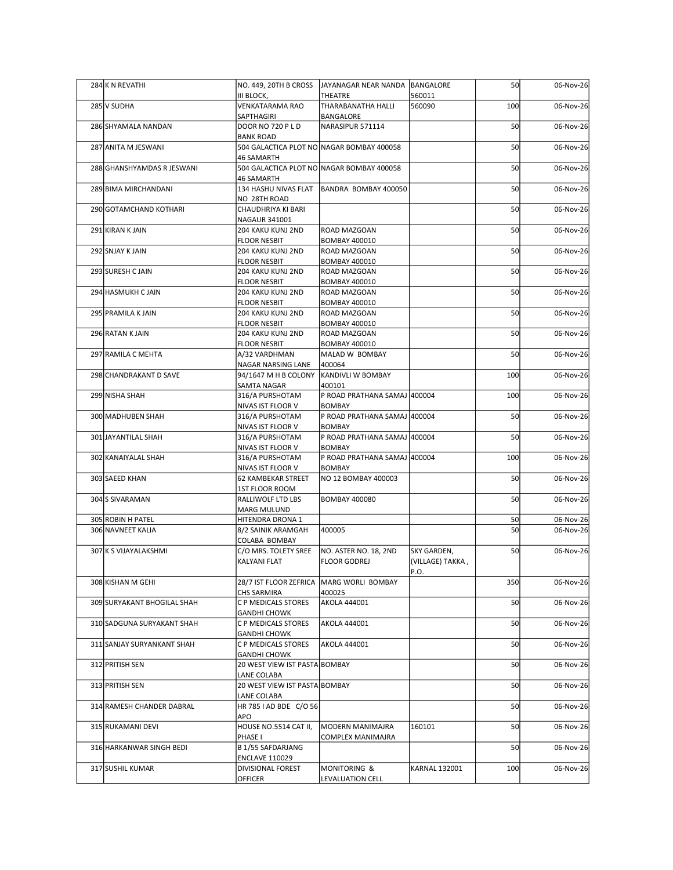| 284 K N REVATHI             | NO. 449, 20TH B CROSS                                     | JAYANAGAR NEAR NANDA   BANGALORE             |                                 | 50  | 06-Nov-26 |
|-----------------------------|-----------------------------------------------------------|----------------------------------------------|---------------------------------|-----|-----------|
| 285 V SUDHA                 | III BLOCK,<br><b>VENKATARAMA RAO</b>                      | THEATRE<br>THARABANATHA HALLI                | 560011<br>560090                | 100 | 06-Nov-26 |
| 286 SHYAMALA NANDAN         | SAPTHAGIRI<br>DOOR NO 720 P L D                           | BANGALORE<br>NARASIPUR 571114                |                                 | 50  | 06-Nov-26 |
|                             | <b>BANK ROAD</b>                                          |                                              |                                 |     |           |
| 287 ANITA M JESWANI         | 46 SAMARTH                                                | 504 GALACTICA PLOT NO NAGAR BOMBAY 400058    |                                 | 50  | 06-Nov-26 |
| 288 GHANSHYAMDAS R JESWANI  | 46 SAMARTH                                                | 504 GALACTICA PLOT NO NAGAR BOMBAY 400058    |                                 | 50  | 06-Nov-26 |
| 289 BIMA MIRCHANDANI        | 134 HASHU NIVAS FLAT                                      | BANDRA BOMBAY 400050                         |                                 | 50  | 06-Nov-26 |
| 290 GOTAMCHAND KOTHARI      | NO 28TH ROAD<br>CHAUDHRIYA KI BARI                        |                                              |                                 | 50  | 06-Nov-26 |
| 291 KIRAN K JAIN            | NAGAUR 341001<br>204 KAKU KUNJ 2ND                        | ROAD MAZGOAN                                 |                                 | 50  | 06-Nov-26 |
| 292 SNJAY K JAIN            | <b>FLOOR NESBIT</b><br>204 KAKU KUNJ 2ND                  | <b>BOMBAY 400010</b><br>ROAD MAZGOAN         |                                 | 50  | 06-Nov-26 |
|                             | <b>FLOOR NESBIT</b>                                       | <b>BOMBAY 400010</b>                         |                                 |     |           |
| 293 SURESH C JAIN           | 204 KAKU KUNJ 2ND<br>FLOOR NESBIT                         | ROAD MAZGOAN<br><b>BOMBAY 400010</b>         |                                 | 50  | 06-Nov-26 |
| 294 HASMUKH C JAIN          | 204 KAKU KUNJ 2ND                                         | <b>ROAD MAZGOAN</b>                          |                                 | 50  | 06-Nov-26 |
| 295 PRAMILA K JAIN          | <b>FLOOR NESBIT</b><br>204 KAKU KUNJ 2ND                  | <b>BOMBAY 400010</b><br>ROAD MAZGOAN         |                                 | 50  | 06-Nov-26 |
| 296 RATAN K JAIN            | <b>FLOOR NESBIT</b><br>204 KAKU KUNJ 2ND                  | <b>BOMBAY 400010</b><br>ROAD MAZGOAN         |                                 | 50  | 06-Nov-26 |
|                             | <b>FLOOR NESBIT</b>                                       | <b>BOMBAY 400010</b>                         |                                 |     |           |
| 297 RAMILA C MEHTA          | A/32 VARDHMAN<br>NAGAR NARSING LANE                       | MALAD W BOMBAY<br>400064                     |                                 | 50  | 06-Nov-26 |
| 298 CHANDRAKANT D SAVE      | 94/1647 M H B COLONY<br>SAMTA NAGAR                       | KANDIVLI W BOMBAY<br>400101                  |                                 | 100 | 06-Nov-26 |
| 299 NISHA SHAH              | 316/A PURSHOTAM                                           | P ROAD PRATHANA SAMAJ 400004                 |                                 | 100 | 06-Nov-26 |
| 300 MADHUBEN SHAH           | NIVAS IST FLOOR V<br>316/A PURSHOTAM                      | BOMBAY<br>P ROAD PRATHANA SAMAJ 400004       |                                 | 50  | 06-Nov-26 |
| 301 JAYANTILAL SHAH         | NIVAS IST FLOOR V<br>316/A PURSHOTAM                      | BOMBAY<br>P ROAD PRATHANA SAMAJ 400004       |                                 | 50  | 06-Nov-26 |
| 302 KANAIYALAL SHAH         | NIVAS IST FLOOR V<br>316/A PURSHOTAM                      | BOMBAY<br>P ROAD PRATHANA SAMAJ 400004       |                                 | 100 | 06-Nov-26 |
|                             | NIVAS IST FLOOR V                                         | <b>BOMBAY</b>                                |                                 |     |           |
| 303 SAEED KHAN              | 62 KAMBEKAR STREET<br>1ST FLOOR ROOM                      | NO 12 BOMBAY 400003                          |                                 | 50  | 06-Nov-26 |
| 304 S SIVARAMAN             | RALLIWOLF LTD LBS                                         | <b>BOMBAY 400080</b>                         |                                 | 50  | 06-Nov-26 |
| 305 ROBIN H PATEL           | <b>MARG MULUND</b><br>HITENDRA DRONA 1                    |                                              |                                 | 50  | 06-Nov-26 |
| 306 NAVNEET KALIA           | 8/2 SAINIK ARAMGAH<br>COLABA BOMBAY                       | 400005                                       |                                 | 50  | 06-Nov-26 |
| 307 K S VIJAYALAKSHMI       | C/O MRS. TOLETY SREE<br>KALYANI FLAT                      | NO. ASTER NO. 18, 2ND<br><b>FLOOR GODREJ</b> | SKY GARDEN,<br>(VILLAGE) TAKKA, | 50  | 06-Nov-26 |
|                             |                                                           |                                              | P.O.                            |     |           |
| 308 KISHAN M GEHI           | 28/7 IST FLOOR ZEFRICA   MARG WORLI BOMBAY<br>CHS SARMIRA | 400025                                       |                                 | 350 | 06-Nov-26 |
| 309 SURYAKANT BHOGILAL SHAH | C P MEDICALS STORES<br><b>GANDHI CHOWK</b>                | AKOLA 444001                                 |                                 | 50  | 06-Nov-26 |
| 310 SADGUNA SURYAKANT SHAH  | C P MEDICALS STORES                                       | AKOLA 444001                                 |                                 | 50  | 06-Nov-26 |
| 311 SANJAY SURYANKANT SHAH  | <b>GANDHI CHOWK</b><br>C P MEDICALS STORES                | AKOLA 444001                                 |                                 | 50  | 06-Nov-26 |
| 312 PRITISH SEN             | <b>GANDHI CHOWK</b><br>20 WEST VIEW IST PASTA BOMBAY      |                                              |                                 | 50  | 06-Nov-26 |
|                             | LANE COLABA                                               |                                              |                                 |     |           |
| 313 PRITISH SEN             | 20 WEST VIEW IST PASTA BOMBAY<br>LANE COLABA              |                                              |                                 | 50  | 06-Nov-26 |
| 314 RAMESH CHANDER DABRAL   | HR 785   AD BDE C/O 56<br>APO                             |                                              |                                 | 50  | 06-Nov-26 |
| 315 RUKAMANI DEVI           | HOUSE NO.5514 CAT II,                                     | MODERN MANIMAJRA                             | 160101                          | 50  | 06-Nov-26 |
| 316 HARKANWAR SINGH BEDI    | PHASE I<br>B 1/55 SAFDARJANG                              | COMPLEX MANIMAJRA                            |                                 | 50  | 06-Nov-26 |
| 317 SUSHIL KUMAR            | <b>ENCLAVE 110029</b><br><b>DIVISIONAL FOREST</b>         | MONITORING &                                 | <b>KARNAL 132001</b>            | 100 | 06-Nov-26 |
|                             | <b>OFFICER</b>                                            | <b>LEVALUATION CELL</b>                      |                                 |     |           |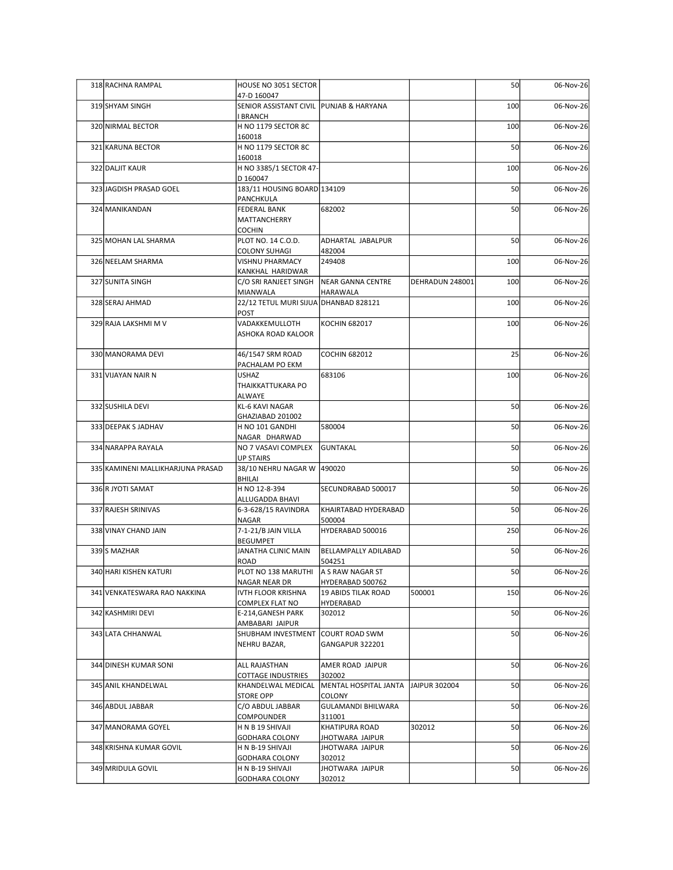| 318 RACHNA RAMPAL                 | HOUSE NO 3051 SECTOR                                   |                                                      |                 | 50  | 06-Nov-26 |
|-----------------------------------|--------------------------------------------------------|------------------------------------------------------|-----------------|-----|-----------|
| 319 SHYAM SINGH                   | 47-D 160047<br>SENIOR ASSISTANT CIVIL PUNJAB & HARYANA |                                                      |                 | 100 | 06-Nov-26 |
| 320 NIRMAL BECTOR                 | <b>I BRANCH</b><br>H NO 1179 SECTOR 8C                 |                                                      |                 | 100 | 06-Nov-26 |
|                                   | 160018                                                 |                                                      |                 |     |           |
| 321 KARUNA BECTOR                 | H NO 1179 SECTOR 8C<br>160018                          |                                                      |                 | 50  | 06-Nov-26 |
| 322 DALJIT KAUR                   | H NO 3385/1 SECTOR 47-                                 |                                                      |                 | 100 | 06-Nov-26 |
| 323 JAGDISH PRASAD GOEL           | D 160047<br>183/11 HOUSING BOARD 134109                |                                                      |                 | 50  | 06-Nov-26 |
|                                   | PANCHKULA                                              |                                                      |                 |     |           |
| 324 MANIKANDAN                    | <b>FEDERAL BANK</b><br>MATTANCHERRY                    | 682002                                               |                 | 50  | 06-Nov-26 |
| 325 MOHAN LAL SHARMA              | <b>COCHIN</b><br>PLOT NO. 14 C.O.D.                    | ADHARTAL JABALPUR                                    |                 | 50  | 06-Nov-26 |
|                                   | <b>COLONY SUHAGI</b>                                   | 482004                                               |                 |     |           |
| 326 NEELAM SHARMA                 | VISHNU PHARMACY<br>KANKHAL HARIDWAR                    | 249408                                               |                 | 100 | 06-Nov-26 |
| 327 SUNITA SINGH                  | C/O SRI RANJEET SINGH                                  | NEAR GANNA CENTRE                                    | DEHRADUN 248001 | 100 | 06-Nov-26 |
| 328 SERAJ AHMAD                   | MIANWALA<br>22/12 TETUL MURI SIJUA DHANBAD 828121      | HARAWALA                                             |                 | 100 | 06-Nov-26 |
| 329 RAJA LAKSHMI M V              | POST<br>VADAKKEMULLOTH                                 | <b>KOCHIN 682017</b>                                 |                 | 100 | 06-Nov-26 |
|                                   | ASHOKA ROAD KALOOR                                     |                                                      |                 |     |           |
| 330 MANORAMA DEVI                 | 46/1547 SRM ROAD                                       | <b>COCHIN 682012</b>                                 |                 | 25  | 06-Nov-26 |
|                                   | PACHALAM PO EKM                                        |                                                      |                 |     |           |
| 331 VIJAYAN NAIR N                | <b>USHAZ</b><br>THAIKKATTUKARA PO                      | 683106                                               |                 | 100 | 06-Nov-26 |
|                                   | ALWAYE                                                 |                                                      |                 |     |           |
| 332 SUSHILA DEVI                  | KL-6 KAVI NAGAR<br>GHAZIABAD 201002                    |                                                      |                 | 50  | 06-Nov-26 |
| 333 DEEPAK S JADHAV               | H NO 101 GANDHI                                        | 580004                                               |                 | 50  | 06-Nov-26 |
| 334 NARAPPA RAYALA                | NAGAR DHARWAD<br>NO 7 VASAVI COMPLEX                   | GUNTAKAL                                             |                 | 50  | 06-Nov-26 |
| 335 KAMINENI MALLIKHARJUNA PRASAD | <b>UP STAIRS</b><br>38/10 NEHRU NAGAR W 490020         |                                                      |                 | 50  | 06-Nov-26 |
|                                   | BHILAI                                                 |                                                      |                 |     |           |
| 336 R JYOTI SAMAT                 | H NO 12-8-394<br>ALLUGADDA BHAVI                       | SECUNDRABAD 500017                                   |                 | 50  | 06-Nov-26 |
| 337 RAJESH SRINIVAS               | 6-3-628/15 RAVINDRA                                    | KHAIRTABAD HYDERABAD                                 |                 | 50  | 06-Nov-26 |
| 338 VINAY CHAND JAIN              | NAGAR<br>7-1-21/B JAIN VILLA                           | 500004<br>HYDERABAD 500016                           |                 | 250 | 06-Nov-26 |
| 339 S MAZHAR                      | BEGUMPET<br>JANATHA CLINIC MAIN                        | BELLAMPALLY ADILABAD                                 |                 | 50  | 06-Nov-26 |
|                                   | ROAD                                                   | 504251                                               |                 |     |           |
| 340 HARI KISHEN KATURI            | PLOT NO 138 MARUTHI<br>NAGAR NEAR DR                   | A S RAW NAGAR ST<br>HYDERABAD 500762                 |                 | 50  | 06-Nov-26 |
| 341 VENKATESWARA RAO NAKKINA      | IVTH FLOOR KRISHNA                                     | 19 ABIDS TILAK ROAD                                  | 500001          | 150 | 06-Nov-26 |
| 342 KASHMIRI DEVI                 | COMPLEX FLAT NO<br>E-214, GANESH PARK                  | HYDERABAD<br>302012                                  |                 | 50  | 06-Nov-26 |
|                                   | AMBABARI JAIPUR                                        |                                                      |                 |     |           |
| 343 LATA CHHANWAL                 | SHUBHAM INVESTMENT<br>NEHRU BAZAR,                     | COURT ROAD SWM<br>GANGAPUR 322201                    |                 | 50  | 06-Nov-26 |
| 344 DINESH KUMAR SONI             | ALL RAJASTHAN                                          | AMER ROAD JAIPUR                                     |                 | 50  | 06-Nov-26 |
|                                   | COTTAGE INDUSTRIES                                     | 302002                                               |                 |     |           |
| 345 ANIL KHANDELWAL               | KHANDELWAL MEDICAL<br><b>STORE OPP</b>                 | MENTAL HOSPITAL JANTA JAIPUR 302004<br><b>COLONY</b> |                 | 50  | 06-Nov-26 |
| 346 ABDUL JABBAR                  | C/O ABDUL JABBAR                                       | <b>GULAMANDI BHILWARA</b>                            |                 | 50  | 06-Nov-26 |
| 347 MANORAMA GOYEL                | COMPOUNDER<br>H N B 19 SHIVAJI                         | 311001<br>KHATIPURA ROAD                             | 302012          | 50  | 06-Nov-26 |
|                                   | GODHARA COLONY                                         | JHOTWARA JAIPUR                                      |                 |     |           |
| 348 KRISHNA KUMAR GOVIL           | H N B-19 SHIVAJI<br>GODHARA COLONY                     | JHOTWARA JAIPUR<br>302012                            |                 | 50  | 06-Nov-26 |
| 349 MRIDULA GOVIL                 | H N B-19 SHIVAJI<br><b>GODHARA COLONY</b>              | JHOTWARA JAIPUR<br>302012                            |                 | 50  | 06-Nov-26 |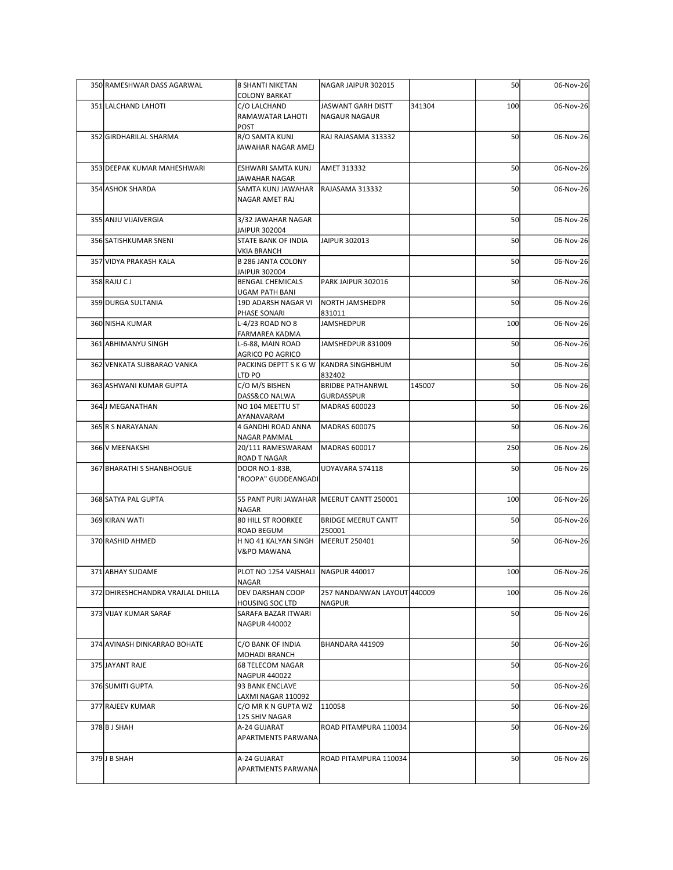| 350 RAMESHWAR DASS AGARWAL        | <b>8 SHANTI NIKETAN</b>                                     | NAGAR JAIPUR 302015                  |        | 50  | 06-Nov-26 |
|-----------------------------------|-------------------------------------------------------------|--------------------------------------|--------|-----|-----------|
| 351 LALCHAND LAHOTI               | <b>COLONY BARKAT</b><br>C/O LALCHAND                        | JASWANT GARH DISTT                   | 341304 | 100 | 06-Nov-26 |
|                                   | RAMAWATAR LAHOTI<br>POST                                    | NAGAUR NAGAUR                        |        |     |           |
| 352 GIRDHARILAL SHARMA            | R/O SAMTA KUNJ<br>JAWAHAR NAGAR AMEJ                        | RAJ RAJASAMA 313332                  |        | 50  | 06-Nov-26 |
| 353 DEEPAK KUMAR MAHESHWARI       | ESHWARI SAMTA KUNJ                                          | AMET 313332                          |        | 50  | 06-Nov-26 |
| 354 ASHOK SHARDA                  | JAWAHAR NAGAR<br>SAMTA KUNJ JAWAHAR<br>NAGAR AMET RAJ       | RAJASAMA 313332                      |        | 50  | 06-Nov-26 |
| 355 ANJU VIJAIVERGIA              | 3/32 JAWAHAR NAGAR                                          |                                      |        | 50  | 06-Nov-26 |
| 356 SATISHKUMAR SNENI             | JAIPUR 302004<br>STATE BANK OF INDIA                        | JAIPUR 302013                        |        | 50  | 06-Nov-26 |
| 357 VIDYA PRAKASH KALA            | <b>VKIA BRANCH</b><br>B 286 JANTA COLONY                    |                                      |        | 50  | 06-Nov-26 |
| 358 RAJU CJ                       | JAIPUR 302004<br><b>BENGAL CHEMICALS</b>                    | PARK JAIPUR 302016                   |        | 50  | 06-Nov-26 |
| 359 DURGA SULTANIA                | UGAM PATH BANI<br>19D ADARSH NAGAR VI NORTH JAMSHEDPR       |                                      |        | 50  | 06-Nov-26 |
| 360 NISHA KUMAR                   | PHASE SONARI<br>L-4/23 ROAD NO 8                            | 831011<br><b>JAMSHEDPUR</b>          |        | 100 | 06-Nov-26 |
| 361 ABHIMANYU SINGH               | FARMAREA KADMA<br>L-6-88, MAIN ROAD                         | JAMSHEDPUR 831009                    |        | 50  | 06-Nov-26 |
| 362 VENKATA SUBBARAO VANKA        | AGRICO PO AGRICO<br>PACKING DEPTT S K G W  KANDRA SINGHBHUM |                                      |        | 50  | 06-Nov-26 |
| 363 ASHWANI KUMAR GUPTA           | LTD PO<br>C/O M/S BISHEN                                    | 832402<br><b>BRIDBE PATHANRWL</b>    | 145007 | 50  | 06-Nov-26 |
| 364 J MEGANATHAN                  | DASS&CO NALWA<br>NO 104 MEETTU ST                           | GURDASSPUR<br>MADRAS 600023          |        | 50  | 06-Nov-26 |
| 365 R S NARAYANAN                 | AYANAVARAM<br>4 GANDHI ROAD ANNA                            | MADRAS 600075                        |        | 50  | 06-Nov-26 |
| 366 V MEENAKSHI                   | NAGAR PAMMAL<br>20/111 RAMESWARAM                           | MADRAS 600017                        |        | 250 | 06-Nov-26 |
| 367 BHARATHI S SHANBHOGUE         | ROAD T NAGAR<br>DOOR NO.1-83B,                              | UDYAVARA 574118                      |        | 50  | 06-Nov-26 |
|                                   | 'ROOPA" GUDDEANGADI                                         |                                      |        |     |           |
| 368 SATYA PAL GUPTA               | 55 PANT PURI JAWAHAR MEERUT CANTT 250001<br>NAGAR           |                                      |        | 100 | 06-Nov-26 |
| 369 KIRAN WATI                    | 80 HILL ST ROORKEE<br>ROAD BEGUM                            | <b>BRIDGE MEERUT CANTT</b><br>250001 |        | 50  | 06-Nov-26 |
| 370 RASHID AHMED                  | H NO 41 KALYAN SINGH<br><b>V&amp;PO MAWANA</b>              | MEERUT 250401                        |        | 50  | 06-Nov-26 |
| 371 ABHAY SUDAME                  | PLOT NO 1254 VAISHALI NAGPUR 440017                         |                                      |        | 100 | 06-Nov-26 |
| 372 DHIRESHCHANDRA VRAJLAL DHILLA | NAGAR<br>DEV DARSHAN COOP                                   | 257 NANDANWAN LAYOUT 440009          |        | 100 | 06-Nov-26 |
| 373 VIJAY KUMAR SARAF             | HOUSING SOC LTD<br>SARAFA BAZAR ITWARI<br>NAGPUR 440002     | NAGPUR                               |        | 50  | 06-Nov-26 |
| 374 AVINASH DINKARRAO BOHATE      | C/O BANK OF INDIA                                           | BHANDARA 441909                      |        | 50  | 06-Nov-26 |
| 375 JAYANT RAJE                   | <b>MOHADI BRANCH</b><br>68 TELECOM NAGAR                    |                                      |        | 50  | 06-Nov-26 |
| 376 SUMITI GUPTA                  | NAGPUR 440022<br>93 BANK ENCLAVE                            |                                      |        | 50  | 06-Nov-26 |
| 377 RAJEEV KUMAR                  | LAXMI NAGAR 110092<br>C/O MR K N GUPTA WZ                   | 110058                               |        | 50  | 06-Nov-26 |
| 378 B J SHAH                      | 125 SHIV NAGAR<br>A-24 GUJARAT                              | ROAD PITAMPURA 110034                |        | 50  | 06-Nov-26 |
|                                   | APARTMENTS PARWANA                                          |                                      |        |     |           |
| 379J B SHAH                       | A-24 GUJARAT<br>APARTMENTS PARWANA                          | ROAD PITAMPURA 110034                |        | 50  | 06-Nov-26 |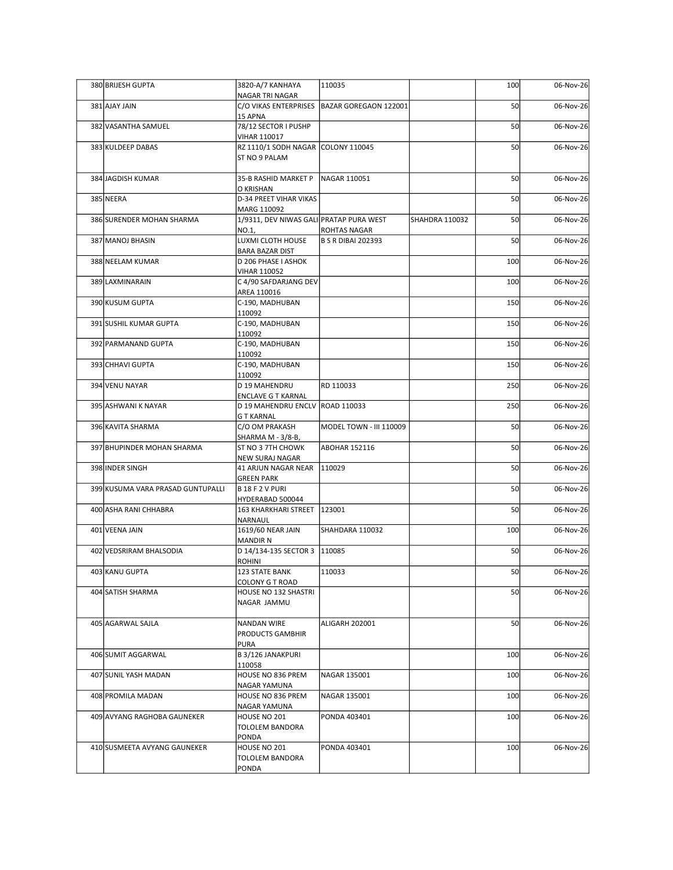| 380 BRIJESH GUPTA                 | 3820-A/7 KANHAYA                                          | 110035                                        |                | 100 | 06-Nov-26 |
|-----------------------------------|-----------------------------------------------------------|-----------------------------------------------|----------------|-----|-----------|
| 381 AJAY JAIN                     | NAGAR TRI NAGAR                                           | C/O VIKAS ENTERPRISES   BAZAR GOREGAON 122001 |                | 50  | 06-Nov-26 |
| 382 VASANTHA SAMUEL               | 15 APNA<br>78/12 SECTOR I PUSHP                           |                                               |                | 50  | 06-Nov-26 |
| 383 KULDEEP DABAS                 | <b>VIHAR 110017</b><br>RZ 1110/1 SODH NAGAR COLONY 110045 |                                               |                | 50  | 06-Nov-26 |
|                                   | ST NO 9 PALAM                                             |                                               |                |     |           |
| 384 JAGDISH KUMAR                 | 35-B RASHID MARKET P                                      | NAGAR 110051                                  |                | 50  | 06-Nov-26 |
| 385 NEERA                         | O KRISHAN<br>D-34 PREET VIHAR VIKAS                       |                                               |                | 50  | 06-Nov-26 |
| 386 SURENDER MOHAN SHARMA         | MARG 110092<br>1/9311, DEV NIWAS GALI PRATAP PURA WEST    |                                               | SHAHDRA 110032 | 50  | 06-Nov-26 |
| 387 MANOJ BHASIN                  | NO.1,<br>LUXMI CLOTH HOUSE                                | ROHTAS NAGAR<br><b>B S R DIBAI 202393</b>     |                | 50  | 06-Nov-26 |
| 388 NEELAM KUMAR                  | BARA BAZAR DIST<br>D 206 PHASE I ASHOK                    |                                               |                | 100 | 06-Nov-26 |
| 389 LAXMINARAIN                   | <b>VIHAR 110052</b><br>C 4/90 SAFDARJANG DEV              |                                               |                | 100 | 06-Nov-26 |
| 390 KUSUM GUPTA                   | AREA 110016                                               |                                               |                |     |           |
|                                   | C-190, MADHUBAN<br>110092                                 |                                               |                | 150 | 06-Nov-26 |
| 391 SUSHIL KUMAR GUPTA            | C-190, MADHUBAN<br>110092                                 |                                               |                | 150 | 06-Nov-26 |
| 392 PARMANAND GUPTA               | C-190, MADHUBAN<br>110092                                 |                                               |                | 150 | 06-Nov-26 |
| 393 CHHAVI GUPTA                  | C-190, MADHUBAN<br>110092                                 |                                               |                | 150 | 06-Nov-26 |
| 394 VENU NAYAR                    | D 19 MAHENDRU<br>ENCLAVE G T KARNAL                       | RD 110033                                     |                | 250 | 06-Nov-26 |
| 395 ASHWANI K NAYAR               | D 19 MAHENDRU ENCLV ROAD 110033<br><b>G T KARNAL</b>      |                                               |                | 250 | 06-Nov-26 |
| 396 KAVITA SHARMA                 | C/O OM PRAKASH                                            | MODEL TOWN - III 110009                       |                | 50  | 06-Nov-26 |
| 397 BHUPINDER MOHAN SHARMA        | SHARMA M - 3/8-B,<br>ST NO 3 7TH CHOWK                    | <b>ABOHAR 152116</b>                          |                | 50  | 06-Nov-26 |
| 398 INDER SINGH                   | NEW SURAJ NAGAR<br>41 ARJUN NAGAR NEAR                    | 110029                                        |                | 50  | 06-Nov-26 |
| 399 KUSUMA VARA PRASAD GUNTUPALLI | <b>GREEN PARK</b><br>B 18 F 2 V PURI                      |                                               |                | 50  | 06-Nov-26 |
| 400 ASHA RANI CHHABRA             | HYDERABAD 500044<br>163 KHARKHARI STREET                  | 123001                                        |                | 50  | 06-Nov-26 |
| 401 VEENA JAIN                    | NARNAUL<br>1619/60 NEAR JAIN                              | SHAHDARA 110032                               |                | 100 | 06-Nov-26 |
|                                   | <b>MANDIR N</b><br>D 14/134-135 SECTOR 3 110085           |                                               |                | 50  |           |
| 402 VEDSRIRAM BHALSODIA           | ROHINI                                                    |                                               |                |     | 06-Nov-26 |
| 403 KANU GUPTA                    | 123 STATE BANK<br>COLONY G T ROAD                         | 110033                                        |                | 50  | 06-Nov-26 |
| 404 SATISH SHARMA                 | HOUSE NO 132 SHASTRI<br>NAGAR JAMMU                       |                                               |                | 50  | 06-Nov-26 |
| 405 AGARWAL SAJLA                 | NANDAN WIRE                                               | ALIGARH 202001                                |                | 50  | 06-Nov-26 |
|                                   | PRODUCTS GAMBHIR<br>PURA                                  |                                               |                |     |           |
| 406 SUMIT AGGARWAL                | B 3/126 JANAKPURI<br>110058                               |                                               |                | 100 | 06-Nov-26 |
| 407 SUNIL YASH MADAN              | HOUSE NO 836 PREM                                         | NAGAR 135001                                  |                | 100 | 06-Nov-26 |
| 408 PROMILA MADAN                 | NAGAR YAMUNA<br>HOUSE NO 836 PREM                         | NAGAR 135001                                  |                | 100 | 06-Nov-26 |
| 409 AVYANG RAGHOBA GAUNEKER       | NAGAR YAMUNA<br>HOUSE NO 201                              | PONDA 403401                                  |                | 100 | 06-Nov-26 |
|                                   | TOLOLEM BANDORA<br>PONDA                                  |                                               |                |     |           |
| 410 SUSMEETA AVYANG GAUNEKER      | HOUSE NO 201<br>TOLOLEM BANDORA<br>PONDA                  | PONDA 403401                                  |                | 100 | 06-Nov-26 |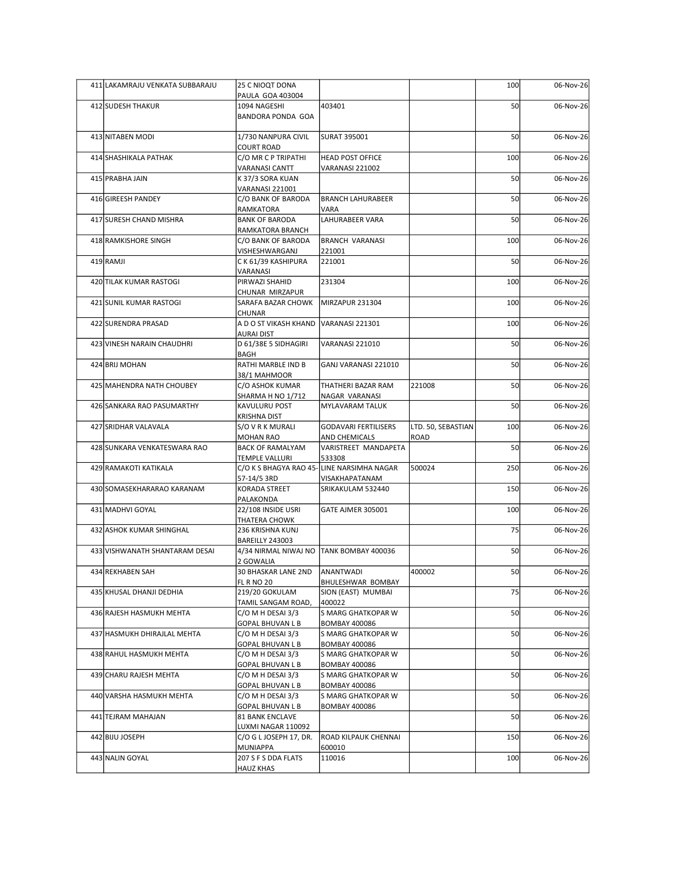| 411 LAKAMRAJU VENKATA SUBBARAJU | 25 C NIOQT DONA                                            |                                                             |                    | 100 | 06-Nov-26 |
|---------------------------------|------------------------------------------------------------|-------------------------------------------------------------|--------------------|-----|-----------|
| 412 SUDESH THAKUR               | PAULA GOA 403004<br>1094 NAGESHI                           | 403401                                                      |                    | 50  | 06-Nov-26 |
|                                 | <b>BANDORA PONDA GOA</b>                                   |                                                             |                    |     |           |
| 413 NITABEN MODI                | 1/730 NANPURA CIVIL<br><b>COURT ROAD</b>                   | SURAT 395001                                                |                    | 50  | 06-Nov-26 |
| 414 SHASHIKALA PATHAK           | C/O MR C P TRIPATHI<br><b>VARANASI CANTT</b>               | <b>HEAD POST OFFICE</b><br>VARANASI 221002                  |                    | 100 | 06-Nov-26 |
| 415 PRABHA JAIN                 | K 37/3 SORA KUAN<br>VARANASI 221001                        |                                                             |                    | 50  | 06-Nov-26 |
| 416 GIREESH PANDEY              | C/O BANK OF BARODA                                         | <b>BRANCH LAHURABEER</b>                                    |                    | 50  | 06-Nov-26 |
| 417 SURESH CHAND MISHRA         | RAMKATORA<br><b>BANK OF BARODA</b>                         | VARA<br>LAHURABEER VARA                                     |                    | 50  | 06-Nov-26 |
| 418 RAMKISHORE SINGH            | RAMKATORA BRANCH<br>C/O BANK OF BARODA                     | BRANCH VARANASI                                             |                    | 100 | 06-Nov-26 |
| 419 RAMJI                       | VISHESHWARGANJ<br>CK61/39 KASHIPURA                        | 221001<br>221001                                            |                    | 50  | 06-Nov-26 |
| 420 TILAK KUMAR RASTOGI         | VARANASI<br>PIRWAZI SHAHID                                 | 231304                                                      |                    | 100 | 06-Nov-26 |
|                                 | CHUNAR MIRZAPUR                                            |                                                             |                    |     |           |
| 421 SUNIL KUMAR RASTOGI         | SARAFA BAZAR CHOWK   MIRZAPUR 231304<br>CHUNAR             |                                                             |                    | 100 | 06-Nov-26 |
| 422 SURENDRA PRASAD             | A D O ST VIKASH KHAND VARANASI 221301<br><b>AURAI DIST</b> |                                                             |                    | 100 | 06-Nov-26 |
| 423 VINESH NARAIN CHAUDHRI      | D 61/38E 5 SIDHAGIRI<br>BAGH                               | VARANASI 221010                                             |                    | 50  | 06-Nov-26 |
| 424 BRIJ MOHAN                  | RATHI MARBLE IND B                                         | GANJ VARANASI 221010                                        |                    | 50  | 06-Nov-26 |
| 425 MAHENDRA NATH CHOUBEY       | 38/1 MAHMOOR<br>C/O ASHOK KUMAR                            | THATHERI BAZAR RAM                                          | 221008             | 50  | 06-Nov-26 |
| 426 SANKARA RAO PASUMARTHY      | SHARMA H NO 1/712<br>KAVULURU POST                         | NAGAR VARANASI<br>MYLAVARAM TALUK                           |                    | 50  | 06-Nov-26 |
| 427 SRIDHAR VALAVALA            | <b>KRISHNA DIST</b><br>S/O V R K MURALI                    | <b>GODAVARI FERTILISERS</b>                                 | LTD. 50, SEBASTIAN | 100 | 06-Nov-26 |
|                                 | <b>MOHAN RAO</b>                                           | AND CHEMICALS                                               | ROAD               |     |           |
| 428 SUNKARA VENKATESWARA RAO    | <b>BACK OF RAMALYAM</b><br><b>TEMPLE VALLURI</b>           | VARISTREET MANDAPETA<br>533308                              |                    | 50  | 06-Nov-26 |
| 429 RAMAKOTI KATIKALA           | 57-14/5 3RD                                                | C/O K S BHAGYA RAO 45-LINE NARSIMHA NAGAR<br>VISAKHAPATANAM | 500024             | 250 | 06-Nov-26 |
| 430 SOMASEKHARARAO KARANAM      | KORADA STREET<br>PALAKONDA                                 | SRIKAKULAM 532440                                           |                    | 150 | 06-Nov-26 |
| 431 MADHVI GOYAL                | 22/108 INSIDE USRI                                         | <b>GATE AJMER 305001</b>                                    |                    | 100 | 06-Nov-26 |
| 432 ASHOK KUMAR SHINGHAL        | THATERA CHOWK<br>236 KRISHNA KUNJ                          |                                                             |                    | 75  | 06-Nov-26 |
| 433 VISHWANATH SHANTARAM DESAI  | BAREILLY 243003<br>4/34 NIRMAL NIWAJ NO TANK BOMBAY 400036 |                                                             |                    | 50  | 06-Nov-26 |
| 434 REKHABEN SAH                | 2 GOWALIA<br>30 BHASKAR LANE 2ND                           | ANANTWADI                                                   | 400002             | 50  | 06-Nov-26 |
| 435 KHUSAL DHANJI DEDHIA        | <b>FL R NO 20</b><br>219/20 GOKULAM                        | BHULESHWAR BOMBAY<br>SION (EAST) MUMBAI                     |                    | 75  | 06-Nov-26 |
|                                 | TAMIL SANGAM ROAD,                                         | 400022                                                      |                    |     |           |
| 436 RAJESH HASMUKH MEHTA        | $C/O$ M H DESAI 3/3<br><b>GOPAL BHUVAN L B</b>             | S MARG GHATKOPAR W<br><b>BOMBAY 400086</b>                  |                    | 50  | 06-Nov-26 |
| 437 HASMUKH DHIRAJLAL MEHTA     | C/O M H DESAI 3/3<br><b>GOPAL BHUVAN L B</b>               | S MARG GHATKOPAR W<br>BOMBAY 400086                         |                    | 50  | 06-Nov-26 |
| 438 RAHUL HASMUKH MEHTA         | C/O M H DESAI 3/3<br><b>GOPAL BHUVAN L B</b>               | S MARG GHATKOPAR W<br><b>BOMBAY 400086</b>                  |                    | 50  | 06-Nov-26 |
| 439 CHARU RAJESH MEHTA          | C/O M H DESAI 3/3                                          | S MARG GHATKOPAR W                                          |                    | 50  | 06-Nov-26 |
| 440 VARSHA HASMUKH MEHTA        | <b>GOPAL BHUVAN L B</b><br>C/O M H DESAI 3/3               | <b>BOMBAY 400086</b><br>S MARG GHATKOPAR W                  |                    | 50  | 06-Nov-26 |
| 441 TEJRAM MAHAJAN              | <b>GOPAL BHUVAN L B</b><br>81 BANK ENCLAVE                 | <b>BOMBAY 400086</b>                                        |                    | 50  | 06-Nov-26 |
| 442 BIJU JOSEPH                 | LUXMI NAGAR 110092<br>C/O G L JOSEPH 17, DR.               | <b>ROAD KILPAUK CHENNAI</b>                                 |                    | 150 | 06-Nov-26 |
| 443 NALIN GOYAL                 | MUNIAPPA<br>207 S F S DDA FLATS                            | 600010<br>110016                                            |                    | 100 | 06-Nov-26 |
|                                 | <b>HAUZ KHAS</b>                                           |                                                             |                    |     |           |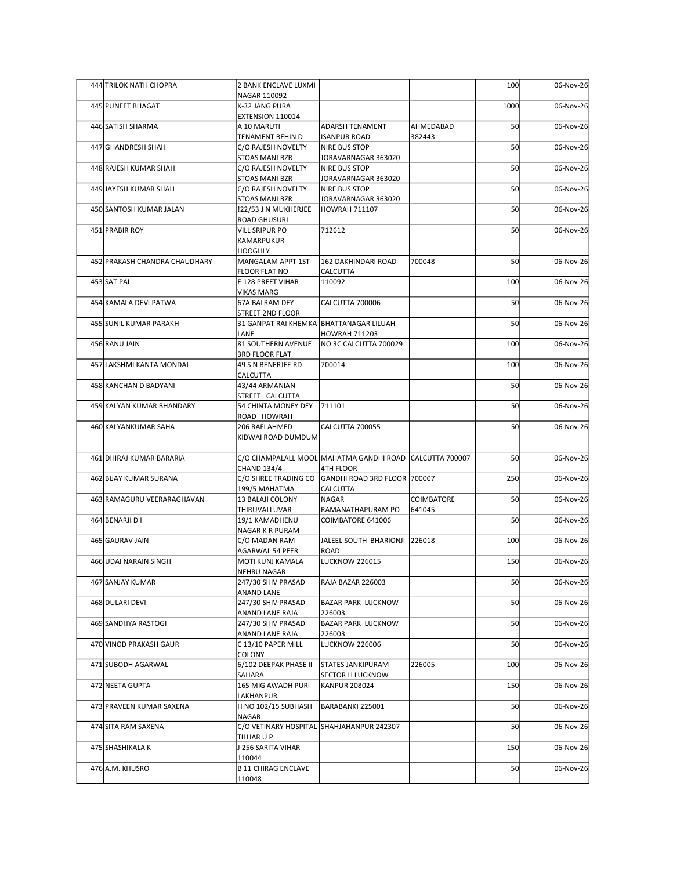| 444 TRILOK NATH CHOPRA        | 2 BANK ENCLAVE LUXMI<br>NAGAR 110092                        |                                                                      |            | 100  | 06-Nov-26 |
|-------------------------------|-------------------------------------------------------------|----------------------------------------------------------------------|------------|------|-----------|
| 445 PUNEET BHAGAT             | K-32 JANG PURA                                              |                                                                      |            | 1000 | 06-Nov-26 |
| 446 SATISH SHARMA             | EXTENSION 110014<br>A 10 MARUTI                             | <b>ADARSH TENAMENT</b>                                               | AHMEDABAD  | 50   | 06-Nov-26 |
|                               | TENAMENT BEHIN D                                            | <b>ISANPUR ROAD</b>                                                  | 382443     |      |           |
| 447 GHANDRESH SHAH            | C/O RAJESH NOVELTY<br>STOAS MANI BZR                        | NIRE BUS STOP<br>JORAVARNAGAR 363020                                 |            | 50   | 06-Nov-26 |
| 448 RAJESH KUMAR SHAH         | C/O RAJESH NOVELTY                                          | NIRE BUS STOP                                                        |            | 50   | 06-Nov-26 |
| 449 JAYESH KUMAR SHAH         | STOAS MANI BZR<br>C/O RAJESH NOVELTY                        | JORAVARNAGAR 363020<br>NIRE BUS STOP                                 |            | 50   | 06-Nov-26 |
| 450 SANTOSH KUMAR JALAN       | STOAS MANI BZR<br>122/53 J N MUKHERJEE                      | JORAVARNAGAR 363020<br>HOWRAH 711107                                 |            | 50   | 06-Nov-26 |
|                               | <b>ROAD GHUSURI</b>                                         |                                                                      |            |      |           |
| 451 PRABIR ROY                | VILL SRIPUR PO<br>KAMARPUKUR                                | 712612                                                               |            | 50   | 06-Nov-26 |
|                               | <b>HOOGHLY</b>                                              |                                                                      |            |      |           |
| 452 PRAKASH CHANDRA CHAUDHARY | MANGALAM APPT 1ST<br>FLOOR FLAT NO                          | 162 DAKHINDARI ROAD<br>CALCUTTA                                      | 700048     | 50   | 06-Nov-26 |
| 453 SAT PAL                   | E 128 PREET VIHAR                                           | 110092                                                               |            | 100  | 06-Nov-26 |
| 454 KAMALA DEVI PATWA         | <b>VIKAS MARG</b><br>67A BALRAM DEY                         | CALCUTTA 700006                                                      |            | 50   | 06-Nov-26 |
| 455 SUNIL KUMAR PARAKH        | STREET 2ND FLOOR<br>31 GANPAT RAI KHEMKA BHATTANAGAR LILUAH |                                                                      |            | 50   | 06-Nov-26 |
|                               | LANE                                                        | HOWRAH 711203                                                        |            |      |           |
| 456 RANU JAIN                 | 81 SOUTHERN AVENUE<br>3RD FLOOR FLAT                        | NO 3C CALCUTTA 700029                                                |            | 100  | 06-Nov-26 |
| 457 LAKSHMI KANTA MONDAL      | 49 S N BENERJEE RD                                          | 700014                                                               |            | 100  | 06-Nov-26 |
| 458 KANCHAN D BADYANI         | <b>CALCUTTA</b><br>43/44 ARMANIAN                           |                                                                      |            | 50   | 06-Nov-26 |
|                               | STREET CALCUTTA                                             |                                                                      |            |      |           |
| 459 KALYAN KUMAR BHANDARY     | 54 CHINTA MONEY DEY 711101<br>ROAD HOWRAH                   |                                                                      |            | 50   | 06-Nov-26 |
| 460 KALYANKUMAR SAHA          | 206 RAFI AHMED<br>KIDWAI ROAD DUMDUM                        | CALCUTTA 700055                                                      |            | 50   | 06-Nov-26 |
|                               |                                                             |                                                                      |            |      |           |
| 461 DHIRAJ KUMAR BARARIA      | <b>CHAND 134/4</b>                                          | C/O CHAMPALALL MOOL MAHATMA GANDHI ROAD CALCUTTA 700007<br>4TH FLOOR |            | 50   | 06-Nov-26 |
| 462 BIJAY KUMAR SURANA        | C/O SHREE TRADING CO                                        | GANDHI ROAD 3RD FLOOR 700007                                         |            | 250  | 06-Nov-26 |
| 463 RAMAGURU VEERARAGHAVAN    | 199/5 MAHATMA<br>13 BALAJI COLONY                           | CALCUTTA<br>NAGAR                                                    | COIMBATORE | 50   | 06-Nov-26 |
|                               | THIRUVALLUVAR                                               | RAMANATHAPURAM PO                                                    | 641045     |      |           |
| 464 BENARJI D I               | 19/1 KAMADHENU<br>NAGAR K R PURAM                           | COIMBATORE 641006                                                    |            | 50   | 06-Nov-26 |
| 465 GAURAV JAIN               | C/O MADAN RAM<br>AGARWAL 54 PEER                            | JALEEL SOUTH BHARIONJI 226018<br>ROAD                                |            | 100  | 06-Nov-26 |
| 466 UDAI NARAIN SINGH         | MOTI KUNJ KAMALA                                            | <b>LUCKNOW 226015</b>                                                |            | 150  | 06-Nov-26 |
| 467 SANJAY KUMAR              | NEHRU NAGAR<br>247/30 SHIV PRASAD                           | RAJA BAZAR 226003                                                    |            | 50   | 06-Nov-26 |
|                               | ANAND LANE                                                  |                                                                      |            |      |           |
| 468 DULARI DEVI               | 247/30 SHIV PRASAD<br>ANAND LANE RAJA                       | <b>BAZAR PARK LUCKNOW</b><br>226003                                  |            | 50   | 06-Nov-26 |
| 469 SANDHYA RASTOGI           | 247/30 SHIV PRASAD<br>ANAND LANE RAJA                       | <b>BAZAR PARK LUCKNOW</b><br>226003                                  |            | 50   | 06-Nov-26 |
| 470 VINOD PRAKASH GAUR        | C 13/10 PAPER MILL                                          | <b>LUCKNOW 226006</b>                                                |            | 50   | 06-Nov-26 |
| 471 SUBODH AGARWAL            | COLONY<br>6/102 DEEPAK PHASE II                             | <b>STATES JANKIPURAM</b>                                             | 226005     | 100  | 06-Nov-26 |
|                               | SAHARA                                                      | <b>SECTOR H LUCKNOW</b>                                              |            |      |           |
| 472 NEETA GUPTA               | 165 MIG AWADH PURI<br>LAKHANPUR                             | KANPUR 208024                                                        |            | 150  | 06-Nov-26 |
| 473 PRAVEEN KUMAR SAXENA      | H NO 102/15 SUBHASH                                         | BARABANKI 225001                                                     |            | 50   | 06-Nov-26 |
| 474 SITA RAM SAXENA           | NAGAR                                                       | C/O VETINARY HOSPITAL SHAHJAHANPUR 242307                            |            | 50   | 06-Nov-26 |
| 475 SHASHIKALA K              | TILHAR U P<br>J 256 SARITA VIHAR                            |                                                                      |            | 150  | 06-Nov-26 |
|                               | 110044                                                      |                                                                      |            |      |           |
| 476 A.M. KHUSRO               | <b>B 11 CHIRAG ENCLAVE</b>                                  |                                                                      |            | 50   | 06-Nov-26 |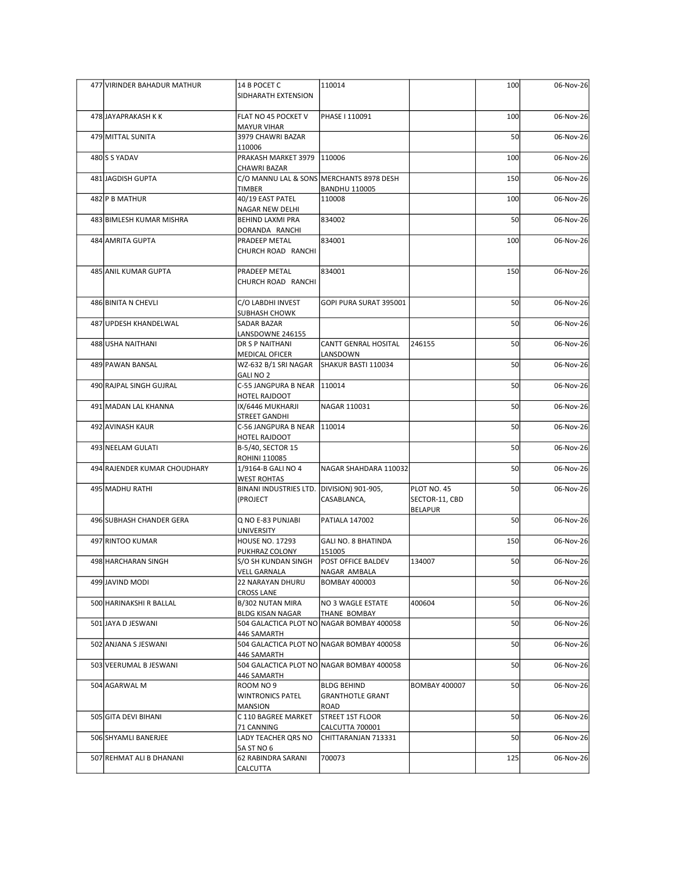| 477 VIRINDER BAHADUR MATHUR  | 14 B POCET C<br>SIDHARATH EXTENSION                             | 110014                                                    |                                                 | 100 | 06-Nov-26 |
|------------------------------|-----------------------------------------------------------------|-----------------------------------------------------------|-------------------------------------------------|-----|-----------|
| 478 JAYAPRAKASH K K          | FLAT NO 45 POCKET V<br><b>MAYUR VIHAR</b>                       | PHASE   110091                                            |                                                 | 100 | 06-Nov-26 |
| 479 MITTAL SUNITA            | 3979 CHAWRI BAZAR<br>110006                                     |                                                           |                                                 | 50  | 06-Nov-26 |
| 480 S YADAV                  | PRAKASH MARKET 3979   110006                                    |                                                           |                                                 | 100 | 06-Nov-26 |
| 481 JAGDISH GUPTA            | <b>CHAWRI BAZAR</b><br>C/O MANNU LAL & SONS MERCHANTS 8978 DESH |                                                           |                                                 | 150 | 06-Nov-26 |
| 482 P B MATHUR               | TIMBER<br>40/19 EAST PATEL                                      | <b>BANDHU 110005</b><br>110008                            |                                                 | 100 | 06-Nov-26 |
| 483 BIMLESH KUMAR MISHRA     | NAGAR NEW DELHI<br>BEHIND LAXMI PRA                             | 834002                                                    |                                                 | 50  | 06-Nov-26 |
| 484 AMRITA GUPTA             | DORANDA RANCHI<br>PRADEEP METAL<br>CHURCH ROAD RANCHI           | 834001                                                    |                                                 | 100 | 06-Nov-26 |
| 485 ANIL KUMAR GUPTA         | PRADEEP METAL<br>CHURCH ROAD RANCHI                             | 834001                                                    |                                                 | 150 | 06-Nov-26 |
| 486 BINITA N CHEVLI          | C/O LABDHI INVEST                                               | GOPI PURA SURAT 395001                                    |                                                 | 50  | 06-Nov-26 |
| 487 UPDESH KHANDELWAL        | <b>SUBHASH CHOWK</b><br>SADAR BAZAR                             |                                                           |                                                 | 50  | 06-Nov-26 |
| 488 USHA NAITHANI            | LANSDOWNE 246155<br>DR S P NAITHANI                             | CANTT GENRAL HOSITAL                                      | 246155                                          | 50  | 06-Nov-26 |
| 489 PAWAN BANSAL             | <b>MEDICAL OFICER</b><br>WZ-632 B/1 SRI NAGAR                   | LANSDOWN<br>SHAKUR BASTI 110034                           |                                                 | 50  | 06-Nov-26 |
| 490 RAJPAL SINGH GUJRAL      | <b>GALINO 2</b><br>C-55 JANGPURA B NEAR 110014                  |                                                           |                                                 | 50  | 06-Nov-26 |
| 491 MADAN LAL KHANNA         | HOTEL RAJDOOT<br>IX/6446 MUKHARJI                               | NAGAR 110031                                              |                                                 | 50  | 06-Nov-26 |
| 492 AVINASH KAUR             | <b>STREET GANDHI</b><br>C-56 JANGPURA B NEAR 110014             |                                                           |                                                 | 50  | 06-Nov-26 |
| 493 NEELAM GULATI            | HOTEL RAJDOOT<br>B-5/40, SECTOR 15                              |                                                           |                                                 | 50  | 06-Nov-26 |
| 494 RAJENDER KUMAR CHOUDHARY | <b>ROHINI 110085</b><br>1/9164-B GALI NO 4                      | NAGAR SHAHDARA 110032                                     |                                                 | 50  | 06-Nov-26 |
|                              | <b>WEST ROHTAS</b>                                              |                                                           |                                                 |     |           |
| 495 MADHU RATHI              | BINANI INDUSTRIES LTD. DIVISION) 901-905,<br>(PROJECT           | CASABLANCA,                                               | PLOT NO. 45<br>SECTOR-11, CBD<br><b>BELAPUR</b> | 50  | 06-Nov-26 |
| 496 SUBHASH CHANDER GERA     | Q NO E-83 PUNJABI<br><b>UNIVERSITY</b>                          | PATIALA 147002                                            |                                                 | 50  | 06-Nov-26 |
| 497 RINTOO KUMAR             | <b>HOUSE NO. 17293</b>                                          | GALI NO. 8 BHATINDA                                       |                                                 | 150 | 06-Nov-26 |
| 498 HARCHARAN SINGH          | PUKHRAZ COLONY<br>S/O SH KUNDAN SINGH                           | 151005<br><b>POST OFFICE BALDEV</b>                       | 134007                                          | 50  | 06-Nov-26 |
| 499 JAVIND MODI              | <b>VELL GARNALA</b><br>22 NARAYAN DHURU                         | NAGAR AMBALA<br><b>BOMBAY 400003</b>                      |                                                 | 50  | 06-Nov-26 |
| 500 HARINAKSHI R BALLAL      | <b>CROSS LANE</b><br>B/302 NUTAN MIRA                           | NO 3 WAGLE ESTATE                                         | 400604                                          | 50  | 06-Nov-26 |
| 501 JAYA D JESWANI           | <b>BLDG KISAN NAGAR</b>                                         | THANE BOMBAY<br>504 GALACTICA PLOT NO NAGAR BOMBAY 400058 |                                                 | 50  | 06-Nov-26 |
| 502 ANJANA S JESWANI         | 446 SAMARTH                                                     | 504 GALACTICA PLOT NO NAGAR BOMBAY 400058                 |                                                 | 50  | 06-Nov-26 |
| 503 VEERUMAL B JESWANI       | 446 SAMARTH                                                     | 504 GALACTICA PLOT NO NAGAR BOMBAY 400058                 |                                                 | 50  | 06-Nov-26 |
| 504 AGARWAL M                | 446 SAMARTH<br>ROOM NO 9                                        | <b>BLDG BEHIND</b>                                        | <b>BOMBAY 400007</b>                            | 50  | 06-Nov-26 |
|                              | <b>WINTRONICS PATEL</b><br><b>MANSION</b>                       | <b>GRANTHOTLE GRANT</b><br>ROAD                           |                                                 |     |           |
| 505 GITA DEVI BIHANI         | C 110 BAGREE MARKET                                             | STREET 1ST FLOOR                                          |                                                 | 50  | 06-Nov-26 |
| 506 SHYAMLI BANERJEE         | 71 CANNING<br>LADY TEACHER QRS NO                               | CALCUTTA 700001<br>CHITTARANJAN 713331                    |                                                 | 50  | 06-Nov-26 |
| 507 REHMAT ALI B DHANANI     | 5A ST NO 6<br>62 RABINDRA SARANI                                | 700073                                                    |                                                 | 125 | 06-Nov-26 |
|                              | <b>CALCUTTA</b>                                                 |                                                           |                                                 |     |           |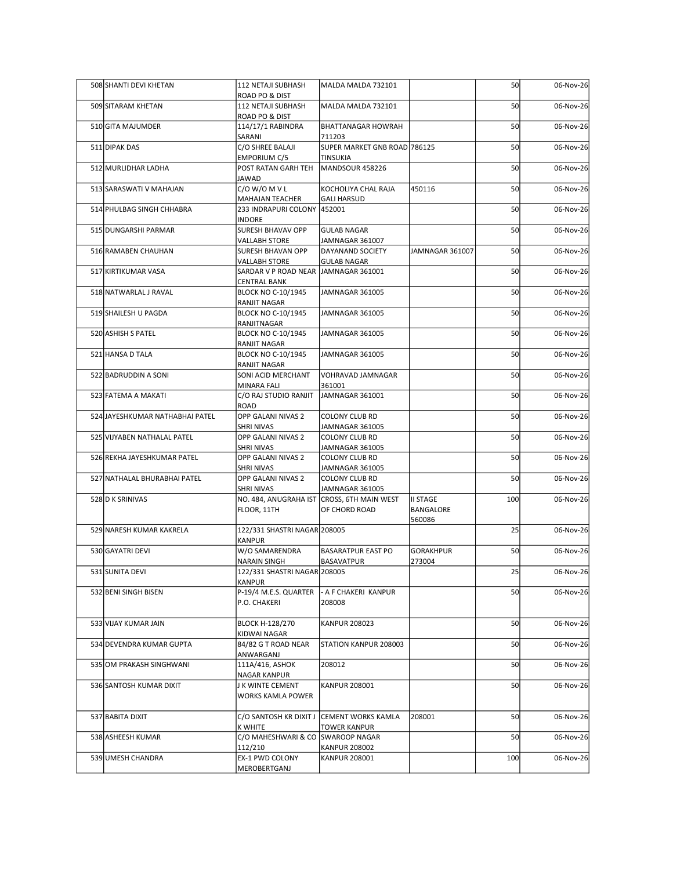| 508 SHANTI DEVI KHETAN          | 112 NETAJI SUBHASH                                           | MALDA MALDA 732101                           |                     | 50  | 06-Nov-26 |
|---------------------------------|--------------------------------------------------------------|----------------------------------------------|---------------------|-----|-----------|
| 509 SITARAM KHETAN              | ROAD PO & DIST<br>112 NETAJI SUBHASH                         | MALDA MALDA 732101                           |                     | 50  | 06-Nov-26 |
| 510 GITA MAJUMDER               | ROAD PO & DIST<br>114/17/1 RABINDRA                          | <b>BHATTANAGAR HOWRAH</b>                    |                     | 50  | 06-Nov-26 |
|                                 | SARANI                                                       | 711203                                       |                     |     |           |
| 511 DIPAK DAS                   | C/O SHREE BALAJI<br>EMPORIUM C/5                             | SUPER MARKET GNB ROAD 786125<br>TINSUKIA     |                     | 50  | 06-Nov-26 |
| 512 MURLIDHAR LADHA             | POST RATAN GARH TEH<br>JAWAD                                 | MANDSOUR 458226                              |                     | 50  | 06-Nov-26 |
| 513 SARASWATI V MAHAJAN         | $C/O$ W/O M V L<br><b>MAHAJAN TEACHER</b>                    | KOCHOLIYA CHAL RAJA<br><b>GALI HARSUD</b>    | 450116              | 50  | 06-Nov-26 |
| 514 PHULBAG SINGH CHHABRA       | 233 INDRAPURI COLONY 452001                                  |                                              |                     | 50  | 06-Nov-26 |
| 515 DUNGARSHI PARMAR            | INDORE<br>SURESH BHAVAV OPP                                  | GULAB NAGAR                                  |                     | 50  | 06-Nov-26 |
| 516 RAMABEN CHAUHAN             | <b>VALLABH STORE</b><br>SURESH BHAVAN OPP                    | JAMNAGAR 361007<br>DAYANAND SOCIETY          | JAMNAGAR 361007     | 50  | 06-Nov-26 |
| 517 KIRTIKUMAR VASA             | <b>VALLABH STORE</b><br>SARDAR V P ROAD NEAR JAMNAGAR 361001 | <b>GULAB NAGAR</b>                           |                     | 50  | 06-Nov-26 |
|                                 | <b>CENTRAL BANK</b>                                          |                                              |                     |     |           |
| 518 NATWARLAL J RAVAL           | <b>BLOCK NO C-10/1945</b><br>RANJIT NAGAR                    | JAMNAGAR 361005                              |                     | 50  | 06-Nov-26 |
| 519 SHAILESH U PAGDA            | <b>BLOCK NO C-10/1945</b><br>RANJITNAGAR                     | JAMNAGAR 361005                              |                     | 50  | 06-Nov-26 |
| 520 ASHISH S PATEL              | <b>BLOCK NO C-10/1945</b><br>RANJIT NAGAR                    | JAMNAGAR 361005                              |                     | 50  | 06-Nov-26 |
| 521 HANSA D TALA                | <b>BLOCK NO C-10/1945</b>                                    | JAMNAGAR 361005                              |                     | 50  | 06-Nov-26 |
| 522 BADRUDDIN A SONI            | RANJIT NAGAR<br>SONI ACID MERCHANT                           | VOHRAVAD JAMNAGAR                            |                     | 50  | 06-Nov-26 |
| 523 FATEMA A MAKATI             | MINARA FALI<br>C/O RAJ STUDIO RANJIT                         | 361001<br>JAMNAGAR 361001                    |                     | 50  | 06-Nov-26 |
| 524 JAYESHKUMAR NATHABHAI PATEL | ROAD<br>OPP GALANI NIVAS 2                                   | <b>COLONY CLUB RD</b>                        |                     | 50  | 06-Nov-26 |
|                                 | SHRI NIVAS                                                   | JAMNAGAR 361005                              |                     |     |           |
| 525 VIJYABEN NATHALAL PATEL     | OPP GALANI NIVAS 2<br>SHRI NIVAS                             | COLONY CLUB RD<br>JAMNAGAR 361005            |                     | 50  | 06-Nov-26 |
| 526 REKHA JAYESHKUMAR PATEL     | OPP GALANI NIVAS 2<br>SHRI NIVAS                             | <b>COLONY CLUB RD</b><br>JAMNAGAR 361005     |                     | 50  | 06-Nov-26 |
| 527 NATHALAL BHURABHAI PATEL    | OPP GALANI NIVAS 2<br>SHRI NIVAS                             | COLONY CLUB RD<br>JAMNAGAR 361005            |                     | 50  | 06-Nov-26 |
| 528 D K SRINIVAS                |                                                              | NO. 484, ANUGRAHA IST CROSS, 6TH MAIN WEST   | II STAGE            | 100 | 06-Nov-26 |
|                                 | FLOOR, 11TH                                                  | OF CHORD ROAD                                | BANGALORE<br>560086 |     |           |
| 529 NARESH KUMAR KAKRELA        | 122/331 SHASTRI NAGAR 208005<br>KANPUR                       |                                              |                     | 25  | 06-Nov-26 |
| 530 GAYATRI DEVI                | W/O SAMARENDRA<br>NARAIN SINGH                               | <b>BASARATPUR EAST PO</b><br>BASAVATPUR      | GORAKHPUR<br>273004 | 50  | 06-Nov-26 |
| 531 SUNITA DEVI                 | 122/331 SHASTRI NAGAR 208005                                 |                                              |                     | 25  | 06-Nov-26 |
| 532 BENI SINGH BISEN            | <b>KANPUR</b><br>P-19/4 M.E.S. QUARTER                       | - A F CHAKERI KANPUR                         |                     | 50  | 06-Nov-26 |
|                                 | P.O. CHAKERI                                                 | 208008                                       |                     |     |           |
| 533 VIJAY KUMAR JAIN            | BLOCK H-128/270<br>KIDWAI NAGAR                              | <b>KANPUR 208023</b>                         |                     | 50  | 06-Nov-26 |
| 534 DEVENDRA KUMAR GUPTA        | 84/82 G T ROAD NEAR                                          | <b>STATION KANPUR 208003</b>                 |                     | 50  | 06-Nov-26 |
| 535 OM PRAKASH SINGHWANI        | ANWARGANJ<br>111A/416, ASHOK                                 | 208012                                       |                     | 50  | 06-Nov-26 |
| 536 SANTOSH KUMAR DIXIT         | NAGAR KANPUR<br>K WINTE CEMENT                               | <b>KANPUR 208001</b>                         |                     | 50  | 06-Nov-26 |
|                                 | WORKS KAMLA POWER                                            |                                              |                     |     |           |
| 537 BABITA DIXIT                |                                                              | C/O SANTOSH KR DIXIT J CEMENT WORKS KAMLA    | 208001              | 50  | 06-Nov-26 |
| 538 ASHEESH KUMAR               | k white<br>C/O MAHESHWARI & CO SWAROOP NAGAR                 | <b>TOWER KANPUR</b>                          |                     | 50  | 06-Nov-26 |
| 539 UMESH CHANDRA               | 112/210<br>EX-1 PWD COLONY                                   | <b>KANPUR 208002</b><br><b>KANPUR 208001</b> |                     | 100 | 06-Nov-26 |
|                                 | MEROBERTGANJ                                                 |                                              |                     |     |           |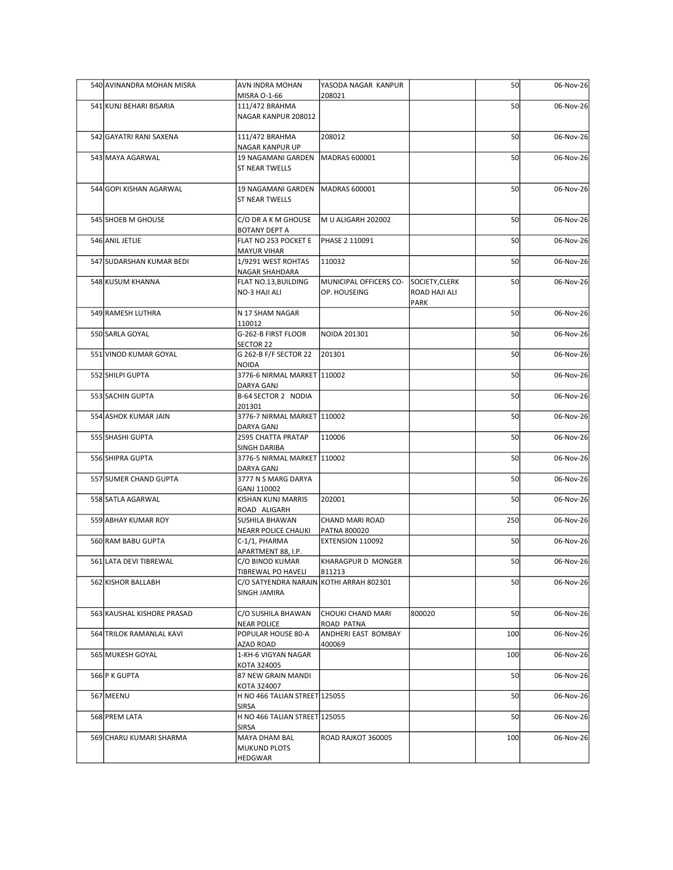| 540 AVINANDRA MOHAN MISRA  | <b>AVN INDRA MOHAN</b>                                  | YASODA NAGAR KANPUR                     |                | 50  | 06-Nov-26 |
|----------------------------|---------------------------------------------------------|-----------------------------------------|----------------|-----|-----------|
| 541 KUNJ BEHARI BISARIA    | MISRA 0-1-66<br>111/472 BRAHMA                          | 208021                                  |                | 50  | 06-Nov-26 |
|                            | NAGAR KANPUR 208012                                     |                                         |                |     |           |
| 542 GAYATRI RANI SAXENA    | 111/472 BRAHMA                                          | 208012                                  |                | 50  | 06-Nov-26 |
| 543 MAYA AGARWAL           | <b>NAGAR KANPUR UP</b><br>19 NAGAMANI GARDEN            | MADRAS 600001                           |                | 50  | 06-Nov-26 |
|                            | <b>ST NEAR TWELLS</b>                                   |                                         |                |     |           |
| 544 GOPI KISHAN AGARWAL    | 19 NAGAMANI GARDEN                                      | MADRAS 600001                           |                | 50  | 06-Nov-26 |
|                            | <b>ST NEAR TWELLS</b>                                   |                                         |                |     |           |
| 545 SHOEB M GHOUSE         | C/O DR A K M GHOUSE<br>BOTANY DEPT A                    | M U ALIGARH 202002                      |                | 50  | 06-Nov-26 |
| 546 ANIL JETLIE            | FLAT NO 253 POCKET E                                    | PHASE 2 110091                          |                | 50  | 06-Nov-26 |
| 547 SUDARSHAN KUMAR BEDI   | <b>MAYUR VIHAR</b><br>1/9291 WEST ROHTAS                | 110032                                  |                | 50  | 06-Nov-26 |
| 548 KUSUM KHANNA           | NAGAR SHAHDARA<br>FLAT NO.13, BUILDING                  | MUNICIPAL OFFICERS CO-                  | SOCIETY, CLERK | 50  | 06-Nov-26 |
|                            | NO-3 HAJI ALI                                           | OP. HOUSEING                            | ROAD HAJI ALI  |     |           |
| 549 RAMESH LUTHRA          | N 17 SHAM NAGAR                                         |                                         | PARK           | 50  | 06-Nov-26 |
| 550 SARLA GOYAL            | 110012<br>G-262-B FIRST FLOOR                           | NOIDA 201301                            |                | 50  | 06-Nov-26 |
|                            | SECTOR 22                                               |                                         |                |     |           |
| 551 VINOD KUMAR GOYAL      | G 262-B F/F SECTOR 22 201301<br>NOIDA                   |                                         |                | 50  | 06-Nov-26 |
| 552 SHILPI GUPTA           | 3776-6 NIRMAL MARKET 110002<br>DARYA GANJ               |                                         |                | 50  | 06-Nov-26 |
| 553 SACHIN GUPTA           | B-64 SECTOR 2 NODIA                                     |                                         |                | 50  | 06-Nov-26 |
| 554 ASHOK KUMAR JAIN       | 201301<br>3776-7 NIRMAL MARKET 110002                   |                                         |                | 50  | 06-Nov-26 |
| 555 SHASHI GUPTA           | DARYA GANJ<br>2595 CHATTA PRATAP                        | 110006                                  |                | 50  | 06-Nov-26 |
|                            | SINGH DARIBA                                            |                                         |                |     |           |
| 556 SHIPRA GUPTA           | 3776-5 NIRMAL MARKET 110002<br>DARYA GANJ               |                                         |                | 50  | 06-Nov-26 |
| 557 SUMER CHAND GUPTA      | 3777 N S MARG DARYA<br>GANJ 110002                      |                                         |                | 50  | 06-Nov-26 |
| 558 SATLA AGARWAL          | KISHAN KUNJ MARRIS                                      | 202001                                  |                | 50  | 06-Nov-26 |
| 559 ABHAY KUMAR ROY        | ROAD ALIGARH<br>SUSHILA BHAWAN                          | CHAND MARI ROAD                         |                | 250 | 06-Nov-26 |
| 560 RAM BABU GUPTA         | NEARR POLICE CHAUKI<br>C-1/1, PHARMA                    | <b>PATNA 800020</b><br>EXTENSION 110092 |                | 50  | 06-Nov-26 |
|                            | APARTMENT 88, I.P.                                      |                                         |                |     |           |
| 561 LATA DEVI TIBREWAL     | C/O BINOD KUMAR<br>TIBREWAL PO HAVELI                   | KHARAGPUR D MONGER<br>811213            |                | 50  | 06-Nov-26 |
| 562 KISHOR BALLABH         | C/O SATYENDRA NARAIN KOTHI ARRAH 802301<br>SINGH JAMIRA |                                         |                | 50  | 06-Nov-26 |
|                            |                                                         |                                         |                | 50  |           |
| 563 KAUSHAL KISHORE PRASAD | C/O SUSHILA BHAWAN<br><b>NEAR POLICE</b>                | CHOUKI CHAND MARI<br>ROAD PATNA         | 800020         |     | 06-Nov-26 |
| 564 TRILOK RAMANLAL KAVI   | POPULAR HOUSE 80-A<br>AZAD ROAD                         | ANDHERI EAST BOMBAY<br>400069           |                | 100 | 06-Nov-26 |
| 565 MUKESH GOYAL           | 1-KH-6 VIGYAN NAGAR                                     |                                         |                | 100 | 06-Nov-26 |
| 566 P K GUPTA              | KOTA 324005<br>87 NEW GRAIN MANDI                       |                                         |                | 50  | 06-Nov-26 |
| 567 MEENU                  | KOTA 324007<br>H NO 466 TALIAN STREET 125055            |                                         |                | 50  | 06-Nov-26 |
|                            | SIRSA                                                   |                                         |                |     |           |
| 568 PREM LATA              | H NO 466 TALIAN STREET 125055<br>SIRSA                  |                                         |                | 50  | 06-Nov-26 |
| 569 CHARU KUMARI SHARMA    | MAYA DHAM BAL<br>MUKUND PLOTS                           | ROAD RAJKOT 360005                      |                | 100 | 06-Nov-26 |
|                            | HEDGWAR                                                 |                                         |                |     |           |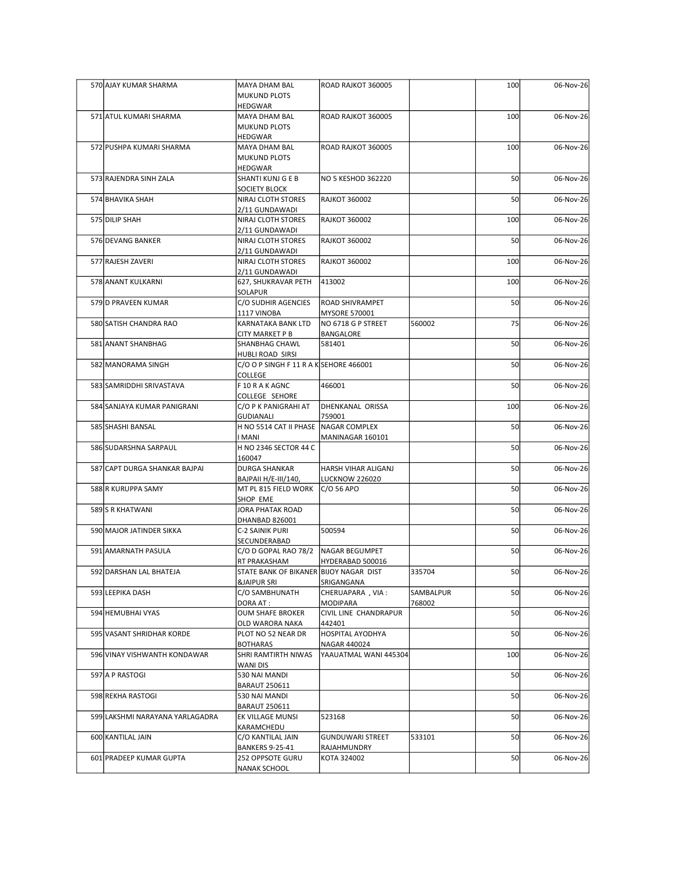| 570 AJAY KUMAR SHARMA           | MAYA DHAM BAL                                                    | ROAD RAJKOT 360005                       |           | 100 | 06-Nov-26 |
|---------------------------------|------------------------------------------------------------------|------------------------------------------|-----------|-----|-----------|
|                                 | <b>MUKUND PLOTS</b><br>HEDGWAR                                   |                                          |           |     |           |
| 571 ATUL KUMARI SHARMA          | MAYA DHAM BAL<br><b>MUKUND PLOTS</b>                             | ROAD RAJKOT 360005                       |           | 100 | 06-Nov-26 |
| 572 PUSHPA KUMARI SHARMA        | HEDGWAR<br><b>MAYA DHAM BAL</b>                                  | ROAD RAJKOT 360005                       |           | 100 | 06-Nov-26 |
|                                 | <b>MUKUND PLOTS</b><br>HEDGWAR                                   |                                          |           |     |           |
| 573 RAJENDRA SINH ZALA          | <b>SHANTI KUNJ G E B</b><br>SOCIETY BLOCK                        | NO 5 KESHOD 362220                       |           | 50  | 06-Nov-26 |
| 574 BHAVIKA SHAH                | NIRAJ CLOTH STORES<br>2/11 GUNDAWADI                             | <b>RAJKOT 360002</b>                     |           | 50  | 06-Nov-26 |
| 575 DILIP SHAH                  | NIRAJ CLOTH STORES<br>2/11 GUNDAWADI                             | <b>RAJKOT 360002</b>                     |           | 100 | 06-Nov-26 |
| 576 DEVANG BANKER               | NIRAJ CLOTH STORES<br>2/11 GUNDAWADI                             | <b>RAJKOT 360002</b>                     |           | 50  | 06-Nov-26 |
| 577 RAJESH ZAVERI               | NIRAJ CLOTH STORES<br>2/11 GUNDAWADI                             | <b>RAJKOT 360002</b>                     |           | 100 | 06-Nov-26 |
| 578 ANANT KULKARNI              | 627, SHUKRAVAR PETH                                              | 413002                                   |           | 100 | 06-Nov-26 |
| 579 D PRAVEEN KUMAR             | SOLAPUR<br>C/O SUDHIR AGENCIES   ROAD SHIVRAMPET                 |                                          |           | 50  | 06-Nov-26 |
| 580 SATISH CHANDRA RAO          | 1117 VINOBA<br>KARNATAKA BANK LTD                                | MYSORE 570001<br>NO 6718 G P STREET      | 560002    | 75  | 06-Nov-26 |
| 581 ANANT SHANBHAG              | CITY MARKET P B<br>SHANBHAG CHAWL                                | BANGALORE<br>581401                      |           | 50  | 06-Nov-26 |
| 582 MANORAMA SINGH              | HUBLI ROAD SIRSI<br>$C/O$ O P SINGH F 11 R A K SEHORE 466001     |                                          |           | 50  | 06-Nov-26 |
| 583 SAMRIDDHI SRIVASTAVA        | COLLEGE<br>F 10 R A K AGNC                                       | 466001                                   |           | 50  | 06-Nov-26 |
| 584 SANJAYA KUMAR PANIGRANI     | COLLEGE SEHORE<br>C/O P K PANIGRAHI AT                           | DHENKANAL ORISSA                         |           | 100 | 06-Nov-26 |
| 585 SHASHI BANSAL               | <b>GUDIANALI</b><br>H NO 5514 CAT II PHASE NAGAR COMPLEX         | 759001                                   |           | 50  | 06-Nov-26 |
|                                 | <b>IMANI</b>                                                     | MANINAGAR 160101                         |           |     |           |
| 586 SUDARSHNA SARPAUL           | H NO 2346 SECTOR 44 C<br>160047                                  |                                          |           | 50  | 06-Nov-26 |
| 587 CAPT DURGA SHANKAR BAJPAI   | <b>DURGA SHANKAR</b><br>BAJPAII H/E-III/140,                     | HARSH VIHAR ALIGANJ<br>LUCKNOW 226020    |           | 50  | 06-Nov-26 |
| 588 R KURUPPA SAMY              | MT PL 815 FIELD WORK<br>SHOP EME                                 | $C/O$ 56 APO                             |           | 50  | 06-Nov-26 |
| 589 S R KHATWANI                | JORA PHATAK ROAD<br>DHANBAD 826001                               |                                          |           | 50  | 06-Nov-26 |
| 590 MAJOR JATINDER SIKKA        | C-2 SAINIK PURI<br>SECUNDERABAD                                  | 500594                                   |           | 50  | 06-Nov-26 |
| 591 AMARNATH PASULA             | C/O D GOPAL RAO 78/2<br>RT PRAKASHAM                             | NAGAR BEGUMPET<br>HYDERABAD 500016       |           | 50  | 06-Nov-26 |
| 592 DARSHAN LAL BHATEJA         | STATE BANK OF BIKANER BIJOY NAGAR DIST<br><b>&amp;JAIPUR SRI</b> | SRIGANGANA                               | 335704    | 50  | 06-Nov-26 |
| 593 LEEPIKA DASH                | C/O SAMBHUNATH                                                   | CHERUAPARA, VIA:                         | SAMBALPUR | 50  | 06-Nov-26 |
| 594 HEMUBHAI VYAS               | DORA AT:<br><b>OUM SHAFE BROKER</b>                              | MODIPARA<br><b>CIVIL LINE CHANDRAPUR</b> | 768002    | 50  | 06-Nov-26 |
| 595 VASANT SHRIDHAR KORDE       | OLD WARORA NAKA<br>PLOT NO 52 NEAR DR                            | 442401<br>HOSPITAL AYODHYA               |           | 50  | 06-Nov-26 |
| 596 VINAY VISHWANTH KONDAWAR    | <b>BOTHARAS</b><br>SHRI RAMTIRTH NIWAS<br>WANI DIS               | NAGAR 440024<br>YAAUATMAL WANI 445304    |           | 100 | 06-Nov-26 |
| 597 A P RASTOGI                 | 530 NAI MANDI<br><b>BARAUT 250611</b>                            |                                          |           | 50  | 06-Nov-26 |
| 598 REKHA RASTOGI               | 530 NAI MANDI                                                    |                                          |           | 50  | 06-Nov-26 |
| 599 LAKSHMI NARAYANA YARLAGADRA | <b>BARAUT 250611</b><br>EK VILLAGE MUNSI                         | 523168                                   |           | 50  | 06-Nov-26 |
| 600 KANTILAL JAIN               | KARAMCHEDU<br>C/O KANTILAL JAIN<br>BANKERS 9-25-41               | GUNDUWARI STREET<br>RAJAHMUNDRY          | 533101    | 50  | 06-Nov-26 |
| 601 PRADEEP KUMAR GUPTA         | 252 OPPSOTE GURU                                                 | KOTA 324002                              |           | 50  | 06-Nov-26 |
|                                 | <b>NANAK SCHOOL</b>                                              |                                          |           |     |           |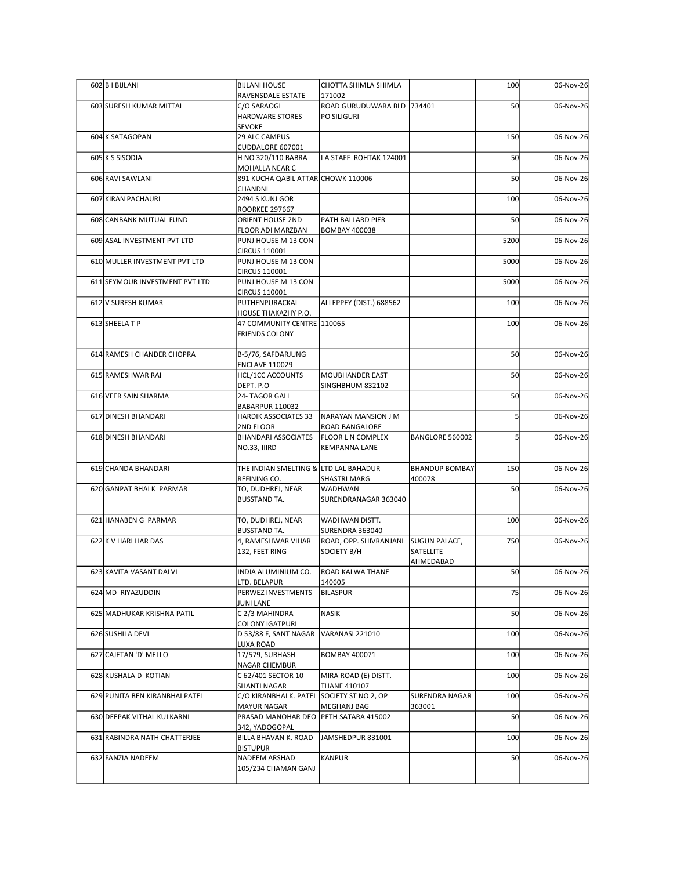| 602 B I BIJLANI                | <b>BIJLANI HOUSE</b>                                             | CHOTTA SHIMLA SHIMLA                             |                                 | 100  | 06-Nov-26 |
|--------------------------------|------------------------------------------------------------------|--------------------------------------------------|---------------------------------|------|-----------|
|                                | RAVENSDALE ESTATE                                                | 171002                                           |                                 |      |           |
| 603 SURESH KUMAR MITTAL        | C/O SARAOGI<br>HARDWARE STORES                                   | ROAD GURUDUWARA BLD  734401<br>PO SILIGURI       |                                 | 50   | 06-Nov-26 |
| 604 K SATAGOPAN                | SEVOKE<br>29 ALC CAMPUS                                          |                                                  |                                 | 150  | 06-Nov-26 |
| 605 K S SISODIA                | CUDDALORE 607001<br>H NO 320/110 BABRA                           | A STAFF ROHTAK 124001                            |                                 | 50   | 06-Nov-26 |
| 606 RAVI SAWLANI               | MOHALLA NEAR C<br>891 KUCHA QABIL ATTAR CHOWK 110006             |                                                  |                                 | 50   | 06-Nov-26 |
| 607 KIRAN PACHAURI             | CHANDNI<br>2494 S KUNJ GOR                                       |                                                  |                                 | 100  | 06-Nov-26 |
| 608 CANBANK MUTUAL FUND        | <b>ROORKEE 297667</b><br><b>ORIENT HOUSE 2ND</b>                 | PATH BALLARD PIER                                |                                 | 50   | 06-Nov-26 |
|                                | FLOOR ADI MARZBAN                                                | BOMBAY 400038                                    |                                 |      |           |
| 609 ASAL INVESTMENT PVT LTD    | PUNJ HOUSE M 13 CON<br>CIRCUS 110001                             |                                                  |                                 | 5200 | 06-Nov-26 |
| 610 MULLER INVESTMENT PVT LTD  | PUNJ HOUSE M 13 CON<br>CIRCUS 110001                             |                                                  |                                 | 5000 | 06-Nov-26 |
| 611 SEYMOUR INVESTMENT PVT LTD | PUNJ HOUSE M 13 CON<br>CIRCUS 110001                             |                                                  |                                 | 5000 | 06-Nov-26 |
| 612 V SURESH KUMAR             | PUTHENPURACKAL<br>HOUSE THAKAZHY P.O.                            | ALLEPPEY (DIST.) 688562                          |                                 | 100  | 06-Nov-26 |
| 613 SHEELA T P                 | 47 COMMUNITY CENTRE 110065<br><b>FRIENDS COLONY</b>              |                                                  |                                 | 100  | 06-Nov-26 |
| 614 RAMESH CHANDER CHOPRA      | B-5/76, SAFDARJUNG                                               |                                                  |                                 | 50   | 06-Nov-26 |
| 615 RAMESHWAR RAI              | <b>ENCLAVE 110029</b><br>HCL/1CC ACCOUNTS                        | MOUBHANDER EAST                                  |                                 | 50   | 06-Nov-26 |
| 616 VEER SAIN SHARMA           | DEPT. P.O<br>24- TAGOR GALI                                      | SINGHBHUM 832102                                 |                                 | 50   | 06-Nov-26 |
| 617 DINESH BHANDARI            | BABARPUR 110032<br>HARDIK ASSOCIATES 33                          |                                                  |                                 |      | 06-Nov-26 |
|                                | 2ND FLOOR                                                        | NARAYAN MANSION J M<br>ROAD BANGALORE            |                                 |      |           |
| 618 DINESH BHANDARI            | <b>BHANDARI ASSOCIATES</b><br><b>NO.33, IIIRD</b>                | <b>FLOOR L N COMPLEX</b><br><b>KEMPANNA LANE</b> | BANGLORE 560002                 |      | 06-Nov-26 |
| 619 CHANDA BHANDARI            | THE INDIAN SMELTING & LTD LAL BAHADUR<br>REFINING CO.            | SHASTRI MARG                                     | <b>BHANDUP BOMBAY</b><br>400078 | 150  | 06-Nov-26 |
| 620 GANPAT BHAI K PARMAR       | TO, DUDHREJ, NEAR<br><b>BUSSTAND TA.</b>                         | WADHWAN<br>SURENDRANAGAR 363040                  |                                 | 50   | 06-Nov-26 |
|                                |                                                                  |                                                  |                                 |      |           |
| 621 HANABEN G PARMAR           | TO, DUDHREJ, NEAR<br><b>BUSSTAND TA.</b>                         | WADHWAN DISTT.<br>SURENDRA 363040                |                                 | 100  | 06-Nov-26 |
| 622 K V HARI HAR DAS           | 4, RAMESHWAR VIHAR<br>132, FEET RING                             | ROAD, OPP. SHIVRANJANI<br>SOCIETY B/H            | SUGUN PALACE,<br>SATELLITE      | 750  | 06-Nov-26 |
| 623 KAVITA VASANT DALVI        | INDIA ALUMINIUM CO.                                              | <b>ROAD KALWA THANE</b>                          | <b>AHMEDABAD</b>                | 50   | 06-Nov-26 |
| 624 MD RIYAZUDDIN              | LTD. BELAPUR<br>PERWEZ INVESTMENTS                               | 140605<br>BILASPUR                               |                                 | 75   | 06-Nov-26 |
| 625 MADHUKAR KRISHNA PATIL     | JUNI LANE<br>C 2/3 MAHINDRA                                      | NASIK                                            |                                 | 50   | 06-Nov-26 |
| 626 SUSHILA DEVI               | <b>COLONY IGATPURI</b><br>D 53/88 F, SANT NAGAR                  | VARANASI 221010                                  |                                 | 100  | 06-Nov-26 |
|                                | LUXA ROAD                                                        |                                                  |                                 |      |           |
| 627 CAJETAN 'D' MELLO          | 17/579, SUBHASH<br>NAGAR CHEMBUR                                 | <b>BOMBAY 400071</b>                             |                                 | 100  | 06-Nov-26 |
| 628 KUSHALA D KOTIAN           | C 62/401 SECTOR 10<br><b>SHANTI NAGAR</b>                        | MIRA ROAD (E) DISTT.<br><b>THANE 410107</b>      |                                 | 100  | 06-Nov-26 |
| 629 PUNITA BEN KIRANBHAI PATEL | C/O KIRANBHAI K. PATEL SOCIETY ST NO 2, OP<br><b>MAYUR NAGAR</b> | MEGHANJ BAG                                      | SURENDRA NAGAR<br>363001        | 100  | 06-Nov-26 |
| 630 DEEPAK VITHAL KULKARNI     | PRASAD MANOHAR DEO PETH SATARA 415002<br>342, YADOGOPAL          |                                                  |                                 | 50   | 06-Nov-26 |
| 631 RABINDRA NATH CHATTERJEE   | BILLA BHAVAN K. ROAD<br><b>BISTUPUR</b>                          | JAMSHEDPUR 831001                                |                                 | 100  | 06-Nov-26 |
| 632 FANZIA NADEEM              | NADEEM ARSHAD<br>105/234 CHAMAN GANJ                             | <b>KANPUR</b>                                    |                                 | 50   | 06-Nov-26 |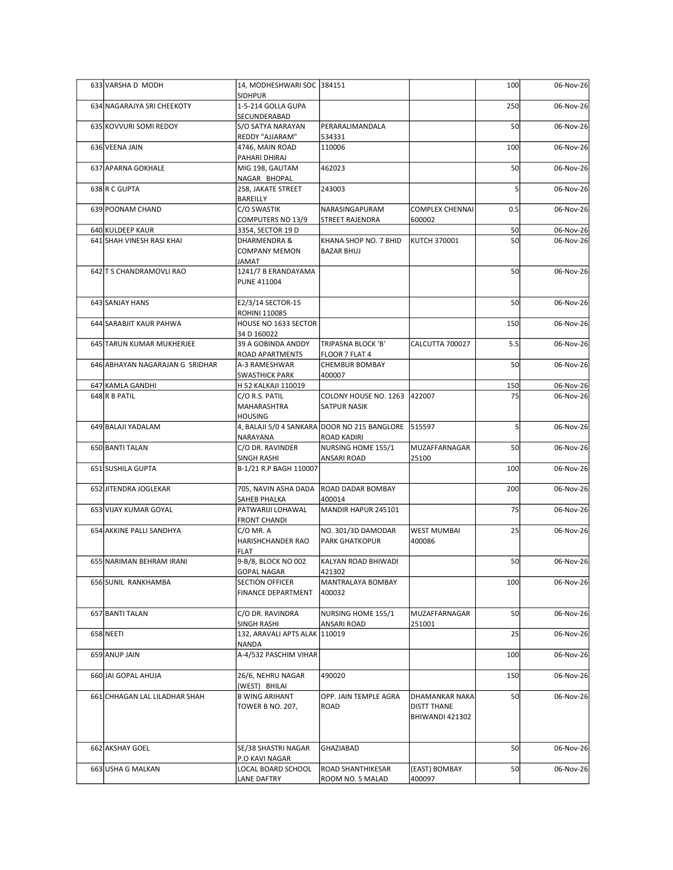| 633 VARSHA D MODH                             | 14, MODHESHWARI SOC 384151                          |                                                     |                                       | 100      | 06-Nov-26              |
|-----------------------------------------------|-----------------------------------------------------|-----------------------------------------------------|---------------------------------------|----------|------------------------|
| 634 NAGARAJYA SRI CHEEKOTY                    | <b>SIDHPUR</b><br>1-5-214 GOLLA GUPA                |                                                     |                                       | 250      | 06-Nov-26              |
|                                               | SECUNDERABAD<br>S/O SATYA NARAYAN                   | PERARALIMANDALA                                     |                                       |          |                        |
| 635 KOVVURI SOMI REDOY                        | REDDY "AJJARAM"                                     | 534331                                              |                                       | 50       | 06-Nov-26              |
| 636 VEENA JAIN                                | 4746, MAIN ROAD<br>PAHARI DHIRAJ                    | 110006                                              |                                       | 100      | 06-Nov-26              |
| 637 APARNA GOKHALE                            | MIG 198, GAUTAM                                     | 462023                                              |                                       | 50       | 06-Nov-26              |
| 638 R C GUPTA                                 | NAGAR BHOPAL<br>258, JAKATE STREET                  | 243003                                              |                                       |          | 06-Nov-26              |
|                                               | BAREILLY                                            |                                                     |                                       |          |                        |
| 639 POONAM CHAND                              | C/O SWASTIK<br>COMPUTERS NO 13/9                    | NARASINGAPURAM<br><b>STREET RAJENDRA</b>            | <b>COMPLEX CHENNAI</b><br>600002      | 0.5      | 06-Nov-26              |
| 640 KULDEEP KAUR<br>641 SHAH VINESH RASI KHAI | 3354, SECTOR 19 D<br>DHARMENDRA &                   | KHANA SHOP NO. 7 BHID                               | KUTCH 370001                          | 50<br>50 | 06-Nov-26<br>06-Nov-26 |
|                                               | <b>COMPANY MEMON</b><br><b>TAMAL</b>                | <b>BAZAR BHUJ</b>                                   |                                       |          |                        |
| 642 T S CHANDRAMOVLI RAO                      | 1241/7 B ERANDAYAMA<br><b>PUNE 411004</b>           |                                                     |                                       | 50       | 06-Nov-26              |
| 643 SANJAY HANS                               | E2/3/14 SECTOR-15                                   |                                                     |                                       | 50       | 06-Nov-26              |
| 644 SARABJIT KAUR PAHWA                       | ROHINI 110085<br>HOUSE NO 1633 SECTOR               |                                                     |                                       | 150      | 06-Nov-26              |
|                                               | 34 D 160022                                         |                                                     |                                       |          |                        |
| 645 TARUN KUMAR MUKHERJEE                     | 39 A GOBINDA ANDDY<br><b>ROAD APARTMENTS</b>        | TRIPASNA BLOCK 'B'<br>FLOOR 7 FLAT 4                | CALCUTTA 700027                       | 5.5      | 06-Nov-26              |
| 646 ABHAYAN NAGARAJAN G SRIDHAR               | A-3 RAMESHWAR                                       | <b>CHEMBUR BOMBAY</b>                               |                                       | 50       | 06-Nov-26              |
| 647 KAMLA GANDHI                              | <b>SWASTHICK PARK</b><br>H 52 KALKAJI 110019        | 400007                                              |                                       | 150      | 06-Nov-26              |
| 648 R B PATIL                                 | C/O R.S. PATIL<br>MAHARASHTRA<br>HOUSING            | COLONY HOUSE NO. 1263 422007<br><b>SATPUR NASIK</b> |                                       | 75       | 06-Nov-26              |
| 649 BALAJI YADALAM                            |                                                     | 4, BALAJI 5/0 4 SANKARA DOOR NO 215 BANGLORE 515597 |                                       |          | 06-Nov-26              |
| 650 BANTI TALAN                               | NARAYANA<br>C/O DR. RAVINDER                        | <b>ROAD KADIRI</b><br>NURSING HOME 155/1            | MUZAFFARNAGAR                         | 50       | 06-Nov-26              |
|                                               | <b>SINGH RASHI</b>                                  | <b>ANSARI ROAD</b>                                  | 25100                                 |          |                        |
| 651 SUSHILA GUPTA                             | B-1/21 R.P BAGH 110007                              |                                                     |                                       | 100      | 06-Nov-26              |
| 652 JITENDRA JOGLEKAR                         | 705, NAVIN ASHA DADA<br>SAHEB PHALKA                | <b>ROAD DADAR BOMBAY</b><br>400014                  |                                       | 200      | 06-Nov-26              |
| 653 VIJAY KUMAR GOYAL                         | PATWARIJI LOHAWAL                                   | MANDIR HAPUR 245101                                 |                                       | 75       | 06-Nov-26              |
| 654 AKKINE PALLI SANDHYA                      | <b>FRONT CHANDI</b><br>$C/O$ MR. A                  | NO. 301/3D DAMODAR                                  | <b>WEST MUMBAI</b>                    | 25       | 06-Nov-26              |
|                                               | HARISHCHANDER RAO                                   | <b>PARK GHATKOPUR</b>                               | 400086                                |          |                        |
| 655 NARIMAN BEHRAM IRANI                      | <b>FLAT</b><br>9-B/8, BLOCK NO 002                  | KALYAN ROAD BHIWADI                                 |                                       | 50       | 06-Nov-26              |
| 656 SUNIL RANKHAMBA                           | <b>GOPAL NAGAR</b>                                  | 421302<br>MANTRALAYA BOMBAY                         |                                       |          |                        |
|                                               | <b>SECTION OFFICER</b><br><b>FINANCE DEPARTMENT</b> | 400032                                              |                                       | 100      | 06-Nov-26              |
| 657 BANTI TALAN                               | C/O DR. RAVINDRA                                    | NURSING HOME 155/1                                  | MUZAFFARNAGAR                         | 50       | 06-Nov-26              |
|                                               | SINGH RASHI                                         | <b>ANSARI ROAD</b>                                  | 251001                                |          |                        |
| 658 NEETI                                     | 132, ARAVALI APTS ALAK 110019<br><b>NANDA</b>       |                                                     |                                       | 25       | 06-Nov-26              |
| 659 ANUP JAIN                                 | A-4/532 PASCHIM VIHAR                               |                                                     |                                       | 100      | 06-Nov-26              |
| 660 JAI GOPAL AHUJA                           | 26/6, NEHRU NAGAR                                   | 490020                                              |                                       | 150      | 06-Nov-26              |
| 661 CHHAGAN LAL LILADHAR SHAH                 | (WEST) BHILAI<br><b>B WING ARIHANT</b>              | OPP. JAIN TEMPLE AGRA                               | DHAMANKAR NAKA                        | 50       | 06-Nov-26              |
|                                               | TOWER B NO. 207,                                    | ROAD                                                | <b>DISTT THANE</b><br>BHIWANDI 421302 |          |                        |
| 662 AKSHAY GOEL                               | SE/38 SHASTRI NAGAR                                 | GHAZIABAD                                           |                                       | 50       | 06-Nov-26              |
| 663 USHA G MALKAN                             | P.O KAVI NAGAR<br>LOCAL BOARD SCHOOL                | <b>ROAD SHANTHIKESAR</b>                            | (EAST) BOMBAY                         | 50       | 06-Nov-26              |
|                                               | <b>LANE DAFTRY</b>                                  | ROOM NO. 5 MALAD                                    | 400097                                |          |                        |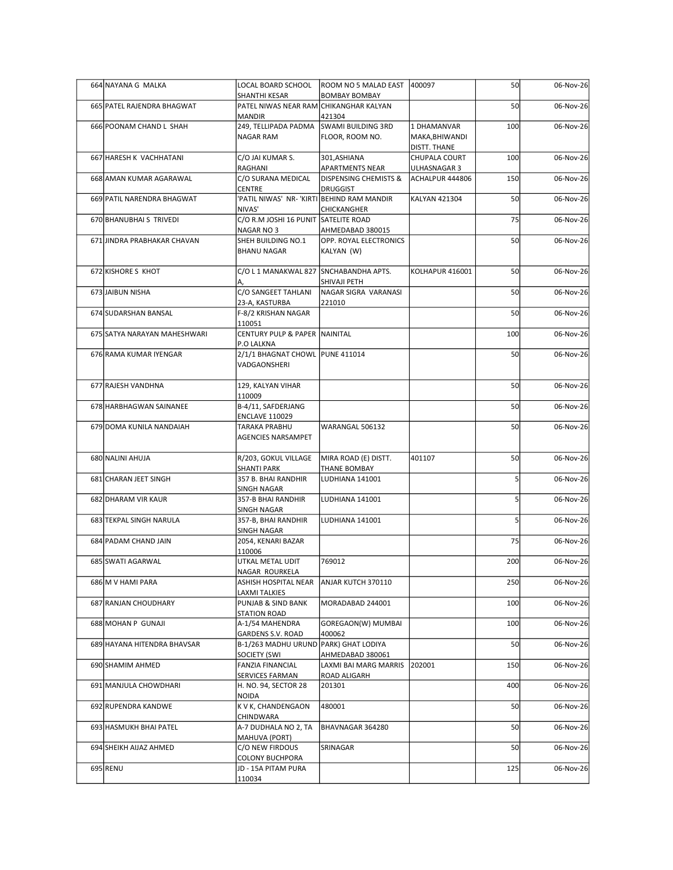| 664 NAYANA G MALKA           | LOCAL BOARD SCHOOL                                         | ROOM NO 5 MALAD EAST                                       | 400097                          | 50  | 06-Nov-26 |
|------------------------------|------------------------------------------------------------|------------------------------------------------------------|---------------------------------|-----|-----------|
| 665 PATEL RAJENDRA BHAGWAT   | SHANTHI KESAR<br>PATEL NIWAS NEAR RAM CHIKANGHAR KALYAN    | BOMBAY BOMBAY                                              |                                 | 50  | 06-Nov-26 |
| 666 POONAM CHAND L SHAH      | <b>MANDIR</b><br>249, TELLIPADA PADMA                      | 421304<br>SWAMI BUILDING 3RD                               | 1 DHAMANVAR                     | 100 | 06-Nov-26 |
|                              | NAGAR RAM                                                  | FLOOR, ROOM NO.                                            | MAKA,BHIWANDI <br>DISTT. THANE  |     |           |
| 667 HARESH K VACHHATANI      | C/O JAI KUMAR S.                                           | 301,ASHIANA                                                | CHUPALA COURT                   | 100 | 06-Nov-26 |
| 668 AMAN KUMAR AGARAWAL      | RAGHANI<br>C/O SURANA MEDICAL                              | <b>APARTMENTS NEAR</b><br><b>DISPENSING CHEMISTS &amp;</b> | ULHASNAGAR 3<br>ACHALPUR 444806 | 150 | 06-Nov-26 |
| 669 PATIL NARENDRA BHAGWAT   | CENTRE<br>'PATIL NIWAS' NR- 'KIRTI BEHIND RAM MANDIR       | <b>DRUGGIST</b>                                            | <b>KALYAN 421304</b>            | 50  | 06-Nov-26 |
| 670 BHANUBHAI S TRIVEDI      | NIVAS'<br>C/O R.M JOSHI 16 PUNIT SATELITE ROAD             | CHICKANGHER                                                |                                 | 75  | 06-Nov-26 |
| 671 JINDRA PRABHAKAR CHAVAN  | NAGAR NO 3<br>SHEH BUILDING NO.1                           | AHMEDABAD 380015<br>OPP. ROYAL ELECTRONICS                 |                                 | 50  | 06-Nov-26 |
|                              | <b>BHANU NAGAR</b>                                         | KALYAN (W)                                                 |                                 |     |           |
| 672 KISHORE S KHOT           | C/O L 1 MANAKWAL 827 SNCHABANDHA APTS.                     |                                                            | KOLHAPUR 416001                 | 50  | 06-Nov-26 |
| 673 JAIBUN NISHA             | C/O SANGEET TAHLANI                                        | SHIVAJI PETH<br>NAGAR SIGRA VARANASI                       |                                 | 50  | 06-Nov-26 |
| 674 SUDARSHAN BANSAL         | 23-A, KASTURBA<br>F-8/2 KRISHAN NAGAR                      | 221010                                                     |                                 | 50  | 06-Nov-26 |
|                              | 110051                                                     |                                                            |                                 |     |           |
| 675 SATYA NARAYAN MAHESHWARI | CENTURY PULP & PAPER NAINITAL<br>P.O LALKNA                |                                                            |                                 | 100 | 06-Nov-26 |
| 676 RAMA KUMAR IYENGAR       | 2/1/1 BHAGNAT CHOWL PUNE 411014<br>VADGAONSHERI            |                                                            |                                 | 50  | 06-Nov-26 |
| 677 RAJESH VANDHNA           | 129, KALYAN VIHAR                                          |                                                            |                                 | 50  | 06-Nov-26 |
| 678 HARBHAGWAN SAINANEE      | 110009<br>B-4/11, SAFDERJANG                               |                                                            |                                 | 50  | 06-Nov-26 |
| 679 DOMA KUNILA NANDAIAH     | <b>ENCLAVE 110029</b><br><b>TARAKA PRABHU</b>              | WARANGAL 506132                                            |                                 | 50  | 06-Nov-26 |
|                              | <b>AGENCIES NARSAMPET</b>                                  |                                                            |                                 |     |           |
| 680 NALINI AHUJA             | R/203, GOKUL VILLAGE<br><b>SHANTI PARK</b>                 | MIRA ROAD (E) DISTT.<br>THANE BOMBAY                       | 401107                          | 50  | 06-Nov-26 |
| 681 CHARAN JEET SINGH        | 357 B. BHAI RANDHIR                                        | LUDHIANA 141001                                            |                                 |     | 06-Nov-26 |
| 682 DHARAM VIR KAUR          | SINGH NAGAR<br>357-B BHAI RANDHIR                          | LUDHIANA 141001                                            |                                 |     | 06-Nov-26 |
| 683 TEKPAL SINGH NARULA      | SINGH NAGAR<br>357-B, BHAI RANDHIR                         | LUDHIANA 141001                                            |                                 |     | 06-Nov-26 |
| 684 PADAM CHAND JAIN         | SINGH NAGAR<br>2054, KENARI BAZAR                          |                                                            |                                 | 75  | 06-Nov-26 |
| 685 SWATI AGARWAL            | 110006                                                     |                                                            |                                 | 200 |           |
|                              | UTKAL METAL UDIT<br>NAGAR ROURKELA                         | 769012                                                     |                                 |     | 06-Nov-26 |
| 686 M V HAMI PARA            | ASHISH HOSPITAL NEAR<br>LAXMI TALKIES                      | ANJAR KUTCH 370110                                         |                                 | 250 | 06-Nov-26 |
| 687 RANJAN CHOUDHARY         | PUNJAB & SIND BANK<br>STATION ROAD                         | MORADABAD 244001                                           |                                 | 100 | 06-Nov-26 |
| 688 MOHAN P GUNAJI           | A-1/54 MAHENDRA                                            | GOREGAON(W) MUMBAI                                         |                                 | 100 | 06-Nov-26 |
| 689 HAYANA HITENDRA BHAVSAR  | GARDENS S.V. ROAD<br>B-1/263 MADHU URUND PARK) GHAT LODIYA | 400062                                                     |                                 | 50  | 06-Nov-26 |
| 690 SHAMIM AHMED             | SOCIETY (SWI<br><b>FANZIA FINANCIAL</b>                    | AHMEDABAD 380061<br>LAXMI BAI MARG MARRIS 202001           |                                 | 150 | 06-Nov-26 |
| 691 MANJULA CHOWDHARI        | SERVICES FARMAN<br>H. NO. 94, SECTOR 28                    | ROAD ALIGARH<br>201301                                     |                                 | 400 | 06-Nov-26 |
| 692 RUPENDRA KANDWE          | NOIDA<br>K V K, CHANDENGAON                                | 480001                                                     |                                 | 50  | 06-Nov-26 |
|                              | CHINDWARA                                                  |                                                            |                                 |     |           |
| 693 HASMUKH BHAI PATEL       | A-7 DUDHALA NO 2, TA<br>MAHUVA (PORT)                      | BHAVNAGAR 364280                                           |                                 | 50  | 06-Nov-26 |
| 694 SHEIKH AIJAZ AHMED       | C/O NEW FIRDOUS<br><b>COLONY BUCHPORA</b>                  | SRINAGAR                                                   |                                 | 50  | 06-Nov-26 |
| 695 RENU                     | JD - 15A PITAM PURA<br>110034                              |                                                            |                                 | 125 | 06-Nov-26 |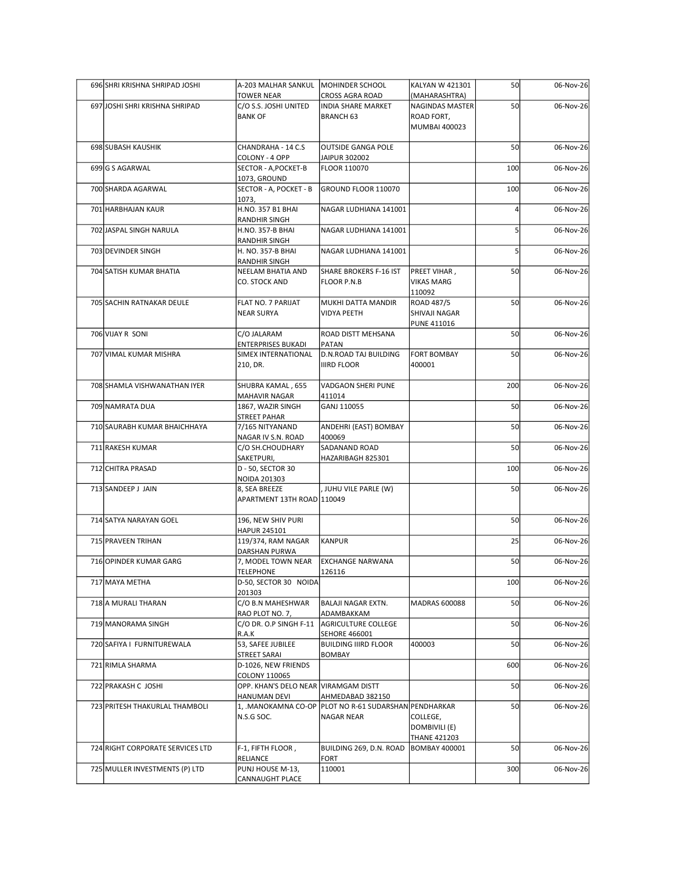| 696 SHRI KRISHNA SHRIPAD JOSHI   | A-203 MALHAR SANKUL<br>TOWER NEAR                     | MOHINDER SCHOOL<br><b>CROSS AGRA ROAD</b>                                | KALYAN W 421301<br>(MAHARASHTRA)    | 50  | 06-Nov-26 |
|----------------------------------|-------------------------------------------------------|--------------------------------------------------------------------------|-------------------------------------|-----|-----------|
| 697 JOSHI SHRI KRISHNA SHRIPAD   | C/O S.S. JOSHI UNITED<br><b>BANK OF</b>               | <b>INDIA SHARE MARKET</b><br><b>BRANCH 63</b>                            | NAGINDAS MASTER<br>ROAD FORT,       | 50  | 06-Nov-26 |
|                                  |                                                       |                                                                          | MUMBAI 400023                       |     |           |
| 698 SUBASH KAUSHIK               | CHANDRAHA - 14 C.S                                    | <b>OUTSIDE GANGA POLE</b>                                                |                                     | 50  | 06-Nov-26 |
| 699 G S AGARWAL                  | COLONY - 4 OPP<br>SECTOR - A, POCKET-B                | JAIPUR 302002<br>FLOOR 110070                                            |                                     | 100 | 06-Nov-26 |
|                                  | 1073, GROUND                                          |                                                                          |                                     |     |           |
| 700 SHARDA AGARWAL               | SECTOR - A, POCKET - B<br>1073,                       | GROUND FLOOR 110070                                                      |                                     | 100 | 06-Nov-26 |
| 701 HARBHAJAN KAUR               | H.NO. 357 B1 BHAI<br>RANDHIR SINGH                    | NAGAR LUDHIANA 141001                                                    |                                     |     | 06-Nov-26 |
| 702 JASPAL SINGH NARULA          | H.NO. 357-B BHAI                                      | NAGAR LUDHIANA 141001                                                    |                                     |     | 06-Nov-26 |
| 703 DEVINDER SINGH               | RANDHIR SINGH<br>H. NO. 357-B BHAI                    | NAGAR LUDHIANA 141001                                                    |                                     |     | 06-Nov-26 |
| 704 SATISH KUMAR BHATIA          | <b>RANDHIR SINGH</b><br>NEELAM BHATIA AND             | SHARE BROKERS F-16 IST                                                   | <b>PREET VIHAR,</b>                 | 50  | 06-Nov-26 |
|                                  | CO. STOCK AND                                         | <b>FLOOR P.N.B</b>                                                       | <b>VIKAS MARG</b>                   |     |           |
| 705 SACHIN RATNAKAR DEULE        | <b>FLAT NO. 7 PARIJAT</b>                             | MUKHI DATTA MANDIR                                                       | 110092<br>ROAD 487/5                | 50  | 06-Nov-26 |
|                                  | NEAR SURYA                                            | <b>VIDYA PEETH</b>                                                       | SHIVAJI NAGAR<br><b>PUNE 411016</b> |     |           |
| 706 VIJAY R SONI                 | C/O JALARAM<br><b>ENTERPRISES BUKADI</b>              | ROAD DISTT MEHSANA<br>PATAN                                              |                                     | 50  | 06-Nov-26 |
| 707 VIMAL KUMAR MISHRA           | SIMEX INTERNATIONAL                                   | D.N.ROAD TAJ BUILDING                                                    | <b>FORT BOMBAY</b>                  | 50  | 06-Nov-26 |
|                                  | 210, DR.                                              | <b>IIIRD FLOOR</b>                                                       | 400001                              |     |           |
| 708 SHAMLA VISHWANATHAN IYER     | SHUBRA KAMAL, 655<br><b>MAHAVIR NAGAR</b>             | VADGAON SHERI PUNE<br>411014                                             |                                     | 200 | 06-Nov-26 |
| 709 NAMRATA DUA                  | 1867, WAZIR SINGH                                     | GANJ 110055                                                              |                                     | 50  | 06-Nov-26 |
| 710 SAURABH KUMAR BHAICHHAYA     | <b>STREET PAHAR</b><br>7/165 NITYANAND                | ANDEHRI (EAST) BOMBAY                                                    |                                     | 50  | 06-Nov-26 |
| 711 RAKESH KUMAR                 | NAGAR IV S.N. ROAD<br>C/O SH.CHOUDHARY                | 400069<br>SADANAND ROAD                                                  |                                     | 50  | 06-Nov-26 |
|                                  | SAKETPURI,                                            | HAZARIBAGH 825301                                                        |                                     |     |           |
| 712 CHITRA PRASAD                | D - 50, SECTOR 30<br>NOIDA 201303                     |                                                                          |                                     | 100 | 06-Nov-26 |
| 713 SANDEEP J JAIN               | 8, SEA BREEZE<br>APARTMENT 13TH ROAD 110049           | , JUHU VILE PARLE (W)                                                    |                                     | 50  | 06-Nov-26 |
|                                  |                                                       |                                                                          |                                     |     |           |
| 714 SATYA NARAYAN GOEL           | 196, NEW SHIV PURI<br>HAPUR 245101                    |                                                                          |                                     | 50  | 06-Nov-26 |
| 715 PRAVEEN TRIHAN               | 119/374, RAM NAGAR<br>DARSHAN PURWA                   | KANPUR                                                                   |                                     | 25  | 06-Nov-26 |
| 716 OPINDER KUMAR GARG           | 7, MODEL TOWN NEAR                                    | <b>EXCHANGE NARWANA</b>                                                  |                                     | 50  | 06-Nov-26 |
| 717 MAYA METHA                   | <b>TELEPHONE</b><br>D-50, SECTOR 30 NOIDA             | 126116                                                                   |                                     | 100 | 06-Nov-26 |
| 718 A MURALI THARAN              | 201303<br>C/O B.N MAHESHWAR                           | <b>BALAJI NAGAR EXTN.</b>                                                | <b>MADRAS 600088</b>                | 50  | 06-Nov-26 |
|                                  | RAO PLOT NO. 7,                                       | ADAMBAKKAM                                                               |                                     |     |           |
| 719 MANORAMA SINGH               | C/O DR. O.P SINGH F-11<br>R.A.K                       | AGRICULTURE COLLEGE<br><b>SEHORE 466001</b>                              |                                     | 50  | 06-Nov-26 |
| 720 SAFIYA I FURNITUREWALA       | 53, SAFEE JUBILEE<br>STREET SARAI                     | <b>BUILDING IIIRD FLOOR</b><br><b>BOMBAY</b>                             | 400003                              | 50  | 06-Nov-26 |
| 721 RIMLA SHARMA                 | D-1026, NEW FRIENDS                                   |                                                                          |                                     | 600 | 06-Nov-26 |
| 722 PRAKASH C JOSHI              | COLONY 110065<br>OPP. KHAN'S DELO NEAR VIRAMGAM DISTT |                                                                          |                                     | 50  | 06-Nov-26 |
| 723 PRITESH THAKURLAL THAMBOLI   | HANUMAN DEVI                                          | AHMEDABAD 382150<br>1, MANOKAMNA CO-OP PLOT NO R-61 SUDARSHAN PENDHARKAR |                                     | 50  | 06-Nov-26 |
|                                  | N.S.G SOC.                                            | NAGAR NEAR                                                               | COLLEGE,                            |     |           |
|                                  |                                                       |                                                                          | DOMBIVILI (E)<br>THANE 421203       |     |           |
| 724 RIGHT CORPORATE SERVICES LTD | F-1, FIFTH FLOOR,<br>RELIANCE                         | BUILDING 269, D.N. ROAD   BOMBAY 400001<br><b>FORT</b>                   |                                     | 50  | 06-Nov-26 |
| 725 MULLER INVESTMENTS (P) LTD   | PUNJ HOUSE M-13,                                      | 110001                                                                   |                                     | 300 | 06-Nov-26 |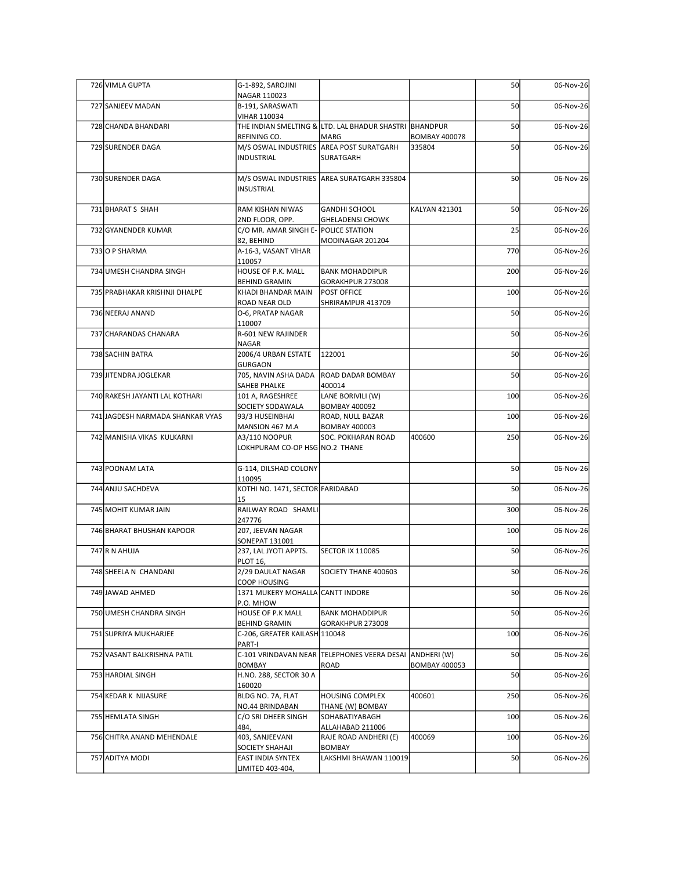| 726 VIMLA GUPTA                  | G-1-892, SAROJINI<br>NAGAR 110023                                  |                                                                 |                      | 50  | 06-Nov-26 |
|----------------------------------|--------------------------------------------------------------------|-----------------------------------------------------------------|----------------------|-----|-----------|
| 727 SANJEEV MADAN                | B-191, SARASWATI<br><b>VIHAR 110034</b>                            |                                                                 |                      | 50  | 06-Nov-26 |
| 728 CHANDA BHANDARI              | REFINING CO.                                                       | THE INDIAN SMELTING & LTD. LAL BHADUR SHASTRI BHANDPUR<br>MARG  | <b>BOMBAY 400078</b> | 50  | 06-Nov-26 |
| 729 SURENDER DAGA                | INDUSTRIAL                                                         | M/S OSWAL INDUSTRIES AREA POST SURATGARH<br>SURATGARH           | 335804               | 50  | 06-Nov-26 |
| 730 SURENDER DAGA                | INSUSTRIAL                                                         | M/S OSWAL INDUSTRIES AREA SURATGARH 335804                      |                      | 50  | 06-Nov-26 |
| 731 BHARAT S SHAH                | RAM KISHAN NIWAS                                                   | GANDHI SCHOOL                                                   | <b>KALYAN 421301</b> | 50  | 06-Nov-26 |
| 732 GYANENDER KUMAR              | 2ND FLOOR, OPP.<br>C/O MR. AMAR SINGH E- POLICE STATION            | <b>GHELADENSI CHOWK</b>                                         |                      | 25  | 06-Nov-26 |
| 733 O P SHARMA                   | 82, BEHIND<br>A-16-3, VASANT VIHAR                                 | MODINAGAR 201204                                                |                      | 770 | 06-Nov-26 |
| 734 UMESH CHANDRA SINGH          | 110057<br>HOUSE OF P.K. MALL                                       | <b>BANK MOHADDIPUR</b>                                          |                      | 200 | 06-Nov-26 |
| 735 PRABHAKAR KRISHNJI DHALPE    | BEHIND GRAMIN<br>KHADI BHANDAR MAIN                                | GORAKHPUR 273008<br><b>POST OFFICE</b>                          |                      | 100 | 06-Nov-26 |
|                                  | ROAD NEAR OLD                                                      | SHRIRAMPUR 413709                                               |                      |     |           |
| 736 NEERAJ ANAND                 | O-6, PRATAP NAGAR<br>110007                                        |                                                                 |                      | 50  | 06-Nov-26 |
| 737 CHARANDAS CHANARA            | R-601 NEW RAJINDER<br>NAGAR                                        |                                                                 |                      | 50  | 06-Nov-26 |
| 738 SACHIN BATRA                 | 2006/4 URBAN ESTATE   122001<br>GURGAON                            |                                                                 |                      | 50  | 06-Nov-26 |
| 739 JITENDRA JOGLEKAR            | 705, NAVIN ASHA DADA<br>SAHEB PHALKE                               | <b>ROAD DADAR BOMBAY</b><br>400014                              |                      | 50  | 06-Nov-26 |
| 740 RAKESH JAYANTI LAL KOTHARI   | 101 A, RAGESHREE<br>SOCIETY SODAWALA                               | LANE BORIVILI (W)<br>BOMBAY 400092                              |                      | 100 | 06-Nov-26 |
| 741 JAGDESH NARMADA SHANKAR VYAS | 93/3 HUSEINBHAI                                                    | ROAD, NULL BAZAR                                                |                      | 100 | 06-Nov-26 |
| 742 MANISHA VIKAS KULKARNI       | MANSION 467 M.A<br>A3/110 NOOPUR<br>LOKHPURAM CO-OP HSG NO.2 THANE | <b>BOMBAY 400003</b><br>SOC. POKHARAN ROAD                      | 400600               | 250 | 06-Nov-26 |
| 743 POONAM LATA                  | G-114, DILSHAD COLONY                                              |                                                                 |                      | 50  | 06-Nov-26 |
| 744 ANJU SACHDEVA                | 110095<br>KOTHI NO. 1471, SECTOR FARIDABAD                         |                                                                 |                      | 50  | 06-Nov-26 |
| 745 MOHIT KUMAR JAIN             | 15<br>RAILWAY ROAD SHAMLI                                          |                                                                 |                      | 300 | 06-Nov-26 |
| 746 BHARAT BHUSHAN KAPOOR        | 247776<br>207, JEEVAN NAGAR                                        |                                                                 |                      | 100 | 06-Nov-26 |
|                                  | SONEPAT 131001                                                     |                                                                 |                      |     |           |
| 747 R N AHUJA                    | 237, LAL JYOTI APPTS.<br><b>PLOT 16,</b>                           | <b>SECTOR IX 110085</b>                                         |                      | 50  | 06-Nov-26 |
| 748 SHEELA N CHANDANI            | 2/29 DAULAT NAGAR<br>COOP HOUSING                                  | SOCIETY THANE 400603                                            |                      | 50  | 06-Nov-26 |
| 749 JAWAD AHMED                  | 1371 MUKERY MOHALLA CANTT INDORE<br>P.O. MHOW                      |                                                                 |                      | 50  | 06-Nov-26 |
| 750 UMESH CHANDRA SINGH          | HOUSE OF P.K MALL<br><b>BEHIND GRAMIN</b>                          | <b>BANK MOHADDIPUR</b><br>GORAKHPUR 273008                      |                      | 50  | 06-Nov-26 |
| 751 SUPRIYA MUKHARJEE            | C-206, GREATER KAILASH 110048<br>PART-I                            |                                                                 |                      | 100 | 06-Nov-26 |
| 752 VASANT BALKRISHNA PATIL      | <b>BOMBAY</b>                                                      | C-101 VRINDAVAN NEAR TELEPHONES VEERA DESAI ANDHERI (W)<br>ROAD | <b>BOMBAY 400053</b> | 50  | 06-Nov-26 |
| 753 HARDIAL SINGH                | H.NO. 288, SECTOR 30 A<br>160020                                   |                                                                 |                      | 50  | 06-Nov-26 |
| 754 KEDAR K NIJASURE             | BLDG NO. 7A, FLAT<br>NO.44 BRINDABAN                               | <b>HOUSING COMPLEX</b><br>THANE (W) BOMBAY                      | 400601               | 250 | 06-Nov-26 |
| 755 HEMLATA SINGH                | C/O SRI DHEER SINGH                                                | SOHABATIYABAGH                                                  |                      | 100 | 06-Nov-26 |
| 756 CHITRA ANAND MEHENDALE       | 484,<br>403, SANJEEVANI<br>SOCIETY SHAHAJI                         | ALLAHABAD 211006<br>RAJE ROAD ANDHERI (E)<br><b>BOMBAY</b>      | 400069               | 100 | 06-Nov-26 |
| 757 ADITYA MODI                  | <b>EAST INDIA SYNTEX</b><br>LIMITED 403-404,                       | LAKSHMI BHAWAN 110019                                           |                      | 50  | 06-Nov-26 |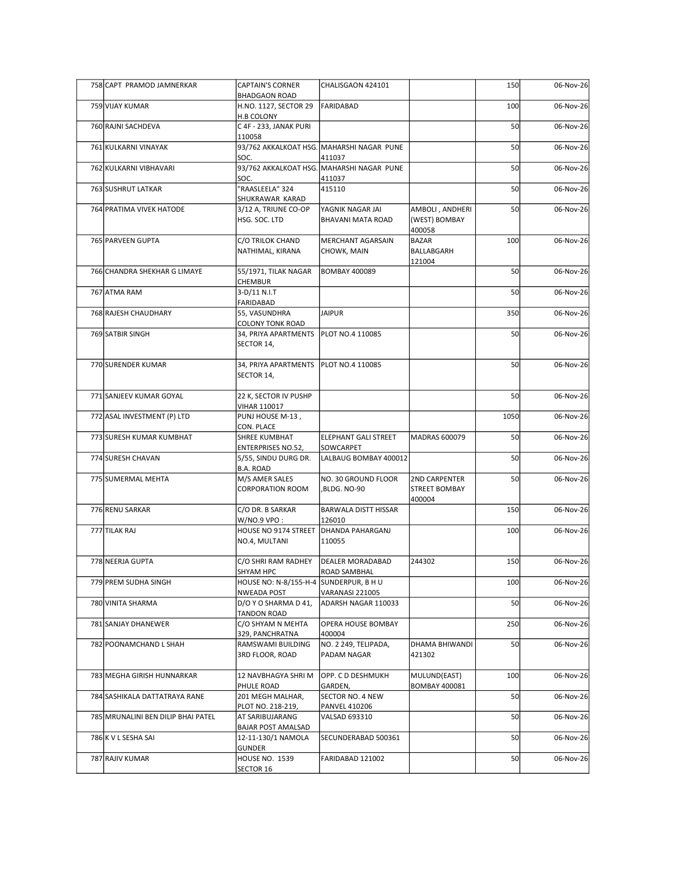| 758 CAPT PRAMOD JAMNERKAR          | <b>CAPTAIN'S CORNER</b><br><b>BHADGAON ROAD</b>       | CHALISGAON 424101                                   |                                       | 150  | 06-Nov-26 |
|------------------------------------|-------------------------------------------------------|-----------------------------------------------------|---------------------------------------|------|-----------|
| 759 VIJAY KUMAR                    | H.NO. 1127, SECTOR 29                                 | FARIDABAD                                           |                                       | 100  | 06-Nov-26 |
| 760 RAJNI SACHDEVA                 | <b>H.B COLONY</b><br>C 4F - 233, JANAK PURI           |                                                     |                                       | 50   | 06-Nov-26 |
| 761 KULKARNI VINAYAK               | 110058                                                | 93/762 AKKALKOAT HSG. MAHARSHI NAGAR PUNE           |                                       | 50   | 06-Nov-26 |
|                                    | SOC.                                                  | 411037                                              |                                       |      |           |
| 762 KULKARNI VIBHAVARI             | SOC.                                                  | 93/762 AKKALKOAT HSG. MAHARSHI NAGAR PUNE<br>411037 |                                       | 50   | 06-Nov-26 |
| 763 SUSHRUT LATKAR                 | "RAASLEELA" 324                                       | 415110                                              |                                       | 50   | 06-Nov-26 |
| 764 PRATIMA VIVEK HATODE           | SHUKRAWAR KARAD<br>3/12 A, TRIUNE CO-OP               | YAGNIK NAGAR JAI                                    | AMBOLI, ANDHERI                       | 50   | 06-Nov-26 |
|                                    | HSG. SOC. LTD                                         | <b>BHAVANI MATA ROAD</b>                            | (WEST) BOMBAY<br>400058               |      |           |
| 765 PARVEEN GUPTA                  | C/O TRILOK CHAND                                      | <b>MERCHANT AGARSAIN</b>                            | BAZAR                                 | 100  | 06-Nov-26 |
|                                    | NATHIMAL, KIRANA                                      | CHOWK, MAIN                                         | BALLABGARH<br>121004                  |      |           |
| 766 CHANDRA SHEKHAR G LIMAYE       | 55/1971, TILAK NAGAR                                  | <b>BOMBAY 400089</b>                                |                                       | 50   | 06-Nov-26 |
| 767 ATMA RAM                       | CHEMBUR<br>3-D/11 N.I.T                               |                                                     |                                       | 50   | 06-Nov-26 |
| 768 RAJESH CHAUDHARY               | FARIDABAD                                             |                                                     |                                       | 350  |           |
|                                    | 55, VASUNDHRA<br><b>COLONY TONK ROAD</b>              | <b>JAIPUR</b>                                       |                                       |      | 06-Nov-26 |
| 769 SATBIR SINGH                   | 34, PRIYA APARTMENTS   PLOT NO.4 110085<br>SECTOR 14, |                                                     |                                       | 50   | 06-Nov-26 |
|                                    |                                                       |                                                     |                                       |      |           |
| 770 SURENDER KUMAR                 | 34, PRIYA APARTMENTS PLOT NO.4 110085<br>SECTOR 14,   |                                                     |                                       | 50   | 06-Nov-26 |
|                                    |                                                       |                                                     |                                       |      |           |
| 771 SANJEEV KUMAR GOYAL            | 22 K, SECTOR IV PUSHP<br><b>VIHAR 110017</b>          |                                                     |                                       | 50   | 06-Nov-26 |
| 772 ASAL INVESTMENT (P) LTD        | PUNJ HOUSE M-13,                                      |                                                     |                                       | 1050 | 06-Nov-26 |
| 773 SURESH KUMAR KUMBHAT           | CON. PLACE<br>SHREE KUMBHAT                           | <b>ELEPHANT GALI STREET</b>                         | MADRAS 600079                         | 50   | 06-Nov-26 |
| 774 SURESH CHAVAN                  | <b>ENTERPRISES NO.52,</b><br>5/55, SINDU DURG DR.     | SOWCARPET<br>LALBAUG BOMBAY 400012                  |                                       | 50   | 06-Nov-26 |
|                                    | <b>B.A. ROAD</b>                                      |                                                     |                                       |      |           |
| 775 SUMERMAL MEHTA                 | M/S AMER SALES<br><b>CORPORATION ROOM</b>             | NO. 30 GROUND FLOOR<br>,BLDG. NO-90                 | 2ND CARPENTER<br><b>STREET BOMBAY</b> | 50   | 06-Nov-26 |
|                                    |                                                       |                                                     | 400004                                |      |           |
| 776 RENU SARKAR                    | C/O DR. B SARKAR<br>W/NO.9 VPO:                       | <b>BARWALA DISTT HISSAR</b><br>126010               |                                       | 150  | 06-Nov-26 |
| 777 TILAK RAJ                      | HOUSE NO 9174 STREET                                  | <b>DHANDA PAHARGANJ</b>                             |                                       | 100  | 06-Nov-26 |
|                                    | NO.4, MULTANI                                         | 110055                                              |                                       |      |           |
| 778 NEERJA GUPTA                   | C/O SHRI RAM RADHEY                                   | <b>DEALER MORADABAD</b>                             | 244302                                | 150  | 06-Nov-26 |
| 779 PREM SUDHA SINGH               | SHYAM HPC<br>HOUSE NO: N-8/155-H-4 SUNDERPUR, B H U   | ROAD SAMBHAL                                        |                                       | 100  | 06-Nov-26 |
| 780 VINITA SHARMA                  | <b>NWEADA POST</b><br>D/O Y O SHARMA D 41,            | VARANASI 221005<br>ADARSH NAGAR 110033              |                                       | 50   | 06-Nov-26 |
|                                    | <b>TANDON ROAD</b>                                    |                                                     |                                       |      |           |
| 781 SANJAY DHANEWER                | C/O SHYAM N MEHTA<br>329, PANCHRATNA                  | <b>OPERA HOUSE BOMBAY</b><br>400004                 |                                       | 250  | 06-Nov-26 |
| 782 POONAMCHAND L SHAH             | RAMSWAMI BUILDING                                     | NO. 2 249, TELIPADA,                                | DHAMA BHIWANDI                        | 50   | 06-Nov-26 |
|                                    | 3RD FLOOR, ROAD                                       | PADAM NAGAR                                         | 421302                                |      |           |
| 783 MEGHA GIRISH HUNNARKAR         | 12 NAVBHAGYA SHRI M                                   | OPP. C D DESHMUKH                                   | MULUND(EAST)                          | 100  | 06-Nov-26 |
| 784 SASHIKALA DATTATRAYA RANE      | PHULE ROAD<br>201 MEGH MALHAR,                        | GARDEN,<br>SECTOR NO. 4 NEW                         | <b>BOMBAY 400081</b>                  | 50   | 06-Nov-26 |
| 785 MRUNALINI BEN DILIP BHAI PATEL | PLOT NO. 218-219,<br>AT SARIBUJARANG                  | <b>PANVEL 410206</b><br>VALSAD 693310               |                                       | 50   | 06-Nov-26 |
|                                    | <b>BAJAR POST AMALSAD</b>                             |                                                     |                                       |      |           |
| 786 K V L SESHA SAI                | 12-11-130/1 NAMOLA<br><b>GUNDER</b>                   | SECUNDERABAD 500361                                 |                                       | 50   | 06-Nov-26 |
| 787 RAJIV KUMAR                    | HOUSE NO. 1539                                        | FARIDABAD 121002                                    |                                       | 50   | 06-Nov-26 |
|                                    | SECTOR 16                                             |                                                     |                                       |      |           |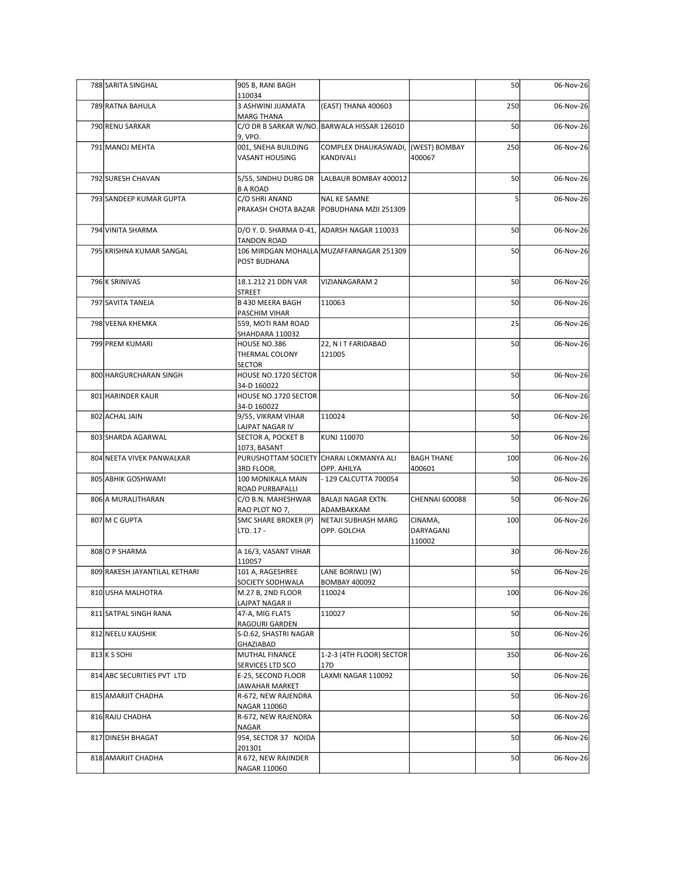| 788 SARITA SINGHAL            | 905 B, RANI BAGH                                        |                                                                    |                       | 50              | 06-Nov-26 |
|-------------------------------|---------------------------------------------------------|--------------------------------------------------------------------|-----------------------|-----------------|-----------|
| 789 RATNA BAHULA              | 110034<br>3 ASHWINI JIJAMATA                            | (EAST) THANA 400603                                                |                       | 250             | 06-Nov-26 |
| 790 RENU SARKAR               | <b>MARG THANA</b>                                       | C/O DR B SARKAR W/NO. BARWALA HISSAR 126010                        |                       | 50              | 06-Nov-26 |
| 791 MANOJ MEHTA               | 9, VPO.                                                 |                                                                    |                       |                 |           |
|                               | 001, SNEHA BUILDING<br>VASANT HOUSING                   | COMPLEX DHAUKASWADI, (WEST) BOMBAY<br>KANDIVALI                    | 400067                | 250             | 06-Nov-26 |
| 792 SURESH CHAVAN             | 5/55, SINDHU DURG DR                                    | LALBAUR BOMBAY 400012                                              |                       | 50              | 06-Nov-26 |
| 793 SANDEEP KUMAR GUPTA       | <b>B A ROAD</b><br>C/O SHRI ANAND                       | <b>NAL KE SAMNE</b><br>PRAKASH CHOTA BAZAR   POBUDHANA MZII 251309 |                       |                 | 06-Nov-26 |
| 794 VINITA SHARMA             | D/O Y. D. SHARMA D-41, ADARSH NAGAR 110033              |                                                                    |                       | 50              | 06-Nov-26 |
| 795 KRISHNA KUMAR SANGAL      | <b>TANDON ROAD</b>                                      | 106 MIRDGAN MOHALLA MUZAFFARNAGAR 251309                           |                       | 50              | 06-Nov-26 |
| 796 K SRINIVAS                | POST BUDHANA<br>18.1.212 21 DDN VAR                     | VIZIANAGARAM 2                                                     |                       | 50              | 06-Nov-26 |
| 797 SAVITA TANEJA             | <b>STREET</b><br>B 430 MEERA BAGH                       | 110063                                                             |                       | 50              | 06-Nov-26 |
| 798 VEENA KHEMKA              | PASCHIM VIHAR<br>559, MOTI RAM ROAD                     |                                                                    |                       | 25              | 06-Nov-26 |
| 799 PREM KUMARI               | SHAHDARA 110032<br>HOUSE NO.386<br>THERMAL COLONY       | 22, N I T FARIDABAD<br>121005                                      |                       | 50              | 06-Nov-26 |
| 800 HARGURCHARAN SINGH        | <b>SECTOR</b><br>HOUSE NO.1720 SECTOR                   |                                                                    |                       | 50              | 06-Nov-26 |
| 801 HARINDER KAUR             | 34-D 160022<br>HOUSE NO.1720 SECTOR                     |                                                                    |                       | 50              | 06-Nov-26 |
| 802 ACHAL JAIN                | 34-D 160022<br>9/55, VIKRAM VIHAR                       | 110024                                                             |                       | 50              | 06-Nov-26 |
| 803 SHARDA AGARWAL            | LAJPAT NAGAR IV<br>SECTOR A, POCKET B                   | KUNJ 110070                                                        |                       | 50              | 06-Nov-26 |
| 804 NEETA VIVEK PANWALKAR     | 1073, BASANT<br>PURUSHOTTAM SOCIETY CHARAI LOKMANYA ALI |                                                                    | BAGH THANE            | 100             | 06-Nov-26 |
| 805 ABHIK GOSHWAMI            | 3RD FLOOR,<br>100 MONIKALA MAIN                         | OPP. AHILYA<br>- 129 CALCUTTA 700054                               | 400601                | 50              | 06-Nov-26 |
| 806 A MURALITHARAN            | ROAD PURBAPALLI<br>C/O B.N. MAHESHWAR                   | BALAJI NAGAR EXTN.                                                 | <b>CHENNAI 600088</b> | 50              | 06-Nov-26 |
| 807 M C GUPTA                 | RAO PLOT NO 7,<br>SMC SHARE BROKER (P)                  | ADAMBAKKAM<br>NETAJI SUBHASH MARG                                  | CINAMA,               | 100             | 06-Nov-26 |
|                               | LTD. 17 -                                               | OPP. GOLCHA                                                        | DARYAGANJ<br>110002   |                 |           |
| 808 O P SHARMA                | A 16/3, VASANT VIHAR                                    |                                                                    |                       | 30 <sup>1</sup> | 06-Nov-26 |
| 809 RAKESH JAYANTILAL KETHARI | 110057<br>101 A, RAGESHREE                              | LANE BORIWLI (W)                                                   |                       | 50              | 06-Nov-26 |
| 810 USHA MALHOTRA             | SOCIETY SODHWALA<br>M.27 B, 2ND FLOOR                   | <b>BOMBAY 400092</b><br>110024                                     |                       | 100             | 06-Nov-26 |
| 811 SATPAL SINGH RANA         | LAJPAT NAGAR II<br>47-A, MIG FLATS                      | 110027                                                             |                       | 50              | 06-Nov-26 |
| 812 NEELU KAUSHIK             | RAGOURI GARDEN<br>S-D.62, SHASTRI NAGAR                 |                                                                    |                       | 50              | 06-Nov-26 |
| $813$ K S SOHI                | GHAZIABAD<br>MUTHAL FINANCE                             | 1-2-3 (4TH FLOOR) SECTOR                                           |                       | 350             | 06-Nov-26 |
| 814 ABC SECURITIES PVT LTD    | SERVICES LTD SCO<br>E-25, SECOND FLOOR                  | 17D<br>LAXMI NAGAR 110092                                          |                       | 50              | 06-Nov-26 |
| 815 AMARJIT CHADHA            | JAWAHAR MARKET<br>R-672, NEW RAJENDRA                   |                                                                    |                       | 50              | 06-Nov-26 |
| 816 RAJU CHADHA               | NAGAR 110060<br>R-672, NEW RAJENDRA                     |                                                                    |                       | 50              | 06-Nov-26 |
| 817 DINESH BHAGAT             | <b>NAGAR</b><br>954, SECTOR 37 NOIDA                    |                                                                    |                       | 50              | 06-Nov-26 |
| 818 AMARJIT CHADHA            | 201301<br>R 672, NEW RAJINDER                           |                                                                    |                       | 50              | 06-Nov-26 |
|                               | NAGAR 110060                                            |                                                                    |                       |                 |           |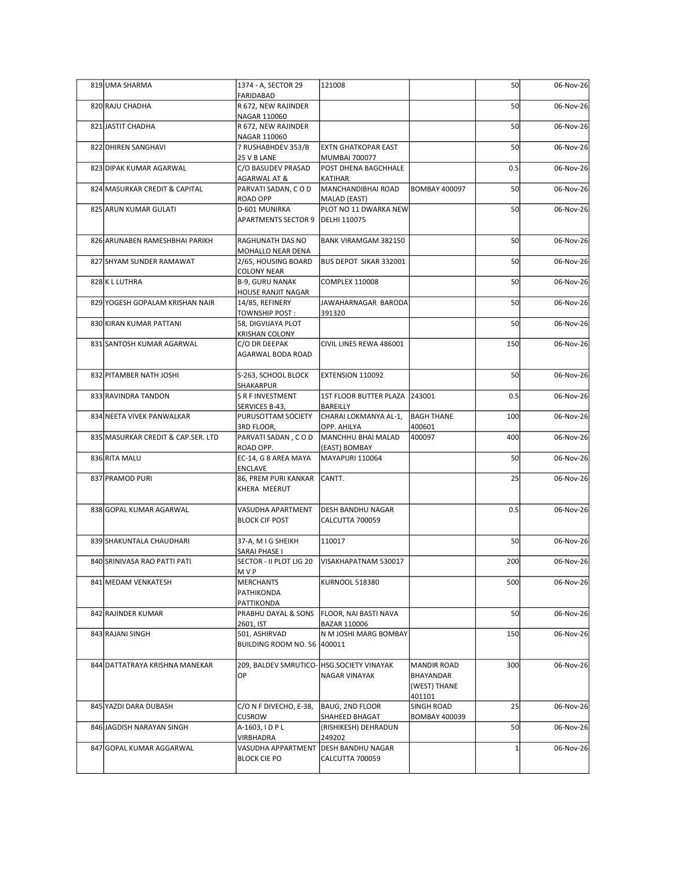| 819 UMA SHARMA                     | 1374 - A, SECTOR 29                                              | 121008                                                |                                                    | 50  | 06-Nov-26 |
|------------------------------------|------------------------------------------------------------------|-------------------------------------------------------|----------------------------------------------------|-----|-----------|
| 820 RAJU CHADHA                    | FARIDABAD<br>R 672, NEW RAJINDER                                 |                                                       |                                                    | 50  | 06-Nov-26 |
| 821 JASTIT CHADHA                  | NAGAR 110060<br>R 672, NEW RAJINDER                              |                                                       |                                                    | 50  | 06-Nov-26 |
| 822 DHIREN SANGHAVI                | NAGAR 110060<br>7 RUSHABHDEV 353/B                               | <b>EXTN GHATKOPAR EAST</b>                            |                                                    | 50  | 06-Nov-26 |
| 823 DIPAK KUMAR AGARWAL            | 25 V B LANE<br>C/O BASUDEV PRASAD                                | <b>MUMBAI 700077</b><br>POST DHENA BAGCHHALE          |                                                    | 0.5 | 06-Nov-26 |
| 824 MASURKAR CREDIT & CAPITAL      | AGARWAL AT &<br>PARVATI SADAN, COD                               | KATIHAR<br>MANCHANDIBHAI ROAD                         | <b>BOMBAY 400097</b>                               | 50  | 06-Nov-26 |
| 825 ARUN KUMAR GULATI              | ROAD OPP<br>D-601 MUNIRKA                                        | MALAD (EAST)<br>PLOT NO 11 DWARKA NEW                 |                                                    | 50  | 06-Nov-26 |
|                                    | <b>APARTMENTS SECTOR 9</b>                                       | DELHI 110075                                          |                                                    |     |           |
| 826 ARUNABEN RAMESHBHAI PARIKH     | RAGHUNATH DAS NO<br>MOHALLO NEAR DENA                            | BANK VIRAMGAM 382150                                  |                                                    | 50  | 06-Nov-26 |
| 827 SHYAM SUNDER RAMAWAT           | 2/65, HOUSING BOARD<br><b>COLONY NEAR</b>                        | BUS DEPOT SIKAR 332001                                |                                                    | 50  | 06-Nov-26 |
| 828 K L LUTHRA                     | <b>B-9, GURU NANAK</b><br><b>HOUSE RANJIT NAGAR</b>              | <b>COMPLEX 110008</b>                                 |                                                    | 50  | 06-Nov-26 |
| 829 YOGESH GOPALAM KRISHAN NAIR    | 14/85, REFINERY<br><b>TOWNSHIP POST:</b>                         | JAWAHARNAGAR BARODA<br>391320                         |                                                    | 50  | 06-Nov-26 |
| 830 KIRAN KUMAR PATTANI            | 58, DIGVIJAYA PLOT<br><b>KRISHAN COLONY</b>                      |                                                       |                                                    | 50  | 06-Nov-26 |
| 831 SANTOSH KUMAR AGARWAL          | C/O DR DEEPAK<br>AGARWAL BODA ROAD                               | CIVIL LINES REWA 486001                               |                                                    | 150 | 06-Nov-26 |
| 832 PITAMBER NATH JOSHI            | S-263, SCHOOL BLOCK<br><b>SHAKARPUR</b>                          | EXTENSION 110092                                      |                                                    | 50  | 06-Nov-26 |
| 833 RAVINDRA TANDON                | S R F INVESTMENT<br>SERVICES B-43,                               | 1ST FLOOR BUTTER PLAZA 243001<br>BAREILLY             |                                                    | 0.5 | 06-Nov-26 |
| 834 NEETA VIVEK PANWALKAR          | PURUSOTTAM SOCIETY                                               | CHARAI LOKMANYA AL-1,<br>OPP. AHILYA                  | <b>BAGH THANE</b>                                  | 100 | 06-Nov-26 |
| 835 MASURKAR CREDIT & CAP.SER. LTD | 3RD FLOOR,<br>PARVATI SADAN, COD                                 | MANCHHU BHAI MALAD                                    | 400601<br>400097                                   | 400 | 06-Nov-26 |
| 836 RITA MALU                      | ROAD OPP.<br>EC-14, G 8 AREA MAYA                                | (EAST) BOMBAY<br>MAYAPURI 110064                      |                                                    | 50  | 06-Nov-26 |
| 837 PRAMOD PURI                    | ENCLAVE<br>86, PREM PURI KANKAR<br>KHERA MEERUT                  | CANTT.                                                |                                                    | 25  | 06-Nov-26 |
| 838 GOPAL KUMAR AGARWAL            | VASUDHA APARTMENT<br><b>BLOCK CIF POST</b>                       | <b>DESH BANDHU NAGAR</b><br>CALCUTTA 700059           |                                                    | 0.5 | 06-Nov-26 |
| 839 SHAKUNTALA CHAUDHARI           | 37-A, M I G SHEIKH<br>SARAI PHASE I                              | 110017                                                |                                                    | 50  | 06-Nov-26 |
| 840 SRINIVASA RAO PATTI PATI       | SECTOR - II PLOT LIG 20<br>MVP                                   | VISAKHAPATNAM 530017                                  |                                                    | 200 | 06-Nov-26 |
| 841 MEDAM VENKATESH                | <b>MERCHANTS</b><br>PATHIKONDA<br>PATTIKONDA                     | <b>KURNOOL 518380</b>                                 |                                                    | 500 | 06-Nov-26 |
| 842 RAJINDER KUMAR                 | PRABHU DAYAL & SONS                                              | FLOOR, NAI BASTI NAVA                                 |                                                    | 50  | 06-Nov-26 |
| 843 RAJANI SINGH                   | 2601, IST<br>501, ASHIRVAD<br><b>BUILDING ROOM NO. 56 400011</b> | BAZAR 110006<br>N M JOSHI MARG BOMBAY                 |                                                    | 150 | 06-Nov-26 |
| 844 DATTATRAYA KRISHNA MANEKAR     | 209, BALDEV SMRUTICO- HSG.SOCIETY VINAYAK<br>OP                  | <b>NAGAR VINAYAK</b>                                  | MANDIR ROAD<br>BHAYANDAR<br>(WEST) THANE<br>401101 | 300 | 06-Nov-26 |
| 845 YAZDI DARA DUBASH              | C/O N F DIVECHO, E-38,<br><b>CUSROW</b>                          | BAUG, 2ND FLOOR<br>SHAHEED BHAGAT                     | SINGH ROAD<br><b>BOMBAY 400039</b>                 | 25  | 06-Nov-26 |
| 846 JAGDISH NARAYAN SINGH          | A-1603, IDPL                                                     | (RISHIKESH) DEHRADUN                                  |                                                    | 50  | 06-Nov-26 |
| 847 GOPAL KUMAR AGGARWAL           | VIRBHADRA<br>VASUDHA APPARTMENT<br><b>BLOCK CIE PO</b>           | 249202<br><b>DESH BANDHU NAGAR</b><br>CALCUTTA 700059 |                                                    |     | 06-Nov-26 |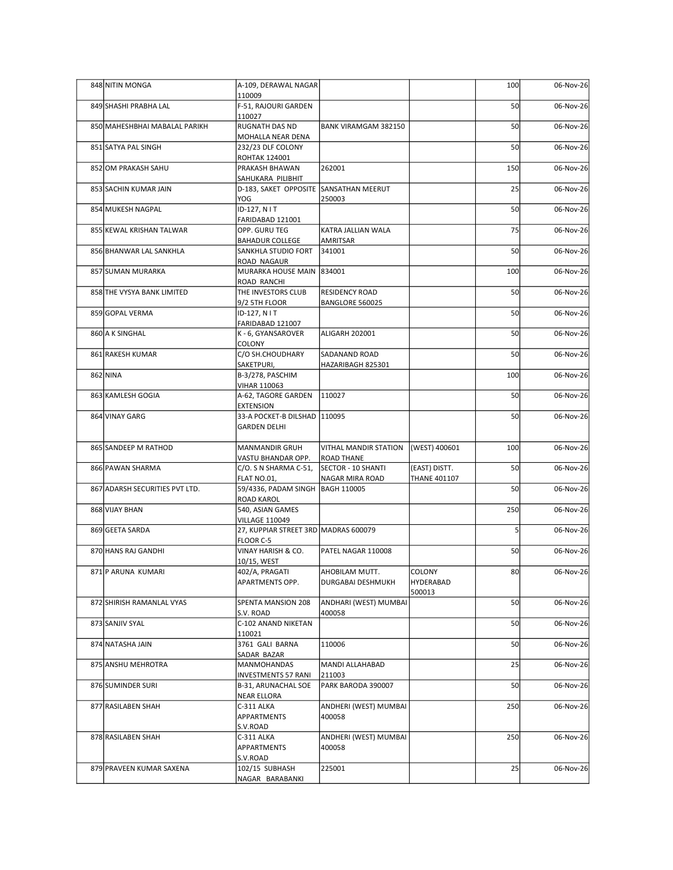|  | 848 NITIN MONGA                | A-109, DERAWAL NAGAR                                          |                                            |                            | 100 | 06-Nov-26 |
|--|--------------------------------|---------------------------------------------------------------|--------------------------------------------|----------------------------|-----|-----------|
|  | 849 SHASHI PRABHA LAL          | 110009<br>F-51, RAJOURI GARDEN                                |                                            |                            | 50  | 06-Nov-26 |
|  |                                | 110027                                                        |                                            |                            |     |           |
|  | 850 MAHESHBHAI MABALAL PARIKH  | <b>RUGNATH DAS ND</b><br>MOHALLA NEAR DENA                    | <b>BANK VIRAMGAM 382150</b>                |                            | 50  | 06-Nov-26 |
|  | 851 SATYA PAL SINGH            | 232/23 DLF COLONY<br><b>ROHTAK 124001</b>                     |                                            |                            | 50  | 06-Nov-26 |
|  | 852 OM PRAKASH SAHU            | <b>PRAKASH BHAWAN</b><br>SAHUKARA PILIBHIT                    | 262001                                     |                            | 150 | 06-Nov-26 |
|  | 853 SACHIN KUMAR JAIN          | D-183, SAKET OPPOSITE SANSATHAN MEERUT                        |                                            |                            | 25  | 06-Nov-26 |
|  | 854 MUKESH NAGPAL              | YOG<br>ID-127, N I T                                          | 250003                                     |                            | 50  | 06-Nov-26 |
|  | 855 KEWAL KRISHAN TALWAR       | FARIDABAD 121001<br>OPP. GURU TEG                             | KATRA JALLIAN WALA                         |                            | 75  | 06-Nov-26 |
|  | 856 BHANWAR LAL SANKHLA        | <b>BAHADUR COLLEGE</b><br>SANKHLA STUDIO FORT                 | AMRITSAR<br>341001                         |                            | 50  | 06-Nov-26 |
|  | 857 SUMAN MURARKA              | ROAD NAGAUR<br>MURARKA HOUSE MAIN 834001                      |                                            |                            | 100 | 06-Nov-26 |
|  | 858 THE VYSYA BANK LIMITED     | ROAD RANCHI<br>THE INVESTORS CLUB                             | <b>RESIDENCY ROAD</b>                      |                            | 50  |           |
|  |                                | 9/2 5TH FLOOR                                                 | BANGLORE 560025                            |                            |     | 06-Nov-26 |
|  | 859 GOPAL VERMA                | ID-127, N I T<br>FARIDABAD 121007                             |                                            |                            | 50  | 06-Nov-26 |
|  | 860 A K SINGHAL                | K - 6, GYANSAROVER<br>COLONY                                  | ALIGARH 202001                             |                            | 50  | 06-Nov-26 |
|  | 861 RAKESH KUMAR               | C/O SH.CHOUDHARY<br>SAKETPURI,                                | SADANAND ROAD<br>HAZARIBAGH 825301         |                            | 50  | 06-Nov-26 |
|  | 862 NINA                       | B-3/278, PASCHIM                                              |                                            |                            | 100 | 06-Nov-26 |
|  | 863 KAMLESH GOGIA              | VIHAR 110063<br>A-62, TAGORE GARDEN                           | 110027                                     |                            | 50  | 06-Nov-26 |
|  | 864 VINAY GARG                 | <b>EXTENSION</b><br>33-A POCKET-B DILSHAD 110095              |                                            |                            | 50  | 06-Nov-26 |
|  |                                | <b>GARDEN DELHI</b>                                           |                                            |                            |     |           |
|  | 865 SANDEEP M RATHOD           | <b>MANMANDIR GRUH</b><br>VASTU BHANDAR OPP.                   | VITHAL MANDIR STATION<br><b>ROAD THANE</b> | (WEST) 400601              | 100 | 06-Nov-26 |
|  | 866 PAWAN SHARMA               | C/O. S N SHARMA C-51,                                         | SECTOR - 10 SHANTI                         | (EAST) DISTT.              | 50  | 06-Nov-26 |
|  | 867 ADARSH SECURITIES PVT LTD. | FLAT NO.01,<br>59/4336, PADAM SINGH                           | NAGAR MIRA ROAD<br><b>BAGH 110005</b>      | <b>THANE 401107</b>        | 50  | 06-Nov-26 |
|  | 868 VIJAY BHAN                 | <b>ROAD KAROL</b><br>540, ASIAN GAMES                         |                                            |                            | 250 | 06-Nov-26 |
|  | 869 GEETA SARDA                | <b>VILLAGE 110049</b><br>27, KUPPIAR STREET 3RD MADRAS 600079 |                                            |                            |     | 06-Nov-26 |
|  |                                | FLOOR C-5                                                     |                                            |                            |     |           |
|  | 870 HANS RAJ GANDHI            | VINAY HARISH & CO.<br>10/15, WEST                             | PATEL NAGAR 110008                         |                            | 50  | 06-Nov-26 |
|  | 871 P ARUNA KUMARI             | 402/A, PRAGATI<br>APARTMENTS OPP.                             | AHOBILAM MUTT.<br>DURGABAI DESHMUKH        | <b>COLONY</b><br>HYDERABAD | 80  | 06-Nov-26 |
|  | 872 SHIRISH RAMANLAL VYAS      | SPENTA MANSION 208                                            | ANDHARI (WEST) MUMBAI                      | 500013                     | 50  | 06-Nov-26 |
|  | 873 SANJIV SYAL                | S.V. ROAD<br>C-102 ANAND NIKETAN                              | 400058                                     |                            | 50  | 06-Nov-26 |
|  |                                | 110021                                                        |                                            |                            |     |           |
|  | 874 NATASHA JAIN               | 3761 GALI BARNA<br>SADAR BAZAR                                | 110006                                     |                            | 50  | 06-Nov-26 |
|  | 875 ANSHU MEHROTRA             | MANMOHANDAS<br><b>INVESTMENTS 57 RANI</b>                     | MANDI ALLAHABAD<br>211003                  |                            | 25  | 06-Nov-26 |
|  | 876 SUMINDER SURI              | B-31, ARUNACHAL SOE<br><b>NEAR ELLORA</b>                     | PARK BARODA 390007                         |                            | 50  | 06-Nov-26 |
|  | 877 RASILABEN SHAH             | C-311 ALKA<br>APPARTMENTS                                     | ANDHERI (WEST) MUMBAI<br>400058            |                            | 250 | 06-Nov-26 |
|  | 878 RASILABEN SHAH             | S.V.ROAD<br>C-311 ALKA<br><b>APPARTMENTS</b>                  | ANDHERI (WEST) MUMBAI<br>400058            |                            | 250 | 06-Nov-26 |
|  | 879 PRAVEEN KUMAR SAXENA       | S.V.ROAD<br>102/15 SUBHASH                                    | 225001                                     |                            | 25  | 06-Nov-26 |
|  |                                | NAGAR BARABANKI                                               |                                            |                            |     |           |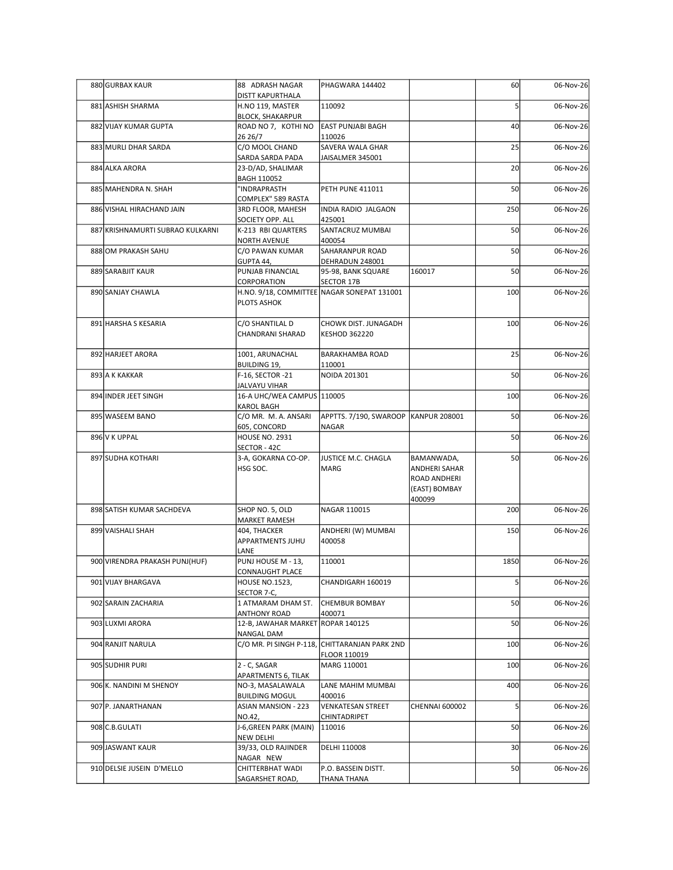| 880 GURBAX KAUR                  | 88 ADRASH NAGAR                                          | PHAGWARA 144402                                          |                                                                               | 60              | 06-Nov-26 |
|----------------------------------|----------------------------------------------------------|----------------------------------------------------------|-------------------------------------------------------------------------------|-----------------|-----------|
|                                  | DISTT KAPURTHALA                                         |                                                          |                                                                               |                 |           |
| 881 ASHISH SHARMA                | H.NO 119, MASTER<br><b>BLOCK, SHAKARPUR</b>              | 110092                                                   |                                                                               |                 | 06-Nov-26 |
| 882 VIJAY KUMAR GUPTA            | ROAD NO 7, KOTHI NO<br>26 26/7                           | <b>EAST PUNJABI BAGH</b><br>110026                       |                                                                               | 40              | 06-Nov-26 |
| 883 MURLI DHAR SARDA             | C/O MOOL CHAND<br>SARDA SARDA PADA                       | <b>SAVERA WALA GHAR</b><br>JAISALMER 345001              |                                                                               | 25              | 06-Nov-26 |
| 884 ALKA ARORA                   | 23-D/AD, SHALIMAR<br>BAGH 110052                         |                                                          |                                                                               | 20              | 06-Nov-26 |
| 885 MAHENDRA N. SHAH             | "INDRAPRASTH<br>COMPLEX" 589 RASTA                       | <b>PETH PUNE 411011</b>                                  |                                                                               | 50              | 06-Nov-26 |
| 886 VISHAL HIRACHAND JAIN        | 3RD FLOOR, MAHESH                                        | INDIA RADIO JALGAON                                      |                                                                               | 250             | 06-Nov-26 |
| 887 KRISHNAMURTI SUBRAO KULKARNI | SOCIETY OPP. ALL<br>K-213 RBI QUARTERS                   | 425001<br>SANTACRUZ MUMBAI                               |                                                                               | 50              | 06-Nov-26 |
| 888 OM PRAKASH SAHU              | NORTH AVENUE<br>C/O PAWAN KUMAR                          | 400054<br>SAHARANPUR ROAD                                |                                                                               | 50              | 06-Nov-26 |
| 889 SARABJIT KAUR                | GUPTA 44,<br>PUNJAB FINANCIAL                            | DEHRADUN 248001<br>95-98, BANK SQUARE                    | 160017                                                                        | 50              | 06-Nov-26 |
| 890 SANJAY CHAWLA                | CORPORATION<br>PLOTS ASHOK                               | SECTOR 17B<br>H.NO. 9/18, COMMITTEE NAGAR SONEPAT 131001 |                                                                               | 100             | 06-Nov-26 |
| 891 HARSHA S KESARIA             | C/O SHANTILAL D<br>CHANDRANI SHARAD                      | CHOWK DIST. JUNAGADH<br><b>KESHOD 362220</b>             |                                                                               | 100             | 06-Nov-26 |
| 892 HARJEET ARORA                | 1001, ARUNACHAL                                          | BARAKHAMBA ROAD                                          |                                                                               | 25              | 06-Nov-26 |
| 893 A K KAKKAR                   | <b>BUILDING 19,</b><br>F-16, SECTOR -21                  | 110001<br>NOIDA 201301                                   |                                                                               | 50              | 06-Nov-26 |
| 894 INDER JEET SINGH             | <b>JALVAYU VIHAR</b><br>16-A UHC/WEA CAMPUS 110005       |                                                          |                                                                               | 100             | 06-Nov-26 |
|                                  | <b>KAROL BAGH</b><br>C/O MR. M. A. ANSARI                |                                                          |                                                                               |                 | 06-Nov-26 |
| 895 WASEEM BANO                  | 605, CONCORD                                             | APPTTS. 7/190, SWAROOP   KANPUR 208001<br>NAGAR          |                                                                               | 50              |           |
| 896 V K UPPAL                    | <b>HOUSE NO. 2931</b><br>SECTOR - 42C                    |                                                          |                                                                               | 50              | 06-Nov-26 |
| 897 SUDHA KOTHARI                | 3-A, GOKARNA CO-OP.<br>HSG SOC.                          | JUSTICE M.C. CHAGLA<br>MARG                              | BAMANWADA,<br><b>ANDHERI SAHAR</b><br>ROAD ANDHERI<br>(EAST) BOMBAY<br>400099 | 50              | 06-Nov-26 |
| 898 SATISH KUMAR SACHDEVA        | SHOP NO. 5, OLD<br><b>MARKET RAMESH</b>                  | NAGAR 110015                                             |                                                                               | 200             | 06-Nov-26 |
| 899 VAISHALI SHAH                | 404, THACKER<br>APPARTMENTS JUHU<br>LANE                 | ANDHERI (W) MUMBAI<br>400058                             |                                                                               | 150             | 06-Nov-26 |
| 900 VIRENDRA PRAKASH PUNJ(HUF)   | PUNJ HOUSE M - 13,<br>CONNAUGHT PLACE                    | 110001                                                   |                                                                               | 1850            | 06-Nov-26 |
| 901 VIJAY BHARGAVA               | <b>HOUSE NO.1523,</b>                                    | CHANDIGARH 160019                                        |                                                                               |                 | 06-Nov-26 |
| 902 SARAIN ZACHARIA              | SECTOR 7-C,<br>1 ATMARAM DHAM ST.                        | <b>CHEMBUR BOMBAY</b>                                    |                                                                               | 50              | 06-Nov-26 |
| 903 LUXMI ARORA                  | <b>ANTHONY ROAD</b><br>12-B, JAWAHAR MARKET ROPAR 140125 | 400071                                                   |                                                                               | 50              | 06-Nov-26 |
| 904 RANJIT NARULA                | NANGAL DAM                                               | C/O MR. PI SINGH P-118, CHITTARANJAN PARK 2ND            |                                                                               | 100             | 06-Nov-26 |
| 905 SUDHIR PURI                  | 2 - C, SAGAR                                             | FLOOR 110019<br>MARG 110001                              |                                                                               | 100             | 06-Nov-26 |
| 906 K. NANDINI M SHENOY          | APARTMENTS 6, TILAK<br>NO-3, MASALAWALA                  | LANE MAHIM MUMBAI                                        |                                                                               | 400             | 06-Nov-26 |
| 907 P. JANARTHANAN               | <b>BUILDING MOGUL</b><br>ASIAN MANSION - 223             | 400016<br><b>VENKATESAN STREET</b>                       | <b>CHENNAI 600002</b>                                                         |                 | 06-Nov-26 |
|                                  | NO.42,                                                   | CHINTADRIPET                                             |                                                                               |                 |           |
| 908 C.B. GULATI                  | J-6, GREEN PARK (MAIN)<br>NEW DELHI                      | 110016                                                   |                                                                               | 50              | 06-Nov-26 |
| 909 JASWANT KAUR                 | 39/33, OLD RAJINDER<br>NAGAR NEW                         | DELHI 110008                                             |                                                                               | 30 <sup>1</sup> | 06-Nov-26 |
| 910 DELSIE JUSEIN D'MELLO        | CHITTERBHAT WADI<br>SAGARSHET ROAD,                      | P.O. BASSEIN DISTT.<br><b>THANA THANA</b>                |                                                                               | 50              | 06-Nov-26 |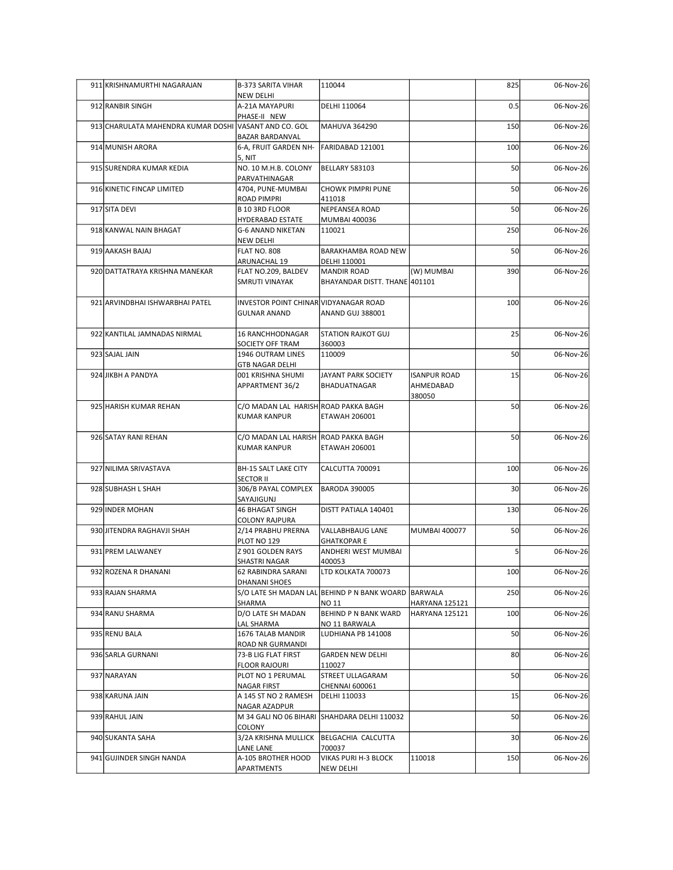| 911 KRISHNAMURTHI NAGARAJAN                           | <b>B-373 SARITA VIHAR</b>                                    | 110044                                              |                                            | 825             | 06-Nov-26 |
|-------------------------------------------------------|--------------------------------------------------------------|-----------------------------------------------------|--------------------------------------------|-----------------|-----------|
|                                                       | NEW DELHI                                                    |                                                     |                                            |                 |           |
| 912 RANBIR SINGH                                      | A-21A MAYAPURI<br>PHASE-II NEW                               | DELHI 110064                                        |                                            | 0.5             | 06-Nov-26 |
| 913 CHARULATA MAHENDRA KUMAR DOSHI VASANT AND CO. GOL | <b>BAZAR BARDANVAL</b>                                       | MAHUVA 364290                                       |                                            | 150             | 06-Nov-26 |
| 914 MUNISH ARORA                                      | 6-A, FRUIT GARDEN NH-<br>5, NIT                              | FARIDABAD 121001                                    |                                            | 100             | 06-Nov-26 |
| 915 SURENDRA KUMAR KEDIA                              | NO. 10 M.H.B. COLONY<br>PARVATHINAGAR                        | <b>BELLARY 583103</b>                               |                                            | 50              | 06-Nov-26 |
| 916 KINETIC FINCAP LIMITED                            | 4704, PUNE-MUMBAI<br>ROAD PIMPRI                             | CHOWK PIMPRI PUNE<br>411018                         |                                            | 50              | 06-Nov-26 |
| 917 SITA DEVI                                         | B 10 3RD FLOOR<br>HYDERABAD ESTATE                           | NEPEANSEA ROAD<br><b>MUMBAI 400036</b>              |                                            | 50              | 06-Nov-26 |
| 918 KANWAL NAIN BHAGAT                                | G-6 ANAND NIKETAN<br>NEW DELHI                               | 110021                                              |                                            | 250             | 06-Nov-26 |
| 919 AAKASH BAJAJ                                      | <b>FLAT NO. 808</b><br>ARUNACHAL 19                          | BARAKHAMBA ROAD NEW<br>DELHI 110001                 |                                            | 50              | 06-Nov-26 |
| 920 DATTATRAYA KRISHNA MANEKAR                        | FLAT NO.209, BALDEV<br>SMRUTI VINAYAK                        | MANDIR ROAD<br>BHAYANDAR DISTT. THANE 401101        | (W) MUMBAI                                 | 390             | 06-Nov-26 |
| 921 ARVINDBHAI ISHWARBHAI PATEL                       | INVESTOR POINT CHINAR VIDYANAGAR ROAD<br><b>GULNAR ANAND</b> | ANAND GUJ 388001                                    |                                            | 100             | 06-Nov-26 |
| 922 KANTILAL JAMNADAS NIRMAL                          | 16 RANCHHODNAGAR<br>SOCIETY OFF TRAM                         | <b>STATION RAJKOT GUJ</b><br>360003                 |                                            | 25              | 06-Nov-26 |
| 923 SAJAL JAIN                                        | 1946 OUTRAM LINES<br><b>GTB NAGAR DELHI</b>                  | 110009                                              |                                            | 50              | 06-Nov-26 |
| 924 JIKBH A PANDYA                                    | 001 KRISHNA SHUMI<br>APPARTMENT 36/2                         | JAYANT PARK SOCIETY<br>BHADUATNAGAR                 | <b>ISANPUR ROAD</b><br>AHMEDABAD<br>380050 | 15              | 06-Nov-26 |
| 925 HARISH KUMAR REHAN                                | C/O MADAN LAL HARISH ROAD PAKKA BAGH<br><b>KUMAR KANPUR</b>  | <b>ETAWAH 206001</b>                                |                                            | 50              | 06-Nov-26 |
| 926 SATAY RANI REHAN                                  | C/O MADAN LAL HARISH ROAD PAKKA BAGH<br>KUMAR KANPUR         | <b>ETAWAH 206001</b>                                |                                            | 50              | 06-Nov-26 |
| 927 NILIMA SRIVASTAVA                                 | BH-15 SALT LAKE CITY                                         | CALCUTTA 700091                                     |                                            | 100             | 06-Nov-26 |
| 928 SUBHASH L SHAH                                    | <b>SECTOR II</b><br>306/B PAYAL COMPLEX                      | <b>BARODA 390005</b>                                |                                            | 30 <sup>1</sup> | 06-Nov-26 |
| 929 INDER MOHAN                                       | SAYAJIGUNJ<br><b>46 BHAGAT SINGH</b>                         | DISTT PATIALA 140401                                |                                            | 130             | 06-Nov-26 |
| 930 JITENDRA RAGHAVJI SHAH                            | <b>COLONY RAJPURA</b><br>2/14 PRABHU PRERNA                  | VALLABHBAUG LANE                                    | <b>MUMBAI 400077</b>                       | 50              | 06-Nov-26 |
| 931 PREM LALWANEY                                     | PLOT NO 129<br>Z 901 GOLDEN RAYS                             | <b>GHATKOPARE</b><br>ANDHERI WEST MUMBAI            |                                            |                 | 06-Nov-26 |
| 932 ROZENA R DHANANI                                  | SHASTRI NAGAR<br>62 RABINDRA SARANI                          | 400053<br>LTD KOLKATA 700073                        |                                            | 100             | 06-Nov-26 |
| 933 RAJAN SHARMA                                      | DHANANI SHOES                                                | S/O LATE SH MADAN LAL BEHIND P N BANK WOARD BARWALA |                                            | 250             | 06-Nov-26 |
| 934 RANU SHARMA                                       | SHARMA<br>D/O LATE SH MADAN                                  | NO 11<br><b>BEHIND P N BANK WARD</b>                | HARYANA 125121<br>HARYANA 125121           | 100             | 06-Nov-26 |
| 935 RENU BALA                                         | LAL SHARMA<br>1676 TALAB MANDIR                              | NO 11 BARWALA<br>LUDHIANA PB 141008                 |                                            | 50              | 06-Nov-26 |
| 936 SARLA GURNANI                                     | ROAD NR GURMANDI<br>73-B LIG FLAT FIRST                      | <b>GARDEN NEW DELHI</b>                             |                                            | 80              | 06-Nov-26 |
|                                                       | <b>FLOOR RAJOURI</b>                                         | 110027                                              |                                            |                 |           |
| 937 NARAYAN                                           | PLOT NO 1 PERUMAL<br>NAGAR FIRST                             | STREET ULLAGARAM<br><b>CHENNAI 600061</b>           |                                            | 50              | 06-Nov-26 |
| 938 KARUNA JAIN                                       | A 145 ST NO 2 RAMESH<br>NAGAR AZADPUR                        | DELHI 110033                                        |                                            | 15              | 06-Nov-26 |
| 939 RAHUL JAIN                                        | COLONY                                                       | M 34 GALI NO 06 BIHARI SHAHDARA DELHI 110032        |                                            | 50              | 06-Nov-26 |
| 940 SUKANTA SAHA                                      | 3/2A KRISHNA MULLICK   BELGACHIA CALCUTTA<br>LANE LANE       | 700037                                              |                                            | 30 <sup>1</sup> | 06-Nov-26 |
| 941 GUJINDER SINGH NANDA                              | A-105 BROTHER HOOD<br>APARTMENTS                             | VIKAS PURI H-3 BLOCK<br><b>NEW DELHI</b>            | 110018                                     | 150             | 06-Nov-26 |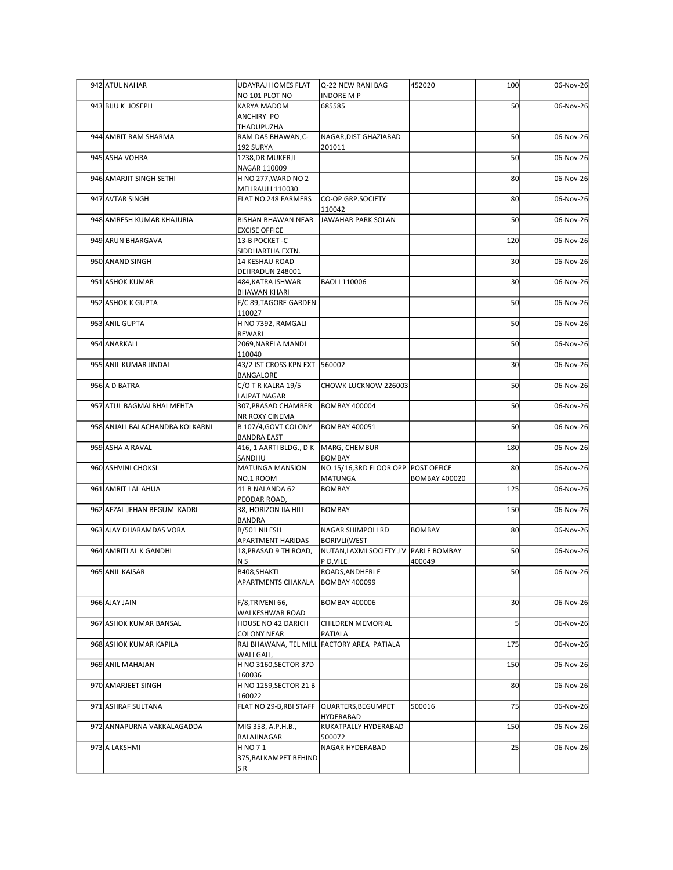| 942 ATUL NAHAR                  | <b>UDAYRAJ HOMES FLAT</b><br>NO 101 PLOT NO                   | Q-22 NEW RANI BAG<br><b>INDORE MP</b>                        | 452020               | 100             | 06-Nov-26 |
|---------------------------------|---------------------------------------------------------------|--------------------------------------------------------------|----------------------|-----------------|-----------|
| 943 BIJU K JOSEPH               | KARYA MADOM                                                   | 685585                                                       |                      | 50              | 06-Nov-26 |
|                                 | ANCHIRY PO<br>THADUPUZHA                                      |                                                              |                      |                 |           |
| 944 AMRIT RAM SHARMA            | RAM DAS BHAWAN, C-<br>192 SURYA                               | NAGAR, DIST GHAZIABAD<br>201011                              |                      | 50              | 06-Nov-26 |
| 945 ASHA VOHRA                  | 1238, DR MUKERJI                                              |                                                              |                      | 50              | 06-Nov-26 |
| 946 AMARJIT SINGH SETHI         | NAGAR 110009<br>H NO 277, WARD NO 2                           |                                                              |                      | 80              | 06-Nov-26 |
| 947 AVTAR SINGH                 | MEHRAULI 110030<br>FLAT NO.248 FARMERS                        | CO-OP.GRP.SOCIETY                                            |                      | 80              | 06-Nov-26 |
|                                 |                                                               | 110042                                                       |                      |                 |           |
| 948 AMRESH KUMAR KHAJURIA       | <b>BISHAN BHAWAN NEAR</b><br><b>EXCISE OFFICE</b>             | JAWAHAR PARK SOLAN                                           |                      | 50              | 06-Nov-26 |
| 949 ARUN BHARGAVA               | 13-B POCKET -C                                                |                                                              |                      | 120             | 06-Nov-26 |
| 950 ANAND SINGH                 | SIDDHARTHA EXTN.<br>14 KESHAU ROAD                            |                                                              |                      | 30 <sup>1</sup> | 06-Nov-26 |
| 951 ASHOK KUMAR                 | DEHRADUN 248001<br>484, KATRA ISHWAR                          | <b>BAOLI 110006</b>                                          |                      | 30 <sup>1</sup> | 06-Nov-26 |
|                                 | <b>BHAWAN KHARI</b>                                           |                                                              |                      |                 |           |
| 952 ASHOK K GUPTA               | $ F/C$ 89,TAGORE GARDEN $ $<br>110027                         |                                                              |                      | 50              | 06-Nov-26 |
| 953 ANIL GUPTA                  | H NO 7392, RAMGALI<br>REWARI                                  |                                                              |                      | 50              | 06-Nov-26 |
| 954 ANARKALI                    | 2069, NARELA MANDI                                            |                                                              |                      | 50              | 06-Nov-26 |
| 955 ANIL KUMAR JINDAL           | 110040<br>43/2 IST CROSS KPN EXT 560002                       |                                                              |                      | 30 <sup>1</sup> | 06-Nov-26 |
| 956 A D BATRA                   | BANGALORE                                                     | CHOWK LUCKNOW 226003                                         |                      |                 |           |
|                                 | C/O T R KALRA 19/5<br>LAJPAT NAGAR                            |                                                              |                      | 50              | 06-Nov-26 |
| 957 ATUL BAGMALBHAI MEHTA       | 307, PRASAD CHAMBER<br>NR ROXY CINEMA                         | <b>BOMBAY 400004</b>                                         |                      | 50              | 06-Nov-26 |
| 958 ANJALI BALACHANDRA KOLKARNI | B 107/4, GOVT COLONY                                          | <b>BOMBAY 400051</b>                                         |                      | 50              | 06-Nov-26 |
| 959 ASHA A RAVAL                | <b>BANDRA EAST</b><br>416, 1 AARTI BLDG., D K   MARG, CHEMBUR |                                                              |                      | 180             | 06-Nov-26 |
| 960 ASHVINI CHOKSI              | SANDHU<br>MATUNGA MANSION                                     | <b>BOMBAY</b><br>NO.15/16,3RD FLOOR OPP POST OFFICE          |                      | 80              | 06-Nov-26 |
|                                 | NO.1 ROOM                                                     | MATUNGA                                                      | <b>BOMBAY 400020</b> |                 |           |
| 961 AMRIT LAL AHUA              | 41 B NALANDA 62<br>PEODAR ROAD,                               | BOMBAY                                                       |                      | 125             | 06-Nov-26 |
| 962 AFZAL JEHAN BEGUM KADRI     | 38, HORIZON IIA HILL                                          | BOMBAY                                                       |                      | 150             | 06-Nov-26 |
| 963 AJAY DHARAMDAS VORA         | <b>BANDRA</b><br>B/501 NILESH                                 | NAGAR SHIMPOLI RD                                            | <b>BOMBAY</b>        | 80              | 06-Nov-26 |
| 964 AMRITLAL K GANDHI           | APARTMENT HARIDAS<br>18, PRASAD 9 TH ROAD,                    | <b>BORIVLI(WEST</b><br>NUTAN, LAXMI SOCIETY J V PARLE BOMBAY |                      | 50              | 06-Nov-26 |
|                                 | N <sub>S</sub>                                                | P D, VILE                                                    | 400049               |                 |           |
| 965 ANIL KAISAR                 | B408, SHAKTI<br>APARTMENTS CHAKALA                            | ROADS, ANDHERIE<br><b>BOMBAY 400099</b>                      |                      | 50              | 06-Nov-26 |
| 966 AJAY JAIN                   | F/8, TRIVENI 66,                                              | <b>BOMBAY 400006</b>                                         |                      | 30 <sup>1</sup> | 06-Nov-26 |
|                                 | WALKESHWAR ROAD                                               |                                                              |                      |                 |           |
| 967 ASHOK KUMAR BANSAL          | HOUSE NO 42 DARICH<br><b>COLONY NEAR</b>                      | CHILDREN MEMORIAL<br>PATIALA                                 |                      |                 | 06-Nov-26 |
| 968 ASHOK KUMAR KAPILA          | WALI GALI,                                                    | RAJ BHAWANA, TEL MILL FACTORY AREA PATIALA                   |                      | 175             | 06-Nov-26 |
| 969 ANIL MAHAJAN                | H NO 3160, SECTOR 37D                                         |                                                              |                      | 150             | 06-Nov-26 |
| 970 AMARJEET SINGH              | 160036<br>H NO 1259, SECTOR 21 B                              |                                                              |                      | 80              | 06-Nov-26 |
|                                 | 160022<br>FLAT NO 29-B, RBI STAFF QUARTERS, BEGUMPET          |                                                              |                      | 75              |           |
| 971 ASHRAF SULTANA              |                                                               | HYDERABAD                                                    | 500016               |                 | 06-Nov-26 |
| 972 ANNAPURNA VAKKALAGADDA      | MIG 358, A.P.H.B.,<br>BALAJINAGAR                             | KUKATPALLY HYDERABAD<br>500072                               |                      | 150             | 06-Nov-26 |
| 973 A LAKSHMI                   | H NO 71                                                       | NAGAR HYDERABAD                                              |                      | 25              | 06-Nov-26 |
|                                 | 375, BALKAMPET BEHIND<br>SR                                   |                                                              |                      |                 |           |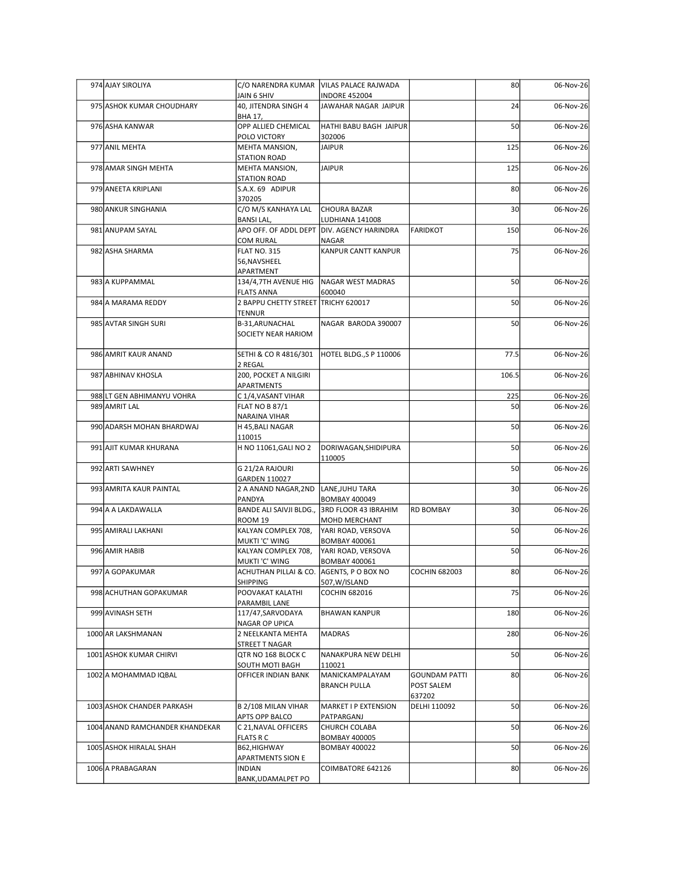| 974 AJAY SIROLIYA               |                                                          | C/O NARENDRA KUMAR   VILAS PALACE RAJWADA        |                                           | 80              | 06-Nov-26 |
|---------------------------------|----------------------------------------------------------|--------------------------------------------------|-------------------------------------------|-----------------|-----------|
| 975 ASHOK KUMAR CHOUDHARY       | JAIN 6 SHIV<br>40, JITENDRA SINGH 4<br>BHA 17,           | <b>INDORE 452004</b><br>JAWAHAR NAGAR JAIPUR     |                                           | 24              | 06-Nov-26 |
| 976 ASHA KANWAR                 | OPP ALLIED CHEMICAL<br>POLO VICTORY                      | HATHI BABU BAGH JAIPUR<br>302006                 |                                           | 50              | 06-Nov-26 |
| 977 ANIL MEHTA                  | MEHTA MANSION,<br>STATION ROAD                           | <b>JAIPUR</b>                                    |                                           | 125             | 06-Nov-26 |
| 978 AMAR SINGH MEHTA            | MEHTA MANSION,                                           | <b>JAIPUR</b>                                    |                                           | 125             | 06-Nov-26 |
| 979 ANEETA KRIPLANI             | STATION ROAD<br>S.A.X. 69 ADIPUR                         |                                                  |                                           | 80              | 06-Nov-26 |
| 980 ANKUR SINGHANIA             | 370205<br>C/O M/S KANHAYA LAL                            | <b>CHOURA BAZAR</b>                              |                                           | 30 <sup>1</sup> | 06-Nov-26 |
| 981 ANUPAM SAYAL                | <b>BANSILAL,</b><br>APO OFF. OF ADDL DEPT                | LUDHIANA 141008<br><b>DIV. AGENCY HARINDRA</b>   | FARIDKOT                                  | 150             | 06-Nov-26 |
| 982 ASHA SHARMA                 | <b>COM RURAL</b><br><b>FLAT NO. 315</b>                  | NAGAR<br>KANPUR CANTT KANPUR                     |                                           | 75              | 06-Nov-26 |
|                                 | 56, NAVSHEEL<br>APARTMENT                                |                                                  |                                           |                 |           |
| 983 A KUPPAMMAL                 | 134/4,7TH AVENUE HIG                                     | NAGAR WEST MADRAS                                |                                           | 50              | 06-Nov-26 |
| 984 A MARAMA REDDY              | <b>FLATS ANNA</b><br>2 BAPPU CHETTY STREET TRICHY 620017 | 600040                                           |                                           | 50              | 06-Nov-26 |
| 985 AVTAR SINGH SURI            | TENNUR<br>B-31, ARUNACHAL                                | NAGAR BARODA 390007                              |                                           | 50              | 06-Nov-26 |
|                                 | SOCIETY NEAR HARIOM                                      |                                                  |                                           |                 |           |
| 986 AMRIT KAUR ANAND            | SETHI & CO R 4816/301<br>2 REGAL                         | HOTEL BLDG., SP 110006                           |                                           | 77.5            | 06-Nov-26 |
| 987 ABHINAV KHOSLA              | 200, POCKET A NILGIRI<br>APARTMENTS                      |                                                  |                                           | 106.5           | 06-Nov-26 |
| 988 LT GEN ABHIMANYU VOHRA      | C 1/4, VASANT VIHAR                                      |                                                  |                                           | 225             | 06-Nov-26 |
| 989 AMRIT LAL                   | <b>FLAT NO B 87/1</b><br>NARAINA VIHAR                   |                                                  |                                           | 50              | 06-Nov-26 |
| 990 ADARSH MOHAN BHARDWAJ       | H 45, BALI NAGAR                                         |                                                  |                                           | 50              | 06-Nov-26 |
| 991 AJIT KUMAR KHURANA          | 110015<br>H NO 11061, GALI NO 2                          | DORIWAGAN, SHIDIPURA<br>110005                   |                                           | 50              | 06-Nov-26 |
| 992 ARTI SAWHNEY                | G 21/2A RAJOURI                                          |                                                  |                                           | 50              | 06-Nov-26 |
| 993 AMRITA KAUR PAINTAL         | GARDEN 110027<br>2 A ANAND NAGAR, 2ND LANE, JUHU TARA    |                                                  |                                           | 30 <sup>1</sup> | 06-Nov-26 |
| 994 A A LAKDAWALLA              | PANDYA<br>BANDE ALI SAIVJI BLDG.,                        | <b>BOMBAY 400049</b><br>3RD FLOOR 43 IBRAHIM     | <b>RD BOMBAY</b>                          | 30 <sub>1</sub> | 06-Nov-26 |
| 995 AMIRALI LAKHANI             | ROOM 19<br>KALYAN COMPLEX 708,                           | MOHD MERCHANT<br>YARI ROAD, VERSOVA              |                                           | 50              | 06-Nov-26 |
| 996 AMIR HABIB                  | MUKTI 'C' WING<br>KALYAN COMPLEX 708,                    | <b>BOMBAY 400061</b><br>YARI ROAD, VERSOVA       |                                           | 50              | 06-Nov-26 |
|                                 | MUKTI'C' WING                                            | <b>BOMBAY 400061</b>                             |                                           |                 |           |
| 997 A GOPAKUMAR                 | ACHUTHAN PILLAI & CO.<br>SHIPPING                        | AGENTS, P O BOX NO<br>507, W/ISLAND              | <b>COCHIN 682003</b>                      | 80              | 06-Nov-26 |
| 998 ACHUTHAN GOPAKUMAR          | POOVAKAT KALATHI<br>PARAMBIL LANE                        | <b>COCHIN 682016</b>                             |                                           | 75              | 06-Nov-26 |
| 999 AVINASH SETH                | 117/47, SARVODAYA                                        | <b>BHAWAN KANPUR</b>                             |                                           | 180             | 06-Nov-26 |
| 1000 AR LAKSHMANAN              | <b>NAGAR OP UPICA</b><br>2 NEELKANTA MEHTA               | <b>MADRAS</b>                                    |                                           | 280             | 06-Nov-26 |
| 1001 ASHOK KUMAR CHIRVI         | STREET T NAGAR<br>QTR NO 168 BLOCK C                     | NANAKPURA NEW DELHI                              |                                           | 50              | 06-Nov-26 |
| 1002 A MOHAMMAD IQBAL           | SOUTH MOTI BAGH<br>OFFICER INDIAN BANK                   | 110021<br>MANICKAMPALAYAM<br><b>BRANCH PULLA</b> | <b>GOUNDAM PATTI</b><br><b>POST SALEM</b> | 80              | 06-Nov-26 |
| 1003 ASHOK CHANDER PARKASH      | B 2/108 MILAN VIHAR                                      | MARKET I P EXTENSION                             | 637202<br>DELHI 110092                    | 50              | 06-Nov-26 |
|                                 | APTS OPP BALCO                                           | PATPARGANJ                                       |                                           |                 |           |
| 1004 ANAND RAMCHANDER KHANDEKAR | C 21, NAVAL OFFICERS<br><b>FLATS R C</b>                 | CHURCH COLABA<br><b>BOMBAY 400005</b>            |                                           | 50              | 06-Nov-26 |
| 1005 ASHOK HIRALAL SHAH         | B62, HIGHWAY<br>APARTMENTS SION E                        | <b>BOMBAY 400022</b>                             |                                           | 50              | 06-Nov-26 |
| 1006 A PRABAGARAN               | <b>INDIAN</b><br>BANK, UDAMALPET PO                      | COIMBATORE 642126                                |                                           | 80              | 06-Nov-26 |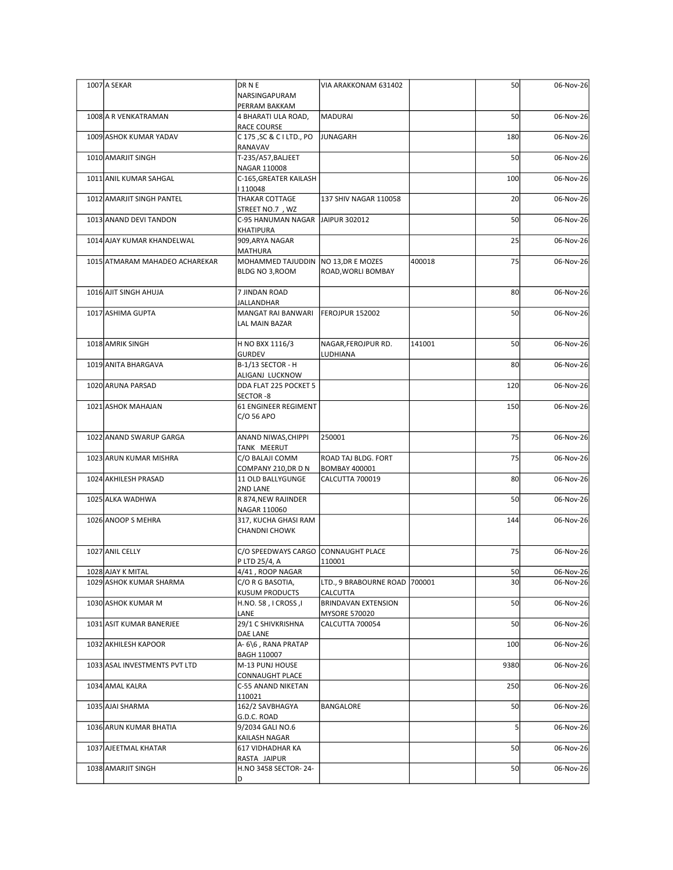| 1007 A SEKAR                   | DR N E                                                   | VIA ARAKKONAM 631402                      |        | 50              | 06-Nov-26 |
|--------------------------------|----------------------------------------------------------|-------------------------------------------|--------|-----------------|-----------|
|                                | NARSINGAPURAM<br>PERRAM BAKKAM                           |                                           |        |                 |           |
| 1008 A R VENKATRAMAN           | 4 BHARATI ULA ROAD,<br>RACE COURSE                       | MADURAI                                   |        | 50              | 06-Nov-26 |
| 1009 ASHOK KUMAR YADAV         | C 175, SC & C I LTD., PO<br>RANAVAV                      | <b>JUNAGARH</b>                           |        | 180             | 06-Nov-26 |
| 1010 AMARJIT SINGH             | T-235/A57, BALJEET<br>NAGAR 110008                       |                                           |        | 50              | 06-Nov-26 |
| 1011 ANIL KUMAR SAHGAL         | C-165, GREATER KAILASH<br>  110048                       |                                           |        | 100             | 06-Nov-26 |
| 1012 AMARJIT SINGH PANTEL      | THAKAR COTTAGE<br>STREET NO.7, WZ                        | 137 SHIV NAGAR 110058                     |        | 20              | 06-Nov-26 |
| 1013 ANAND DEVI TANDON         | C-95 HANUMAN NAGAR JAIPUR 302012<br>KHATIPURA            |                                           |        | 50              | 06-Nov-26 |
| 1014 AJAY KUMAR KHANDELWAL     | 909, ARYA NAGAR<br>MATHURA                               |                                           |        | 25              | 06-Nov-26 |
| 1015 ATMARAM MAHADEO ACHAREKAR | MOHAMMED TAJUDDIN   NO 13, DR E MOZES<br>BLDG NO 3, ROOM | ROAD, WORLI BOMBAY                        | 400018 | 75              | 06-Nov-26 |
| 1016 AJIT SINGH AHUJA          | 7 JINDAN ROAD<br>JALLANDHAR                              |                                           |        | 80              | 06-Nov-26 |
| 1017 ASHIMA GUPTA              | MANGAT RAI BANWARI<br>LAL MAIN BAZAR                     | FEROJPUR 152002                           |        | 50              | 06-Nov-26 |
| 1018 AMRIK SINGH               | H NO BXX 1116/3<br><b>GURDEV</b>                         | NAGAR, FEROJPUR RD.<br>LUDHIANA           | 141001 | 50              | 06-Nov-26 |
| 1019 ANITA BHARGAVA            | B-1/13 SECTOR - H<br>ALIGANJ LUCKNOW                     |                                           |        | 80              | 06-Nov-26 |
| 1020 ARUNA PARSAD              | DDA FLAT 225 POCKET 5<br>SECTOR-8                        |                                           |        | 120             | 06-Nov-26 |
| 1021 ASHOK MAHAJAN             | 61 ENGINEER REGIMENT<br>C/O 56 APO                       |                                           |        | 150             | 06-Nov-26 |
| 1022 ANAND SWARUP GARGA        | ANAND NIWAS, CHIPPI<br>TANK MEERUT                       | 250001                                    |        | 75              | 06-Nov-26 |
| 1023 ARUN KUMAR MISHRA         | C/O BALAJI COMM<br>COMPANY 210, DR D N                   | ROAD TAJ BLDG. FORT<br>BOMBAY 400001      |        | 75              | 06-Nov-26 |
| 1024 AKHILESH PRASAD           | 11 OLD BALLYGUNGE<br>2ND LANE                            | CALCUTTA 700019                           |        | 80              | 06-Nov-26 |
| 1025 ALKA WADHWA               | R 874, NEW RAJINDER<br>NAGAR 110060                      |                                           |        | 50              | 06-Nov-26 |
| 1026 ANOOP S MEHRA             | 317, KUCHA GHASI RAM<br><b>CHANDNI CHOWK</b>             |                                           |        | 144             | 06-Nov-26 |
| 1027 ANIL CELLY                | C/O SPEEDWAYS CARGO CONNAUGHT PLACE                      |                                           |        | 75              | 06-Nov-26 |
| 1028 AJAY K MITAL              | P LTD 25/4, A<br>4/41, ROOP NAGAR                        | 110001                                    |        | 50              | 06-Nov-26 |
| 1029 ASHOK KUMAR SHARMA        | C/O R G BASOTIA,<br>KUSUM PRODUCTS                       | LTD., 9 BRABOURNE ROAD 700001<br>CALCUTTA |        | 30 <sub>1</sub> | 06-Nov-26 |
| 1030 ASHOK KUMAR M             | H.NO. 58, I CROSS, I<br>LANE                             | BRINDAVAN EXTENSION<br>MYSORE 570020      |        | 50              | 06-Nov-26 |
| 1031 ASIT KUMAR BANERJEE       | 29/1 C SHIVKRISHNA<br>DAE LANE                           | CALCUTTA 700054                           |        | 50              | 06-Nov-26 |
| 1032 AKHILESH KAPOOR           | A-6\6, RANA PRATAP<br>BAGH 110007                        |                                           |        | 100             | 06-Nov-26 |
| 1033 ASAL INVESTMENTS PVT LTD  | M-13 PUNJ HOUSE<br>CONNAUGHT PLACE                       |                                           |        | 9380            | 06-Nov-26 |
| 1034 AMAL KALRA                | C-55 ANAND NIKETAN                                       |                                           |        | 250             | 06-Nov-26 |
| 1035 AJAI SHARMA               | 110021<br>162/2 SAVBHAGYA                                | BANGALORE                                 |        | 50              | 06-Nov-26 |
| 1036 ARUN KUMAR BHATIA         | G.D.C. ROAD<br>9/2034 GALI NO.6                          |                                           |        |                 | 06-Nov-26 |
| 1037 AJEETMAL KHATAR           | KAILASH NAGAR<br>617 VIDHADHAR KA                        |                                           |        | 50              | 06-Nov-26 |
| 1038 AMARJIT SINGH             | RASTA JAIPUR<br>H.NO 3458 SECTOR-24-<br>ID.              |                                           |        | 50              | 06-Nov-26 |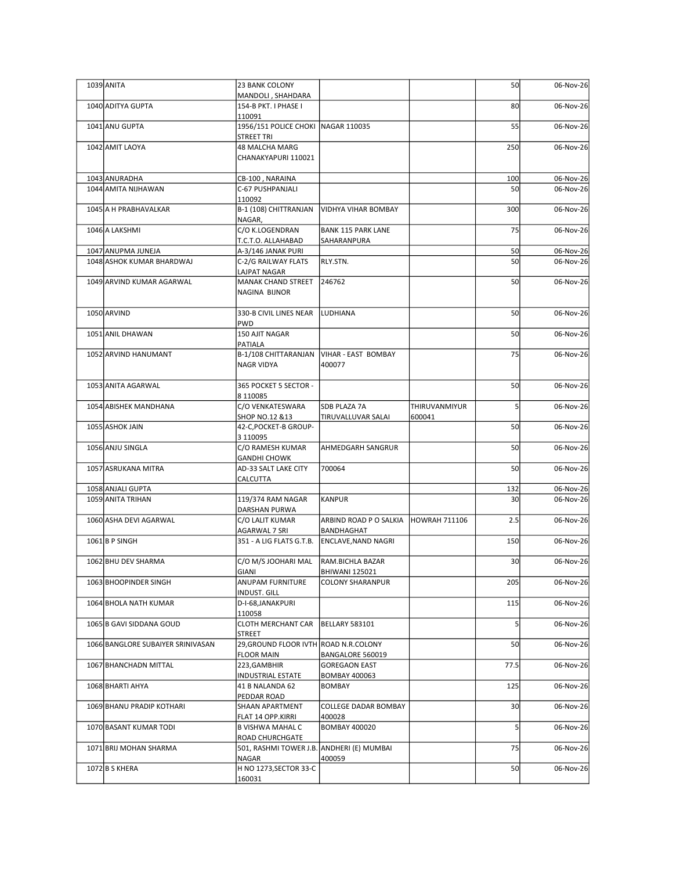| 1039 ANITA                                      | 23 BANK COLONY                                                |                                                      |                         | 50              | 06-Nov-26              |
|-------------------------------------------------|---------------------------------------------------------------|------------------------------------------------------|-------------------------|-----------------|------------------------|
| 1040 ADITYA GUPTA                               | MANDOLI, SHAHDARA<br>154-B PKT. I PHASE I<br>110091           |                                                      |                         | 80              | 06-Nov-26              |
| 1041 ANU GUPTA                                  | 1956/151 POLICE CHOKI NAGAR 110035<br>STREET TRI              |                                                      |                         | 55              | 06-Nov-26              |
| 1042 AMIT LAOYA                                 | 48 MALCHA MARG<br>CHANAKYAPURI 110021                         |                                                      |                         | 250             | 06-Nov-26              |
| 1043 ANURADHA                                   | CB-100, NARAINA                                               |                                                      |                         | 100             | 06-Nov-26              |
| 1044 AMITA NIJHAWAN                             | C-67 PUSHPANJALI<br>110092                                    |                                                      |                         | 50              | 06-Nov-26              |
| 1045 A H PRABHAVALKAR<br>1046 A LAKSHMI         | B-1 (108) CHITTRANJAN<br>NAGAR,<br>C/O K.LOGENDRAN            | VIDHYA VIHAR BOMBAY<br><b>BANK 115 PARK LANE</b>     |                         | 300<br>75       | 06-Nov-26<br>06-Nov-26 |
|                                                 | T.C.T.O. ALLAHABAD                                            | SAHARANPURA                                          |                         |                 |                        |
| 1047 ANUPMA JUNEJA<br>1048 ASHOK KUMAR BHARDWAJ | A-3/146 JANAK PURI<br>C-2/G RAILWAY FLATS<br>LAJPAT NAGAR     | RLY.STN.                                             |                         | 50<br>50        | 06-Nov-26<br>06-Nov-26 |
| 1049 ARVIND KUMAR AGARWAL                       | <b>MANAK CHAND STREET</b><br>NAGINA BIJNOR                    | 246762                                               |                         | 50              | 06-Nov-26              |
| 1050 ARVIND                                     | 330-B CIVIL LINES NEAR   LUDHIANA<br><b>PWD</b>               |                                                      |                         | 50              | 06-Nov-26              |
| 1051 ANIL DHAWAN                                | 150 AJIT NAGAR<br>PATIALA                                     |                                                      |                         | 50              | 06-Nov-26              |
| 1052 ARVIND HANUMANT                            | B-1/108 CHITTARANJAN   VIHAR - EAST BOMBAY<br>NAGR VIDYA      | 400077                                               |                         | 75              | 06-Nov-26              |
| 1053 ANITA AGARWAL                              | 365 POCKET 5 SECTOR -<br>8 1 1 0 0 8 5                        |                                                      |                         | 50              | 06-Nov-26              |
| 1054 ABISHEK MANDHANA                           | C/O VENKATESWARA<br>SHOP NO.12 &13                            | SDB PLAZA 7A<br>TIRUVALLUVAR SALAI                   | THIRUVANMIYUR<br>600041 |                 | 06-Nov-26              |
| 1055 ASHOK JAIN                                 | 42-C, POCKET-B GROUP-<br>3 110095                             |                                                      |                         | 50              | 06-Nov-26              |
| 1056 ANJU SINGLA                                | C/O RAMESH KUMAR<br><b>GANDHI CHOWK</b>                       | AHMEDGARH SANGRUR                                    |                         | 50              | 06-Nov-26              |
| 1057 ASRUKANA MITRA                             | AD-33 SALT LAKE CITY                                          | 700064                                               |                         | 50              | 06-Nov-26              |
| 1058 ANJALI GUPTA                               | <b>CALCUTTA</b>                                               |                                                      |                         | 132             | 06-Nov-26              |
| 1059 ANITA TRIHAN                               | 119/374 RAM NAGAR<br>DARSHAN PURWA                            | KANPUR                                               |                         | 30 <sup>1</sup> | 06-Nov-26              |
| 1060 ASHA DEVI AGARWAL                          | C/O LALIT KUMAR<br>AGARWAL 7 SRI                              | ARBIND ROAD P O SALKIA   HOWRAH 711106<br>BANDHAGHAT |                         | 2.5             | 06-Nov-26              |
| $1061$ B P SINGH                                | 351 - A LIG FLATS G.T.B.                                      | <b>ENCLAVE, NAND NAGRI</b>                           |                         | 150             | 06-Nov-26              |
| 1062 BHU DEV SHARMA                             | C/O M/S JOOHARI MAL<br>GIANI                                  | RAM.BICHLA BAZAR<br><b>BHIWANI 125021</b>            |                         | 30 <sup>1</sup> | 06-Nov-26              |
| 1063 BHOOPINDER SINGH                           | ANUPAM FURNITURE<br>INDUST. GILL                              | COLONY SHARANPUR                                     |                         | 205             | 06-Nov-26              |
| 1064 BHOLA NATH KUMAR                           | D-I-68, JANAKPURI                                             |                                                      |                         | 115             | 06-Nov-26              |
| 1065 B GAVI SIDDANA GOUD                        | 110058<br>CLOTH MERCHANT CAR  BELLARY 583101<br><b>STREET</b> |                                                      |                         |                 | 06-Nov-26              |
| 1066 BANGLORE SUBAIYER SRINIVASAN               | 29, GROUND FLOOR IVTH ROAD N.R.COLONY<br><b>FLOOR MAIN</b>    | BANGALORE 560019                                     |                         | 50              | 06-Nov-26              |
| 1067 BHANCHADN MITTAL                           | 223, GAMBHIR<br>INDUSTRIAL ESTATE                             | <b>GOREGAON EAST</b><br><b>BOMBAY 400063</b>         |                         | 77.5            | 06-Nov-26              |
| 1068 BHARTI AHYA                                | 41 B NALANDA 62<br>PEDDAR ROAD                                | <b>BOMBAY</b>                                        |                         | 125             | 06-Nov-26              |
| 1069 BHANU PRADIP KOTHARI                       | SHAAN APARTMENT<br>FLAT 14 OPP.KIRRI                          | COLLEGE DADAR BOMBAY<br>400028                       |                         | 30 <sup>1</sup> | 06-Nov-26              |
| 1070 BASANT KUMAR TODI                          | <b>B VISHWA MAHAL C</b><br>ROAD CHURCHGATE                    | <b>BOMBAY 400020</b>                                 |                         |                 | 06-Nov-26              |
| 1071 BRIJ MOHAN SHARMA                          | 501, RASHMI TOWER J.B. ANDHERI (E) MUMBAI<br>NAGAR            | 400059                                               |                         | 75              | 06-Nov-26              |
| $1072$ B S KHERA                                | H NO 1273, SECTOR 33-C<br>160031                              |                                                      |                         | 50              | 06-Nov-26              |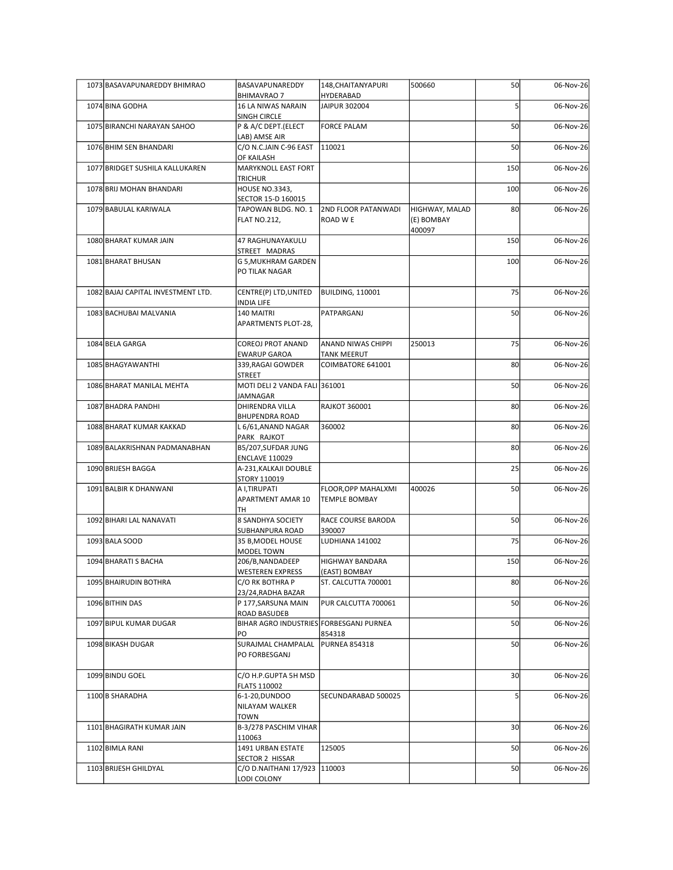| 1073 BASAVAPUNAREDDY BHIMRAO       | BASAVAPUNAREDDY                                                | 148, CHAITANY APURI                         | 500660                       | 50              | 06-Nov-26 |
|------------------------------------|----------------------------------------------------------------|---------------------------------------------|------------------------------|-----------------|-----------|
| 1074 BINA GODHA                    | <b>BHIMAVRAO 7</b><br>16 LA NIWAS NARAIN<br>SINGH CIRCLE       | HYDERABAD<br>JAIPUR 302004                  |                              |                 | 06-Nov-26 |
| 1075 BIRANCHI NARAYAN SAHOO        | P & A/C DEPT.(ELECT<br>LAB) AMSE AIR                           | FORCE PALAM                                 |                              | 50              | 06-Nov-26 |
| 1076 BHIM SEN BHANDARI             | C/O N.C.JAIN C-96 EAST<br>OF KAILASH                           | 110021                                      |                              | 50              | 06-Nov-26 |
| 1077 BRIDGET SUSHILA KALLUKAREN    | <b>MARYKNOLL EAST FORT</b>                                     |                                             |                              | 150             | 06-Nov-26 |
| 1078 BRIJ MOHAN BHANDARI           | TRICHUR<br>HOUSE NO.3343,                                      |                                             |                              | 100             | 06-Nov-26 |
| 1079 BABULAL KARIWALA              | SECTOR 15-D 160015<br>TAPOWAN BLDG. NO. 1<br>FLAT NO.212,      | <b>2ND FLOOR PATANWADI</b><br>ROAD WE       | HIGHWAY, MALAD<br>(E) BOMBAY | 80              | 06-Nov-26 |
| 1080 BHARAT KUMAR JAIN             | 47 RAGHUNAYAKULU                                               |                                             | 400097                       | 150             | 06-Nov-26 |
| 1081 BHARAT BHUSAN                 | STREET MADRAS<br>G 5, MUKHRAM GARDEN<br>PO TILAK NAGAR         |                                             |                              | 100             | 06-Nov-26 |
| 1082 BAJAJ CAPITAL INVESTMENT LTD. | CENTRE(P) LTD, UNITED                                          | <b>BUILDING, 110001</b>                     |                              | 75              | 06-Nov-26 |
| 1083 BACHUBAI MALVANIA             | INDIA LIFE<br>140 MAITRI<br>APARTMENTS PLOT-28,                | PATPARGANJ                                  |                              | 50              | 06-Nov-26 |
| 1084 BELA GARGA                    | COREOJ PROT ANAND                                              | <b>ANAND NIWAS CHIPPI</b>                   | 250013                       | 75              | 06-Nov-26 |
| 1085 BHAGYAWANTHI                  | <b>EWARUP GAROA</b><br>339, RAGAI GOWDER                       | <b>TANK MEERUT</b><br>COIMBATORE 641001     |                              | 80              | 06-Nov-26 |
| 1086 BHARAT MANILAL MEHTA          | STREET<br>MOTI DELI 2 VANDA FALI 361001                        |                                             |                              | 50              | 06-Nov-26 |
| 1087 BHADRA PANDHI                 | JAMNAGAR<br><b>DHIRENDRA VILLA</b>                             | <b>RAJKOT 360001</b>                        |                              | 80              | 06-Nov-26 |
| 1088 BHARAT KUMAR KAKKAD           | <b>BHUPENDRA ROAD</b><br>L 6/61,ANAND NAGAR                    | 360002                                      |                              | 80              | 06-Nov-26 |
| 1089 BALAKRISHNAN PADMANABHAN      | PARK RAJKOT<br>B5/207, SUFDAR JUNG                             |                                             |                              | 80              | 06-Nov-26 |
| 1090 BRIJESH BAGGA                 | <b>ENCLAVE 110029</b><br>A-231, KALKAJI DOUBLE                 |                                             |                              | 25              | 06-Nov-26 |
|                                    | STORY 110019                                                   |                                             |                              |                 |           |
| 1091 BALBIR K DHANWANI             | A I,TIRUPATI<br>APARTMENT AMAR 10<br>TH                        | FLOOR, OPP MAHALXMI<br><b>TEMPLE BOMBAY</b> | 400026                       | 50              | 06-Nov-26 |
| 1092 BIHARI LAL NANAVATI           | 8 SANDHYA SOCIETY<br>SUBHANPURA ROAD                           | RACE COURSE BARODA<br>390007                |                              | 50              | 06-Nov-26 |
| 1093 BALA SOOD                     | 35 B, MODEL HOUSE<br>MODEL TOWN                                | LUDHIANA 141002                             |                              | 75              | 06-Nov-26 |
| 1094 BHARATI S BACHA               | 206/B, NANDADEEP<br><b>WESTEREN EXPRESS</b>                    | HIGHWAY BANDARA<br>(EAST) BOMBAY            |                              | 150             | 06-Nov-26 |
| 1095 BHAIRUDIN BOTHRA              | C/O RK BOTHRA P                                                | ST. CALCUTTA 700001                         |                              | 80              | 06-Nov-26 |
| 1096 BITHIN DAS                    | 23/24, RADHA BAZAR<br>P 177, SARSUNA MAIN                      | PUR CALCUTTA 700061                         |                              | 50              | 06-Nov-26 |
| 1097 BIPUL KUMAR DUGAR             | ROAD BASUDEB<br>BIHAR AGRO INDUSTRIES FORBESGANJ PURNEA        |                                             |                              | 50              | 06-Nov-26 |
| 1098 BIKASH DUGAR                  | PO<br>SURAJMAL CHAMPALAL<br>PO FORBESGANJ                      | 854318<br><b>PURNEA 854318</b>              |                              | 50              | 06-Nov-26 |
| 1099 BINDU GOEL                    | C/O H.P.GUPTA 5H MSD                                           |                                             |                              | 30 <sup>1</sup> | 06-Nov-26 |
| 1100 B SHARADHA                    | FLATS 110002<br>6-1-20, DUNDOO<br>NILAYAM WALKER               | SECUNDARABAD 500025                         |                              |                 | 06-Nov-26 |
| 1101 BHAGIRATH KUMAR JAIN          | TOWN<br>B-3/278 PASCHIM VIHAR<br>110063                        |                                             |                              | 30 <sup>1</sup> | 06-Nov-26 |
| 1102 BIMLA RANI                    | 1491 URBAN ESTATE                                              | 125005                                      |                              | 50              | 06-Nov-26 |
| 1103 BRIJESH GHILDYAL              | SECTOR 2 HISSAR<br>C/O D.NAITHANI 17/923 110003<br>LODI COLONY |                                             |                              | 50              | 06-Nov-26 |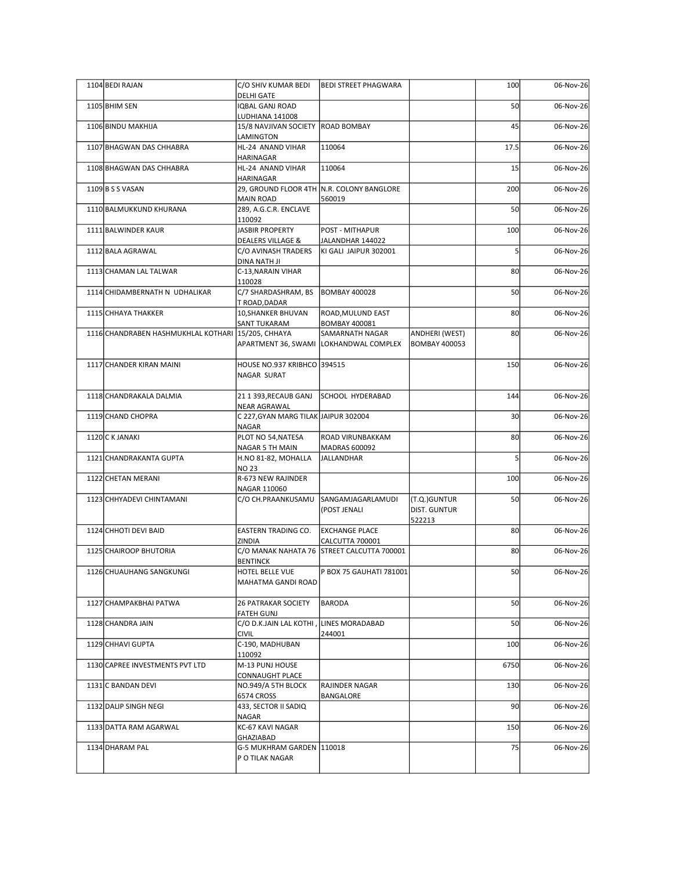| 1104 BEDI RAJAN                                    | C/O SHIV KUMAR BEDI                                         | <b>BEDI STREET PHAGWARA</b>                                   |                              | 100             | 06-Nov-26 |
|----------------------------------------------------|-------------------------------------------------------------|---------------------------------------------------------------|------------------------------|-----------------|-----------|
|                                                    | <b>DELHI GATE</b><br><b>IQBAL GANJ ROAD</b>                 |                                                               |                              | 50              | 06-Nov-26 |
| 1105 BHIM SEN                                      | LUDHIANA 141008                                             |                                                               |                              |                 |           |
| 1106 BINDU MAKHIJA                                 | 15/8 NAVJIVAN SOCIETY   ROAD BOMBAY<br>LAMINGTON            |                                                               |                              | 45              | 06-Nov-26 |
| 1107 BHAGWAN DAS CHHABRA                           | HL-24 ANAND VIHAR<br>HARINAGAR                              | 110064                                                        |                              | 17.5            | 06-Nov-26 |
| 1108 BHAGWAN DAS CHHABRA                           | HL-24 ANAND VIHAR<br>HARINAGAR                              | 110064                                                        |                              | 15              | 06-Nov-26 |
| $1109$ B S S VASAN                                 | 29, GROUND FLOOR 4TH N.R. COLONY BANGLORE<br>MAIN ROAD      | 560019                                                        |                              | 200             | 06-Nov-26 |
| 1110 BALMUKKUND KHURANA                            | 289, A.G.C.R. ENCLAVE<br>110092                             |                                                               |                              | 50              | 06-Nov-26 |
| 1111 BALWINDER KAUR                                | <b>JASBIR PROPERTY</b>                                      | POST - MITHAPUR                                               |                              | 100             | 06-Nov-26 |
| 1112 BALA AGRAWAL                                  | <b>DEALERS VILLAGE &amp;</b><br>C/O AVINASH TRADERS         | JALANDHAR 144022<br>KI GALI JAIPUR 302001                     |                              | 5               | 06-Nov-26 |
| 1113 CHAMAN LAL TALWAR                             | DINA NATH JI<br>C-13, NARAIN VIHAR                          |                                                               |                              | 80              | 06-Nov-26 |
| 1114 CHIDAMBERNATH N UDHALIKAR                     | 110028<br>C/7 SHARDASHRAM, BS  BOMBAY 400028                |                                                               |                              | 50              | 06-Nov-26 |
| 1115 CHHAYA THAKKER                                | T ROAD,DADAR<br>10, SHANKER BHUVAN                          | ROAD, MULUND EAST                                             |                              | 80              | 06-Nov-26 |
| 1116 CHANDRABEN HASHMUKHLAL KOTHARI 15/205, CHHAYA | <b>SANT TUKARAM</b>                                         | <b>BOMBAY 400081</b><br>SAMARNATH NAGAR                       | ANDHERI (WEST)               | 80              | 06-Nov-26 |
|                                                    |                                                             | APARTMENT 36, SWAMI LOKHANDWAL COMPLEX                        | <b>BOMBAY 400053</b>         |                 |           |
| 1117 CHANDER KIRAN MAINI                           | HOUSE NO.937 KRIBHCO 394515<br>NAGAR SURAT                  |                                                               |                              | 150             | 06-Nov-26 |
| 1118 CHANDRAKALA DALMIA                            | 21 1 393, RECAUB GANJ                                       | SCHOOL HYDERABAD                                              |                              | 144             | 06-Nov-26 |
| 1119 CHAND CHOPRA                                  | <b>NEAR AGRAWAL</b><br>C 227, GYAN MARG TILAK JAIPUR 302004 |                                                               |                              | 30 <sup>1</sup> | 06-Nov-26 |
| 1120 C K JANAKI                                    | <b>NAGAR</b><br>PLOT NO 54, NATESA                          | <b>ROAD VIRUNBAKKAM</b>                                       |                              | 80              | 06-Nov-26 |
| 1121 CHANDRAKANTA GUPTA                            | NAGAR 5 TH MAIN<br>H.NO 81-82, MOHALLA                      | MADRAS 600092<br>JALLANDHAR                                   |                              |                 | 06-Nov-26 |
| 1122 CHETAN MERANI                                 | <b>NO 23</b><br>R-673 NEW RAJINDER                          |                                                               |                              | 100             | 06-Nov-26 |
|                                                    | NAGAR 110060                                                |                                                               |                              |                 |           |
| 1123 CHHYADEVI CHINTAMANI                          | C/O CH.PRAANKUSAMU                                          | SANGAMJAGARLAMUDI<br>(POST JENALI                             | (T.Q.)GUNTUR<br>DIST. GUNTUR | 50              | 06-Nov-26 |
| 1124 CHHOTI DEVI BAID                              | EASTERN TRADING CO.                                         | <b>EXCHANGE PLACE</b>                                         | 522213                       | 80 <sup>2</sup> | 06-Nov-26 |
| 1125 CHAIROOP BHUTORIA                             | ZINDIA                                                      | CALCUTTA 700001<br>C/O MANAK NAHATA 76 STREET CALCUTTA 700001 |                              | 80              | 06-Nov-26 |
| 1126 CHUAUHANG SANGKUNGI                           | <b>BENTINCK</b><br>HOTEL BELLE VUE<br>MAHATMA GANDI ROAD    | P BOX 75 GAUHATI 781001                                       |                              | 50              | 06-Nov-26 |
| 1127 CHAMPAKBHAI PATWA                             | <b>26 PATRAKAR SOCIETY</b>                                  | BARODA                                                        |                              | 50              | 06-Nov-26 |
| 1128 CHANDRA JAIN                                  | <b>FATEH GUNJ</b><br>C/O D.K.JAIN LAL KOTHI,                | LINES MORADABAD                                               |                              | 50              | 06-Nov-26 |
| 1129 CHHAVI GUPTA                                  | <b>CIVIL</b><br>C-190, MADHUBAN                             | 244001                                                        |                              | 100             | 06-Nov-26 |
| 1130 CAPREE INVESTMENTS PVT LTD                    | 110092<br>M-13 PUNJ HOUSE                                   |                                                               |                              | 6750            | 06-Nov-26 |
| 1131 C BANDAN DEVI                                 | CONNAUGHT PLACE<br>NO.949/A 5TH BLOCK                       | RAJINDER NAGAR                                                |                              | 130             | 06-Nov-26 |
| 1132 DALIP SINGH NEGI                              | 6574 CROSS<br>433, SECTOR II SADIQ                          | BANGALORE                                                     |                              | 90 <sub>l</sub> | 06-Nov-26 |
|                                                    | NAGAR                                                       |                                                               |                              |                 |           |
| 1133 DATTA RAM AGARWAL                             | KC-67 KAVI NAGAR<br>GHAZIABAD                               |                                                               |                              | 150             | 06-Nov-26 |
| 1134 DHARAM PAL                                    | G-5 MUKHRAM GARDEN 110018<br>P O TILAK NAGAR                |                                                               |                              | 75              | 06-Nov-26 |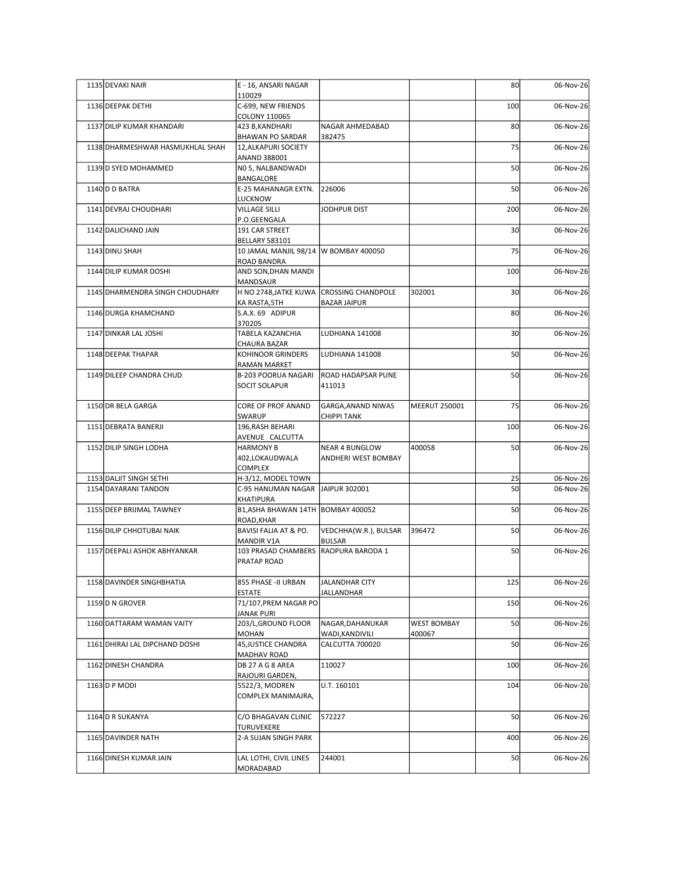| 1135 DEVAKI NAIR                 | E - 16, ANSARI NAGAR                                             |                                          |                    | 80              | 06-Nov-26 |
|----------------------------------|------------------------------------------------------------------|------------------------------------------|--------------------|-----------------|-----------|
| 1136 DEEPAK DETHI                | 110029<br>C-699, NEW FRIENDS                                     |                                          |                    | 100             | 06-Nov-26 |
|                                  | COLONY 110065                                                    |                                          |                    |                 |           |
| 1137 DILIP KUMAR KHANDARI        | 423 B, KANDHARI<br><b>BHAWAN PO SARDAR</b>                       | NAGAR AHMEDABAD<br>382475                |                    | 80              | 06-Nov-26 |
| 1138 DHARMESHWAR HASMUKHLAL SHAH | 12, ALKAPURI SOCIETY<br>ANAND 388001                             |                                          |                    | 75              | 06-Nov-26 |
| 1139 D SYED MOHAMMED             | NO 5, NALBANDWADI<br>BANGALORE                                   |                                          |                    | 50              | 06-Nov-26 |
| 1140 D BATRA                     | E-25 MAHANAGR EXTN.                                              | 226006                                   |                    | 50              | 06-Nov-26 |
| 1141 DEVRAJ CHOUDHARI            | LUCKNOW<br><b>VILLAGE SILLI</b>                                  | JODHPUR DIST                             |                    | 200             | 06-Nov-26 |
| 1142 DALICHAND JAIN              | P.O.GEENGALA<br>191 CAR STREET                                   |                                          |                    | 30              | 06-Nov-26 |
| 1143 DINU SHAH                   | <b>BELLARY 583101</b><br>10 JAMAL MANJIL 98/14   W BOMBAY 400050 |                                          |                    | 75              | 06-Nov-26 |
| 1144 DILIP KUMAR DOSHI           | ROAD BANDRA<br>AND SON, DHAN MANDI                               |                                          |                    | 100             | 06-Nov-26 |
|                                  | MANDSAUR                                                         |                                          |                    |                 |           |
| 1145 DHARMENDRA SINGH CHOUDHARY  | H NO 2748, JATKE KUWA CROSSING CHANDPOLE<br>KA RASTA,5TH         | <b>BAZAR JAIPUR</b>                      | 302001             | 30 <sub>1</sub> | 06-Nov-26 |
| 1146 DURGA KHAMCHAND             | S.A.X. 69 ADIPUR<br>370205                                       |                                          |                    | 80              | 06-Nov-26 |
| 1147 DINKAR LAL JOSHI            | TABELA KAZANCHIA<br><b>CHAURA BAZAR</b>                          | LUDHIANA 141008                          |                    | 30 <sup>1</sup> | 06-Nov-26 |
| 1148 DEEPAK THAPAR               | KOHINOOR GRINDERS                                                | LUDHIANA 141008                          |                    | 50              | 06-Nov-26 |
| 1149 DILEEP CHANDRA CHUD         | RAMAN MARKET<br><b>B-203 POORUA NAGARI</b>                       | <b>ROAD HADAPSAR PUNE</b>                |                    | 50              | 06-Nov-26 |
|                                  | SOCIT SOLAPUR                                                    | 411013                                   |                    |                 |           |
| 1150 DR BELA GARGA               | CORE OF PROF ANAND                                               | GARGA, ANAND NIWAS<br><b>CHIPPI TANK</b> | MEERUT 250001      | 75              | 06-Nov-26 |
| 1151 DEBRATA BANERJI             | SWARUP<br>196, RASH BEHARI                                       |                                          |                    | 100             | 06-Nov-26 |
| 1152 DILIP SINGH LODHA           | AVENUE CALCUTTA<br><b>HARMONY B</b>                              | <b>NEAR 4 BUNGLOW</b>                    | 400058             | 50              | 06-Nov-26 |
|                                  | 402,LOKAUDWALA<br>COMPLEX                                        | ANDHERI WEST BOMBAY                      |                    |                 |           |
| 1153 DALJIT SINGH SETHI          | H-3/12, MODEL TOWN                                               |                                          |                    | 25<br>50        | 06-Nov-26 |
| 1154 DAYARANI TANDON             | C-95 HANUMAN NAGAR JAIPUR 302001<br>KHATIPURA                    |                                          |                    |                 | 06-Nov-26 |
| 1155 DEEP BRIJMAL TAWNEY         | B1,ASHA BHAWAN 14TH BOMBAY 400052<br>ROAD, KHAR                  |                                          |                    | 50              | 06-Nov-26 |
| 1156 DILIP CHHOTUBAI NAIK        | BAVISI FALIA AT & PO.<br>MANDIR V1A                              | VEDCHHA(W.R.), BULSAR<br><b>BULSAR</b>   | 396472             | 50              | 06-Nov-26 |
| 1157 DEEPALI ASHOK ABHYANKAR     | 103 PRASAD CHAMBERS RAOPURA BARODA 1                             |                                          |                    | 50              | 06-Nov-26 |
|                                  | PRATAP ROAD                                                      |                                          |                    |                 |           |
| 1158 DAVINDER SINGHBHATIA        | 855 PHASE - II URBAN<br>ESTATE                                   | JALANDHAR CITY<br>JALLANDHAR             |                    | 125             | 06-Nov-26 |
| 1159D N GROVER                   | 71/107, PREM NAGAR PO<br>JANAK PURI                              |                                          |                    | 150             | 06-Nov-26 |
| 1160 DATTARAM WAMAN VAITY        | 203/L, GROUND FLOOR                                              | NAGAR, DAHANUKAR                         | <b>WEST BOMBAY</b> | 50              | 06-Nov-26 |
| 1161 DHIRAJ LAL DIPCHAND DOSHI   | MOHAN<br>45, JUSTICE CHANDRA                                     | WADI, KANDIVILI<br>CALCUTTA 700020       | 400067             | 50              | 06-Nov-26 |
| 1162 DINESH CHANDRA              | MADHAV ROAD<br>DB 27 A G 8 AREA                                  | 110027                                   |                    | 100             | 06-Nov-26 |
| 1163 D P MODI                    | RAJOURI GARDEN,<br>5522/3, MODREN                                | U.T. 160101                              |                    | 104             | 06-Nov-26 |
|                                  | COMPLEX MANIMAJRA,                                               |                                          |                    |                 |           |
| 1164 D R SUKANYA                 | C/O BHAGAVAN CLINIC                                              | 572227                                   |                    | 50              | 06-Nov-26 |
| 1165 DAVINDER NATH               | TURUVEKERE<br>2-A SUJAN SINGH PARK                               |                                          |                    | 400             | 06-Nov-26 |
| 1166 DINESH KUMAR JAIN           | LAL LOTHI, CIVIL LINES                                           | 244001                                   |                    | 50              | 06-Nov-26 |
|                                  |                                                                  |                                          |                    |                 |           |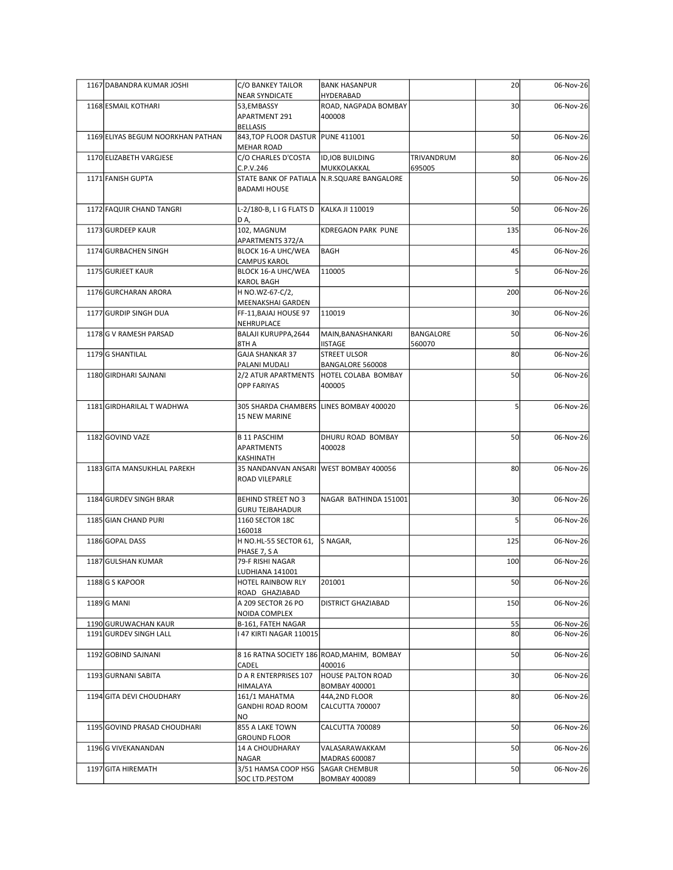| 1167 DABANDRA KUMAR JOSHI         | C/O BANKEY TAILOR                                        | <b>BANK HASANPUR</b>                                      |                     | 20              | 06-Nov-26 |
|-----------------------------------|----------------------------------------------------------|-----------------------------------------------------------|---------------------|-----------------|-----------|
| 1168 ESMAIL KOTHARI               | NEAR SYNDICATE<br>53,EMBASSY                             | HYDERABAD<br>ROAD, NAGPADA BOMBAY                         |                     | 30 <sub>1</sub> | 06-Nov-26 |
|                                   | APARTMENT 291<br>BELLASIS                                | 400008                                                    |                     |                 |           |
| 1169 ELIYAS BEGUM NOORKHAN PATHAN | 843, TOP FLOOR DASTUR   PUNE 411001<br><b>MEHAR ROAD</b> |                                                           |                     | 50              | 06-Nov-26 |
| 1170 ELIZABETH VARGJESE           | C/O CHARLES D'COSTA                                      | ID, IOB BUILDING                                          | TRIVANDRUM          | 80              | 06-Nov-26 |
| 1171 FANISH GUPTA                 | C.P.V.246<br><b>BADAMI HOUSE</b>                         | MUKKOLAKKAL<br>STATE BANK OF PATIALA N.R.SQUARE BANGALORE | 695005              | 50              | 06-Nov-26 |
| 1172 FAQUIR CHAND TANGRI          | L-2/180-B, L I G FLATS D   KALKA JI 110019               |                                                           |                     | 50              | 06-Nov-26 |
| 1173 GURDEEP KAUR                 | DA,<br>102, MAGNUM                                       | KDREGAON PARK PUNE                                        |                     | 135             | 06-Nov-26 |
| 1174 GURBACHEN SINGH              | APARTMENTS 372/A<br>BLOCK 16-A UHC/WEA                   | BAGH                                                      |                     | 45              | 06-Nov-26 |
| 1175 GURJEET KAUR                 | <b>CAMPUS KAROL</b><br>BLOCK 16-A UHC/WEA                | 110005                                                    |                     |                 | 06-Nov-26 |
| 1176 GURCHARAN ARORA              | <b>KAROL BAGH</b><br>H NO.WZ-67-C/2,                     |                                                           |                     | 200             | 06-Nov-26 |
| 1177 GURDIP SINGH DUA             | MEENAKSHAI GARDEN<br>FF-11, BAJAJ HOUSE 97               | 110019                                                    |                     | 30 <sup>1</sup> | 06-Nov-26 |
|                                   | NEHRUPLACE                                               |                                                           |                     |                 |           |
| 1178 G V RAMESH PARSAD            | BALAJI KURUPPA, 2644<br>8TH A                            | MAIN, BANASHANKARI<br><b>IISTAGE</b>                      | BANGALORE<br>560070 | 50              | 06-Nov-26 |
| 1179 G SHANTILAL                  | <b>GAJA SHANKAR 37</b><br>PALANI MUDALI                  | <b>STREET ULSOR</b><br>BANGALORE 560008                   |                     | 80              | 06-Nov-26 |
| 1180 GIRDHARI SAJNANI             | 2/2 ATUR APARTMENTS<br><b>OPP FARIYAS</b>                | HOTEL COLABA BOMBAY<br>400005                             |                     | 50              | 06-Nov-26 |
| 1181 GIRDHARILAL T WADHWA         | 305 SHARDA CHAMBERS LINES BOMBAY 400020<br>15 NEW MARINE |                                                           |                     |                 | 06-Nov-26 |
|                                   |                                                          |                                                           |                     |                 |           |
| 1182 GOVIND VAZE                  | <b>B 11 PASCHIM</b><br>APARTMENTS<br>KASHINATH           | DHURU ROAD BOMBAY<br>400028                               |                     | 50              | 06-Nov-26 |
| 1183 GITA MANSUKHLAL PAREKH       | ROAD VILEPARLE                                           | 35 NANDANVAN ANSARI WEST BOMBAY 400056                    |                     | 80 <sup>1</sup> | 06-Nov-26 |
|                                   |                                                          |                                                           |                     |                 |           |
| 1184 GURDEV SINGH BRAR            | BEHIND STREET NO 3<br><b>GURU TEJBAHADUR</b>             | NAGAR BATHINDA 151001                                     |                     | 30 <sup>1</sup> | 06-Nov-26 |
| 1185 GIAN CHAND PURI              | 1160 SECTOR 18C<br>160018                                |                                                           |                     |                 | 06-Nov-26 |
| 1186 GOPAL DASS                   | H NO.HL-55 SECTOR 61, S NAGAR,<br>PHASE 7, S A           |                                                           |                     | 125             | 06-Nov-26 |
| 1187 GULSHAN KUMAR                | 79-F RISHI NAGAR<br>LUDHIANA 141001                      |                                                           |                     | 100             | 06-Nov-26 |
| $1188$ G S KAPOOR                 | HOTEL RAINBOW RLY                                        | 201001                                                    |                     | 50              | 06-Nov-26 |
| 1189 G MANI                       | ROAD GHAZIABAD<br>A 209 SECTOR 26 PO                     | <b>DISTRICT GHAZIABAD</b>                                 |                     | 150             | 06-Nov-26 |
| 1190 GURUWACHAN KAUR              | NOIDA COMPLEX<br>B-161, FATEH NAGAR                      |                                                           |                     | 55              | 06-Nov-26 |
| 1191 GURDEV SINGH LALL            | 147 KIRTI NAGAR 110015                                   |                                                           |                     | 80              | 06-Nov-26 |
| 1192 GOBIND SAJNANI               |                                                          | 8 16 RATNA SOCIETY 186 ROAD, MAHIM, BOMBAY                |                     | 50              | 06-Nov-26 |
| 1193 GURNANI SABITA               | CADEL<br>D A R ENTERPRISES 107                           | 400016<br><b>HOUSE PALTON ROAD</b>                        |                     | 30 <sup>1</sup> | 06-Nov-26 |
| 1194 GITA DEVI CHOUDHARY          | HIMALAYA<br>161/1 MAHATMA                                | <b>BOMBAY 400001</b><br>44A,2ND FLOOR                     |                     | 80              | 06-Nov-26 |
|                                   | GANDHI ROAD ROOM<br>NO.                                  | CALCUTTA 700007                                           |                     |                 |           |
| 1195 GOVIND PRASAD CHOUDHARI      | 855 A LAKE TOWN<br><b>GROUND FLOOR</b>                   | CALCUTTA 700089                                           |                     | 50              | 06-Nov-26 |
| 1196 G VIVEKANANDAN               | 14 A CHOUDHARAY                                          | VALASARAWAKKAM                                            |                     | 50              | 06-Nov-26 |
| 1197 GITA HIREMATH                | NAGAR<br>3/51 HAMSA COOP HSG                             | MADRAS 600087<br>SAGAR CHEMBUR                            |                     | 50              | 06-Nov-26 |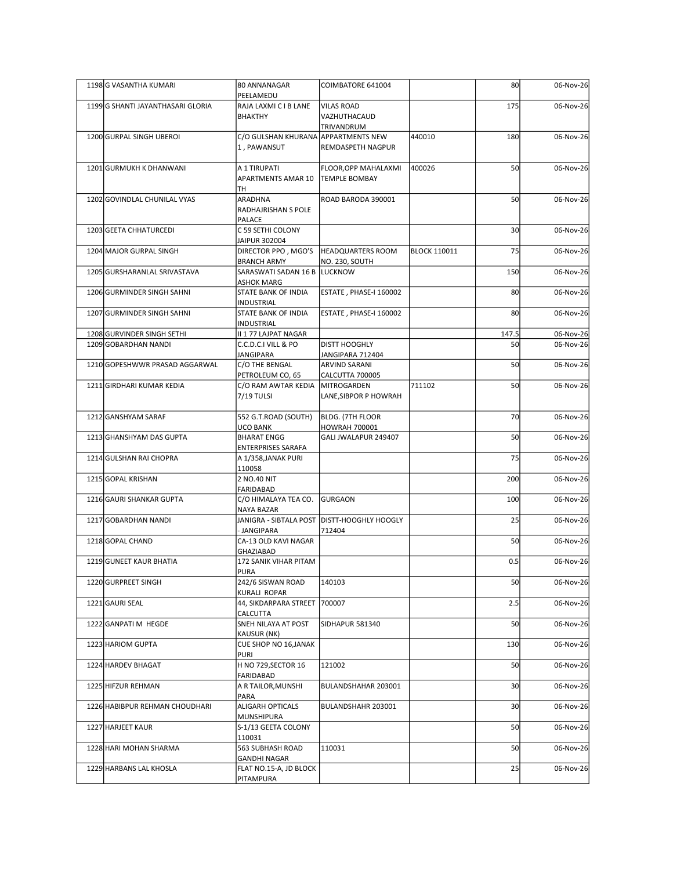| 1198 G VASANTHA KUMARI            | 80 ANNANAGAR<br>PEELAMEDU                          | COIMBATORE 641004                               |                     | 80              | 06-Nov-26 |
|-----------------------------------|----------------------------------------------------|-------------------------------------------------|---------------------|-----------------|-----------|
| 1199 G SHANTI JAYANTHASARI GLORIA | RAJA LAXMI C I B LANE<br><b>BHAKTHY</b>            | <b>VILAS ROAD</b><br>VAZHUTHACAUD<br>TRIVANDRUM |                     | 175             | 06-Nov-26 |
| 1200 GURPAL SINGH UBEROI          | C/O GULSHAN KHURANA APPARTMENTS NEW<br>1, PAWANSUT | REMDASPETH NAGPUR                               | 440010              | 180             | 06-Nov-26 |
| 1201 GURMUKH K DHANWANI           | A 1 TIRUPATI<br>APARTMENTS AMAR 10                 | FLOOR, OPP MAHALAXMI<br><b>TEMPLE BOMBAY</b>    | 400026              | 50              | 06-Nov-26 |
| 1202 GOVINDLAL CHUNILAL VYAS      | TH<br>ARADHNA<br>RADHAJRISHAN S POLE               | ROAD BARODA 390001                              |                     | 50              | 06-Nov-26 |
| 1203 GEETA CHHATURCEDI            | PALACE<br>C 59 SETHI COLONY                        |                                                 |                     | 30              | 06-Nov-26 |
| 1204 MAJOR GURPAL SINGH           | JAIPUR 302004<br>DIRECTOR PPO, MGO'S               | <b>HEADQUARTERS ROOM</b>                        | <b>BLOCK 110011</b> | 75              | 06-Nov-26 |
| 1205 GURSHARANLAL SRIVASTAVA      | <b>BRANCH ARMY</b><br>SARASWATI SADAN 16 B LUCKNOW | NO. 230, SOUTH                                  |                     | 150             | 06-Nov-26 |
| 1206 GURMINDER SINGH SAHNI        | ASHOK MARG<br>STATE BANK OF INDIA                  | ESTATE, PHASE-I 160002                          |                     | 80              | 06-Nov-26 |
| 1207 GURMINDER SINGH SAHNI        | INDUSTRIAL<br>STATE BANK OF INDIA                  | ESTATE, PHASE-I 160002                          |                     | 80              | 06-Nov-26 |
| 1208 GURVINDER SINGH SETHI        | INDUSTRIAL<br>II 1 77 LAJPAT NAGAR                 |                                                 |                     | 147.5           | 06-Nov-26 |
| 1209 GOBARDHAN NANDI              | C.C.D.C.I VILL & PO<br>JANGIPARA                   | <b>DISTT HOOGHLY</b><br>JANGIPARA 712404        |                     | 50              | 06-Nov-26 |
| 1210 GOPESHWWR PRASAD AGGARWAL    | C/O THE BENGAL<br>PETROLEUM CO, 65                 | ARVIND SARANI<br>CALCUTTA 700005                |                     | 50              | 06-Nov-26 |
| 1211 GIRDHARI KUMAR KEDIA         | C/O RAM AWTAR KEDIA<br>7/19 TULSI                  | MITROGARDEN<br>LANE, SIBPOR P HOWRAH            | 711102              | 50              | 06-Nov-26 |
| 1212 GANSHYAM SARAF               | 552 G.T.ROAD (SOUTH)                               | BLDG. (7TH FLOOR                                |                     | 70              | 06-Nov-26 |
| 1213 GHANSHYAM DAS GUPTA          | UCO BANK<br><b>BHARAT ENGG</b>                     | <b>HOWRAH 700001</b><br>GALI JWALAPUR 249407    |                     | 50              | 06-Nov-26 |
| 1214 GULSHAN RAI CHOPRA           | ENTERPRISES SARAFA<br>A 1/358, JANAK PURI          |                                                 |                     | 75              | 06-Nov-26 |
| 1215 GOPAL KRISHAN                | 110058<br>2 NO.40 NIT                              |                                                 |                     | 200             | 06-Nov-26 |
| 1216 GAURI SHANKAR GUPTA          | FARIDABAD<br>C/O HIMALAYA TEA CO. GURGAON          |                                                 |                     | 100             | 06-Nov-26 |
| 1217 GOBARDHAN NANDI              | NAYA BAZAR                                         | JANIGRA - SIBTALA POST DIISTT-HOOGHLY HOOGLY    |                     | 25              | 06-Nov-26 |
| 1218 GOPAL CHAND                  | <b>JANGIPARA</b><br>CA-13 OLD KAVI NAGAR           | 712404                                          |                     | 50              | 06-Nov-26 |
| 1219 GUNEET KAUR BHATIA           | GHAZIABAD<br>172 SANIK VIHAR PITAM                 |                                                 |                     | 0.5             | 06-Nov-26 |
|                                   | PURA                                               |                                                 |                     |                 |           |
| 1220 GURPREET SINGH               | 242/6 SISWAN ROAD<br>KURALI ROPAR                  | 140103                                          |                     | 50              | 06-Nov-26 |
| 1221 GAURI SEAL                   | 44, SIKDARPARA STREET   700007<br>CALCUTTA         |                                                 |                     | 2.5             | 06-Nov-26 |
| 1222 GANPATI M HEGDE              | SNEH NILAYA AT POST<br>KAUSUR (NK)                 | SIDHAPUR 581340                                 |                     | 50              | 06-Nov-26 |
| 1223 HARIOM GUPTA                 | CUE SHOP NO 16, JANAK<br>PURI                      |                                                 |                     | 130             | 06-Nov-26 |
| 1224 HARDEV BHAGAT                | H NO 729, SECTOR 16<br>FARIDABAD                   | 121002                                          |                     | 50              | 06-Nov-26 |
| 1225 HIFZUR REHMAN                | A R TAILOR, MUNSHI<br>PARA                         | BULANDSHAHAR 203001                             |                     | 30 <sup>1</sup> | 06-Nov-26 |
| 1226 HABIBPUR REHMAN CHOUDHARI    | ALIGARH OPTICALS<br>MUNSHIPURA                     | BULANDSHAHR 203001                              |                     | 30 <sup>1</sup> | 06-Nov-26 |
| 1227 HARJEET KAUR                 | S-1/13 GEETA COLONY<br>110031                      |                                                 |                     | 50              | 06-Nov-26 |
| 1228 HARI MOHAN SHARMA            | 563 SUBHASH ROAD<br><b>GANDHI NAGAR</b>            | 110031                                          |                     | 50              | 06-Nov-26 |
| 1229 HARBANS LAL KHOSLA           | FLAT NO.15-A, JD BLOCK<br>PITAMPURA                |                                                 |                     | 25              | 06-Nov-26 |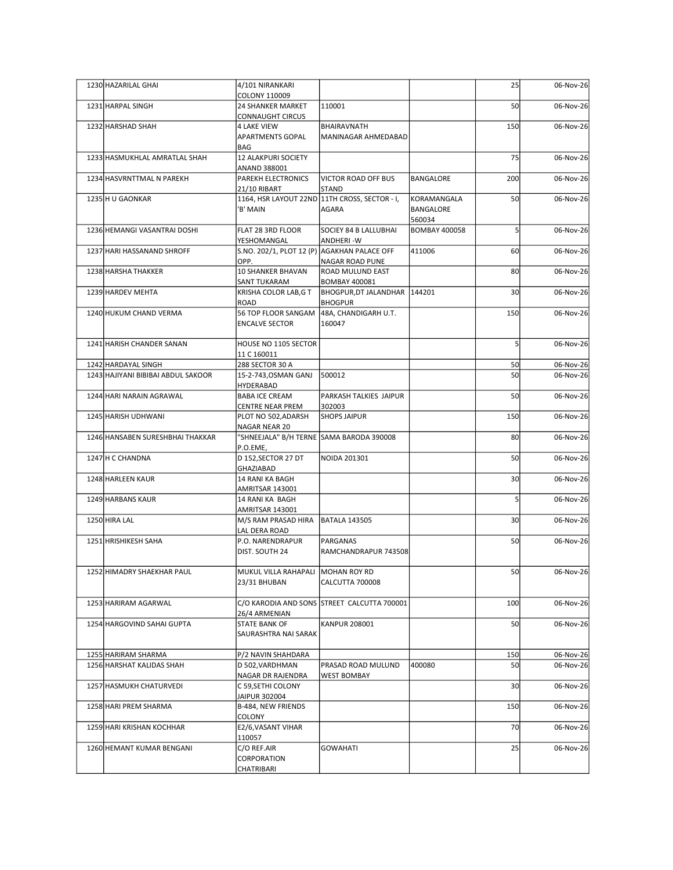| 25<br>1230 HAZARILAL GHAI<br>4/101 NIRANKARI<br>COLONY 110009<br>50<br>1231 HARPAL SINGH<br><b>24 SHANKER MARKET</b><br>110001<br><b>CONNAUGHT CIRCUS</b><br>1232 HARSHAD SHAH<br>150<br><b>4 LAKE VIEW</b><br>BHAIRAVNATH<br>06-Nov-26<br><b>APARTMENTS GOPAL</b><br>MANINAGAR AHMEDABAD<br>BAG<br>75<br>1233 HASMUKHLAL AMRATLAL SHAH<br>12 ALAKPURI SOCIETY<br>ANAND 388001<br>1234 HASVRNTTMAL N PAREKH<br><b>PAREKH ELECTRONICS</b><br>VICTOR ROAD OFF BUS<br>BANGALORE<br>200<br><b>21/10 RIBART</b><br><b>STAND</b><br>1235 H U GAONKAR<br>1164, HSR LAYOUT 22ND 11TH CROSS, SECTOR - I,<br>50<br>KORAMANGALA<br>'B' MAIN<br>BANGALORE<br>AGARA<br>560034<br>1236 HEMANGI VASANTRAI DOSHI<br>FLAT 28 3RD FLOOR<br>SOCIEY 84 B LALLUBHAI<br><b>BOMBAY 400058</b><br>YESHOMANGAL<br><b>ANDHERI-W</b><br>60<br>1237 HARI HASSANAND SHROFF<br>S.NO. 202/1, PLOT 12 (P) AGAKHAN PALACE OFF<br>411006<br>OPP.<br><b>NAGAR ROAD PUNE</b><br>1238 HARSHA THAKKER<br>ROAD MULUND EAST<br>80<br>10 SHANKER BHAVAN<br>06-Nov-26<br>SANT TUKARAM<br><b>BOMBAY 400081</b><br>1239 HARDEV MEHTA<br>KRISHA COLOR LAB, G T<br>BHOGPUR, DT JALANDHAR   144201<br>30<br><b>BHOGPUR</b><br>ROAD<br>150<br>1240 HUKUM CHAND VERMA<br>56 TOP FLOOR SANGAM 48A, CHANDIGARH U.T.<br><b>ENCALVE SECTOR</b><br>160047<br>1241 HARISH CHANDER SANAN<br>HOUSE NO 1105 SECTOR<br>11 C 160011<br>50<br>288 SECTOR 30 A<br>1242 HARDAYAL SINGH<br>50<br>1243 HAJIYANI BIBIBAI ABDUL SAKOOR<br>15-2-743, OSMAN GANJ 500012<br>HYDERABAD<br>50<br>PARKASH TALKIES JAIPUR<br>1244 HARI NARAIN AGRAWAL<br><b>BABA ICE CREAM</b><br><b>CENTRE NEAR PREM</b><br>302003<br>150<br>1245 HARISH UDHWANI<br>PLOT NO 502, ADARSH<br><b>SHOPS JAIPUR</b><br>NAGAR NEAR 20<br>"SHNEEJALA" B/H TERNE SAMA BARODA 390008<br>80<br>1246 HANSABEN SURESHBHAI THAKKAR<br>P.O.EME,<br>50<br>1247 H C CHANDNA<br>D 152, SECTOR 27 DT<br>NOIDA 201301<br>GHAZIABAD<br>1248 HARLEEN KAUR<br>14 RANI KA BAGH<br>30 <sup>1</sup><br>AMRITSAR 143001<br>$\overline{5}$<br>1249 HARBANS KAUR<br>14 RANI KA BAGH<br>AMRITSAR 143001<br>1250 HIRA LAL<br>M/S RAM PRASAD HIRA   BATALA 143505<br>30 <sup>1</sup><br>LAL DERA ROAD<br>50<br>1251 HRISHIKESH SAHA<br>P.O. NARENDRAPUR<br>PARGANAS<br>DIST. SOUTH 24<br>RAMCHANDRAPUR 743508<br>50<br>1252 HIMADRY SHAEKHAR PAUL<br>MUKUL VILLA RAHAPALI MOHAN ROY RD<br>23/31 BHUBAN<br>CALCUTTA 700008<br>C/O KARODIA AND SONS STREET CALCUTTA 700001<br>100<br>1253 HARIRAM AGARWAL<br>26/4 ARMENIAN<br>50<br>1254 HARGOVIND SAHAI GUPTA<br><b>STATE BANK OF</b><br><b>KANPUR 208001</b><br>SAURASHTRA NAI SARAK<br>150<br>1255 HARIRAM SHARMA<br>P/2 NAVIN SHAHDARA<br><b>50</b><br>1256 HARSHAT KALIDAS SHAH<br>D 502, VARDHMAN<br>400080<br><b>PRASAD ROAD MULUND</b><br>NAGAR DR RAJENDRA<br><b>WEST BOMBAY</b><br>30 <sup>1</sup><br>1257 HASMUKH CHATURVEDI<br>C 59, SETHI COLONY<br>JAIPUR 302004<br>150<br>1258 HARI PREM SHARMA<br>B-484, NEW FRIENDS<br><b>COLONY</b><br>70<br>E2/6, VASANT VIHAR<br>1259 HARI KRISHAN KOCHHAR |  |        |  |  |
|--------------------------------------------------------------------------------------------------------------------------------------------------------------------------------------------------------------------------------------------------------------------------------------------------------------------------------------------------------------------------------------------------------------------------------------------------------------------------------------------------------------------------------------------------------------------------------------------------------------------------------------------------------------------------------------------------------------------------------------------------------------------------------------------------------------------------------------------------------------------------------------------------------------------------------------------------------------------------------------------------------------------------------------------------------------------------------------------------------------------------------------------------------------------------------------------------------------------------------------------------------------------------------------------------------------------------------------------------------------------------------------------------------------------------------------------------------------------------------------------------------------------------------------------------------------------------------------------------------------------------------------------------------------------------------------------------------------------------------------------------------------------------------------------------------------------------------------------------------------------------------------------------------------------------------------------------------------------------------------------------------------------------------------------------------------------------------------------------------------------------------------------------------------------------------------------------------------------------------------------------------------------------------------------------------------------------------------------------------------------------------------------------------------------------------------------------------------------------------------------------------------------------------------------------------------------------------------------------------------------------------------------------------------------------------------------------------------------------------------------------------------------------------------------------------------------------------------------------------------------------------------------------------------------------------------------------------------------------------------------------------------------------------------|--|--------|--|--|
|                                                                                                                                                                                                                                                                                                                                                                                                                                                                                                                                                                                                                                                                                                                                                                                                                                                                                                                                                                                                                                                                                                                                                                                                                                                                                                                                                                                                                                                                                                                                                                                                                                                                                                                                                                                                                                                                                                                                                                                                                                                                                                                                                                                                                                                                                                                                                                                                                                                                                                                                                                                                                                                                                                                                                                                                                                                                                                                                                                                                                                      |  |        |  |  |
| 06-Nov-26<br>06-Nov-26<br>06-Nov-26<br>06-Nov-26<br>06-Nov-26<br>06-Nov-26<br>06-Nov-26<br>06-Nov-26<br>06-Nov-26<br>06-Nov-26<br>06-Nov-26<br>06-Nov-26<br>06-Nov-26<br>06-Nov-26<br>06-Nov-26<br>06-Nov-26<br>06-Nov-26<br>06-Nov-26<br>06-Nov-26<br>06-Nov-26<br>06-Nov-26<br>06-Nov-26<br>06-Nov-26<br>06-Nov-26<br>06-Nov-26<br>06-Nov-26                                                                                                                                                                                                                                                                                                                                                                                                                                                                                                                                                                                                                                                                                                                                                                                                                                                                                                                                                                                                                                                                                                                                                                                                                                                                                                                                                                                                                                                                                                                                                                                                                                                                                                                                                                                                                                                                                                                                                                                                                                                                                                                                                                                                                                                                                                                                                                                                                                                                                                                                                                                                                                                                                       |  |        |  |  |
|                                                                                                                                                                                                                                                                                                                                                                                                                                                                                                                                                                                                                                                                                                                                                                                                                                                                                                                                                                                                                                                                                                                                                                                                                                                                                                                                                                                                                                                                                                                                                                                                                                                                                                                                                                                                                                                                                                                                                                                                                                                                                                                                                                                                                                                                                                                                                                                                                                                                                                                                                                                                                                                                                                                                                                                                                                                                                                                                                                                                                                      |  |        |  |  |
| 06-Nov-26<br>06-Nov-26                                                                                                                                                                                                                                                                                                                                                                                                                                                                                                                                                                                                                                                                                                                                                                                                                                                                                                                                                                                                                                                                                                                                                                                                                                                                                                                                                                                                                                                                                                                                                                                                                                                                                                                                                                                                                                                                                                                                                                                                                                                                                                                                                                                                                                                                                                                                                                                                                                                                                                                                                                                                                                                                                                                                                                                                                                                                                                                                                                                                               |  |        |  |  |
|                                                                                                                                                                                                                                                                                                                                                                                                                                                                                                                                                                                                                                                                                                                                                                                                                                                                                                                                                                                                                                                                                                                                                                                                                                                                                                                                                                                                                                                                                                                                                                                                                                                                                                                                                                                                                                                                                                                                                                                                                                                                                                                                                                                                                                                                                                                                                                                                                                                                                                                                                                                                                                                                                                                                                                                                                                                                                                                                                                                                                                      |  |        |  |  |
|                                                                                                                                                                                                                                                                                                                                                                                                                                                                                                                                                                                                                                                                                                                                                                                                                                                                                                                                                                                                                                                                                                                                                                                                                                                                                                                                                                                                                                                                                                                                                                                                                                                                                                                                                                                                                                                                                                                                                                                                                                                                                                                                                                                                                                                                                                                                                                                                                                                                                                                                                                                                                                                                                                                                                                                                                                                                                                                                                                                                                                      |  |        |  |  |
|                                                                                                                                                                                                                                                                                                                                                                                                                                                                                                                                                                                                                                                                                                                                                                                                                                                                                                                                                                                                                                                                                                                                                                                                                                                                                                                                                                                                                                                                                                                                                                                                                                                                                                                                                                                                                                                                                                                                                                                                                                                                                                                                                                                                                                                                                                                                                                                                                                                                                                                                                                                                                                                                                                                                                                                                                                                                                                                                                                                                                                      |  |        |  |  |
|                                                                                                                                                                                                                                                                                                                                                                                                                                                                                                                                                                                                                                                                                                                                                                                                                                                                                                                                                                                                                                                                                                                                                                                                                                                                                                                                                                                                                                                                                                                                                                                                                                                                                                                                                                                                                                                                                                                                                                                                                                                                                                                                                                                                                                                                                                                                                                                                                                                                                                                                                                                                                                                                                                                                                                                                                                                                                                                                                                                                                                      |  |        |  |  |
|                                                                                                                                                                                                                                                                                                                                                                                                                                                                                                                                                                                                                                                                                                                                                                                                                                                                                                                                                                                                                                                                                                                                                                                                                                                                                                                                                                                                                                                                                                                                                                                                                                                                                                                                                                                                                                                                                                                                                                                                                                                                                                                                                                                                                                                                                                                                                                                                                                                                                                                                                                                                                                                                                                                                                                                                                                                                                                                                                                                                                                      |  |        |  |  |
|                                                                                                                                                                                                                                                                                                                                                                                                                                                                                                                                                                                                                                                                                                                                                                                                                                                                                                                                                                                                                                                                                                                                                                                                                                                                                                                                                                                                                                                                                                                                                                                                                                                                                                                                                                                                                                                                                                                                                                                                                                                                                                                                                                                                                                                                                                                                                                                                                                                                                                                                                                                                                                                                                                                                                                                                                                                                                                                                                                                                                                      |  |        |  |  |
|                                                                                                                                                                                                                                                                                                                                                                                                                                                                                                                                                                                                                                                                                                                                                                                                                                                                                                                                                                                                                                                                                                                                                                                                                                                                                                                                                                                                                                                                                                                                                                                                                                                                                                                                                                                                                                                                                                                                                                                                                                                                                                                                                                                                                                                                                                                                                                                                                                                                                                                                                                                                                                                                                                                                                                                                                                                                                                                                                                                                                                      |  |        |  |  |
|                                                                                                                                                                                                                                                                                                                                                                                                                                                                                                                                                                                                                                                                                                                                                                                                                                                                                                                                                                                                                                                                                                                                                                                                                                                                                                                                                                                                                                                                                                                                                                                                                                                                                                                                                                                                                                                                                                                                                                                                                                                                                                                                                                                                                                                                                                                                                                                                                                                                                                                                                                                                                                                                                                                                                                                                                                                                                                                                                                                                                                      |  |        |  |  |
|                                                                                                                                                                                                                                                                                                                                                                                                                                                                                                                                                                                                                                                                                                                                                                                                                                                                                                                                                                                                                                                                                                                                                                                                                                                                                                                                                                                                                                                                                                                                                                                                                                                                                                                                                                                                                                                                                                                                                                                                                                                                                                                                                                                                                                                                                                                                                                                                                                                                                                                                                                                                                                                                                                                                                                                                                                                                                                                                                                                                                                      |  |        |  |  |
|                                                                                                                                                                                                                                                                                                                                                                                                                                                                                                                                                                                                                                                                                                                                                                                                                                                                                                                                                                                                                                                                                                                                                                                                                                                                                                                                                                                                                                                                                                                                                                                                                                                                                                                                                                                                                                                                                                                                                                                                                                                                                                                                                                                                                                                                                                                                                                                                                                                                                                                                                                                                                                                                                                                                                                                                                                                                                                                                                                                                                                      |  |        |  |  |
|                                                                                                                                                                                                                                                                                                                                                                                                                                                                                                                                                                                                                                                                                                                                                                                                                                                                                                                                                                                                                                                                                                                                                                                                                                                                                                                                                                                                                                                                                                                                                                                                                                                                                                                                                                                                                                                                                                                                                                                                                                                                                                                                                                                                                                                                                                                                                                                                                                                                                                                                                                                                                                                                                                                                                                                                                                                                                                                                                                                                                                      |  |        |  |  |
|                                                                                                                                                                                                                                                                                                                                                                                                                                                                                                                                                                                                                                                                                                                                                                                                                                                                                                                                                                                                                                                                                                                                                                                                                                                                                                                                                                                                                                                                                                                                                                                                                                                                                                                                                                                                                                                                                                                                                                                                                                                                                                                                                                                                                                                                                                                                                                                                                                                                                                                                                                                                                                                                                                                                                                                                                                                                                                                                                                                                                                      |  |        |  |  |
|                                                                                                                                                                                                                                                                                                                                                                                                                                                                                                                                                                                                                                                                                                                                                                                                                                                                                                                                                                                                                                                                                                                                                                                                                                                                                                                                                                                                                                                                                                                                                                                                                                                                                                                                                                                                                                                                                                                                                                                                                                                                                                                                                                                                                                                                                                                                                                                                                                                                                                                                                                                                                                                                                                                                                                                                                                                                                                                                                                                                                                      |  |        |  |  |
|                                                                                                                                                                                                                                                                                                                                                                                                                                                                                                                                                                                                                                                                                                                                                                                                                                                                                                                                                                                                                                                                                                                                                                                                                                                                                                                                                                                                                                                                                                                                                                                                                                                                                                                                                                                                                                                                                                                                                                                                                                                                                                                                                                                                                                                                                                                                                                                                                                                                                                                                                                                                                                                                                                                                                                                                                                                                                                                                                                                                                                      |  |        |  |  |
|                                                                                                                                                                                                                                                                                                                                                                                                                                                                                                                                                                                                                                                                                                                                                                                                                                                                                                                                                                                                                                                                                                                                                                                                                                                                                                                                                                                                                                                                                                                                                                                                                                                                                                                                                                                                                                                                                                                                                                                                                                                                                                                                                                                                                                                                                                                                                                                                                                                                                                                                                                                                                                                                                                                                                                                                                                                                                                                                                                                                                                      |  |        |  |  |
|                                                                                                                                                                                                                                                                                                                                                                                                                                                                                                                                                                                                                                                                                                                                                                                                                                                                                                                                                                                                                                                                                                                                                                                                                                                                                                                                                                                                                                                                                                                                                                                                                                                                                                                                                                                                                                                                                                                                                                                                                                                                                                                                                                                                                                                                                                                                                                                                                                                                                                                                                                                                                                                                                                                                                                                                                                                                                                                                                                                                                                      |  |        |  |  |
|                                                                                                                                                                                                                                                                                                                                                                                                                                                                                                                                                                                                                                                                                                                                                                                                                                                                                                                                                                                                                                                                                                                                                                                                                                                                                                                                                                                                                                                                                                                                                                                                                                                                                                                                                                                                                                                                                                                                                                                                                                                                                                                                                                                                                                                                                                                                                                                                                                                                                                                                                                                                                                                                                                                                                                                                                                                                                                                                                                                                                                      |  |        |  |  |
|                                                                                                                                                                                                                                                                                                                                                                                                                                                                                                                                                                                                                                                                                                                                                                                                                                                                                                                                                                                                                                                                                                                                                                                                                                                                                                                                                                                                                                                                                                                                                                                                                                                                                                                                                                                                                                                                                                                                                                                                                                                                                                                                                                                                                                                                                                                                                                                                                                                                                                                                                                                                                                                                                                                                                                                                                                                                                                                                                                                                                                      |  |        |  |  |
|                                                                                                                                                                                                                                                                                                                                                                                                                                                                                                                                                                                                                                                                                                                                                                                                                                                                                                                                                                                                                                                                                                                                                                                                                                                                                                                                                                                                                                                                                                                                                                                                                                                                                                                                                                                                                                                                                                                                                                                                                                                                                                                                                                                                                                                                                                                                                                                                                                                                                                                                                                                                                                                                                                                                                                                                                                                                                                                                                                                                                                      |  |        |  |  |
|                                                                                                                                                                                                                                                                                                                                                                                                                                                                                                                                                                                                                                                                                                                                                                                                                                                                                                                                                                                                                                                                                                                                                                                                                                                                                                                                                                                                                                                                                                                                                                                                                                                                                                                                                                                                                                                                                                                                                                                                                                                                                                                                                                                                                                                                                                                                                                                                                                                                                                                                                                                                                                                                                                                                                                                                                                                                                                                                                                                                                                      |  |        |  |  |
|                                                                                                                                                                                                                                                                                                                                                                                                                                                                                                                                                                                                                                                                                                                                                                                                                                                                                                                                                                                                                                                                                                                                                                                                                                                                                                                                                                                                                                                                                                                                                                                                                                                                                                                                                                                                                                                                                                                                                                                                                                                                                                                                                                                                                                                                                                                                                                                                                                                                                                                                                                                                                                                                                                                                                                                                                                                                                                                                                                                                                                      |  |        |  |  |
|                                                                                                                                                                                                                                                                                                                                                                                                                                                                                                                                                                                                                                                                                                                                                                                                                                                                                                                                                                                                                                                                                                                                                                                                                                                                                                                                                                                                                                                                                                                                                                                                                                                                                                                                                                                                                                                                                                                                                                                                                                                                                                                                                                                                                                                                                                                                                                                                                                                                                                                                                                                                                                                                                                                                                                                                                                                                                                                                                                                                                                      |  |        |  |  |
|                                                                                                                                                                                                                                                                                                                                                                                                                                                                                                                                                                                                                                                                                                                                                                                                                                                                                                                                                                                                                                                                                                                                                                                                                                                                                                                                                                                                                                                                                                                                                                                                                                                                                                                                                                                                                                                                                                                                                                                                                                                                                                                                                                                                                                                                                                                                                                                                                                                                                                                                                                                                                                                                                                                                                                                                                                                                                                                                                                                                                                      |  |        |  |  |
|                                                                                                                                                                                                                                                                                                                                                                                                                                                                                                                                                                                                                                                                                                                                                                                                                                                                                                                                                                                                                                                                                                                                                                                                                                                                                                                                                                                                                                                                                                                                                                                                                                                                                                                                                                                                                                                                                                                                                                                                                                                                                                                                                                                                                                                                                                                                                                                                                                                                                                                                                                                                                                                                                                                                                                                                                                                                                                                                                                                                                                      |  |        |  |  |
|                                                                                                                                                                                                                                                                                                                                                                                                                                                                                                                                                                                                                                                                                                                                                                                                                                                                                                                                                                                                                                                                                                                                                                                                                                                                                                                                                                                                                                                                                                                                                                                                                                                                                                                                                                                                                                                                                                                                                                                                                                                                                                                                                                                                                                                                                                                                                                                                                                                                                                                                                                                                                                                                                                                                                                                                                                                                                                                                                                                                                                      |  |        |  |  |
|                                                                                                                                                                                                                                                                                                                                                                                                                                                                                                                                                                                                                                                                                                                                                                                                                                                                                                                                                                                                                                                                                                                                                                                                                                                                                                                                                                                                                                                                                                                                                                                                                                                                                                                                                                                                                                                                                                                                                                                                                                                                                                                                                                                                                                                                                                                                                                                                                                                                                                                                                                                                                                                                                                                                                                                                                                                                                                                                                                                                                                      |  |        |  |  |
|                                                                                                                                                                                                                                                                                                                                                                                                                                                                                                                                                                                                                                                                                                                                                                                                                                                                                                                                                                                                                                                                                                                                                                                                                                                                                                                                                                                                                                                                                                                                                                                                                                                                                                                                                                                                                                                                                                                                                                                                                                                                                                                                                                                                                                                                                                                                                                                                                                                                                                                                                                                                                                                                                                                                                                                                                                                                                                                                                                                                                                      |  |        |  |  |
|                                                                                                                                                                                                                                                                                                                                                                                                                                                                                                                                                                                                                                                                                                                                                                                                                                                                                                                                                                                                                                                                                                                                                                                                                                                                                                                                                                                                                                                                                                                                                                                                                                                                                                                                                                                                                                                                                                                                                                                                                                                                                                                                                                                                                                                                                                                                                                                                                                                                                                                                                                                                                                                                                                                                                                                                                                                                                                                                                                                                                                      |  |        |  |  |
|                                                                                                                                                                                                                                                                                                                                                                                                                                                                                                                                                                                                                                                                                                                                                                                                                                                                                                                                                                                                                                                                                                                                                                                                                                                                                                                                                                                                                                                                                                                                                                                                                                                                                                                                                                                                                                                                                                                                                                                                                                                                                                                                                                                                                                                                                                                                                                                                                                                                                                                                                                                                                                                                                                                                                                                                                                                                                                                                                                                                                                      |  |        |  |  |
|                                                                                                                                                                                                                                                                                                                                                                                                                                                                                                                                                                                                                                                                                                                                                                                                                                                                                                                                                                                                                                                                                                                                                                                                                                                                                                                                                                                                                                                                                                                                                                                                                                                                                                                                                                                                                                                                                                                                                                                                                                                                                                                                                                                                                                                                                                                                                                                                                                                                                                                                                                                                                                                                                                                                                                                                                                                                                                                                                                                                                                      |  |        |  |  |
| 1260 HEMANT KUMAR BENGANI<br>C/O REF.AIR<br>25<br>06-Nov-26<br><b>GOWAHATI</b><br>CORPORATION                                                                                                                                                                                                                                                                                                                                                                                                                                                                                                                                                                                                                                                                                                                                                                                                                                                                                                                                                                                                                                                                                                                                                                                                                                                                                                                                                                                                                                                                                                                                                                                                                                                                                                                                                                                                                                                                                                                                                                                                                                                                                                                                                                                                                                                                                                                                                                                                                                                                                                                                                                                                                                                                                                                                                                                                                                                                                                                                        |  | 110057 |  |  |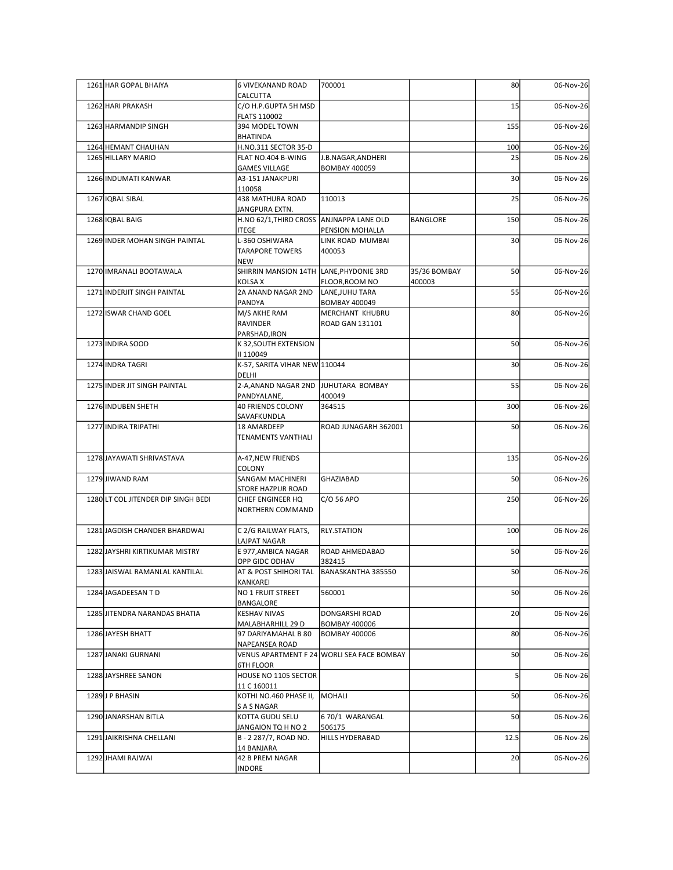| 1261 HAR GOPAL BHAIYA               | 6 VIVEKANAND ROAD<br><b>CALCUTTA</b>                       | 700001                                       |              | 80              | 06-Nov-26 |
|-------------------------------------|------------------------------------------------------------|----------------------------------------------|--------------|-----------------|-----------|
| 1262 HARI PRAKASH                   | C/O H.P.GUPTA 5H MSD                                       |                                              |              | 15              | 06-Nov-26 |
| 1263 HARMANDIP SINGH                | <b>FLATS 110002</b><br>394 MODEL TOWN                      |                                              |              | 155             | 06-Nov-26 |
| 1264 HEMANT CHAUHAN                 | BHATINDA<br>H.NO.311 SECTOR 35-D                           |                                              |              | 100             | 06-Nov-26 |
| 1265 HILLARY MARIO                  | FLAT NO.404 B-WING                                         | J.B.NAGAR, ANDHERI                           |              | 25              | 06-Nov-26 |
| 1266 INDUMATI KANWAR                | <b>GAMES VILLAGE</b><br>A3-151 JANAKPURI                   | <b>BOMBAY 400059</b>                         |              | 30 <sup>1</sup> | 06-Nov-26 |
| 1267 IQBAL SIBAL                    | 110058<br>438 MATHURA ROAD                                 | 110013                                       |              | 25              | 06-Nov-26 |
| 1268 IQBAL BAIG                     | JANGPURA EXTN.<br>H.NO 62/1, THIRD CROSS ANJNAPPA LANE OLD |                                              | BANGLORE     | 150             | 06-Nov-26 |
|                                     | <b>ITEGE</b>                                               | PENSION MOHALLA                              |              |                 |           |
| 1269 INDER MOHAN SINGH PAINTAL      | L-360 OSHIWARA<br><b>TARAPORE TOWERS</b>                   | LINK ROAD MUMBAI<br>400053                   |              | 30              | 06-Nov-26 |
| 1270 IMRANALI BOOTAWALA             | <b>NEW</b><br>SHIRRIN MANSION 14TH LANE, PHYDONIE 3RD      |                                              | 35/36 BOMBAY | 50              | 06-Nov-26 |
|                                     | KOLSA X                                                    | FLOOR, ROOM NO                               | 400003       |                 |           |
| 1271 INDERJIT SINGH PAINTAL         | 2A ANAND NAGAR 2ND<br>PANDYA                               | LANE, JUHU TARA<br><b>BOMBAY 400049</b>      |              | 55              | 06-Nov-26 |
| 1272 ISWAR CHAND GOEL               | M/S AKHE RAM<br>RAVINDER                                   | MERCHANT KHUBRU<br><b>ROAD GAN 131101</b>    |              | 80              | 06-Nov-26 |
| 1273 INDIRA SOOD                    | PARSHAD, IRON<br>K 32, SOUTH EXTENSION                     |                                              |              | 50              | 06-Nov-26 |
| 1274 INDRA TAGRI                    | II 110049<br>K-57, SARITA VIHAR NEW 110044                 |                                              |              | 30 <sup>1</sup> | 06-Nov-26 |
|                                     | <b>DELHI</b>                                               |                                              |              |                 |           |
| 1275 INDER JIT SINGH PAINTAL        | 2-A, ANAND NAGAR 2ND JUHUTARA BOMBAY<br>PANDYALANE,        | 400049                                       |              | 55              | 06-Nov-26 |
| 1276 INDUBEN SHETH                  | 40 FRIENDS COLONY<br>SAVAFKUNDLA                           | 364515                                       |              | 300             | 06-Nov-26 |
| 1277 INDIRA TRIPATHI                | 18 AMARDEEP<br>TENAMENTS VANTHALI                          | ROAD JUNAGARH 362001                         |              | 50              | 06-Nov-26 |
| 1278 JAYAWATI SHRIVASTAVA           | A-47, NEW FRIENDS                                          |                                              |              | 135             | 06-Nov-26 |
| 1279 JIWAND RAM                     | COLONY<br>SANGAM MACHINERI                                 | GHAZIABAD                                    |              | 50              | 06-Nov-26 |
|                                     | <b>STORE HAZPUR ROAD</b>                                   |                                              |              |                 |           |
| 1280 LT COL JITENDER DIP SINGH BEDI | CHIEF ENGINEER HQ<br>NORTHERN COMMAND                      | $C/O$ 56 APO                                 |              | 250             | 06-Nov-26 |
| 1281 JAGDISH CHANDER BHARDWAJ       | C 2/G RAILWAY FLATS,                                       | RLY.STATION                                  |              | 100             | 06-Nov-26 |
|                                     | LAJPAT NAGAR                                               |                                              |              |                 |           |
| 1282 JAYSHRI KIRTIKUMAR MISTRY      | E 977, AMBICA NAGAR<br>OPP GIDC ODHAV                      | ROAD AHMEDABAD<br>382415                     |              | 50              | 06-Nov-26 |
| 1283 JAISWAL RAMANLAL KANTILAL      | AT & POST SHIHORI TAL<br>KANKAREI                          | BANASKANTHA 385550                           |              | 50              | 06-Nov-26 |
| 1284 JAGADEESAN TD                  | NO 1 FRUIT STREET                                          | 560001                                       |              | 50              | 06-Nov-26 |
| 1285 JITENDRA NARANDAS BHATIA       | BANGALORE<br><b>KESHAV NIVAS</b>                           | DONGARSHI ROAD                               |              | 20              | 06-Nov-26 |
| 1286 JAYESH BHATT                   | MALABHARHILL 29 D<br>97 DARIYAMAHAL B 80                   | <b>BOMBAY 400006</b><br><b>BOMBAY 400006</b> |              | 80              | 06-Nov-26 |
|                                     | NAPEANSEA ROAD                                             |                                              |              |                 |           |
| 1287 JANAKI GURNANI                 | <b>6TH FLOOR</b>                                           | VENUS APARTMENT F 24 WORLI SEA FACE BOMBAY   |              | 50              | 06-Nov-26 |
| 1288 JAYSHREE SANON                 | HOUSE NO 1105 SECTOR<br>11 C 160011                        |                                              |              |                 | 06-Nov-26 |
| 1289J P BHASIN                      | KOTHI NO.460 PHASE II, MOHALI                              |                                              |              | 50              | 06-Nov-26 |
| 1290 JANARSHAN BITLA                | S A S NAGAR<br>KOTTA GUDU SELU                             | 6 70/1 WARANGAL                              |              | 50              | 06-Nov-26 |
| 1291 JAIKRISHNA CHELLANI            | JANGAION TQ H NO 2<br>B - 2 287/7, ROAD NO.                | 506175<br>HILLS HYDERABAD                    |              | 12.5            | 06-Nov-26 |
|                                     | 14 BANJARA                                                 |                                              |              |                 |           |
| 1292JHAMI RAJWAI                    | 42 B PREM NAGAR<br><b>INDORE</b>                           |                                              |              | 20              | 06-Nov-26 |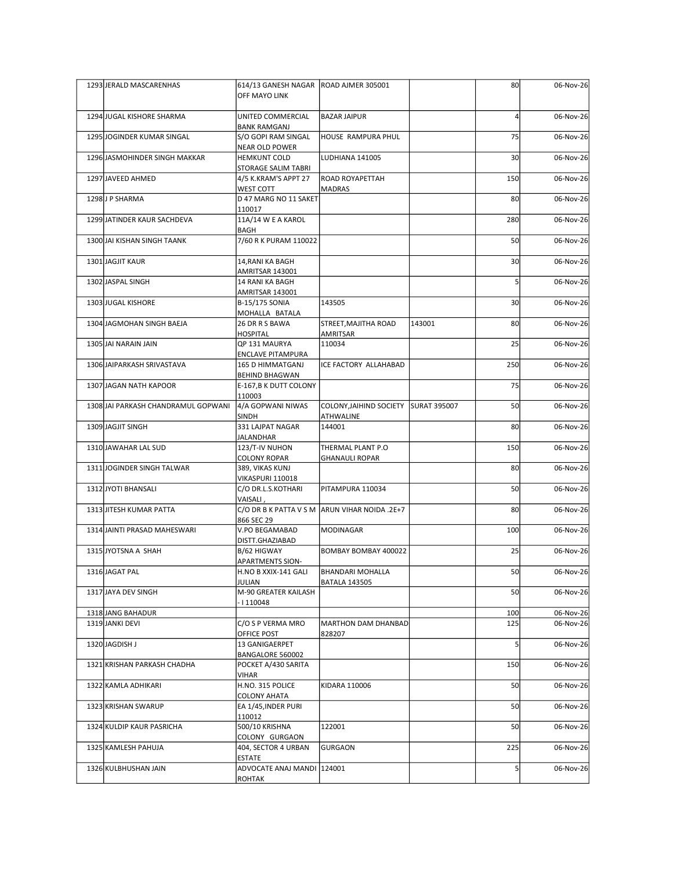| 1293 JERALD MASCARENHAS             | 614/13 GANESH NAGAR ROAD AJMER 305001<br>OFF MAYO LINK |                                                          |        | 80              | 06-Nov-26 |
|-------------------------------------|--------------------------------------------------------|----------------------------------------------------------|--------|-----------------|-----------|
| 1294 JUGAL KISHORE SHARMA           | UNITED COMMERCIAL<br><b>BANK RAMGANJ</b>               | <b>BAZAR JAIPUR</b>                                      |        |                 | 06-Nov-26 |
| 1295 JOGINDER KUMAR SINGAL          | S/O GOPI RAM SINGAL<br>NEAR OLD POWER                  | HOUSE RAMPURA PHUL                                       |        | 75              | 06-Nov-26 |
| 1296 JASMOHINDER SINGH MAKKAR       | <b>HEMKUNT COLD</b><br>STORAGE SALIM TABRI             | LUDHIANA 141005                                          |        | 30 <sup>1</sup> | 06-Nov-26 |
| 1297 JAVEED AHMED                   | 4/5 K.KRAM'S APPT 27                                   | <b>ROAD ROYAPETTAH</b>                                   |        | 150             | 06-Nov-26 |
| 1298J P SHARMA                      | WEST COTT<br>D 47 MARG NO 11 SAKET                     | <b>MADRAS</b>                                            |        | 80              | 06-Nov-26 |
| 1299 JATINDER KAUR SACHDEVA         | 110017<br>11A/14 W E A KAROL                           |                                                          |        | 280             | 06-Nov-26 |
| 1300 JAI KISHAN SINGH TAANK         | BAGH<br>7/60 R K PURAM 110022                          |                                                          |        | 50              | 06-Nov-26 |
| 1301 JAGJIT KAUR                    | 14, RANI KA BAGH                                       |                                                          |        | 30 <sup>1</sup> | 06-Nov-26 |
| 1302 JASPAL SINGH                   | AMRITSAR 143001<br>14 RANI KA BAGH                     |                                                          |        |                 | 06-Nov-26 |
| 1303 JUGAL KISHORE                  | AMRITSAR 143001<br>B-15/175 SONIA                      | 143505                                                   |        | 30              | 06-Nov-26 |
| 1304 JAGMOHAN SINGH BAEJA           | MOHALLA BATALA<br>26 DR R S BAWA                       | STREET, MAJITHA ROAD                                     | 143001 | 80 <sup>1</sup> | 06-Nov-26 |
|                                     | <b>HOSPITAL</b>                                        | AMRITSAR                                                 |        |                 |           |
| 1305 JAI NARAIN JAIN                | QP 131 MAURYA<br><b>ENCLAVE PITAMPURA</b>              | 110034                                                   |        | 25              | 06-Nov-26 |
| 1306 JAIPARKASH SRIVASTAVA          | 165 D HIMMATGANJ<br><b>BEHIND BHAGWAN</b>              | ICE FACTORY ALLAHABAD                                    |        | 250             | 06-Nov-26 |
| 1307 JAGAN NATH KAPOOR              | E-167, B K DUTT COLONY<br>110003                       |                                                          |        | 75              | 06-Nov-26 |
| 1308 JAI PARKASH CHANDRAMUL GOPWANI | 4/A GOPWANI NIWAS<br>SINDH                             | COLONY, JAIHIND SOCIETY SURAT 395007<br><b>ATHWALINE</b> |        | 50              | 06-Nov-26 |
| 1309 JAGJIT SINGH                   | 331 LAJPAT NAGAR<br>JALANDHAR                          | 144001                                                   |        | 80              | 06-Nov-26 |
| 1310 JAWAHAR LAL SUD                | 123/T-IV NUHON<br><b>COLONY ROPAR</b>                  | THERMAL PLANT P.O<br><b>GHANAULI ROPAR</b>               |        | 150             | 06-Nov-26 |
| 1311 JOGINDER SINGH TALWAR          | 389, VIKAS KUNJ                                        |                                                          |        | 80              | 06-Nov-26 |
| 1312 JYOTI BHANSALI                 | VIKASPURI 110018<br>C/O DR.L.S.KOTHARI                 | PITAMPURA 110034                                         |        | 50              | 06-Nov-26 |
| 1313 JITESH KUMAR PATTA             | VAISALI,                                               | C/O DR B K PATTA V S M ARUN VIHAR NOIDA .2E+7            |        | 80              | 06-Nov-26 |
| 1314 JAINTI PRASAD MAHESWARI        | 866 SEC 29<br>V.PO BEGAMABAD                           | MODINAGAR                                                |        | 100             | 06-Nov-26 |
| 1315 JYOTSNA A SHAH                 | DISTT.GHAZIABAD<br>B/62 HIGWAY                         | BOMBAY BOMBAY 400022                                     |        | 25              | 06-Nov-26 |
| 1316JAGAT PAL                       | <b>APARTMENTS SION-</b><br>H.NO B XXIX-141 GALI        | <b>BHANDARI MOHALLA</b>                                  |        | 50              | 06-Nov-26 |
| 1317 JAYA DEV SINGH                 | JULIAN<br>M-90 GREATER KAILASH                         | <b>BATALA 143505</b>                                     |        | 50              | 06-Nov-26 |
| 1318 JANG BAHADUR                   | $\cdot$   110048                                       |                                                          |        | 100             | 06-Nov-26 |
| 1319JANKI DEVI                      | C/O S P VERMA MRO                                      | MARTHON DAM DHANBAD                                      |        | 125             | 06-Nov-26 |
| 1320 JAGDISH J                      | OFFICE POST<br>13 GANIGAERPET                          | 828207                                                   |        |                 | 06-Nov-26 |
| 1321 KRISHAN PARKASH CHADHA         | BANGALORE 560002<br>POCKET A/430 SARITA                |                                                          |        | 150             | 06-Nov-26 |
| 1322 KAMLA ADHIKARI                 | VIHAR<br>H.NO. 315 POLICE                              | KIDARA 110006                                            |        | 50              | 06-Nov-26 |
| 1323 KRISHAN SWARUP                 | <b>COLONY AHATA</b><br>EA 1/45, INDER PURI             |                                                          |        | 50              | 06-Nov-26 |
| 1324 KULDIP KAUR PASRICHA           | 110012<br>500/10 KRISHNA                               | 122001                                                   |        | 50              | 06-Nov-26 |
| 1325 KAMLESH PAHUJA                 | COLONY GURGAON<br>404, SECTOR 4 URBAN                  | GURGAON                                                  |        | 225             | 06-Nov-26 |
| 1326 KULBHUSHAN JAIN                | <b>ESTATE</b><br>ADVOCATE ANAJ MANDI 124001            |                                                          |        |                 | 06-Nov-26 |
|                                     | ROHTAK                                                 |                                                          |        |                 |           |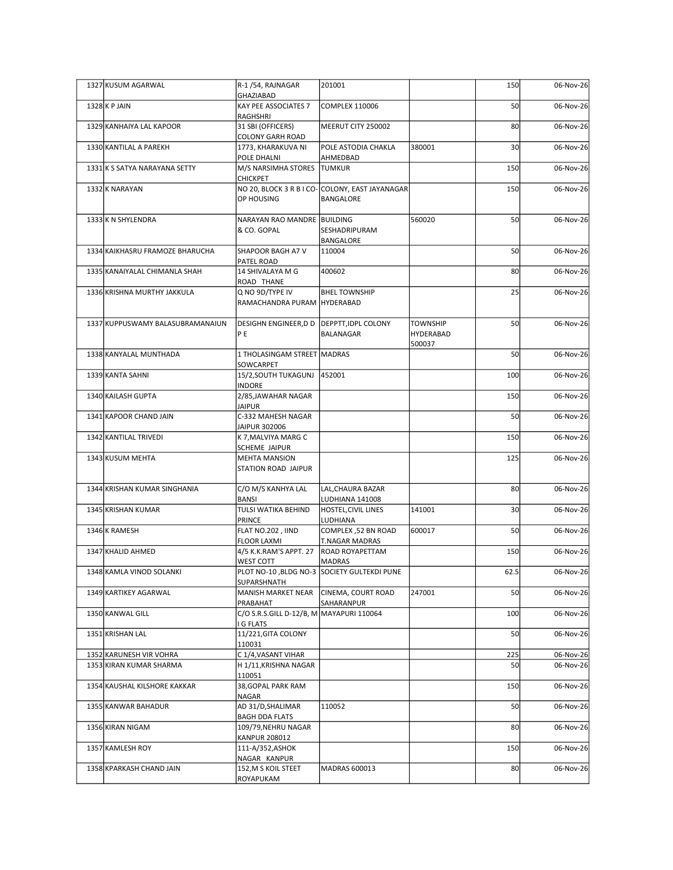| 1327 KUSUM AGARWAL                                 | R-1/54, RAJNAGAR<br>GHAZIABAD                                              | 201001                                                       |                     | 150       | 06-Nov-26              |
|----------------------------------------------------|----------------------------------------------------------------------------|--------------------------------------------------------------|---------------------|-----------|------------------------|
| $1328$ K P JAIN                                    | KAY PEE ASSOCIATES 7<br>RAGHSHRI                                           | COMPLEX 110006                                               |                     | 50        | 06-Nov-26              |
| 1329 KANHAIYA LAL KAPOOR                           | 31 SBI (OFFICERS)<br><b>COLONY GARH ROAD</b>                               | MEERUT CITY 250002                                           |                     | 80        | 06-Nov-26              |
| 1330 KANTILAL A PAREKH                             | 1773, KHARAKUVA NI<br>POLE DHALNI                                          | POLE ASTODIA CHAKLA<br>AHMEDBAD                              | 380001              | 30        | 06-Nov-26              |
| 1331 K S SATYA NARAYANA SETTY                      | M/S NARSIMHA STORES TUMKUR                                                 |                                                              |                     | 150       | 06-Nov-26              |
| 1332 K NARAYAN                                     | <b>CHICKPET</b><br>OP HOUSING                                              | NO 20, BLOCK 3 R B I CO- COLONY, EAST JAYANAGAR<br>BANGALORE |                     | 150       | 06-Nov-26              |
| 1333 K N SHYLENDRA                                 | NARAYAN RAO MANDRE BUILDING<br>& CO. GOPAL                                 | SESHADRIPURAM                                                | 560020              | 50        | 06-Nov-26              |
| 1334 KAIKHASRU FRAMOZE BHARUCHA                    | SHAPOOR BAGH A7 V                                                          | BANGALORE<br>110004                                          |                     | 50        | 06-Nov-26              |
| 1335 KANAIYALAL CHIMANLA SHAH                      | PATEL ROAD<br>14 SHIVALAYA M G                                             | 400602                                                       |                     | 80        | 06-Nov-26              |
| 1336 KRISHNA MURTHY JAKKULA                        | ROAD THANE<br>Q NO 9D/TYPE IV                                              | <b>BHEL TOWNSHIP</b>                                         |                     | 25        | 06-Nov-26              |
| 1337 KUPPUSWAMY BALASUBRAMANAIUN                   | RAMACHANDRA PURAM HYDERABAD<br>DESIGHN ENGINEER, D D   DEPPTT, IDPL COLONY |                                                              | <b>TOWNSHIP</b>     | 50        | 06-Nov-26              |
|                                                    | PE                                                                         | BALANAGAR                                                    | HYDERABAD<br>500037 |           |                        |
| 1338 KANYALAL MUNTHADA<br>1339 KANTA SAHNI         | 1 THOLASINGAM STREET MADRAS<br>SOWCARPET<br>15/2, SOUTH TUKAGUNJ 452001    |                                                              |                     | 50<br>100 | 06-Nov-26<br>06-Nov-26 |
| 1340 KAILASH GUPTA                                 | <b>INDORE</b><br>2/85, JAWAHAR NAGAR                                       |                                                              |                     | 150       | 06-Nov-26              |
| 1341 KAPOOR CHAND JAIN                             | <b>JAIPUR</b><br>C-332 MAHESH NAGAR                                        |                                                              |                     | 50        | 06-Nov-26              |
| 1342 KANTILAL TRIVEDI                              | JAIPUR 302006<br>K 7, MALVIYA MARG C                                       |                                                              |                     | 150       | 06-Nov-26              |
| 1343 KUSUM MEHTA                                   | SCHEME JAIPUR<br><b>MEHTA MANSION</b><br>STATION ROAD JAIPUR               |                                                              |                     | 125       | 06-Nov-26              |
| 1344 KRISHAN KUMAR SINGHANIA                       | C/O M/S KANHYA LAL                                                         | LAL, CHAURA BAZAR                                            |                     | 80        | 06-Nov-26              |
| 1345 KRISHAN KUMAR                                 | <b>BANSI</b><br>TULSI WATIKA BEHIND                                        | LUDHIANA 141008<br>HOSTEL, CIVIL LINES                       | 141001              | 30        | 06-Nov-26              |
| 1346 K RAMESH                                      | PRINCE<br>FLAT NO.202, IIND                                                | LUDHIANA<br>COMPLEX, 52 BN ROAD                              | 600017              | 50        | 06-Nov-26              |
| 1347 KHALID AHMED                                  | <b>FLOOR LAXMI</b><br>4/5 K.K.RAM'S APPT. 27                               | <b>T.NAGAR MADRAS</b><br>ROAD ROYAPETTAM                     |                     | 150       | 06-Nov-26              |
| 1348 KAMLA VINOD SOLANKI                           | WEST COTT                                                                  | <b>MADRAS</b><br>PLOT NO-10, BLDG NO-3 SOCIETY GULTEKDI PUNE |                     | 62.5      | 06-Nov-26              |
| 1349 KARTIKEY AGARWAL                              | SUPARSHNATH<br>MANISH MARKET NEAR CINEMA, COURT ROAD                       |                                                              | 247001              | 50        | 06-Nov-26              |
| 1350 KANWAL GILL                                   | PRABAHAT<br>C/O S.R.S.GILL D-12/B, M MAYAPURI 110064                       | SAHARANPUR                                                   |                     | 100       | 06-Nov-26              |
| 1351 KRISHAN LAL                                   | I G FLATS<br>11/221, GITA COLONY                                           |                                                              |                     | 50        | 06-Nov-26              |
|                                                    | 110031                                                                     |                                                              |                     |           |                        |
| 1352 KARUNESH VIR VOHRA<br>1353 KIRAN KUMAR SHARMA | C 1/4, VASANT VIHAR<br>H 1/11, KRISHNA NAGAR                               |                                                              |                     | 225<br>50 | 06-Nov-26<br>06-Nov-26 |
| 1354 KAUSHAL KILSHORE KAKKAR                       | 110051<br>38, GOPAL PARK RAM                                               |                                                              |                     | 150       | 06-Nov-26              |
| 1355 KANWAR BAHADUR                                | <b>NAGAR</b><br>AD 31/D, SHALIMAR                                          | 110052                                                       |                     | 50        | 06-Nov-26              |
| 1356 KIRAN NIGAM                                   | <b>BAGH DDA FLATS</b><br>109/79, NEHRU NAGAR                               |                                                              |                     | 80        | 06-Nov-26              |
| 1357 KAMLESH ROY                                   | <b>KANPUR 208012</b><br>111-A/352,ASHOK                                    |                                                              |                     | 150       | 06-Nov-26              |
| 1358 KPARKASH CHAND JAIN                           | NAGAR KANPUR<br>152, M S KOIL STEET                                        | MADRAS 600013                                                |                     | 80        | 06-Nov-26              |
|                                                    | ROYAPUKAM                                                                  |                                                              |                     |           |                        |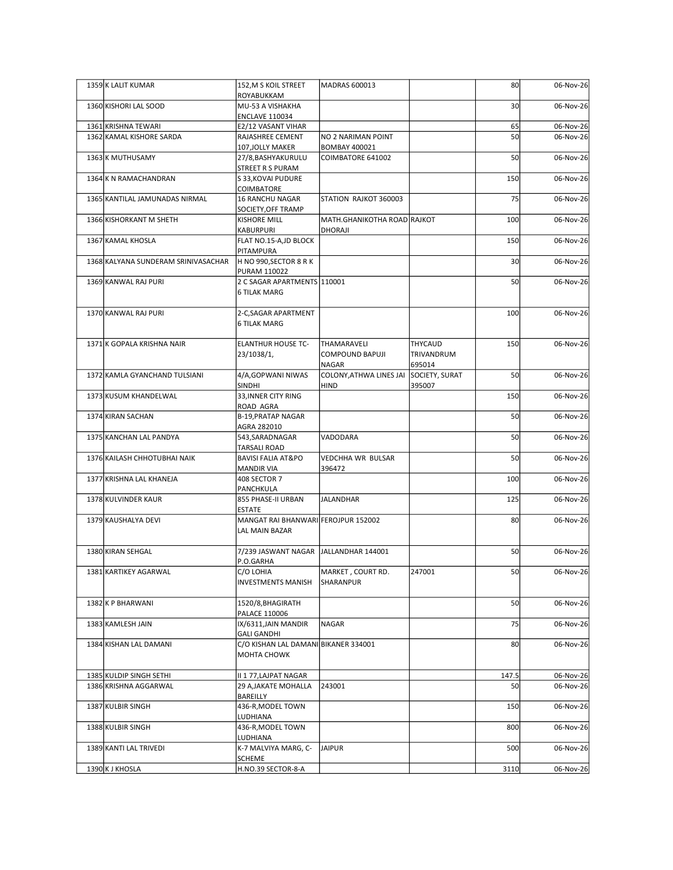| 1359 K LALIT KUMAR                               | 152, M S KOIL STREET                                       | MADRAS 600013                                  |                                        | 80              | 06-Nov-26              |
|--------------------------------------------------|------------------------------------------------------------|------------------------------------------------|----------------------------------------|-----------------|------------------------|
| 1360 KISHORI LAL SOOD                            | ROYABUKKAM<br>MU-53 A VISHAKHA                             |                                                |                                        | 30 <sup>1</sup> | 06-Nov-26              |
|                                                  | <b>ENCLAVE 110034</b>                                      |                                                |                                        |                 |                        |
| 1361 KRISHNA TEWARI<br>1362 KAMAL KISHORE SARDA  | E2/12 VASANT VIHAR<br>RAJASHREE CEMENT                     | NO 2 NARIMAN POINT                             |                                        | 65<br>50        | 06-Nov-26<br>06-Nov-26 |
| 1363 K MUTHUSAMY                                 | 107, JOLLY MAKER<br>27/8, BASHYAKURULU                     | <b>BOMBAY 400021</b><br>COIMBATORE 641002      |                                        | 50              | 06-Nov-26              |
| 1364 K N RAMACHANDRAN                            | STREET R S PURAM<br>S 33, KOVAI PUDURE                     |                                                |                                        | 150             | 06-Nov-26              |
|                                                  | COIMBATORE                                                 |                                                |                                        |                 |                        |
| 1365 KANTILAL JAMUNADAS NIRMAL                   | <b>16 RANCHU NAGAR</b><br>SOCIETY, OFF TRAMP               | STATION RAJKOT 360003                          |                                        | 75              | 06-Nov-26              |
| 1366 KISHORKANT M SHETH                          | <b>KISHORE MILL</b><br>KABURPURI                           | MATH.GHANIKOTHA ROAD RAJKOT<br>DHORAJI         |                                        | 100             | 06-Nov-26              |
| 1367 KAMAL KHOSLA                                | FLAT NO.15-A,JD BLOCK<br>PITAMPURA                         |                                                |                                        | 150             | 06-Nov-26              |
| 1368 KALYANA SUNDERAM SRINIVASACHAR              | H NO 990,SECTOR 8 R K                                      |                                                |                                        | 30 <sup>1</sup> | 06-Nov-26              |
| 1369 KANWAL RAJ PURI                             | <b>PURAM 110022</b><br>2 C SAGAR APARTMENTS 110001         |                                                |                                        | 50              | 06-Nov-26              |
|                                                  | <b>6 TILAK MARG</b>                                        |                                                |                                        |                 |                        |
| 1370 KANWAL RAJ PURI                             | 2-C, SAGAR APARTMENT<br><b>6 TILAK MARG</b>                |                                                |                                        | 100             | 06-Nov-26              |
| 1371 K GOPALA KRISHNA NAIR                       | <b>ELANTHUR HOUSE TC-</b><br>23/1038/1,                    | THAMARAVELI<br>COMPOUND BAPUJI<br><b>NAGAR</b> | <b>THYCAUD</b><br>TRIVANDRUM<br>695014 | 150             | 06-Nov-26              |
| 1372 KAMLA GYANCHAND TULSIANI                    | 4/A, GOP WANI NIWAS                                        | COLONY, ATHWA LINES JAI SOCIETY, SURAT         |                                        | 50              | 06-Nov-26              |
| 1373 KUSUM KHANDELWAL                            | <b>SINDHI</b><br>33, INNER CITY RING                       | <b>HIND</b>                                    | 395007                                 | 150             | 06-Nov-26              |
| 1374 KIRAN SACHAN                                | ROAD AGRA<br>B-19, PRATAP NAGAR                            |                                                |                                        | 50              | 06-Nov-26              |
| 1375 KANCHAN LAL PANDYA                          | AGRA 282010<br>543, SARADNAGAR                             | VADODARA                                       |                                        | 50              | 06-Nov-26              |
|                                                  | <b>TARSALI ROAD</b>                                        |                                                |                                        |                 |                        |
| 1376 KAILASH CHHOTUBHAI NAIK                     | <b>BAVISI FALIA AT&amp;PO</b><br><b>MANDIR VIA</b>         | VEDCHHA WR BULSAR<br>396472                    |                                        | 50              | 06-Nov-26              |
| 1377 KRISHNA LAL KHANEJA                         | 408 SECTOR 7<br>PANCHKULA                                  |                                                |                                        | 100             | 06-Nov-26              |
| 1378 KULVINDER KAUR                              | 855 PHASE-II URBAN<br><b>ESTATE</b>                        | JALANDHAR                                      |                                        | 125             | 06-Nov-26              |
| 1379 KAUSHALYA DEVI                              | MANGAT RAI BHANWARI FEROJPUR 152002<br>LAL MAIN BAZAR      |                                                |                                        | 80              | 06-Nov-26              |
| 1380 KIRAN SEHGAL                                | 7/239 JASWANT NAGAR JALLANDHAR 144001                      |                                                |                                        | 50              | 06-Nov-26              |
| 1381 KARTIKEY AGARWAL                            | P.O.GARHA<br>C/O LOHIA<br><b>INVESTMENTS MANISH</b>        | MARKET, COURT RD.<br>SHARANPUR                 | 247001                                 | 50              | 06-Nov-26              |
| 1382 K P BHARWANI                                | 1520/8, BHAGIRATH                                          |                                                |                                        | 50              | 06-Nov-26              |
| 1383 KAMLESH JAIN                                | <b>PALACE 110006</b><br>IX/6311, JAIN MANDIR               | NAGAR                                          |                                        | 75              | 06-Nov-26              |
| 1384 KISHAN LAL DAMANI                           | <b>GALI GANDHI</b><br>C/O KISHAN LAL DAMANI BIKANER 334001 |                                                |                                        | 80              | 06-Nov-26              |
|                                                  | <b>MOHTA CHOWK</b>                                         |                                                |                                        |                 |                        |
| 1385 KULDIP SINGH SETHI<br>1386 KRISHNA AGGARWAL | II 1 77, LAJPAT NAGAR<br>29 A, JAKATE MOHALLA              | 243001                                         |                                        | 147.5<br>50     | 06-Nov-26<br>06-Nov-26 |
| 1387 KULBIR SINGH                                | BAREILLY<br>436-R, MODEL TOWN                              |                                                |                                        | 150             | 06-Nov-26              |
| 1388 KULBIR SINGH                                | LUDHIANA<br>436-R, MODEL TOWN                              |                                                |                                        | 800             | 06-Nov-26              |
|                                                  | LUDHIANA                                                   |                                                |                                        |                 |                        |
| 1389 KANTI LAL TRIVEDI                           | K-7 MALVIYA MARG, C-<br><b>SCHEME</b>                      | JAIPUR                                         |                                        | 500             | 06-Nov-26              |
| 1390 K J KHOSLA                                  | H.NO.39 SECTOR-8-A                                         |                                                |                                        | 3110            | 06-Nov-26              |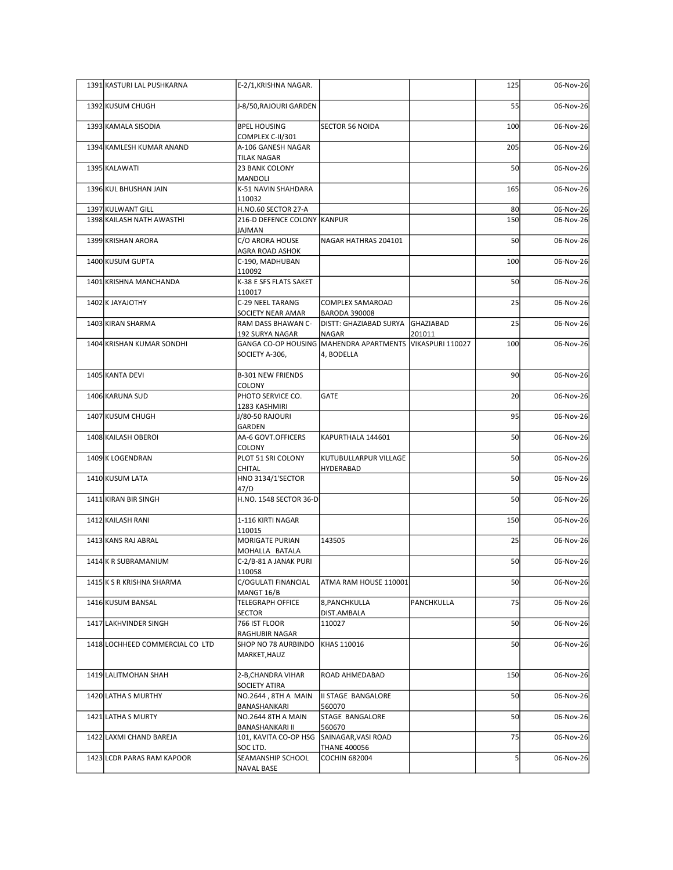| 1391 KASTURI LAL PUSHKARNA                 | E-2/1, KRISHNA NAGAR.                                                           |                                                                              |            | 125             | 06-Nov-26              |
|--------------------------------------------|---------------------------------------------------------------------------------|------------------------------------------------------------------------------|------------|-----------------|------------------------|
| 1392 KUSUM CHUGH                           | J-8/50, RAJOURI GARDEN                                                          |                                                                              |            | 55              | 06-Nov-26              |
| 1393 KAMALA SISODIA                        | <b>BPEL HOUSING</b>                                                             | <b>SECTOR 56 NOIDA</b>                                                       |            | 100             | 06-Nov-26              |
| 1394 KAMLESH KUMAR ANAND                   | COMPLEX C-II/301<br>A-106 GANESH NAGAR                                          |                                                                              |            | 205             | 06-Nov-26              |
| 1395 KALAWATI                              | <b>TILAK NAGAR</b><br>23 BANK COLONY                                            |                                                                              |            | 50              | 06-Nov-26              |
| 1396 KUL BHUSHAN JAIN                      | MANDOLI<br>K-51 NAVIN SHAHDARA                                                  |                                                                              |            | 165             | 06-Nov-26              |
| 1397 KULWANT GILL                          | 110032<br>H.NO.60 SECTOR 27-A                                                   |                                                                              |            | 80              | 06-Nov-26              |
| 1398 KAILASH NATH AWASTHI                  | 216-D DEFENCE COLONY KANPUR<br>JAJMAN                                           |                                                                              |            | 150             | 06-Nov-26              |
| 1399 KRISHAN ARORA                         | C/O ARORA HOUSE<br>AGRA ROAD ASHOK                                              | NAGAR HATHRAS 204101                                                         |            | 50              | 06-Nov-26              |
| 1400 KUSUM GUPTA<br>1401 KRISHNA MANCHANDA | C-190, MADHUBAN<br>110092<br>K-38 E SFS FLATS SAKET                             |                                                                              |            | 100<br>50       | 06-Nov-26              |
|                                            | 110017                                                                          |                                                                              |            |                 | 06-Nov-26              |
| 1402 K JAYAJOTHY<br>1403 KIRAN SHARMA      | C-29 NEEL TARANG<br>SOCIETY NEAR AMAR<br>RAM DASS BHAWAN C-                     | COMPLEX SAMAROAD<br><b>BARODA 390008</b><br>DISTT: GHAZIABAD SURYA GHAZIABAD |            | 25<br>25        | 06-Nov-26<br>06-Nov-26 |
| 1404 KRISHAN KUMAR SONDHI                  | 192 SURYA NAGAR                                                                 | NAGAR<br>GANGA CO-OP HOUSING MAHENDRA APARTMENTS VIKASPURI 110027            | 201011     | 100             | 06-Nov-26              |
|                                            | SOCIETY A-306,                                                                  | 4, BODELLA                                                                   |            |                 |                        |
| 1405 KANTA DEVI                            | <b>B-301 NEW FRIENDS</b><br>COLONY                                              |                                                                              |            | 90 <sub>l</sub> | 06-Nov-26              |
| 1406 KARUNA SUD                            | PHOTO SERVICE CO.<br>1283 KASHMIRI                                              | GATE                                                                         |            | 20              | 06-Nov-26              |
| 1407 KUSUM CHUGH                           | J/80-50 RAJOURI<br>GARDEN                                                       |                                                                              |            | 95              | 06-Nov-26              |
| 1408 KAILASH OBEROI                        | AA-6 GOVT.OFFICERS<br>COLONY                                                    | KAPURTHALA 144601                                                            |            | 50              | 06-Nov-26              |
| 1409 K LOGENDRAN                           | PLOT 51 SRI COLONY<br>CHITAL                                                    | KUTUBULLARPUR VILLAGE<br>HYDERABAD                                           |            | 50              | 06-Nov-26              |
| 1410 KUSUM LATA                            | HNO 3134/1'SECTOR<br>47/D                                                       |                                                                              |            | 50              | 06-Nov-26              |
| 1411 KIRAN BIR SINGH                       | H.NO. 1548 SECTOR 36-D                                                          |                                                                              |            | 50              | 06-Nov-26              |
| 1412 KAILASH RANI                          | 1-116 KIRTI NAGAR<br>110015                                                     |                                                                              |            | 150             | 06-Nov-26              |
| 1413 KANS RAJ ABRAL                        | MORIGATE PURIAN<br>MOHALLA BATALA                                               | 143505                                                                       |            | 25              | 06-Nov-26              |
| 1414 K R SUBRAMANIUM                       | C-2/B-81 A JANAK PURI                                                           |                                                                              |            | 50              | 06-Nov-26              |
| 1415 K S R KRISHNA SHARMA                  | 110058<br>C/OGULATI FINANCIAL                                                   | ATMA RAM HOUSE 110001                                                        |            | 50              | 06-Nov-26              |
| 1416 KUSUM BANSAL                          | MANGT 16/B<br><b>TELEGRAPH OFFICE</b><br>SECTOR                                 | 8, PANCHKULLA<br>DIST.AMBALA                                                 | PANCHKULLA | 75              | 06-Nov-26              |
| 1417 LAKHVINDER SINGH                      | 766 IST FLOOR<br>RAGHUBIR NAGAR                                                 | 110027                                                                       |            | 50              | 06-Nov-26              |
| 1418 LOCHHEED COMMERCIAL COLTD             | SHOP NO 78 AURBINDO<br>MARKET, HAUZ                                             | KHAS 110016                                                                  |            | 50              | 06-Nov-26              |
| 1419 LALITMOHAN SHAH                       | 2-B, CHANDRA VIHAR<br>SOCIETY ATIRA                                             | ROAD AHMEDABAD                                                               |            | 150             | 06-Nov-26              |
| 1420 LATHA S MURTHY                        | NO.2644, 8TH A MAIN                                                             | II STAGE BANGALORE                                                           |            | 50              | 06-Nov-26              |
| 1421 LATHA S MURTY                         | BANASHANKARI<br>NO.2644 8TH A MAIN                                              | 560070<br>STAGE BANGALORE                                                    |            | 50              | 06-Nov-26              |
| 1422 LAXMI CHAND BAREJA                    | <b>BANASHANKARI II</b><br>101, KAVITA CO-OP HSG SAINAGAR, VASI ROAD<br>SOC LTD. | 560670<br>THANE 400056                                                       |            | 75              | 06-Nov-26              |
| 1423 LCDR PARAS RAM KAPOOR                 | SEAMANSHIP SCHOOL<br><b>NAVAL BASE</b>                                          | COCHIN 682004                                                                |            | 5 <sup>1</sup>  | 06-Nov-26              |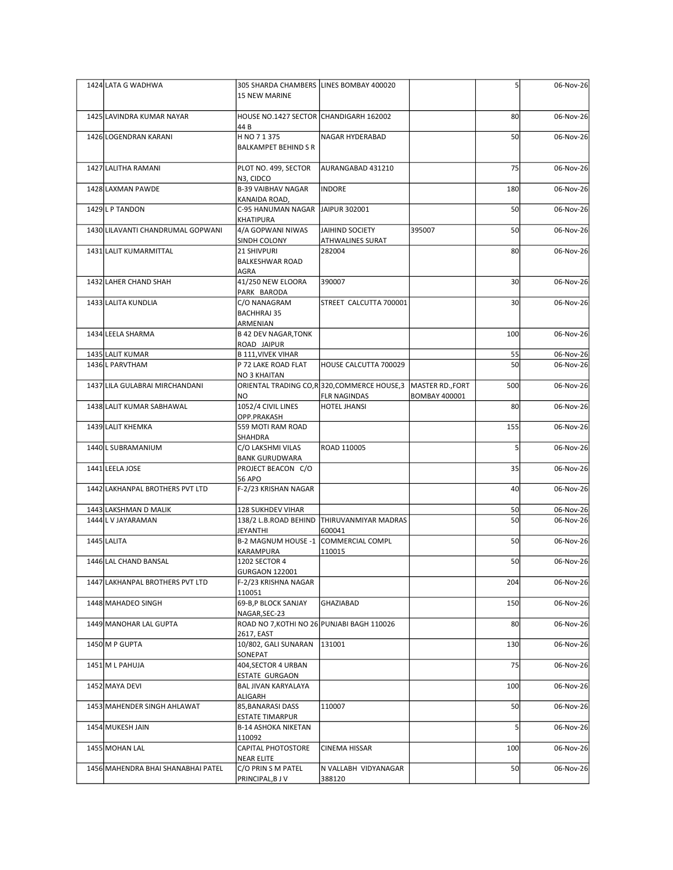|  | 1424 LATA G WADHWA                          | 305 SHARDA CHAMBERS LINES BOMBAY 400020<br>15 NEW MARINE    |                                                              |                      |                 | 06-Nov-26              |
|--|---------------------------------------------|-------------------------------------------------------------|--------------------------------------------------------------|----------------------|-----------------|------------------------|
|  | 1425 LAVINDRA KUMAR NAYAR                   | HOUSE NO.1427 SECTOR CHANDIGARH 162002<br>44 B              |                                                              |                      | 80              | 06-Nov-26              |
|  | 1426 LOGENDRAN KARANI                       | H NO 7 1 375<br><b>BALKAMPET BEHIND S R</b>                 | NAGAR HYDERABAD                                              |                      | 50              | 06-Nov-26              |
|  | 1427 LALITHA RAMANI                         | PLOT NO. 499, SECTOR                                        | AURANGABAD 431210                                            |                      | 75              | 06-Nov-26              |
|  | 1428 LAXMAN PAWDE                           | N3, CIDCO<br>B-39 VAIBHAV NAGAR<br>KANAIDA ROAD,            | INDORE                                                       |                      | 180             | 06-Nov-26              |
|  | 1429 L P TANDON                             | C-95 HANUMAN NAGAR JAIPUR 302001<br>KHATIPURA               |                                                              |                      | 50              | 06-Nov-26              |
|  | 1430 LILAVANTI CHANDRUMAL GOPWANI           | 4/A GOPWANI NIWAS<br>SINDH COLONY                           | JAIHIND SOCIETY<br><b>ATHWALINES SURAT</b>                   | 395007               | 50              | 06-Nov-26              |
|  | 1431 LALIT KUMARMITTAL                      | 21 SHIVPURI<br><b>BALKESHWAR ROAD</b><br>AGRA               | 282004                                                       |                      | 80              | 06-Nov-26              |
|  | 1432 LAHER CHAND SHAH                       | 41/250 NEW ELOORA<br>PARK BARODA                            | 390007                                                       |                      | 30 <sup>1</sup> | 06-Nov-26              |
|  | 1433 LALITA KUNDLIA                         | C/O NANAGRAM<br><b>BACHHRAJ 35</b><br>ARMENIAN              | STREET CALCUTTA 700001                                       |                      | 30              | 06-Nov-26              |
|  | 1434 LEELA SHARMA                           | <b>B 42 DEV NAGAR, TONK</b><br>ROAD JAIPUR                  |                                                              |                      | 100             | 06-Nov-26              |
|  | 1435 LALIT KUMAR<br>1436 L PARVTHAM         | B 111, VIVEK VIHAR<br>P 72 LAKE ROAD FLAT                   | HOUSE CALCUTTA 700029                                        |                      | 55<br>50        | 06-Nov-26<br>06-Nov-26 |
|  | 1437 LILA GULABRAI MIRCHANDANI              | <b>NO 3 KHAITAN</b>                                         | ORIENTAL TRADING CO,R 320, COMMERCE HOUSE,3 MASTER RD., FORT |                      | 500             | 06-Nov-26              |
|  | 1438 LALIT KUMAR SABHAWAL                   | NO<br>1052/4 CIVIL LINES                                    | <b>FLR NAGINDAS</b><br><b>HOTEL JHANSI</b>                   | <b>BOMBAY 400001</b> | 80              | 06-Nov-26              |
|  | 1439 LALIT KHEMKA                           | OPP.PRAKASH<br>559 MOTI RAM ROAD                            |                                                              |                      | 155             | 06-Nov-26              |
|  | 1440 L SUBRAMANIUM                          | SHAHDRA<br>C/O LAKSHMI VILAS                                | ROAD 110005                                                  |                      |                 | 06-Nov-26              |
|  | 1441 LEELA JOSE                             | <b>BANK GURUDWARA</b><br>PROJECT BEACON C/O                 |                                                              |                      | 35              | 06-Nov-26              |
|  | 1442 LAKHANPAL BROTHERS PVT LTD             | <b>56 APO</b><br>F-2/23 KRISHAN NAGAR                       |                                                              |                      | 40              | 06-Nov-26              |
|  | 1443 LAKSHMAN D MALIK<br>1444 L V JAYARAMAN | 128 SUKHDEV VIHAR                                           | 138/2 L.B.ROAD BEHIND THIRUVANMIYAR MADRAS                   |                      | 50<br>50        | 06-Nov-26<br>06-Nov-26 |
|  | 1445 LALITA                                 | JEYANTHI<br>B-2 MAGNUM HOUSE -1 COMMERCIAL COMPL            | 600041                                                       |                      | 50              | 06-Nov-26              |
|  | 1446 LAL CHAND BANSAL                       | KARAMPURA<br>1202 SECTOR 4                                  | 110015                                                       |                      | 50              | 06-Nov-26              |
|  | 1447 LAKHANPAL BROTHERS PVT LTD             | <b>GURGAON 122001</b><br>F-2/23 KRISHNA NAGAR               |                                                              |                      | 204             | 06-Nov-26              |
|  | 1448 MAHADEO SINGH                          | 110051<br>69-B,P BLOCK SANJAY                               | GHAZIABAD                                                    |                      | 150             | 06-Nov-26              |
|  | 1449 MANOHAR LAL GUPTA                      | NAGAR, SEC-23<br>ROAD NO 7, KOTHI NO 26 PUNJABI BAGH 110026 |                                                              |                      | 80              | 06-Nov-26              |
|  | 1450 M P GUPTA                              | 2617, EAST<br>10/802, GALI SUNARAN 131001                   |                                                              |                      | 130             | 06-Nov-26              |
|  | 1451 M L PAHUJA                             | SONEPAT<br>404, SECTOR 4 URBAN                              |                                                              |                      | 75              | 06-Nov-26              |
|  | 1452 MAYA DEVI                              | <b>ESTATE GURGAON</b><br>BAL JIVAN KARYALAYA                |                                                              |                      | 100             | 06-Nov-26              |
|  | 1453 MAHENDER SINGH AHLAWAT                 | ALIGARH<br>85, BANARASI DASS<br><b>ESTATE TIMARPUR</b>      | 110007                                                       |                      | 50              | 06-Nov-26              |
|  | 1454 MUKESH JAIN                            | <b>B-14 ASHOKA NIKETAN</b><br>110092                        |                                                              |                      |                 | 06-Nov-26              |
|  | 1455 MOHAN LAL                              | CAPITAL PHOTOSTORE<br>NEAR ELITE                            | CINEMA HISSAR                                                |                      | 100             | 06-Nov-26              |
|  | 1456 MAHENDRA BHAI SHANABHAI PATEL          | C/O PRIN S M PATEL<br>PRINCIPAL, B J V                      | N VALLABH VIDYANAGAR<br>388120                               |                      | 50              | 06-Nov-26              |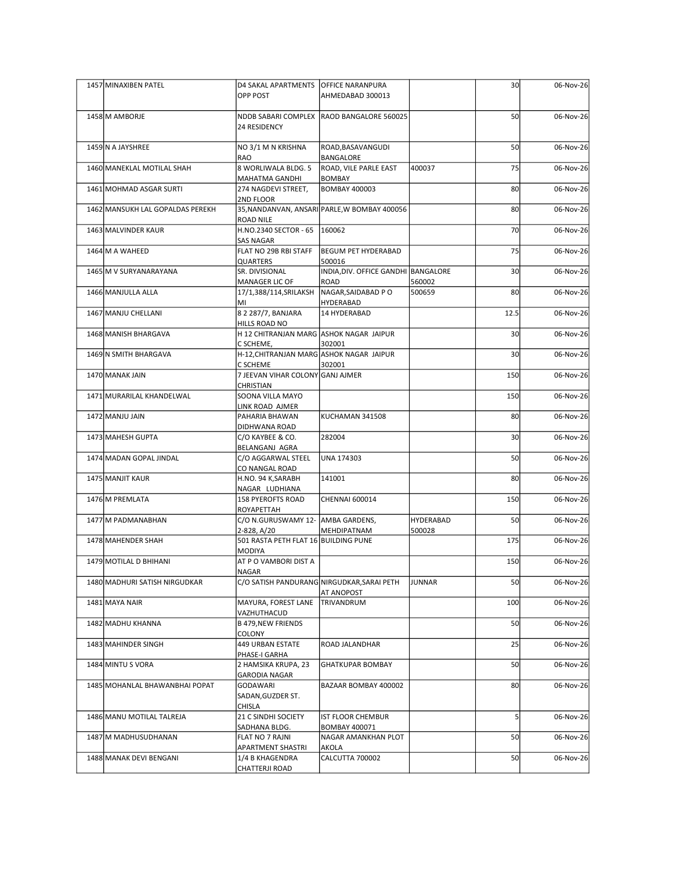| 1457 MINAXIBEN PATEL             | D4 SAKAL APARTMENTS OFFICE NARANPURA<br>OPP POST         | AHMEDABAD 300013                             |                  | 30              | 06-Nov-26 |
|----------------------------------|----------------------------------------------------------|----------------------------------------------|------------------|-----------------|-----------|
| 1458 M AMBORJE                   | 24 RESIDENCY                                             | NDDB SABARI COMPLEX   RAOD BANGALORE 560025  |                  | 50              | 06-Nov-26 |
| 1459 N A JAYSHREE                | NO 3/1 M N KRISHNA                                       | ROAD, BASAVANGUDI                            |                  | 50              | 06-Nov-26 |
| 1460 MANEKLAL MOTILAL SHAH       | RAO<br>8 WORLIWALA BLDG. 5                               | BANGALORE<br>ROAD, VILE PARLE EAST           | 400037           | 75              | 06-Nov-26 |
| 1461 MOHMAD ASGAR SURTI          | MAHATMA GANDHI<br>274 NAGDEVI STREET,                    | <b>BOMBAY</b><br><b>BOMBAY 400003</b>        |                  | 80              | 06-Nov-26 |
|                                  | 2ND FLOOR                                                |                                              |                  |                 |           |
| 1462 MANSUKH LAL GOPALDAS PEREKH | <b>ROAD NILE</b>                                         | 35, NANDANVAN, ANSARI PARLE, W BOMBAY 400056 |                  | 80              | 06-Nov-26 |
| 1463 MALVINDER KAUR              | H.NO.2340 SECTOR - 65   160062<br><b>SAS NAGAR</b>       |                                              |                  | 70              | 06-Nov-26 |
| 1464 M A WAHEED                  | FLAT NO 29B RBI STAFF<br>QUARTERS                        | BEGUM PET HYDERABAD<br>500016                |                  | 75              | 06-Nov-26 |
| 1465 M V SURYANARAYANA           | SR. DIVISIONAL                                           | INDIA, DIV. OFFICE GANDHI BANGALORE          |                  | 30              | 06-Nov-26 |
| 1466 MANJULLA ALLA               | MANAGER LIC OF<br>17/1,388/114,SRILAKSH                  | ROAD<br>NAGAR, SAIDABAD PO                   | 560002<br>500659 | 80              | 06-Nov-26 |
| 1467 MANJU CHELLANI              | ∣MI⊟<br>8 2 287/7, BANJARA                               | HYDERABAD<br>14 HYDERABAD                    |                  | 12.5            | 06-Nov-26 |
| 1468 MANISH BHARGAVA             | HILLS ROAD NO<br>H 12 CHITRANJAN MARG ASHOK NAGAR JAIPUR |                                              |                  | 30 <sup>1</sup> | 06-Nov-26 |
| 1469 N SMITH BHARGAVA            | C SCHEME,<br>H-12, CHITRANJAN MARG ASHOK NAGAR JAIPUR    | 302001                                       |                  | 30 <sup>1</sup> | 06-Nov-26 |
| 1470 MANAK JAIN                  | C SCHEME<br>7 JEEVAN VIHAR COLONY GANJ AJMER             | 302001                                       |                  | 150             | 06-Nov-26 |
|                                  | <b>CHRISTIAN</b>                                         |                                              |                  |                 |           |
| 1471 MURARILAL KHANDELWAL        | SOONA VILLA MAYO<br>LINK ROAD AJMER                      |                                              |                  | 150             | 06-Nov-26 |
| 1472 MANJU JAIN                  | PAHARIA BHAWAN<br>DIDHWANA ROAD                          | KUCHAMAN 341508                              |                  | 80              | 06-Nov-26 |
| 1473 MAHESH GUPTA                | C/O KAYBEE & CO.<br>BELANGANJ AGRA                       | 282004                                       |                  | 30 <sup>1</sup> | 06-Nov-26 |
| 1474 MADAN GOPAL JINDAL          | C/O AGGARWAL STEEL                                       | UNA 174303                                   |                  | 50              | 06-Nov-26 |
| 1475 MANJIT KAUR                 | CO NANGAL ROAD<br>H.NO. 94 K, SARABH                     | 141001                                       |                  | 80              | 06-Nov-26 |
| 1476 M PREMLATA                  | NAGAR LUDHIANA<br>158 PYEROFTS ROAD                      | CHENNAI 600014                               |                  | 150             | 06-Nov-26 |
| 1477 M PADMANABHAN               | ROYAPETTAH<br>C/O N.GURUSWAMY 12- AMBA GARDENS,          |                                              | HYDERABAD        | 50              | 06-Nov-26 |
| 1478 MAHENDER SHAH               | 2-828, A/20<br>501 RASTA PETH FLAT 16 BUILDING PUNE      | MEHDIPATNAM                                  | 500028           | 175             | 06-Nov-26 |
|                                  | MODIYA                                                   |                                              |                  |                 |           |
| 1479 MOTILAL D BHIHANI           | AT P O VAMBORI DIST A<br><b>NAGAR</b>                    |                                              |                  | 150             | 06-Nov-26 |
| 1480 MADHURI SATISH NIRGUDKAR    | C/O SATISH PANDURANG NIRGUDKAR, SARAI PETH               | AT ANOPOST                                   | JUNNAR           | 50              | 06-Nov-26 |
| 1481 MAYA NAIR                   | MAYURA, FOREST LANE<br>VAZHUTHACUD                       | TRIVANDRUM                                   |                  | 100             | 06-Nov-26 |
| 1482 MADHU KHANNA                | B 479, NEW FRIENDS                                       |                                              |                  | 50              | 06-Nov-26 |
| 1483 MAHINDER SINGH              | COLONY<br>449 URBAN ESTATE                               | <b>ROAD JALANDHAR</b>                        |                  | 25              | 06-Nov-26 |
| 1484 MINTU S VORA                | PHASE-I GARHA<br>2 HAMSIKA KRUPA, 23                     | <b>GHATKUPAR BOMBAY</b>                      |                  | 50              | 06-Nov-26 |
| 1485 MOHANLAL BHAWANBHAI POPAT   | <b>GARODIA NAGAR</b>                                     |                                              |                  | 80              |           |
|                                  | GODAWARI<br>SADAN, GUZDER ST.                            | BAZAAR BOMBAY 400002                         |                  |                 | 06-Nov-26 |
| 1486 MANU MOTILAL TALREJA        | CHISLA<br>21 C SINDHI SOCIETY                            | <b>IST FLOOR CHEMBUR</b>                     |                  |                 | 06-Nov-26 |
| 1487 M MADHUSUDHANAN             | SADHANA BLDG.<br>FLAT NO 7 RAJNI                         | <b>BOMBAY 400071</b><br>NAGAR AMANKHAN PLOT  |                  | 50              | 06-Nov-26 |
|                                  | <b>APARTMENT SHASTRI</b>                                 | <b>AKOLA</b>                                 |                  |                 |           |
| 1488 MANAK DEVI BENGANI          | 1/4 B KHAGENDRA<br>CHATTERJI ROAD                        | CALCUTTA 700002                              |                  | 50              | 06-Nov-26 |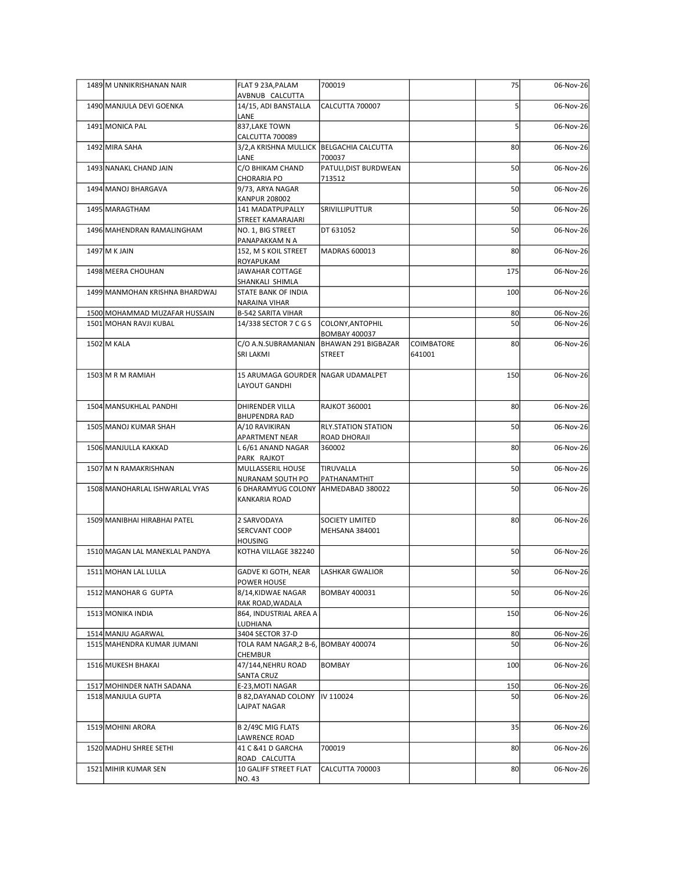| 1489 M UNNIKRISHANAN NAIR      | FLAT 9 23A, PALAM                                       | 700019                                   |                      | 75  | 06-Nov-26 |
|--------------------------------|---------------------------------------------------------|------------------------------------------|----------------------|-----|-----------|
| 1490 MANJULA DEVI GOENKA       | AVBNUB CALCUTTA<br>14/15, ADI BANSTALLA<br>LANE         | CALCUTTA 700007                          |                      |     | 06-Nov-26 |
| 1491 MONICA PAL                | 837, LAKE TOWN<br>CALCUTTA 700089                       |                                          |                      |     | 06-Nov-26 |
| 1492 MIRA SAHA                 | 3/2,A KRISHNA MULLICK   BELGACHIA CALCUTTA<br>LANE      | 700037                                   |                      | 80  | 06-Nov-26 |
| 1493 NANAKL CHAND JAIN         | C/O BHIKAM CHAND                                        | PATULI, DIST BURDWEAN                    |                      | 50  | 06-Nov-26 |
| 1494 MANOJ BHARGAVA            | <b>CHORARIA PO</b><br>9/73, ARYA NAGAR                  | 713512                                   |                      | 50  | 06-Nov-26 |
| 1495 MARAGTHAM                 | <b>KANPUR 208002</b><br>141 MADATPUPALLY                | SRIVILLIPUTTUR                           |                      | 50  | 06-Nov-26 |
| 1496 MAHENDRAN RAMALINGHAM     | STREET KAMARAJARI<br>NO. 1, BIG STREET                  | DT 631052                                |                      | 50  | 06-Nov-26 |
| 1497 M K JAIN                  | PANAPAKKAM N A<br>152, M S KOIL STREET                  | MADRAS 600013                            |                      | 80  | 06-Nov-26 |
| 1498 MEERA CHOUHAN             | ROYAPUKAM<br>JAWAHAR COTTAGE                            |                                          |                      | 175 | 06-Nov-26 |
|                                | SHANKALI SHIMLA                                         |                                          |                      |     |           |
| 1499 MANMOHAN KRISHNA BHARDWAJ | STATE BANK OF INDIA<br>NARAINA VIHAR                    |                                          |                      | 100 | 06-Nov-26 |
| 1500 MOHAMMAD MUZAFAR HUSSAIN  | <b>B-542 SARITA VIHAR</b>                               |                                          |                      | 80  | 06-Nov-26 |
| 1501 MOHAN RAVJI KUBAL         | 14/338 SECTOR 7 C G S                                   | COLONY, ANTOPHIL<br><b>BOMBAY 400037</b> |                      | 50  | 06-Nov-26 |
| 1502 M KALA                    | C/O A.N.SUBRAMANIAN<br>SRI LAKMI                        | BHAWAN 291 BIGBAZAR<br><b>STREET</b>     | COIMBATORE<br>641001 | 80  | 06-Nov-26 |
| 1503 M R M RAMIAH              | 15 ARUMAGA GOURDER NAGAR UDAMALPET<br>LAYOUT GANDHI     |                                          |                      | 150 | 06-Nov-26 |
| 1504 MANSUKHLAL PANDHI         | DHIRENDER VILLA                                         | RAJKOT 360001                            |                      | 80  | 06-Nov-26 |
| 1505 MANOJ KUMAR SHAH          | BHUPENDRA RAD<br>A/10 RAVIKIRAN                         | <b>RLY.STATION STATION</b>               |                      | 50  | 06-Nov-26 |
|                                | APARTMENT NEAR                                          | ROAD DHORAJI                             |                      |     |           |
| 1506 MANJULLA KAKKAD           | L 6/61 ANAND NAGAR<br>PARK RAJKOT                       | 360002                                   |                      | 80  | 06-Nov-26 |
| 1507 M N RAMAKRISHNAN          | MULLASSERIL HOUSE                                       | TIRUVALLA                                |                      | 50  | 06-Nov-26 |
| 1508 MANOHARLAL ISHWARLAL VYAS | NURANAM SOUTH PO<br>6 DHARAMYUG COLONY AHMEDABAD 380022 | PATHANAMTHIT                             |                      | 50  | 06-Nov-26 |
|                                | KANKARIA ROAD                                           |                                          |                      |     |           |
| 1509 MANIBHAI HIRABHAI PATEL   | 2 SARVODAYA<br>SERCVANT COOP<br><b>HOUSING</b>          | SOCIETY LIMITED<br><b>MEHSANA 384001</b> |                      | 80  | 06-Nov-26 |
| 1510 MAGAN LAL MANEKLAL PANDYA | KOTHA VILLAGE 382240                                    |                                          |                      | 50  | 06-Nov-26 |
| 1511 MOHAN LAL LULLA           | GADVE KI GOTH, NEAR                                     | LASHKAR GWALIOR                          |                      | 50  | 06-Nov-26 |
| 1512 MANOHAR G GUPTA           | POWER HOUSE<br>8/14, KIDWAE NAGAR                       | BOMBAY 400031                            |                      | 50  | 06-Nov-26 |
| 1513 MONIKA INDIA              | RAK ROAD, WADALA<br>864, INDUSTRIAL AREA A              |                                          |                      | 150 | 06-Nov-26 |
| 1514 MANJU AGARWAL             | LUDHIANA<br>3404 SECTOR 37-D                            |                                          |                      | 80  | 06-Nov-26 |
| 1515 MAHENDRA KUMAR JUMANI     | TOLA RAM NAGAR, 2 B-6, BOMBAY 400074<br>CHEMBUR         |                                          |                      | 50  | 06-Nov-26 |
| 1516 MUKESH BHAKAI             | 47/144, NEHRU ROAD<br>SANTA CRUZ                        | <b>BOMBAY</b>                            |                      | 100 | 06-Nov-26 |
| 1517 MOHINDER NATH SADANA      | E-23, MOTI NAGAR                                        |                                          |                      | 150 | 06-Nov-26 |
| 1518 MANJULA GUPTA             | B 82, DAYANAD COLONY   IV 110024<br><b>LAJPAT NAGAR</b> |                                          |                      | 50  | 06-Nov-26 |
| 1519 MOHINI ARORA              | B 2/49C MIG FLATS<br>LAWRENCE ROAD                      |                                          |                      | 35  | 06-Nov-26 |
| 1520 MADHU SHREE SETHI         | 41 C & 41 D GARCHA<br>ROAD CALCUTTA                     | 700019                                   |                      | 80  | 06-Nov-26 |
| 1521 MIHIR KUMAR SEN           | 10 GALIFF STREET FLAT                                   | CALCUTTA 700003                          |                      | 80  | 06-Nov-26 |
|                                | <b>NO.43</b>                                            |                                          |                      |     |           |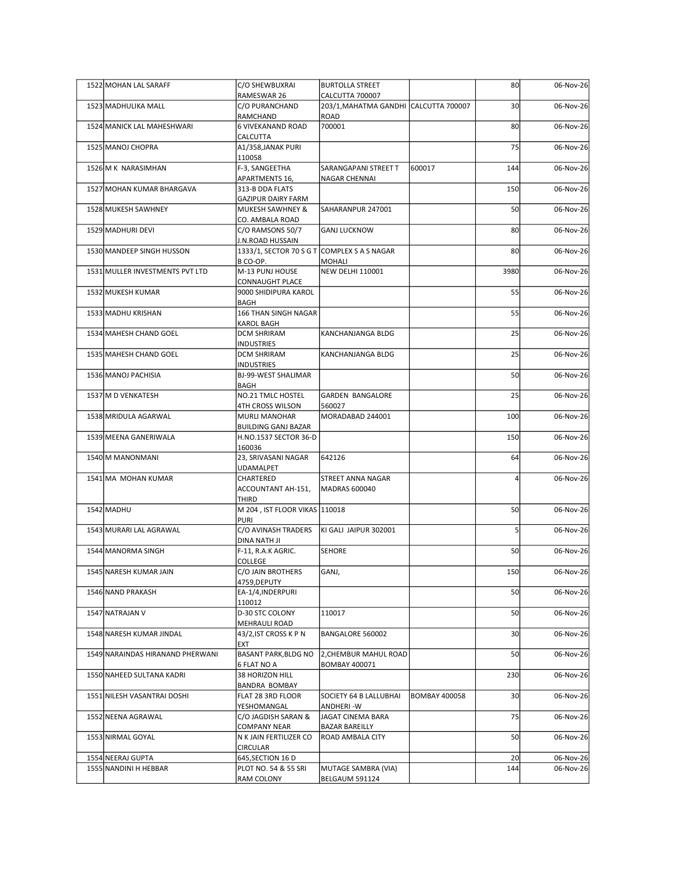| 1522 MOHAN LAL SARAFF                      | C/O SHEWBUXRAI                                                  | <b>BURTOLLA STREET</b>                           |                      | 80              | 06-Nov-26              |
|--------------------------------------------|-----------------------------------------------------------------|--------------------------------------------------|----------------------|-----------------|------------------------|
|                                            | RAMESWAR 26                                                     | CALCUTTA 700007                                  |                      |                 |                        |
| 1523 MADHULIKA MALL                        | C/O PURANCHAND<br>RAMCHAND                                      | 203/1, MAHATMA GANDHI CALCUTTA 700007<br>ROAD    |                      | 30 <sup>1</sup> | 06-Nov-26              |
| 1524 MANICK LAL MAHESHWARI                 | 6 VIVEKANAND ROAD                                               | 700001                                           |                      | 80              | 06-Nov-26              |
| 1525 MANOJ CHOPRA                          | CALCUTTA<br>A1/358, JANAK PURI                                  |                                                  |                      | 75              | 06-Nov-26              |
| 1526 M K NARASIMHAN                        | 110058<br>F-3, SANGEETHA                                        | SARANGAPANI STREET T                             | 600017               | 144             | 06-Nov-26              |
|                                            | APARTMENTS 16,                                                  | NAGAR CHENNAI                                    |                      |                 |                        |
| 1527 MOHAN KUMAR BHARGAVA                  | 313-B DDA FLATS<br><b>GAZIPUR DAIRY FARM</b>                    |                                                  |                      | 150             | 06-Nov-26              |
| 1528 MUKESH SAWHNEY                        | MUKESH SAWHNEY &                                                | SAHARANPUR 247001                                |                      | 50              | 06-Nov-26              |
| 1529 MADHURI DEVI                          | CO. AMBALA ROAD<br>C/O RAMSONS 50/7                             | <b>GANJ LUCKNOW</b>                              |                      | 80              | 06-Nov-26              |
| 1530 MANDEEP SINGH HUSSON                  | J.N.ROAD HUSSAIN<br>1333/1, SECTOR 70 S G T COMPLEX S A S NAGAR |                                                  |                      | 80              | 06-Nov-26              |
|                                            | B CO-OP.                                                        | <b>MOHALI</b>                                    |                      |                 |                        |
| 1531 MULLER INVESTMENTS PVT LTD            | M-13 PUNJ HOUSE<br>CONNAUGHT PLACE                              | <b>NEW DELHI 110001</b>                          |                      | 3980            | 06-Nov-26              |
| 1532 MUKESH KUMAR                          | 9000 SHIDIPURA KAROL                                            |                                                  |                      | 55              | 06-Nov-26              |
| 1533 MADHU KRISHAN                         | BAGH<br>166 THAN SINGH NAGAR                                    |                                                  |                      | 55              | 06-Nov-26              |
|                                            | KAROL BAGH                                                      |                                                  |                      |                 |                        |
| 1534 MAHESH CHAND GOEL                     | <b>DCM SHRIRAM</b><br><b>NDUSTRIES</b>                          | KANCHANJANGA BLDG                                |                      | 25              | 06-Nov-26              |
| 1535 MAHESH CHAND GOEL                     | <b>DCM SHRIRAM</b><br>NDUSTRIES                                 | KANCHANJANGA BLDG                                |                      | 25              | 06-Nov-26              |
| 1536 MANOJ PACHISIA                        | BJ-99-WEST SHALIMAR                                             |                                                  |                      | 50              | 06-Nov-26              |
| 1537 M D VENKATESH                         | <b>BAGH</b><br>NO.21 TMLC HOSTEL                                | <b>GARDEN BANGALORE</b>                          |                      | 25              | 06-Nov-26              |
|                                            | 4TH CROSS WILSON                                                | 560027                                           |                      |                 |                        |
| 1538 MRIDULA AGARWAL                       | MURLI MANOHAR<br><b>BUILDING GANJ BAZAR</b>                     | MORADABAD 244001                                 |                      | 100             | 06-Nov-26              |
| 1539 MEENA GANERIWALA                      | H.NO.1537 SECTOR 36-D                                           |                                                  |                      | 150             | 06-Nov-26              |
| 1540 M MANONMANI                           | 160036<br>23, SRIVASANI NAGAR                                   | 642126                                           |                      | 64              | 06-Nov-26              |
| 1541 MA MOHAN KUMAR                        | UDAMALPET<br>CHARTERED                                          | STREET ANNA NAGAR                                |                      |                 | 06-Nov-26              |
|                                            | ACCOUNTANT AH-151,                                              | MADRAS 600040                                    |                      |                 |                        |
| 1542 MADHU                                 | THIRD<br>M 204, IST FLOOR VIKAS 110018                          |                                                  |                      | 50              | 06-Nov-26              |
|                                            | <b>PURI</b>                                                     |                                                  |                      |                 |                        |
| 1543 MURARI LAL AGRAWAL                    | C/O AVINASH TRADERS<br>DINA NATH JI                             | KI GALI JAIPUR 302001                            |                      |                 | 06-Nov-26              |
| 1544 MANORMA SINGH                         | F-11, R.A.K AGRIC.<br>COLLEGE                                   | <b>SEHORE</b>                                    |                      | 50              | 06-Nov-26              |
| 1545 NARESH KUMAR JAIN                     | C/O JAIN BROTHERS                                               | GANJ,                                            |                      | 150             | 06-Nov-26              |
| 1546 NAND PRAKASH                          | 4759,DEPUTY<br>EA-1/4, INDERPURI                                |                                                  |                      | 50              | 06-Nov-26              |
|                                            | 110012                                                          |                                                  |                      |                 |                        |
| 1547 NATRAJAN V                            | D-30 STC COLONY<br>MEHRAULI ROAD                                | 110017                                           |                      | 50              | 06-Nov-26              |
| 1548 NARESH KUMAR JINDAL                   | 43/2, IST CROSS K P N                                           | BANGALORE 560002                                 |                      | 30 <sup>1</sup> | 06-Nov-26              |
| 1549 NARAINDAS HIRANAND PHERWANI           | EXT<br><b>BASANT PARK, BLDG NO</b>                              | 2, CHEMBUR MAHUL ROAD                            |                      | 50              | 06-Nov-26              |
|                                            | 6 FLAT NO A                                                     | <b>BOMBAY 400071</b>                             |                      |                 |                        |
| 1550 NAHEED SULTANA KADRI                  | 38 HORIZON HILL<br>BANDRA BOMBAY                                |                                                  |                      | 230             | 06-Nov-26              |
| 1551 NILESH VASANTRAI DOSHI                | FLAT 28 3RD FLOOR                                               | SOCIETY 64 B LALLUBHAI                           | <b>BOMBAY 400058</b> | 30 <sub>1</sub> | 06-Nov-26              |
| 1552 NEENA AGRAWAL                         | YESHOMANGAL<br>C/O JAGDISH SARAN &                              | ANDHERI-W<br>JAGAT CINEMA BARA                   |                      | 75              | 06-Nov-26              |
| 1553 NIRMAL GOYAL                          | <b>COMPANY NEAR</b><br>N K JAIN FERTILIZER CO                   | <b>BAZAR BAREILLY</b><br><b>ROAD AMBALA CITY</b> |                      | 50              | 06-Nov-26              |
|                                            | CIRCULAR                                                        |                                                  |                      |                 |                        |
| 1554 NEERAJ GUPTA<br>1555 NANDINI H HEBBAR | 645, SECTION 16 D<br>PLOT NO. 54 & 55 SRI                       | MUTAGE SAMBRA (VIA)                              |                      | 20<br>144       | 06-Nov-26<br>06-Nov-26 |
|                                            | <b>RAM COLONY</b>                                               | BELGAUM 591124                                   |                      |                 |                        |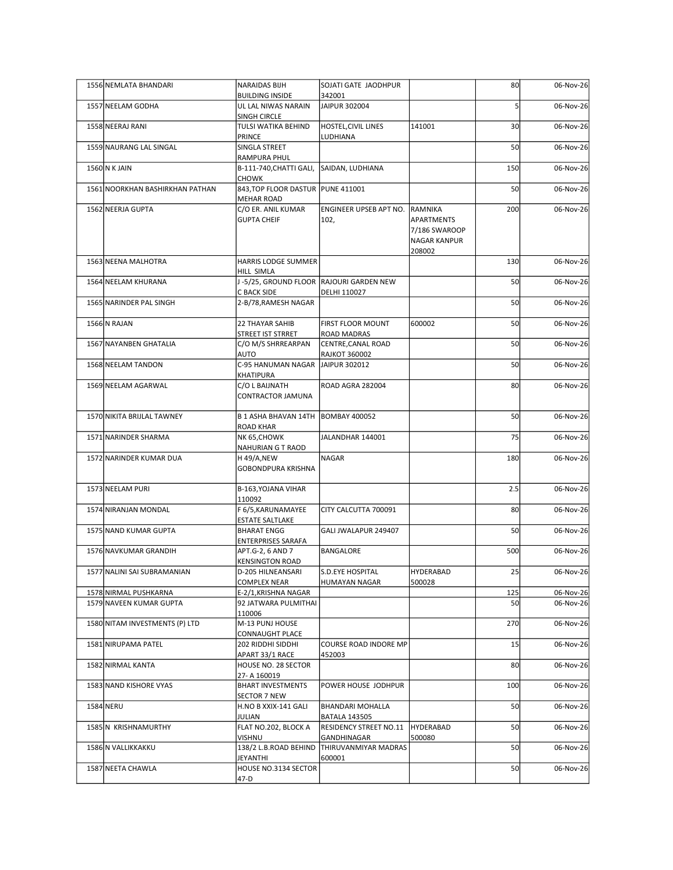| 1556 NEMLATA BHANDARI           | NARAIDAS BIJH                                       | SOJATI GATE JAODHPUR                                      |                                      | 80              | 06-Nov-26 |
|---------------------------------|-----------------------------------------------------|-----------------------------------------------------------|--------------------------------------|-----------------|-----------|
| 1557 NEELAM GODHA               | <b>BUILDING INSIDE</b><br>UL LAL NIWAS NARAIN       | 342001<br>JAIPUR 302004                                   |                                      |                 | 06-Nov-26 |
| 1558 NEERAJ RANI                | SINGH CIRCLE<br>TULSI WATIKA BEHIND                 | <b>HOSTEL, CIVIL LINES</b>                                | 141001                               | 30 <sub>l</sub> | 06-Nov-26 |
|                                 | PRINCE                                              | LUDHIANA                                                  |                                      |                 |           |
| 1559 NAURANG LAL SINGAL         | SINGLA STREET<br>RAMPURA PHUL                       |                                                           |                                      | 50              | 06-Nov-26 |
| 1560 N K JAIN                   | B-111-740, CHATTI GALI, SAIDAN, LUDHIANA            |                                                           |                                      | 150             | 06-Nov-26 |
| 1561 NOORKHAN BASHIRKHAN PATHAN | <b>CHOWK</b><br>843, TOP FLOOR DASTUR   PUNE 411001 |                                                           |                                      | 50              | 06-Nov-26 |
|                                 | <b>MEHAR ROAD</b>                                   |                                                           |                                      |                 |           |
| 1562 NEERJA GUPTA               | C/O ER. ANIL KUMAR<br><b>GUPTA CHEIF</b>            | ENGINEER UPSEB APT NO.<br>102,                            | RAMNIKA<br>APARTMENTS                | 200             | 06-Nov-26 |
|                                 |                                                     |                                                           | 7/186 SWAROOP<br><b>NAGAR KANPUR</b> |                 |           |
|                                 |                                                     |                                                           | 208002                               |                 |           |
| 1563 NEENA MALHOTRA             | HARRIS LODGE SUMMER<br>HILL SIMLA                   |                                                           |                                      | 130             | 06-Nov-26 |
| 1564 NEELAM KHURANA             |                                                     | -5/25, GROUND FLOOR RAJOURI GARDEN NEW                    |                                      | 50              | 06-Nov-26 |
| 1565 NARINDER PAL SINGH         | C BACK SIDE<br>2-B/78, RAMESH NAGAR                 | DELHI 110027                                              |                                      | 50              | 06-Nov-26 |
| 1566 N RAJAN                    | 22 THAYAR SAHIB                                     | FIRST FLOOR MOUNT                                         | 600002                               | 50              | 06-Nov-26 |
|                                 | STREET IST STRRET                                   | ROAD MADRAS                                               |                                      |                 |           |
| 1567 NAYANBEN GHATALIA          | C/O M/S SHRREARPAN<br>AUTO                          | CENTRE, CANAL ROAD<br><b>RAJKOT 360002</b>                |                                      | 50              | 06-Nov-26 |
| 1568 NEELAM TANDON              | C-95 HANUMAN NAGAR JAIPUR 302012                    |                                                           |                                      | 50              | 06-Nov-26 |
| 1569 NEELAM AGARWAL             | KHATIPURA<br>C/O L BAIJNATH                         | ROAD AGRA 282004                                          |                                      | 80              | 06-Nov-26 |
|                                 | CONTRACTOR JAMUNA                                   |                                                           |                                      |                 |           |
| 1570 NIKITA BRIJLAL TAWNEY      | B 1 ASHA BHAVAN 14TH BOMBAY 400052                  |                                                           |                                      | 50              | 06-Nov-26 |
| 1571 NARINDER SHARMA            | <b>ROAD KHAR</b><br>NK 65, CHOWK                    | JALANDHAR 144001                                          |                                      | 75              | 06-Nov-26 |
|                                 | NAHURIAN G T RAOD                                   |                                                           |                                      |                 |           |
| 1572 NARINDER KUMAR DUA         | H 49/A,NEW<br>GOBONDPURA KRISHNA                    | <b>NAGAR</b>                                              |                                      | 180             | 06-Nov-26 |
|                                 |                                                     |                                                           |                                      |                 |           |
| 1573 NEELAM PURI                | B-163, YOJANA VIHAR<br>10092                        |                                                           |                                      | 2.5             | 06-Nov-26 |
| 1574 NIRANJAN MONDAL            | F 6/5, KARUNAMAYEE                                  | CITY CALCUTTA 700091                                      |                                      | 80              | 06-Nov-26 |
| 1575 NAND KUMAR GUPTA           | <b>ESTATE SALTLAKE</b><br><b>BHARAT ENGG</b>        | GALI JWALAPUR 249407                                      |                                      | 50              | 06-Nov-26 |
| 1576 NAVKUMAR GRANDIH           | <b>ENTERPRISES SARAFA</b><br>APT.G-2, 6 AND 7       | BANGALORE                                                 |                                      | 500             | 06-Nov-26 |
|                                 | <b>KENSINGTON ROAD</b>                              |                                                           |                                      |                 |           |
| 1577 NALINI SAI SUBRAMANIAN     | D-205 HILNEANSARI<br>COMPLEX NEAR                   | S.D.EYE HOSPITAL<br><b>HUMAYAN NAGAR</b>                  | <b>HYDERABAD</b><br>500028           | 25              | 06-Nov-26 |
| 1578 NIRMAL PUSHKARNA           | E-2/1,KRISHNA NAGAR                                 |                                                           |                                      | 125             | 06-Nov-26 |
| 1579 NAVEEN KUMAR GUPTA         | 92 JATWARA PULMITHAI<br>110006                      |                                                           |                                      | 50              | 06-Nov-26 |
| 1580 NITAM INVESTMENTS (P) LTD  | M-13 PUNJ HOUSE                                     |                                                           |                                      | 270             | 06-Nov-26 |
| 1581 NIRUPAMA PATEL             | CONNAUGHT PLACE<br>202 RIDDHI SIDDHI                | COURSE ROAD INDORE MP                                     |                                      | 15              | 06-Nov-26 |
| 1582 NIRMAL KANTA               | APART 33/1 RACE<br>HOUSE NO. 28 SECTOR              | 452003                                                    |                                      | 80              | 06-Nov-26 |
|                                 | 27-A 160019                                         |                                                           |                                      |                 |           |
| 1583 NAND KISHORE VYAS          | <b>BHART INVESTMENTS</b><br>SECTOR 7 NEW            | POWER HOUSE JODHPUR                                       |                                      | 100             | 06-Nov-26 |
| 1584 NERU                       | H.NO B XXIX-141 GALI                                | <b>BHANDARI MOHALLA</b>                                   |                                      | 50              | 06-Nov-26 |
| 1585 N KRISHNAMURTHY            | JULIAN<br>FLAT NO.202, BLOCK A                      | <b>BATALA 143505</b><br><b>RESIDENCY STREET NO.11</b>     | HYDERABAD                            | 50              | 06-Nov-26 |
| 1586 N VALLIKKAKKU              | VISHNU                                              | GANDHINAGAR<br>138/2 L.B.ROAD BEHIND THIRUVANMIYAR MADRAS | 500080                               | 50              | 06-Nov-26 |
|                                 | JEYANTHI                                            | 600001                                                    |                                      |                 |           |
| 1587 NEETA CHAWLA               | HOUSE NO.3134 SECTOR<br>47-D                        |                                                           |                                      | 50              | 06-Nov-26 |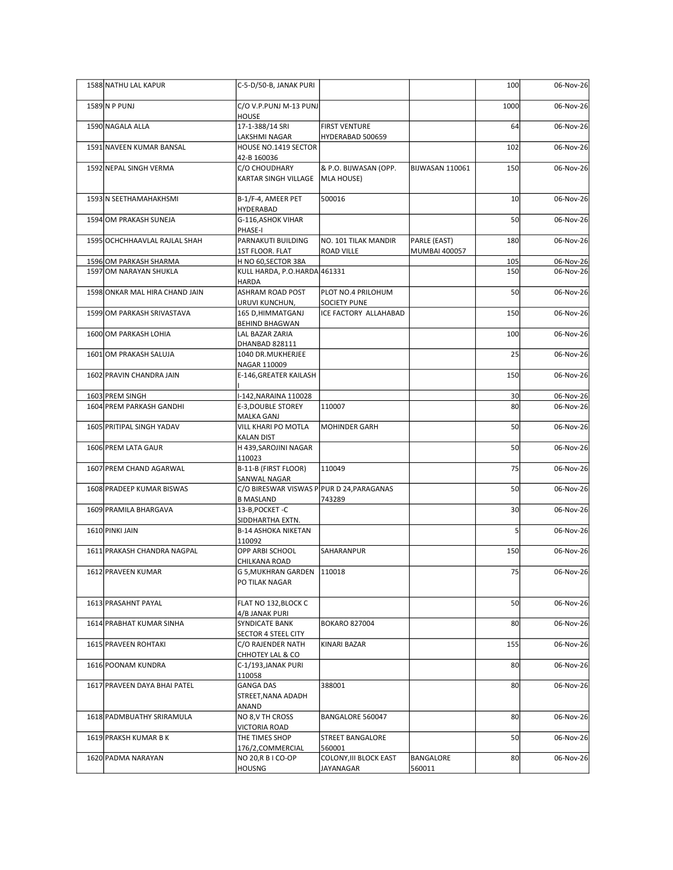| 1588 NATHU LAL KAPUR                             | C-5-D/50-B, JANAK PURI                                        |                                     |                      | 100             | 06-Nov-26              |
|--------------------------------------------------|---------------------------------------------------------------|-------------------------------------|----------------------|-----------------|------------------------|
| 1589 N P PUNJ                                    | $C/O$ V.P.PUNJ M-13 PUNJ<br>HOUSE                             |                                     |                      | 1000            | 06-Nov-26              |
| 1590 NAGALA ALLA                                 | 17-1-388/14 SRI                                               | <b>FIRST VENTURE</b>                |                      | 64              | 06-Nov-26              |
| 1591 NAVEEN KUMAR BANSAL                         | LAKSHMI NAGAR<br>HOUSE NO.1419 SECTOR                         | HYDERABAD 500659                    |                      | 102             | 06-Nov-26              |
| 1592 NEPAL SINGH VERMA                           | 42-B 160036<br>C/O CHOUDHARY                                  | & P.O. BIJWASAN (OPP.               | BIJWASAN 110061      | 150             | 06-Nov-26              |
|                                                  | KARTAR SINGH VILLAGE                                          | MLA HOUSE)                          |                      |                 |                        |
| 1593 N SEETHAMAHAKHSMI                           | B-1/F-4, AMEER PET                                            | 500016                              |                      | 10              | 06-Nov-26              |
| 1594 OM PRAKASH SUNEJA                           | <b>HYDERABAD</b><br>G-116, ASHOK VIHAR                        |                                     |                      | 50              | 06-Nov-26              |
| 1595 OCHCHHAAVLAL RAJLAL SHAH                    | PHASE-I<br>PARNAKUTI BUILDING                                 | NO. 101 TILAK MANDIR                | PARLE (EAST)         | 180             | 06-Nov-26              |
|                                                  | 1ST FLOOR. FLAT                                               | ROAD VILLE                          | <b>MUMBAI 400057</b> |                 |                        |
| 1596 OM PARKASH SHARMA<br>1597 OM NARAYAN SHUKLA | H NO 60, SECTOR 38A<br>KULL HARDA, P.O.HARDA 461331           |                                     |                      | 105<br>150      | 06-Nov-26<br>06-Nov-26 |
| 1598 ONKAR MAL HIRA CHAND JAIN                   | <b>HARDA</b><br>ASHRAM ROAD POST                              | PLOT NO.4 PRILOHUM                  |                      | 50              | 06-Nov-26              |
|                                                  | URUVI KUNCHUN,                                                | SOCIETY PUNE                        |                      |                 |                        |
| 1599 OM PARKASH SRIVASTAVA                       | 165 D, HIMMATGANJ<br><b>BEHIND BHAGWAN</b>                    | ICE FACTORY ALLAHABAD               |                      | 150             | 06-Nov-26              |
| 1600 OM PARKASH LOHIA                            | LAL BAZAR ZARIA<br>DHANBAD 828111                             |                                     |                      | 100             | 06-Nov-26              |
| 1601 OM PRAKASH SALUJA                           | 1040 DR.MUKHERJEE<br>NAGAR 110009                             |                                     |                      | 25              | 06-Nov-26              |
| 1602 PRAVIN CHANDRA JAIN                         | E-146, GREATER KAILASH                                        |                                     |                      | 150             | 06-Nov-26              |
| 1603 PREM SINGH                                  | I-142, NARAINA 110028                                         |                                     |                      | 30 <sub>1</sub> | 06-Nov-26              |
| 1604 PREM PARKASH GANDHI                         | E-3, DOUBLE STOREY<br>MALKA GANJ                              | 110007                              |                      | 80 <sup>1</sup> | 06-Nov-26              |
| 1605 PRITIPAL SINGH YADAV                        | VILL KHARI PO MOTLA                                           | MOHINDER GARH                       |                      | 50              | 06-Nov-26              |
| 1606 PREM LATA GAUR                              | <b>KALAN DIST</b><br>H 439, SAROJINI NAGAR                    |                                     |                      | 50              | 06-Nov-26              |
| 1607 PREM CHAND AGARWAL                          | 110023<br>B-11-B (FIRST FLOOR)                                | 110049                              |                      | 75              | 06-Nov-26              |
|                                                  | SANWAL NAGAR                                                  |                                     |                      |                 |                        |
| 1608 PRADEEP KUMAR BISWAS                        | C/O BIRESWAR VISWAS P PUR D 24, PARAGANAS<br><b>B MASLAND</b> | 743289                              |                      | 50              | 06-Nov-26              |
| 1609 PRAMILA BHARGAVA                            | 13-B, POCKET-C<br>SIDDHARTHA EXTN.                            |                                     |                      | 30 <sup>1</sup> | 06-Nov-26              |
| 1610 PINKI JAIN                                  | <b>B-14 ASHOKA NIKETAN</b>                                    |                                     |                      |                 | 06-Nov-26              |
| 1611 PRAKASH CHANDRA NAGPAL                      | 110092<br>OPP ARBI SCHOOL                                     | SAHARANPUR                          |                      | 150             | 06-Nov-26              |
| 1612 PRAVEEN KUMAR                               | CHILKANA ROAD<br>G 5, MUKHRAN GARDEN 110018                   |                                     |                      | 75              | 06-Nov-26              |
|                                                  | PO TILAK NAGAR                                                |                                     |                      |                 |                        |
| 1613 PRASAHNT PAYAL                              | FLAT NO 132, BLOCK C                                          |                                     |                      | 50              | 06-Nov-26              |
| 1614 PRABHAT KUMAR SINHA                         | 4/B JANAK PURI<br>SYNDICATE BANK                              | <b>BOKARO 827004</b>                |                      | 80              | 06-Nov-26              |
| 1615 PRAVEEN ROHTAKI                             | SECTOR 4 STEEL CITY<br>C/O RAJENDER NATH                      | KINARI BAZAR                        |                      | 155             | 06-Nov-26              |
| 1616 POONAM KUNDRA                               | CHHOTEY LAL & CO<br>C-1/193, JANAK PURI                       |                                     |                      | 80              | 06-Nov-26              |
|                                                  | 110058                                                        |                                     |                      |                 |                        |
| 1617 PRAVEEN DAYA BHAI PATEL                     | <b>GANGA DAS</b><br>STREET, NANA ADADH                        | 388001                              |                      | 80              | 06-Nov-26              |
| 1618 PADMBUATHY SRIRAMULA                        | ANAND<br>NO 8, V TH CROSS                                     | BANGALORE 560047                    |                      | 80              | 06-Nov-26              |
| 1619 PRAKSH KUMAR B K                            | VICTORIA ROAD<br>THE TIMES SHOP                               | <b>STREET BANGALORE</b>             |                      | 50              | 06-Nov-26              |
|                                                  | 176/2, COMMERCIAL                                             | 560001                              |                      |                 |                        |
| 1620 PADMA NARAYAN                               | NO 20, R B I CO-OP<br><b>HOUSNG</b>                           | COLONY, III BLOCK EAST<br>JAYANAGAR | BANGALORE<br>560011  | 80 <sup>1</sup> | 06-Nov-26              |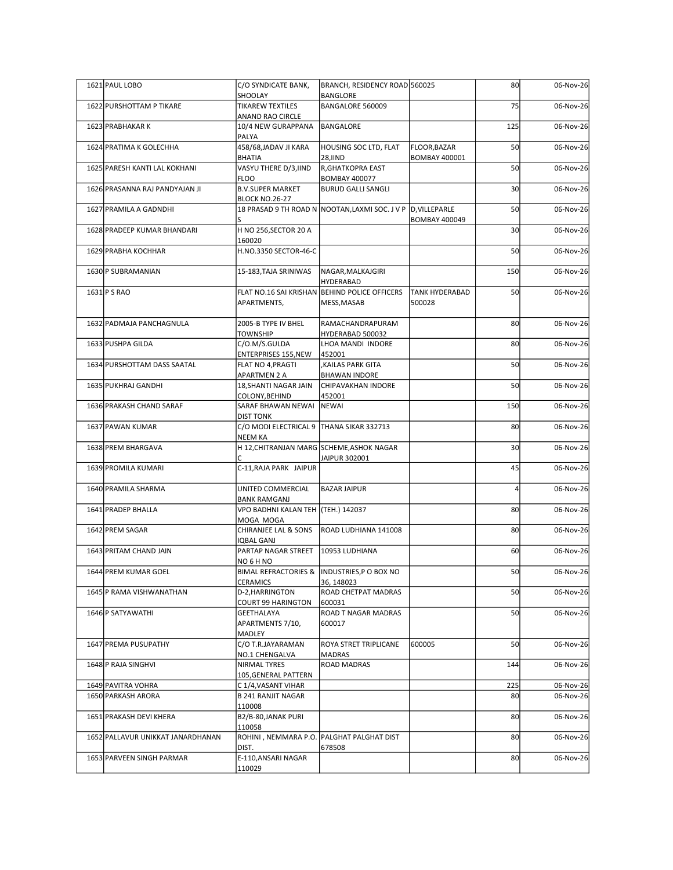| 1621 PAUL LOBO                           | C/O SYNDICATE BANK,                                        | BRANCH, RESIDENCY ROAD 560025                                             |                                  | 80              | 06-Nov-26              |
|------------------------------------------|------------------------------------------------------------|---------------------------------------------------------------------------|----------------------------------|-----------------|------------------------|
| 1622 PURSHOTTAM P TIKARE                 | SHOOLAY<br><b>TIKAREW TEXTILES</b>                         | BANGLORE<br>BANGALORE 560009                                              |                                  | 75              | 06-Nov-26              |
| 1623 PRABHAKAR K                         | ANAND RAO CIRCLE<br>10/4 NEW GURAPPANA                     | BANGALORE                                                                 |                                  | 125             | 06-Nov-26              |
| 1624 PRATIMA K GOLECHHA                  | PALYA<br>458/68, JADAV JI KARA                             | HOUSING SOC LTD, FLAT                                                     | FLOOR, BAZAR                     | 50              | 06-Nov-26              |
| 1625 PARESH KANTI LAL KOKHANI            | BHATIA<br>VASYU THERE D/3, IIND                            | <b>28, IIND</b><br>R, GHATKOPRA EAST                                      | <b>BOMBAY 400001</b>             | 50              | 06-Nov-26              |
| 1626 PRASANNA RAJ PANDYAJAN JI           | <b>FLOO</b><br><b>B.V.SUPER MARKET</b>                     | <b>BOMBAY 400077</b><br><b>BURUD GALLI SANGLI</b>                         |                                  | 30              | 06-Nov-26              |
| 1627 PRAMILA A GADNDHI                   | <b>BLOCK NO.26-27</b>                                      | 18 PRASAD 9 TH ROAD N NOOTAN,LAXMI SOC. J V P D,VILLEPARLE                |                                  | 50              | 06-Nov-26              |
| 1628 PRADEEP KUMAR BHANDARI              | H NO 256, SECTOR 20 A                                      |                                                                           | <b>BOMBAY 400049</b>             | 30              | 06-Nov-26              |
| 1629 PRABHA KOCHHAR                      | 160020<br>H.NO.3350 SECTOR-46-C                            |                                                                           |                                  | 50              | 06-Nov-26              |
| 1630 P SUBRAMANIAN                       | 15-183, TAJA SRINIWAS                                      | NAGAR, MALKAJGIRI                                                         |                                  | 150             | 06-Nov-26              |
| $1631$ P S RAO                           | APARTMENTS,                                                | HYDERABAD<br>FLAT NO.16 SAI KRISHAN BEHIND POLICE OFFICERS<br>MESS, MASAB | <b>TANK HYDERABAD</b><br>1500028 | 50              | 06-Nov-26              |
| 1632 PADMAJA PANCHAGNULA                 | 2005-B TYPE IV BHEL<br><b>TOWNSHIP</b>                     | RAMACHANDRAPURAM<br>HYDERABAD 500032                                      |                                  | 80              | 06-Nov-26              |
| 1633 PUSHPA GILDA                        | C/O.M/S.GULDA<br><b>ENTERPRISES 155, NEW</b>               | LHOA MANDI INDORE<br>452001                                               |                                  | 80              | 06-Nov-26              |
| 1634 PURSHOTTAM DASS SAATAL              | FLAT NO 4, PRAGTI<br><b>APARTMEN 2 A</b>                   | , KAILAS PARK GITA<br><b>BHAWAN INDORE</b>                                |                                  | 50              | 06-Nov-26              |
| 1635 PUKHRAJ GANDHI                      | 18, SHANTI NAGAR JAIN<br>COLONY, BEHIND                    | CHIPAVAKHAN INDORE<br>452001                                              |                                  | 50              | 06-Nov-26              |
| 1636 PRAKASH CHAND SARAF                 | SARAF BHAWAN NEWAI NEWAI<br><b>DIST TONK</b>               |                                                                           |                                  | 150             | 06-Nov-26              |
| 1637 PAWAN KUMAR                         | C/O MODI ELECTRICAL 9 THANA SIKAR 332713<br><b>NEEM KA</b> |                                                                           |                                  | 80              | 06-Nov-26              |
| 1638 PREM BHARGAVA                       |                                                            | H 12, CHITRANJAN MARG SCHEME, ASHOK NAGAR<br>JAIPUR 302001                |                                  | 30 <sup>1</sup> | 06-Nov-26              |
| 1639 PROMILA KUMARI                      | C-11, RAJA PARK JAIPUR                                     |                                                                           |                                  | 45              | 06-Nov-26              |
| 1640 PRAMILA SHARMA                      | UNITED COMMERCIAL<br><b>BANK RAMGANJ</b>                   | <b>BAZAR JAIPUR</b>                                                       |                                  |                 | 06-Nov-26              |
| 1641 PRADEP BHALLA                       | VPO BADHNI KALAN TEH (TEH.) 142037<br>MOGA MOGA            |                                                                           |                                  | 80              | 06-Nov-26              |
| 1642 PREM SAGAR                          | CHIRANJEE LAL & SONS<br><b>IQBAL GANJ</b>                  | ROAD LUDHIANA 141008                                                      |                                  | 80              | 06-Nov-26              |
| 1643 PRITAM CHAND JAIN                   | PARTAP NAGAR STREET<br>NO 6 H NO                           | 10953 LUDHIANA                                                            |                                  | 60              | 06-Nov-26              |
| 1644 PREM KUMAR GOEL                     | CERAMICS                                                   | BIMAL REFRACTORIES & INDUSTRIES, P O BOX NO<br>36, 148023                 |                                  | 50              | 06-Nov-26              |
| 1645 P RAMA VISHWANATHAN                 | D-2, HARRINGTON<br><b>COURT 99 HARINGTON</b>               | ROAD CHETPAT MADRAS<br>600031                                             |                                  | 50              | 06-Nov-26              |
| 1646 P SATYAWATHI                        | GEETHALAYA<br>APARTMENTS 7/10,<br>MADLEY                   | ROAD T NAGAR MADRAS<br>600017                                             |                                  | <b>50</b>       | 06-Nov-26              |
| 1647 PREMA PUSUPATHY                     | C/O T.R.JAYARAMAN<br>NO.1 CHENGALVA                        | <b>ROYA STRET TRIPLICANE</b><br>MADRAS                                    | 600005                           | <b>50</b>       | 06-Nov-26              |
| 1648 P RAJA SINGHVI                      | NIRMAL TYRES<br>105, GENERAL PATTERN                       | <b>ROAD MADRAS</b>                                                        |                                  | 144             | 06-Nov-26              |
| 1649 PAVITRA VOHRA<br>1650 PARKASH ARORA | C 1/4, VASANT VIHAR<br>B 241 RANJIT NAGAR                  |                                                                           |                                  | 225<br>80       | 06-Nov-26<br>06-Nov-26 |
| 1651 PRAKASH DEVI KHERA                  | 110008<br>B2/B-80, JANAK PURI                              |                                                                           |                                  | 80              | 06-Nov-26              |
| 1652 PALLAVUR UNIKKAT JANARDHANAN        | 110058                                                     | ROHINI, NEMMARA P.O. PALGHAT PALGHAT DIST                                 |                                  | 80              | 06-Nov-26              |
| 1653 PARVEEN SINGH PARMAR                | DIST.<br>E-110, ANSARI NAGAR                               | 678508                                                                    |                                  | 80              | 06-Nov-26              |
|                                          |                                                            |                                                                           |                                  |                 |                        |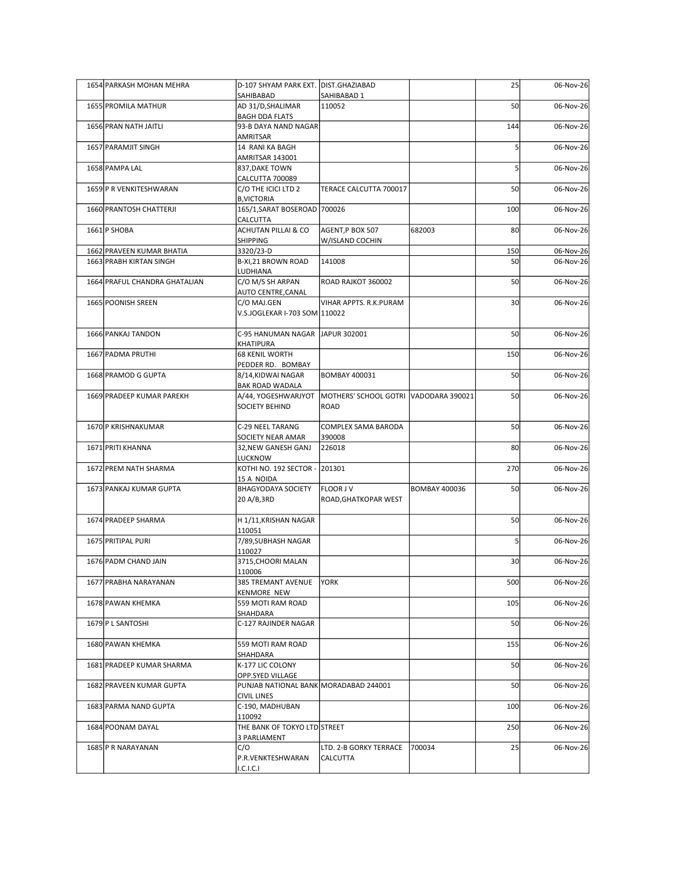| 1654 PARKASH MOHAN MEHRA                             | D-107 SHYAM PARK EXT. DIST.GHAZIABAD<br>SAHIBABAD           | SAHIBABAD 1                           |                      | 25              | 06-Nov-26              |
|------------------------------------------------------|-------------------------------------------------------------|---------------------------------------|----------------------|-----------------|------------------------|
| 1655 PROMILA MATHUR                                  | AD 31/D, SHALIMAR<br><b>BAGH DDA FLATS</b>                  | 110052                                |                      | 50              | 06-Nov-26              |
| 1656 PRAN NATH JAITLI                                | 93-B DAYA NAND NAGAR                                        |                                       |                      | 144             | 06-Nov-26              |
| 1657 PARAMJIT SINGH                                  | AMRITSAR<br>14 RANI KA BAGH                                 |                                       |                      |                 | 06-Nov-26              |
| 1658 PAMPA LAL                                       | AMRITSAR 143001<br>837, DAKE TOWN                           |                                       |                      |                 | 06-Nov-26              |
| 1659 P R VENKITESHWARAN                              | CALCUTTA 700089<br>C/O THE ICICI LTD 2                      | TERACE CALCUTTA 700017                |                      | 50              | 06-Nov-26              |
| 1660 PRANTOSH CHATTERJI                              | <b>B, VICTORIA</b><br>165/1, SARAT BOSEROAD 700026          |                                       |                      | 100             | 06-Nov-26              |
| 1661 P SHOBA                                         | CALCUTTA<br>ACHUTAN PILLAI & CO                             | AGENT, P BOX 507                      | 682003               | 80              | 06-Nov-26              |
|                                                      | SHIPPING                                                    | W/ISLAND COCHIN                       |                      |                 |                        |
| 1662 PRAVEEN KUMAR BHATIA<br>1663 PRABH KIRTAN SINGH | 3320/23-D<br>B-XI, 21 BROWN ROAD                            | 141008                                |                      | 150<br>50       | 06-Nov-26<br>06-Nov-26 |
| 1664 PRAFUL CHANDRA GHATALIAN                        | LUDHIANA<br>C/O M/S SH ARPAN                                | ROAD RAJKOT 360002                    |                      | 50              | 06-Nov-26              |
| 1665 POONISH SREEN                                   | AUTO CENTRE, CANAL<br>C/O MAJ.GEN                           | VIHAR APPTS. R.K.PURAM                |                      | 30              | 06-Nov-26              |
|                                                      | V.S.JOGLEKAR I-703 SOM 110022                               |                                       |                      |                 |                        |
| 1666 PANKAJ TANDON                                   | C-95 HANUMAN NAGAR JAPUR 302001                             |                                       |                      | 50              | 06-Nov-26              |
| 1667 PADMA PRUTHI                                    | KHATIPURA<br><b>68 KENIL WORTH</b>                          |                                       |                      | 150             | 06-Nov-26              |
| 1668 PRAMOD G GUPTA                                  | PEDDER RD. BOMBAY<br>8/14, KIDWAI NAGAR                     | <b>BOMBAY 400031</b>                  |                      | 50              | 06-Nov-26              |
| 1669 PRADEEP KUMAR PAREKH                            | <b>BAK ROAD WADALA</b><br>A/44, YOGESHWARJYOT               | MOTHERS' SCHOOL GOTRI VADODARA 390021 |                      | 50              | 06-Nov-26              |
|                                                      | <b>SOCIETY BEHIND</b>                                       | ROAD                                  |                      |                 |                        |
| 1670 P KRISHNAKUMAR                                  | C-29 NEEL TARANG<br>SOCIETY NEAR AMAR                       | COMPLEX SAMA BARODA<br>390008         |                      | 50              | 06-Nov-26              |
| 1671 PRITI KHANNA                                    | 32, NEW GANESH GANJ                                         | 226018                                |                      | 80 <sup>2</sup> | 06-Nov-26              |
| 1672 PREM NATH SHARMA                                | LUCKNOW<br>KOTHI NO. 192 SECTOR - 201301                    |                                       |                      | 270             | 06-Nov-26              |
| 1673 PANKAJ KUMAR GUPTA                              | 15 A NOIDA<br><b>BHAGYODAYA SOCIETY</b>                     | <b>FLOOR JV</b>                       | <b>BOMBAY 400036</b> | 50              | 06-Nov-26              |
|                                                      | 20 A/B,3RD                                                  | ROAD, GHATKOPAR WEST                  |                      |                 |                        |
| 1674 PRADEEP SHARMA                                  | H 1/11, KRISHAN NAGAR<br>110051                             |                                       |                      | 50              | 06-Nov-26              |
| 1675 PRITIPAL PURI                                   | 7/89, SUBHASH NAGAR                                         |                                       |                      |                 | 06-Nov-26              |
| 1676 PADM CHAND JAIN                                 | 110027<br>3715, CHOORI MALAN                                |                                       |                      | 30 <sup>1</sup> | 06-Nov-26              |
| 1677 PRABHA NARAYANAN                                | 110006<br>385 TREMANT AVENUE                                | <b>YORK</b>                           |                      | 500             | 06-Nov-26              |
| 1678 PAWAN KHEMKA                                    | <b>KENMORE NEW</b><br>559 MOTI RAM ROAD                     |                                       |                      | 105             | 06-Nov-26              |
| 1679 P L SANTOSHI                                    | SHAHDARA<br>C-127 RAJINDER NAGAR                            |                                       |                      | 50              | 06-Nov-26              |
|                                                      |                                                             |                                       |                      |                 |                        |
| 1680 PAWAN KHEMKA                                    | 559 MOTI RAM ROAD<br>SHAHDARA                               |                                       |                      | 155             | 06-Nov-26              |
| 1681 PRADEEP KUMAR SHARMA                            | K-177 LIC COLONY<br>OPP.SYED VILLAGE                        |                                       |                      | 50              | 06-Nov-26              |
| 1682 PRAVEEN KUMAR GUPTA                             | PUNJAB NATIONAL BANK MORADABAD 244001<br><b>CIVIL LINES</b> |                                       |                      | 50              | 06-Nov-26              |
| 1683 PARMA NAND GUPTA                                | C-190, MADHUBAN<br>110092                                   |                                       |                      | 100             | 06-Nov-26              |
| 1684 POONAM DAYAL                                    | THE BANK OF TOKYO LTD STREET                                |                                       |                      | 250             | 06-Nov-26              |
| 1685 P R NARAYANAN                                   | 3 PARLIAMENT<br>C/O                                         | LTD. 2-B GORKY TERRACE 700034         |                      | 25              | 06-Nov-26              |
|                                                      | P.R.VENKTESHWARAN                                           | <b>CALCUTTA</b>                       |                      |                 |                        |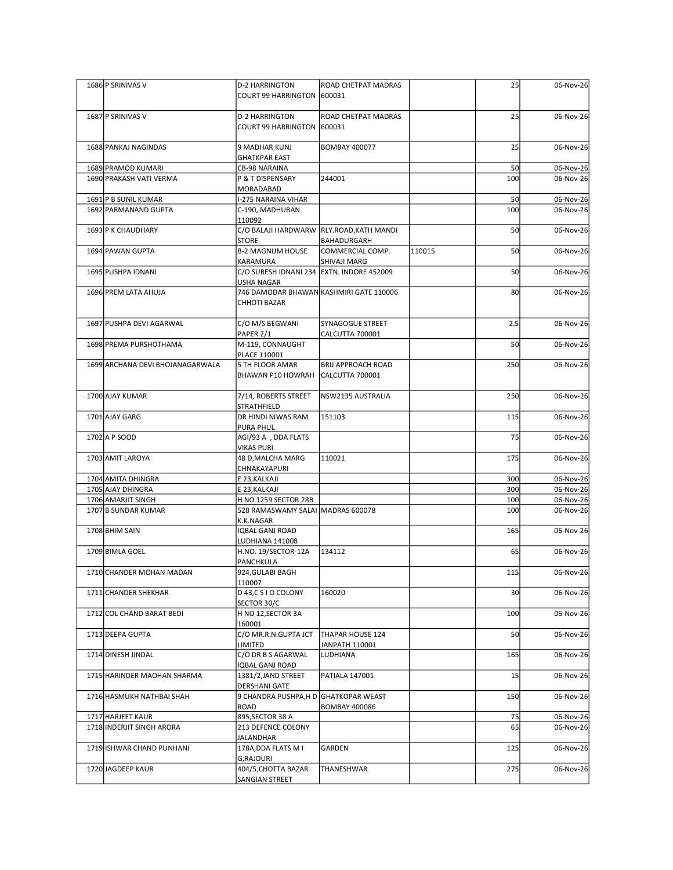| 1686 P SRINIVAS V                             | D-2 HARRINGTON<br>COURT 99 HARRINGTON 600031                       | <b>ROAD CHETPAT MADRAS</b>                      |        | 25              | 06-Nov-26              |
|-----------------------------------------------|--------------------------------------------------------------------|-------------------------------------------------|--------|-----------------|------------------------|
| 1687 P SRINIVAS V                             | <b>D-2 HARRINGTON</b><br>COURT 99 HARRINGTON 600031                | ROAD CHETPAT MADRAS                             |        | 25              | 06-Nov-26              |
| 1688 PANKAJ NAGINDAS                          | 9 MADHAR KUNJ<br><b>GHATKPAR EAST</b>                              | <b>BOMBAY 400077</b>                            |        | 25              | 06-Nov-26              |
| 1689 PRAMOD KUMARI<br>1690 PRAKASH VATI VERMA | <b>CB-98 NARAINA</b><br>P & T DISPENSARY                           | 244001                                          |        | 50<br>100       | 06-Nov-26<br>06-Nov-26 |
| 1691 P B SUNIL KUMAR<br>1692 PARMANAND GUPTA  | MORADABAD<br>I-275 NARAINA VIHAR<br>C-190, MADHUBAN                |                                                 |        | 50<br>100       | 06-Nov-26<br>06-Nov-26 |
| 1693 P K CHAUDHARY                            | 110092<br>C/O BALAJI HARDWARW RLY.ROAD, KATH MANDI<br><b>STORE</b> |                                                 |        | 50              | 06-Nov-26              |
| 1694 PAWAN GUPTA                              | B-2 MAGNUM HOUSE<br>KARAMURA                                       | BAHADURGARH<br>COMMERCIAL COMP.<br>SHIVAJI MARG | 110015 | 50              | 06-Nov-26              |
| 1695 PUSHPA IDNANI                            | C/O SURESH IDNANI 234 EXTN. INDORE 452009<br>USHA NAGAR            |                                                 |        | 50              | 06-Nov-26              |
| 1696 PREM LATA AHUJA                          | 746 DAMODAR BHAWAN KASHMIRI GATE 110006<br>CHHOTI BAZAR            |                                                 |        | 80              | 06-Nov-26              |
| 1697 PUSHPA DEVI AGARWAL                      | C/O M/S BEGWANI<br>PAPER 2/1                                       | SYNAGOGUE STREET<br>CALCUTTA 700001             |        | 2.5             | 06-Nov-26              |
| 1698 PREMA PURSHOTHAMA                        | M-119, CONNAUGHT<br>PLACE 110001                                   |                                                 |        | 50              | 06-Nov-26              |
| 1699 ARCHANA DEVI BHOJANAGARWALA              | 5 TH FLOOR AMAR<br>BHAWAN P10 HOWRAH CALCUTTA 700001               | <b>BRIJ APPROACH ROAD</b>                       |        | 250             | 06-Nov-26              |
| 1700 AJAY KUMAR                               | 7/14, ROBERTS STREET<br>STRATHFIELD                                | NSW2135 AUSTRALIA                               |        | 250             | 06-Nov-26              |
| 1701 AJAY GARG                                | DR HINDI NIWAS RAM<br>PURA PHUL                                    | 151103                                          |        | 115             | 06-Nov-26              |
| 1702 A P SOOD<br>1703 AMIT LAROYA             | AGI/93 A , DDA FLATS<br>VIKAS PURI<br>48 D, MALCHA MARG            | 110021                                          |        | 75<br>175       | 06-Nov-26<br>06-Nov-26 |
|                                               | CHNAKAYAPURI                                                       |                                                 |        |                 |                        |
| 1704 AMITA DHINGRA<br>1705 AJAY DHINGRA       | E 23, KALKAJI<br>E 23, KALKAJI                                     |                                                 |        | 300<br>300      | 06-Nov-26<br>06-Nov-26 |
| 1706 AMARJIT SINGH                            | H NO 1259 SECTOR 28B                                               |                                                 |        | 100             | 06-Nov-26              |
| 1707 B SUNDAR KUMAR                           | 528 RAMASWAMY SALAI MADRAS 600078<br>K.K.NAGAR                     |                                                 |        | 100             | 06-Nov-26              |
| 1708 BHIM SAIN                                | IQBAL GANJ ROAD<br>LUDHIANA 141008                                 |                                                 |        | 165             | 06-Nov-26              |
| 1709 BIMLA GOEL                               | H.NO. 19/SECTOR-12A<br>PANCHKULA                                   | 134112                                          |        | 65              | 06-Nov-26              |
| 1710 CHANDER MOHAN MADAN                      | 924, GULABI BAGH<br>110007                                         |                                                 |        | 115             | 06-Nov-26              |
| 1711 CHANDER SHEKHAR                          | D 43,C S I O COLONY<br>SECTOR 30/C                                 | 160020                                          |        | 30 <sup>1</sup> | 06-Nov-26              |
| 1712 COL CHAND BARAT BEDI                     | H NO 12, SECTOR 3A<br>160001                                       |                                                 |        | 100             | 06-Nov-26              |
| 1713 DEEPA GUPTA                              | C/O MR.R.N.GUPTA JCT<br>LIMITED                                    | THAPAR HOUSE 124<br>JANPATH 110001              |        | 50              | 06-Nov-26              |
| 1714 DINESH JINDAL                            | C/O DR B S AGARWAL<br>IQBAL GANJ ROAD                              | LUDHIANA                                        |        | 165             | 06-Nov-26              |
| 1715 HARINDER MAOHAN SHARMA                   | 1381/2, JAND STREET<br><b>DERSHANI GATE</b>                        | PATIALA 147001                                  |        | 15              | 06-Nov-26              |
| 1716 HASMUKH NATHBAI SHAH                     | 9 CHANDRA PUSHPA,H D GHATKOPAR WEAST<br>ROAD                       | <b>BOMBAY 400086</b>                            |        | 150             | 06-Nov-26              |
| 1717 HARJEET KAUR                             | 895, SECTOR 38 A                                                   |                                                 |        | 75              | 06-Nov-26              |
| 1718 INDERJIT SINGH ARORA                     | 213 DEFENCE COLONY<br>JALANDHAR                                    |                                                 |        | 65              | 06-Nov-26              |
| 1719 ISHWAR CHAND PUNHANI                     | 178A, DDA FLATS M I<br>G, RAJOURI                                  | GARDEN                                          |        | 125             | 06-Nov-26              |
| 1720 JAGDEEP KAUR                             | 404/5, CHOTTA BAZAR                                                | THANESHWAR                                      |        | 275             | 06-Nov-26              |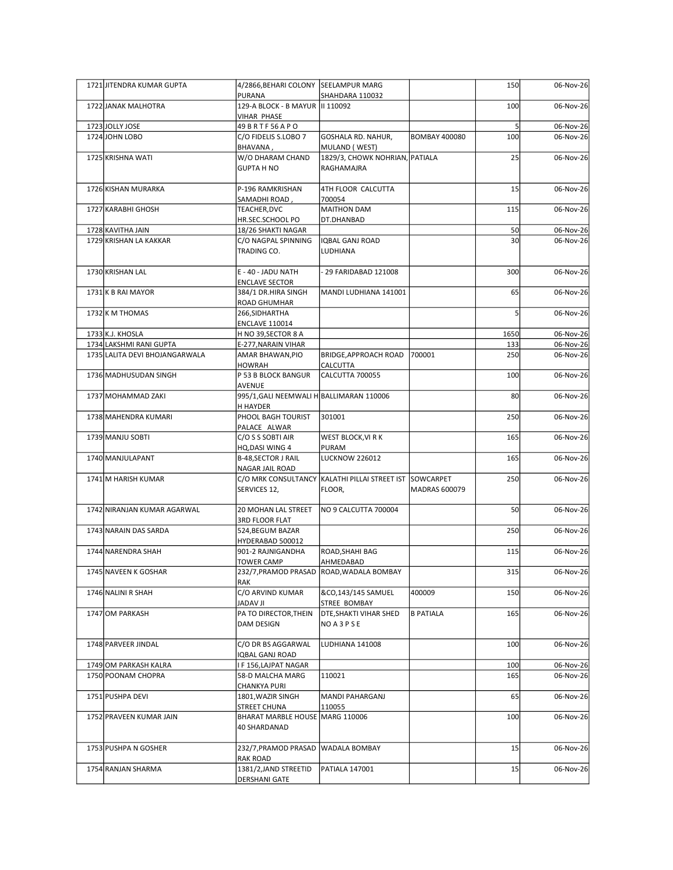| 1721 JITENDRA KUMAR GUPTA                   | 4/2866, BEHARI COLONY SEELAMPUR MARG<br>PURANA     | SHAHDARA 110032                                         |                      | 150             | 06-Nov-26              |
|---------------------------------------------|----------------------------------------------------|---------------------------------------------------------|----------------------|-----------------|------------------------|
| 1722 JANAK MALHOTRA                         | 129-A BLOCK - B MAYUR   II 110092<br>VIHAR PHASE   |                                                         |                      | 100             | 06-Nov-26              |
| 1723JJOLLY JOSE                             | 49 B R T F 56 A P O                                |                                                         |                      | 5               | 06-Nov-26              |
| 1724 JOHN LOBO                              | C/O FIDELIS S.LOBO 7<br>BHAVANA,                   | GOSHALA RD. NAHUR,<br>MULAND (WEST)                     | <b>BOMBAY 400080</b> | 100             | 06-Nov-26              |
| 1725 KRISHNA WATI                           | W/O DHARAM CHAND<br><b>GUPTA H NO</b>              | 1829/3, CHOWK NOHRIAN, PATIALA<br>RAGHAMAJRA            |                      | 25              | 06-Nov-26              |
|                                             |                                                    |                                                         |                      |                 |                        |
| 1726 KISHAN MURARKA                         | P-196 RAMKRISHAN<br>SAMADHI ROAD,                  | 4TH FLOOR CALCUTTA<br>700054                            |                      | 15              | 06-Nov-26              |
| 1727 KARABHI GHOSH                          | TEACHER, DVC<br>HR.SEC.SCHOOL PO                   | MAITHON DAM<br>DT.DHANBAD                               |                      | 115             | 06-Nov-26              |
| 1728 KAVITHA JAIN                           | 18/26 SHAKTI NAGAR                                 |                                                         |                      | 50              | 06-Nov-26              |
| 1729 KRISHAN LA KAKKAR                      | C/O NAGPAL SPINNING<br>TRADING CO.                 | <b>IQBAL GANJ ROAD</b><br>LUDHIANA                      |                      | 30 <sup>1</sup> | 06-Nov-26              |
| 1730 KRISHAN LAL                            | E - 40 - JADU NATH                                 | 29 FARIDABAD 121008                                     |                      | 300             | 06-Nov-26              |
| 1731 K B RAI MAYOR                          | <b>ENCLAVE SECTOR</b><br>384/1 DR.HIRA SINGH       | MANDI LUDHIANA 141001                                   |                      | 65              | 06-Nov-26              |
|                                             | ROAD GHUMHAR                                       |                                                         |                      |                 |                        |
| 1732 K M THOMAS                             | 266, SIDHARTHA<br><b>ENCLAVE 110014</b>            |                                                         |                      |                 | 06-Nov-26              |
| 1733 K.J. KHOSLA<br>1734 LAKSHMI RANI GUPTA | H NO 39, SECTOR 8 A<br>E-277, NARAIN VIHAR         |                                                         |                      | 1650<br>133     | 06-Nov-26<br>06-Nov-26 |
| 1735 LALITA DEVI BHOJANGARWALA              | AMAR BHAWAN, PIO                                   | BRIDGE, APPROACH ROAD   700001                          |                      | 250             | 06-Nov-26              |
| 1736 MADHUSUDAN SINGH                       | HOWRAH<br>P 53 B BLOCK BANGUR                      | CALCUTTA<br>CALCUTTA 700055                             |                      | 100             | 06-Nov-26              |
| 1737 MOHAMMAD ZAKI                          | AVENUE<br>995/1, GALI NEEMWALI H BALLIMARAN 110006 |                                                         |                      | 80              | 06-Nov-26              |
|                                             | H HAYDER                                           |                                                         |                      |                 |                        |
| 1738 MAHENDRA KUMARI                        | PHOOL BAGH TOURIST<br>PALACE ALWAR                 | 301001                                                  |                      | 250             | 06-Nov-26              |
| 1739 MANJU SOBTI                            | C/O S S SOBTI AIR<br>HQ,DASI WING 4                | WEST BLOCK, VI R K<br>PURAM                             |                      | 165             | 06-Nov-26              |
| 1740 MANJULAPANT                            | B-48, SECTOR J RAIL                                | <b>LUCKNOW 226012</b>                                   |                      | 165             | 06-Nov-26              |
| 1741 M HARISH KUMAR                         | NAGAR JAIL ROAD                                    | C/O MRK CONSULTANCY KALATHI PILLAI STREET IST SOWCARPET |                      | 250             | 06-Nov-26              |
|                                             | SERVICES 12,                                       | FLOOR,                                                  | MADRAS 600079        |                 |                        |
| 1742 NIRANJAN KUMAR AGARWAL                 | 20 MOHAN LAL STREET                                | NO 9 CALCUTTA 700004                                    |                      | 50              | 06-Nov-26              |
| 1743 NARAIN DAS SARDA                       | 3RD FLOOR FLAT<br>524, BEGUM BAZAR                 |                                                         |                      | 250             | 06-Nov-26              |
| 1744 NARENDRA SHAH                          | HYDERABAD 500012<br>901-2 RAJNIGANDHA              | ROAD,SHAHI BAG                                          |                      | 115             | 06-Nov-26              |
|                                             | <b>TOWER CAMP</b>                                  | AHMEDABAD                                               |                      |                 |                        |
| 1745 NAVEEN K GOSHAR                        | RAK                                                | 232/7, PRAMOD PRASAD ROAD, WADALA BOMBAY                |                      | 315             | 06-Nov-26              |
| 1746 NALINI R SHAH                          | C/O ARVIND KUMAR<br>IL VAQAL                       | &CO,143/145 SAMUEL<br>STREE BOMBAY                      | 400009               | 150             | 06-Nov-26              |
| 1747 OM PARKASH                             | PA TO DIRECTOR, THEIN<br>DAM DESIGN                | <b>DTE, SHAKTI VIHAR SHED</b><br>NO A 3 P S E           | <b>B PATIALA</b>     | 165             | 06-Nov-26              |
| 1748 PARVEER JINDAL                         | C/O DR BS AGGARWAL                                 | LUDHIANA 141008                                         |                      | 100             | 06-Nov-26              |
|                                             | QBAL GANJ ROAD                                     |                                                         |                      |                 |                        |
| 1749 OM PARKASH KALRA<br>1750 POONAM CHOPRA | F 156, LAJPAT NAGAR<br>58-D MALCHA MARG            | 110021                                                  |                      | 100<br>165      | 06-Nov-26<br>06-Nov-26 |
| 1751 PUSHPA DEVI                            | CHANKYA PURI<br>1801, WAZIR SINGH                  | MANDI PAHARGANJ                                         |                      | 65              | 06-Nov-26              |
|                                             | STREET CHUNA                                       | 110055                                                  |                      |                 |                        |
| 1752 PRAVEEN KUMAR JAIN                     | BHARAT MARBLE HOUSE MARG 110006<br>40 SHARDANAD    |                                                         |                      | 100             | 06-Nov-26              |
| 1753 PUSHPA N GOSHER                        | 232/7, PRAMOD PRASAD WADALA BOMBAY                 |                                                         |                      | 15              | 06-Nov-26              |
| 1754 RANJAN SHARMA                          | <b>RAK ROAD</b><br>1381/2, JAND STREETID           | <b>PATIALA 147001</b>                                   |                      | 15              | 06-Nov-26              |
|                                             | <b>DERSHANI GATE</b>                               |                                                         |                      |                 |                        |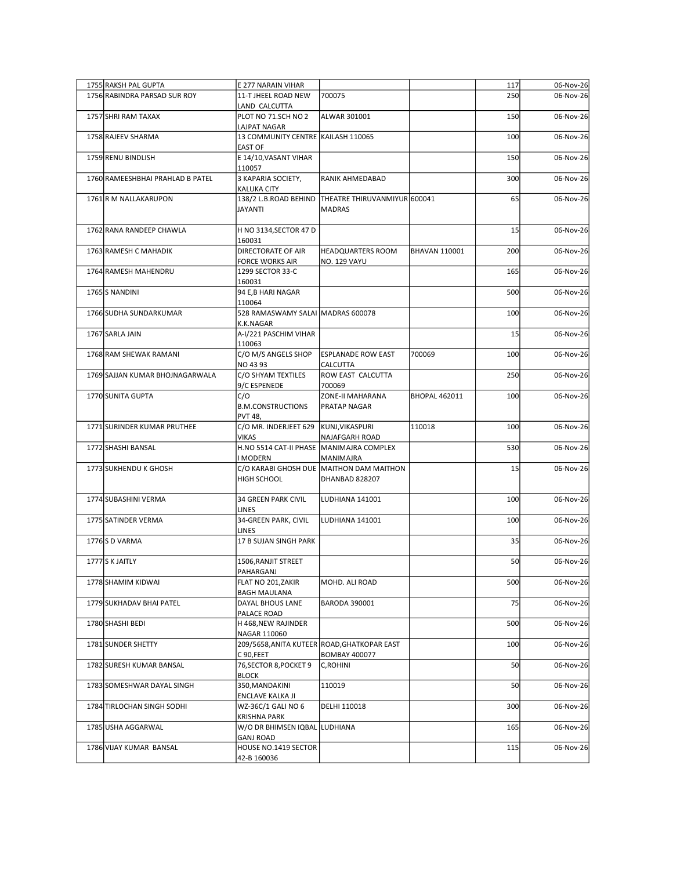|  | 1755 RAKSH PAL GUPTA<br>1756 RABINDRA PARSAD SUR ROY | E 277 NARAIN VIHAR<br>11-T JHEEL ROAD NEW                   | 700075                                                                         |                      | 117<br>250 | 06-Nov-26<br>06-Nov-26 |
|--|------------------------------------------------------|-------------------------------------------------------------|--------------------------------------------------------------------------------|----------------------|------------|------------------------|
|  | 1757 SHRI RAM TAXAX                                  | LAND CALCUTTA<br>PLOT NO 71.SCH NO 2                        | ALWAR 301001                                                                   |                      | 150        | 06-Nov-26              |
|  |                                                      | LAJPAT NAGAR                                                |                                                                                |                      |            |                        |
|  | 1758 RAJEEV SHARMA                                   | 13 COMMUNITY CENTRE KAILASH 110065<br><b>EAST OF</b>        |                                                                                |                      | 100        | 06-Nov-26              |
|  | 1759 RENU BINDLISH                                   | E 14/10, VASANT VIHAR<br>110057                             |                                                                                |                      | 150        | 06-Nov-26              |
|  | 1760 RAMEESHBHAI PRAHLAD B PATEL                     | 3 KAPARIA SOCIETY,<br><b>KALUKA CITY</b>                    | RANIK AHMEDABAD                                                                |                      | 300        | 06-Nov-26              |
|  | 1761 R M NALLAKARUPON                                | JAYANTI                                                     | 138/2 L.B.ROAD BEHIND THEATRE THIRUVANMIYUR 600041<br><b>MADRAS</b>            |                      | 65         | 06-Nov-26              |
|  | 1762 RANA RANDEEP CHAWLA                             | H NO 3134, SECTOR 47 D                                      |                                                                                |                      | 15         | 06-Nov-26              |
|  | 1763 RAMESH C MAHADIK                                | 160031<br>DIRECTORATE OF AIR<br><b>FORCE WORKS AIR</b>      | HEADQUARTERS ROOM<br>NO. 129 VAYU                                              | BHAVAN 110001        | 200        | 06-Nov-26              |
|  | 1764 RAMESH MAHENDRU                                 | 1299 SECTOR 33-C<br>160031                                  |                                                                                |                      | 165        | 06-Nov-26              |
|  | 1765 S NANDINI                                       | 94 E,B HARI NAGAR                                           |                                                                                |                      | 500        | 06-Nov-26              |
|  | 1766 SUDHA SUNDARKUMAR                               | 110064<br>528 RAMASWAMY SALAI MADRAS 600078                 |                                                                                |                      | 100        | 06-Nov-26              |
|  | 1767 SARLA JAIN                                      | K.K.NAGAR<br>A-I/221 PASCHIM VIHAR                          |                                                                                |                      | 15         | 06-Nov-26              |
|  | 1768 RAM SHEWAK RAMANI                               | 110063<br>C/O M/S ANGELS SHOP                               | <b>ESPLANADE ROW EAST</b>                                                      | 700069               | 100        | 06-Nov-26              |
|  |                                                      | NO 43 93                                                    | <b>CALCUTTA</b>                                                                |                      |            |                        |
|  | 1769 SAJJAN KUMAR BHOJNAGARWALA                      | C/O SHYAM TEXTILES<br>9/C ESPENEDE                          | <b>ROW EAST CALCUTTA</b><br>700069                                             |                      | 250        | 06-Nov-26              |
|  | 1770 SUNITA GUPTA                                    | C/O<br><b>B.M.CONSTRUCTIONS</b><br><b>PVT 48,</b>           | ZONE-II MAHARANA<br><b>PRATAP NAGAR</b>                                        | <b>BHOPAL 462011</b> | 100        | 06-Nov-26              |
|  | 1771 SURINDER KUMAR PRUTHEE                          | C/O MR. INDERJEET 629<br>VIKAS                              | KUNJ, VIKASPURI<br>NAJAFGARH ROAD                                              | 110018               | 100        | 06-Nov-26              |
|  | 1772 SHASHI BANSAL                                   | H.NO 5514 CAT-II PHASE MANIMAJRA COMPLEX                    |                                                                                |                      | 530        | 06-Nov-26              |
|  | 1773 SUKHENDU K GHOSH                                | <b>MODERN</b><br>HIGH SCHOOL                                | MANIMAJRA<br>C/O KARABI GHOSH DUE MAITHON DAM MAITHON<br><b>DHANBAD 828207</b> |                      | 15         | 06-Nov-26              |
|  | 1774 SUBASHINI VERMA                                 | 34 GREEN PARK CIVIL                                         | LUDHIANA 141001                                                                |                      | 100        | 06-Nov-26              |
|  | 1775 SATINDER VERMA                                  | LINES<br>34-GREEN PARK, CIVIL                               | LUDHIANA 141001                                                                |                      | 100        | 06-Nov-26              |
|  | 1776 S D VARMA                                       | <b>LINES</b><br>17 B SUJAN SINGH PARK                       |                                                                                |                      | 35         | 06-Nov-26              |
|  |                                                      |                                                             |                                                                                |                      |            |                        |
|  | 1777S K JAITLY                                       | 1506, RANJIT STREET<br>PAHARGANJ                            |                                                                                |                      | 50         | 06-Nov-26              |
|  | 1778 SHAMIM KIDWAI                                   | FLAT NO 201, ZAKIR<br><b>BAGH MAULANA</b>                   | MOHD. ALI ROAD                                                                 |                      | 500        | 06-Nov-26              |
|  | 1779 SUKHADAV BHAI PATEL                             | DAYAL BHOUS LANE                                            | <b>BARODA 390001</b>                                                           |                      | 75         | 06-Nov-26              |
|  | 1780 SHASHI BEDI                                     | PALACE ROAD<br>H 468, NEW RAJINDER                          |                                                                                |                      | 500        | 06-Nov-26              |
|  | 1781 SUNDER SHETTY                                   | NAGAR 110060<br>209/5658, ANITA KUTEER ROAD, GHATKOPAR EAST |                                                                                |                      | 100        | 06-Nov-26              |
|  | 1782 SURESH KUMAR BANSAL                             | C 90,FEET<br>76, SECTOR 8, POCKET 9                         | <b>BOMBAY 400077</b><br>C, ROHINI                                              |                      | 50         | 06-Nov-26              |
|  |                                                      | <b>BLOCK</b>                                                |                                                                                |                      |            |                        |
|  | 1783 SOMESHWAR DAYAL SINGH                           | 350, MANDAKINI<br>ENCLAVE KALKA JI                          | 110019                                                                         |                      | 50         | 06-Nov-26              |
|  | 1784 TIRLOCHAN SINGH SODHI                           | WZ-36C/1 GALI NO 6<br><b>KRISHNA PARK</b>                   | DELHI 110018                                                                   |                      | 300        | 06-Nov-26              |
|  | 1785 USHA AGGARWAL                                   | W/O DR BHIMSEN IQBAL LUDHIANA                               |                                                                                |                      | 165        | 06-Nov-26              |
|  | 1786 VIJAY KUMAR BANSAL                              | <b>GANJ ROAD</b><br>HOUSE NO.1419 SECTOR<br>42-B 160036     |                                                                                |                      | 115        | 06-Nov-26              |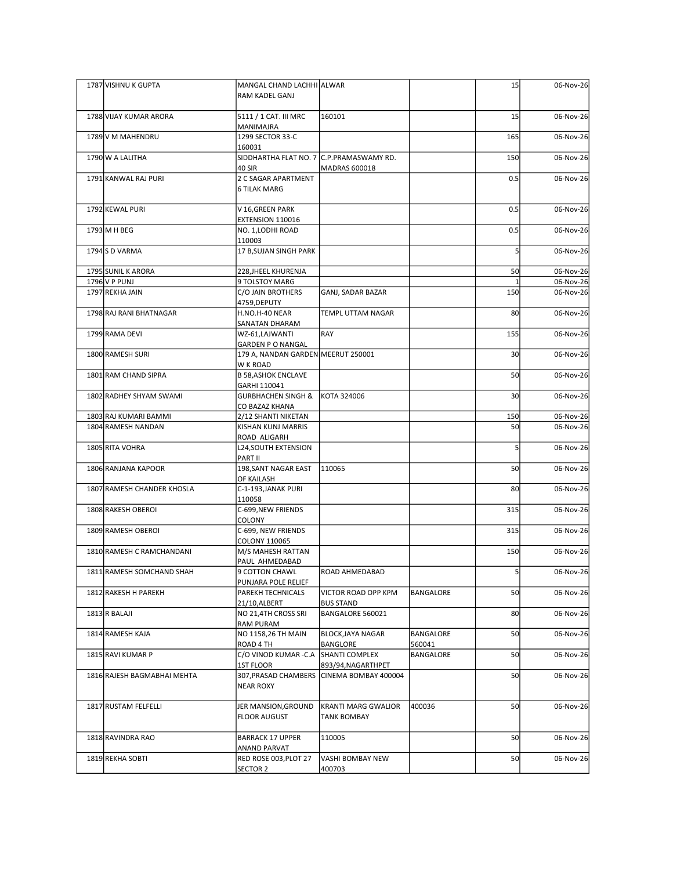| 1787 VISHNU K GUPTA         | MANGAL CHAND LACHHI ALWAR<br>RAM KADEL GANJ                    |                                           |           | 15              | 06-Nov-26               |
|-----------------------------|----------------------------------------------------------------|-------------------------------------------|-----------|-----------------|-------------------------|
|                             |                                                                |                                           |           |                 |                         |
| 1788 VIJAY KUMAR ARORA      | 5111 / 1 CAT. III MRC<br>MANIMAJRA                             | 160101                                    |           | 15              | 06-Nov-26               |
| 1789 V M MAHENDRU           | 1299 SECTOR 33-C                                               |                                           |           | 165             | 06-Nov-26               |
| 1790 W A LALITHA            | 160031<br>SIDDHARTHA FLAT NO. 7 C.P.PRAMASWAMY RD.             |                                           |           | 150             | 06-Nov-26               |
| 1791 KANWAL RAJ PURI        | 40 SIR<br>2 C SAGAR APARTMENT                                  | MADRAS 600018                             |           | 0.5             | 06-Nov-26               |
|                             | <b>6 TILAK MARG</b>                                            |                                           |           |                 |                         |
| 1792 KEWAL PURI             | V 16, GREEN PARK<br>EXTENSION 110016                           |                                           |           | 0.5             | 06-Nov-26               |
| 1793 M H BEG                | NO. 1, LODHI ROAD                                              |                                           |           | 0.5             | 06-Nov-26               |
| 1794 S D VARMA              | 110003<br>17 B, SUJAN SINGH PARK                               |                                           |           |                 | 06-Nov-26               |
| 1795 SUNIL K ARORA          | 228, JHEEL KHURENJA                                            |                                           |           | 50              | 06-Nov-26               |
| 1796 V P PUNJ               | 9 TOLSTOY MARG                                                 |                                           |           |                 | 06-Nov-26               |
| 1797 REKHA JAIN             | C/O JAIN BROTHERS<br> 4759,DEPUTY                              | GANJ, SADAR BAZAR                         |           | 150             | 06-Nov-26               |
| 1798 RAJ RANI BHATNAGAR     | H.NO.H-40 NEAR                                                 | TEMPL UTTAM NAGAR                         |           | 80              | 06-Nov-26               |
| 1799 RAMA DEVI              | SANATAN DHARAM<br>WZ-61,LAJWANTI                               | RAY                                       |           | 155             | 06-Nov-26               |
| 1800 RAMESH SURI            | <b>GARDEN P O NANGAL</b><br>179 A, NANDAN GARDEN MEERUT 250001 |                                           |           | 30 <sup>1</sup> | 06-Nov-26               |
|                             | W K ROAD                                                       |                                           |           |                 |                         |
| 1801 RAM CHAND SIPRA        | <b>B 58, ASHOK ENCLAVE</b><br>GARHI 110041                     |                                           |           | 50              | 06-Nov-26               |
| 1802 RADHEY SHYAM SWAMI     | <b>GURBHACHEN SINGH &amp;</b><br>CO BAZAZ KHANA                | KOTA 324006                               |           | 30              | 06-Nov-26               |
| 1803 RAJ KUMARI BAMMI       | 2/12 SHANTI NIKETAN                                            |                                           |           | 150             | 06-Nov-26               |
| 1804 RAMESH NANDAN          | KISHAN KUNJ MARRIS<br>ROAD ALIGARH                             |                                           |           | 50              | $\overline{06}$ -Nov-26 |
| 1805 RITA VOHRA             | L24, SOUTH EXTENSION                                           |                                           |           |                 | 06-Nov-26               |
| 1806 RANJANA KAPOOR         | PART II<br>198, SANT NAGAR EAST                                | 110065                                    |           | 50              | 06-Nov-26               |
| 1807 RAMESH CHANDER KHOSLA  | OF KAILASH<br>C-1-193, JANAK PURI                              |                                           |           | 80              | 06-Nov-26               |
|                             | 110058                                                         |                                           |           |                 |                         |
| 1808 RAKESH OBEROI          | C-699, NEW FRIENDS<br>COLONY                                   |                                           |           | 315             | 06-Nov-26               |
| 1809 RAMESH OBEROI          | C-699, NEW FRIENDS                                             |                                           |           | 315             | 06-Nov-26               |
| 1810 RAMESH C RAMCHANDANI   | COLONY 110065<br>M/S MAHESH RATTAN                             |                                           |           | 150             | 06-Nov-26               |
|                             | PAUL AHMEDABAD                                                 |                                           |           |                 |                         |
| 1811 RAMESH SOMCHAND SHAH   | 9 COTTON CHAWL<br>PUNJARA POLE RELIEF                          | ROAD AHMEDABAD                            |           | $\overline{5}$  | 06-Nov-26               |
| 1812 RAKESH H PAREKH        | PAREKH TECHNICALS<br>21/10, ALBERT                             | VICTOR ROAD OPP KPM<br><b>BUS STAND</b>   | BANGALORE | 50              | 06-Nov-26               |
| $1813$ R BALAJI             | NO 21,4TH CROSS SRI                                            | BANGALORE 560021                          |           | 80              | 06-Nov-26               |
| 1814 RAMESH KAJA            | <b>RAM PURAM</b><br>NO 1158,26 TH MAIN                         | <b>BLOCK, JAYA NAGAR</b>                  | BANGALORE | 50              | 06-Nov-26               |
|                             | ROAD 4 TH                                                      | BANGLORE                                  | 560041    |                 |                         |
| 1815 RAVI KUMAR P           | C/O VINOD KUMAR - C.A<br>1ST FLOOR                             | SHANTI COMPLEX<br>893/94, NAGARTHPET      | BANGALORE | 50              | 06-Nov-26               |
| 1816 RAJESH BAGMABHAI MEHTA | <b>NEAR ROXY</b>                                               | 307, PRASAD CHAMBERS CINEMA BOMBAY 400004 |           | 50              | 06-Nov-26               |
|                             |                                                                |                                           |           |                 |                         |
| 1817 RUSTAM FELFELLI        | JER MANSION, GROUND<br><b>FLOOR AUGUST</b>                     | KRANTI MARG GWALIOR<br><b>TANK BOMBAY</b> | 400036    | 50              | 06-Nov-26               |
| 1818 RAVINDRA RAO           | <b>BARRACK 17 UPPER</b>                                        | 110005                                    |           | 50              | 06-Nov-26               |
| 1819 REKHA SOBTI            | <b>ANAND PARVAT</b><br>RED ROSE 003, PLOT 27                   | VASHI BOMBAY NEW                          |           | 50              | 06-Nov-26               |
|                             | SECTOR 2                                                       | 400703                                    |           |                 |                         |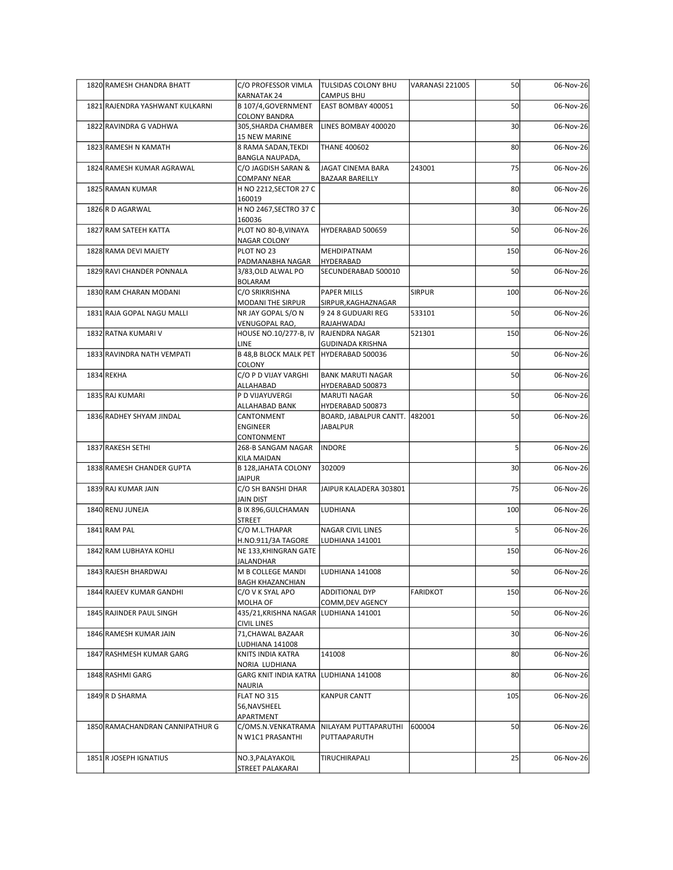| 1820 RAMESH CHANDRA BHATT       | C/O PROFESSOR VIMLA<br><b>KARNATAK 24</b>               | <b>TULSIDAS COLONY BHU</b><br>CAMPUS BHU                  | VARANASI 221005 | 50              | 06-Nov-26 |
|---------------------------------|---------------------------------------------------------|-----------------------------------------------------------|-----------------|-----------------|-----------|
| 1821 RAJENDRA YASHWANT KULKARNI | B 107/4, GOVERNMENT<br><b>COLONY BANDRA</b>             | EAST BOMBAY 400051                                        |                 | 50              | 06-Nov-26 |
| 1822 RAVINDRA G VADHWA          | 305, SHARDA CHAMBER<br>15 NEW MARINE                    | LINES BOMBAY 400020                                       |                 | 30              | 06-Nov-26 |
| 1823 RAMESH N KAMATH            | 8 RAMA SADAN, TEKDI<br><b>BANGLA NAUPADA,</b>           | THANE 400602                                              |                 | 80              | 06-Nov-26 |
| 1824 RAMESH KUMAR AGRAWAL       | C/O JAGDISH SARAN &                                     | JAGAT CINEMA BARA                                         | 243001          | 75              | 06-Nov-26 |
| 1825 RAMAN KUMAR                | <b>COMPANY NEAR</b><br>H NO 2212, SECTOR 27 C           | <b>BAZAAR BAREILLY</b>                                    |                 | 80              | 06-Nov-26 |
| 1826 R D AGARWAL                | 160019<br>H NO 2467, SECTRO 37 C                        |                                                           |                 | 30              | 06-Nov-26 |
| 1827 RAM SATEEH KATTA           | 160036<br>PLOT NO 80-B, VINAYA                          | HYDERABAD 500659                                          |                 | 50              | 06-Nov-26 |
| 1828 RAMA DEVI MAJETY           | NAGAR COLONY<br>PLOT NO 23                              | MEHDIPATNAM                                               |                 | 150             | 06-Nov-26 |
| 1829 RAVI CHANDER PONNALA       | PADMANABHA NAGAR<br>3/83, OLD ALWAL PO                  | HYDERABAD<br>SECUNDERABAD 500010                          |                 | 50              | 06-Nov-26 |
| 1830 RAM CHARAN MODANI          | <b>BOLARAM</b><br>C/O SRIKRISHNA                        | <b>PAPER MILLS</b>                                        | <b>SIRPUR</b>   | 100             | 06-Nov-26 |
| 1831 RAJA GOPAL NAGU MALLI      | MODANI THE SIRPUR<br>NR JAY GOPAL S/O N                 | SIRPUR,KAGHAZNAGAR<br>9 24 8 GUDUARI REG                  | 533101          | 50              | 06-Nov-26 |
| 1832 RATNA KUMARI V             | VENUGOPAL RAO,<br>HOUSE NO.10/277-B, IV                 | RAJAHWADAJ<br>RAJENDRA NAGAR                              | 521301          | 150             | 06-Nov-26 |
| 1833 RAVINDRA NATH VEMPATI      | LINE<br>B 48, B BLOCK MALK PET HYDERABAD 500036         | <b>GUDINADA KRISHNA</b>                                   |                 | 50              | 06-Nov-26 |
| 1834 REKHA                      | <b>COLONY</b><br>C/O P D VIJAY VARGHI                   | <b>BANK MARUTI NAGAR</b>                                  |                 | 50              | 06-Nov-26 |
| 1835 RAJ KUMARI                 | ALLAHABAD<br>P D VIJAYUVERGI                            | HYDERABAD 500873<br>MARUTI NAGAR                          |                 | 50              | 06-Nov-26 |
| 1836 RADHEY SHYAM JINDAL        | ALLAHABAD BANK<br>CANTONMENT                            | HYDERABAD 500873<br>BOARD, JABALPUR CANTT. 482001         |                 | 50              | 06-Nov-26 |
|                                 | <b>ENGINEER</b><br>CONTONMENT                           | JABALPUR                                                  |                 |                 |           |
| 1837 RAKESH SETHI               | 268-B SANGAM NAGAR<br>KILA MAIDAN                       | <b>INDORE</b>                                             |                 |                 | 06-Nov-26 |
| 1838 RAMESH CHANDER GUPTA       | B 128, JAHATA COLONY                                    | 302009                                                    |                 | 30 <sup>1</sup> | 06-Nov-26 |
| 1839 RAJ KUMAR JAIN             | <b>JAIPUR</b><br>C/O SH BANSHI DHAR                     | JAIPUR KALADERA 303801                                    |                 | 75              | 06-Nov-26 |
| 1840 RENU JUNEJA                | JAIN DIST<br>B IX 896, GULCHAMAN                        | LUDHIANA                                                  |                 | 100             | 06-Nov-26 |
| 1841 RAM PAL                    | <b>STREET</b><br>C/O M.L.THAPAR                         | <b>NAGAR CIVIL LINES</b>                                  |                 |                 | 06-Nov-26 |
| 1842 RAM LUBHAYA KOHLI          | H.NO.911/3A TAGORE<br>NE 133, KHINGRAN GATE             | LUDHIANA 141001                                           |                 | 150             | 06-Nov-26 |
| 1843 RAJESH BHARDWAJ            | JALANDHAR<br>M B COLLEGE MANDI                          | LUDHIANA 141008                                           |                 | 50              | 06-Nov-26 |
| 1844 RAJEEV KUMAR GANDHI        | <b>BAGH KHAZANCHIAN</b><br>C/O V K SYAL APO             | ADDITIONAL DYP                                            | <b>FARIDKOT</b> | 150             | 06-Nov-26 |
| 1845 RAJINDER PAUL SINGH        | MOLHA OF<br>435/21, KRISHNA NAGAR LUDHIANA 141001       | COMM, DEV AGENCY                                          |                 | 50              | 06-Nov-26 |
| 1846 RAMESH KUMAR JAIN          | <b>CIVIL LINES</b><br>71, CHAWAL BAZAAR                 |                                                           |                 | 30 <sup>1</sup> | 06-Nov-26 |
| 1847 RASHMESH KUMAR GARG        | LUDHIANA 141008<br>KNITS INDIA KATRA                    | 141008                                                    |                 | 80              | 06-Nov-26 |
| 1848 RASHMI GARG                | NORIA LUDHIANA<br>GARG KNIT INDIA KATRA LUDHIANA 141008 |                                                           |                 | 80              | 06-Nov-26 |
| 1849 R D SHARMA                 | <b>NAURIA</b><br>FLAT NO 315                            | <b>KANPUR CANTT</b>                                       |                 | 105             | 06-Nov-26 |
|                                 | 56, NAVSHEEL<br>APARTMENT                               |                                                           |                 |                 |           |
| 1850 RAMACHANDRAN CANNIPATHUR G | N W1C1 PRASANTHI                                        | C/OMS.N.VENKATRAMA   NILAYAM PUTTAPARUTHI<br>PUTTAAPARUTH | 600004          | 50              | 06-Nov-26 |
| 1851 R JOSEPH IGNATIUS          | NO.3, PALAYAKOIL<br>STREET PALAKARAI                    | TIRUCHIRAPALI                                             |                 | 25              | 06-Nov-26 |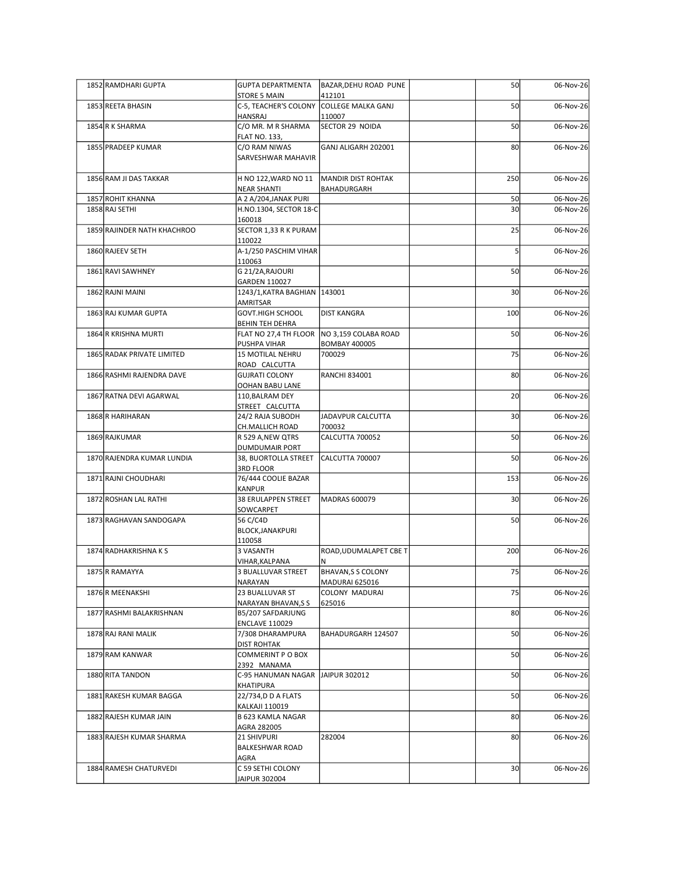| 1852 RAMDHARI GUPTA         | <b>GUPTA DEPARTMENTA</b>                                        | BAZAR, DEHU ROAD PUNE                       | 50                    | 06-Nov-26              |
|-----------------------------|-----------------------------------------------------------------|---------------------------------------------|-----------------------|------------------------|
| 1853 REETA BHASIN           | <b>STORE 5 MAIN</b><br>C-5, TEACHER'S COLONY COLLEGE MALKA GANJ | 412101                                      | 50                    | 06-Nov-26              |
|                             | <b>HANSRAJ</b>                                                  | 110007                                      |                       |                        |
| 1854 R K SHARMA             | C/O MR. M R SHARMA<br><b>FLAT NO. 133,</b>                      | SECTOR 29 NOIDA                             | 50                    | 06-Nov-26              |
| 1855 PRADEEP KUMAR          | C/O RAM NIWAS<br>SARVESHWAR MAHAVIR                             | GANJ ALIGARH 202001                         | 80                    | 06-Nov-26              |
| 1856 RAM JI DAS TAKKAR      | H NO 122, WARD NO 11                                            | MANDIR DIST ROHTAK                          | 250                   | 06-Nov-26              |
| 1857 ROHIT KHANNA           | <b>NEAR SHANTI</b><br>A 2 A/204, JANAK PURI                     | BAHADURGARH                                 |                       |                        |
| 1858 RAJ SETHI              | H.NO.1304, SECTOR 18-C                                          |                                             | 50<br>30 <sup>1</sup> | 06-Nov-26<br>06-Nov-26 |
| 1859 RAJINDER NATH KHACHROO | 160018<br>SECTOR 1,33 R K PURAM                                 |                                             | 25                    | 06-Nov-26              |
| 1860 RAJEEV SETH            | 110022<br>A-1/250 PASCHIM VIHAR                                 |                                             |                       | 06-Nov-26              |
| 1861 RAVI SAWHNEY           | 110063<br>G 21/2A, RAJOURI                                      |                                             | 50                    | 06-Nov-26              |
| 1862 RAJNI MAINI            | GARDEN 110027                                                   |                                             | 30 <sub>l</sub>       | 06-Nov-26              |
|                             | 1243/1, KATRA BAGHIAN   143001<br>AMRITSAR                      |                                             |                       |                        |
| 1863 RAJ KUMAR GUPTA        | <b>GOVT.HIGH SCHOOL</b><br><b>BEHIN TEH DEHRA</b>               | <b>DIST KANGRA</b>                          | 100                   | 06-Nov-26              |
| 1864 R KRISHNA MURTI        | FLAT NO 27,4 TH FLOOR NO 3,159 COLABA ROAD<br>PUSHPA VIHAR      | <b>BOMBAY 400005</b>                        | 50                    | 06-Nov-26              |
| 1865 RADAK PRIVATE LIMITED  | 15 MOTILAL NEHRU<br>ROAD CALCUTTA                               | 700029                                      | 75                    | 06-Nov-26              |
| 1866 RASHMI RAJENDRA DAVE   | <b>GUJRATI COLONY</b>                                           | <b>RANCHI 834001</b>                        | 80                    | 06-Nov-26              |
| 1867 RATNA DEVI AGARWAL     | <b>OOHAN BABU LANE</b><br>110, BALRAM DEY                       |                                             | 20                    | 06-Nov-26              |
| 1868 R HARIHARAN            | STREET CALCUTTA<br>24/2 RAJA SUBODH                             | JADAVPUR CALCUTTA                           | 30 <sup>1</sup>       | 06-Nov-26              |
| 1869 RAJKUMAR               | CH.MALLICH ROAD<br>R 529 A, NEW QTRS                            | 700032<br>CALCUTTA 700052                   | 50                    | 06-Nov-26              |
| 1870 RAJENDRA KUMAR LUNDIA  | <b>DUMDUMAIR PORT</b><br>38, BUORTOLLA STREET                   | CALCUTTA 700007                             | 50                    | 06-Nov-26              |
|                             | 3RD FLOOR                                                       |                                             |                       |                        |
| 1871 RAJNI CHOUDHARI        | 76/444 COOLIE BAZAR<br>KANPUR                                   |                                             | 153                   | 06-Nov-26              |
| 1872 ROSHAN LAL RATHI       | 38 ERULAPPEN STREET<br>SOWCARPET                                | MADRAS 600079                               | 30 <sup>1</sup>       | 06-Nov-26              |
| 1873 RAGHAVAN SANDOGAPA     | 56 C/C4D<br>BLOCK, JANAKPURI                                    |                                             | 50                    | 06-Nov-26              |
| 1874 RADHAKRISHNA K S       | 110058<br>3 VASANTH                                             | ROAD, UDUMALAPET CBE T                      | 200                   | 06-Nov-26              |
|                             | VIHAR, KALPANA                                                  | N                                           |                       |                        |
| 1875 R RAMAYYA              | 3 BUALLUVAR STREET<br>NARAYAN                                   | <b>BHAVAN, S S COLONY</b><br>MADURAI 625016 | 75                    | 06-Nov-26              |
| 1876 R MEENAKSHI            | 23 BUALLUVAR ST<br>NARAYAN BHAVAN, SS                           | COLONY MADURAI<br>625016                    | 75                    | 06-Nov-26              |
| 1877 RASHMI BALAKRISHNAN    | B5/207 SAFDARJUNG<br><b>ENCLAVE 110029</b>                      |                                             | 80                    | 06-Nov-26              |
| 1878 RAJ RANI MALIK         | 7/308 DHARAMPURA                                                | BAHADURGARH 124507                          | 50                    | 06-Nov-26              |
| 1879 RAM KANWAR             | <b>DIST ROHTAK</b><br>COMMERINT P O BOX                         |                                             | 50                    | 06-Nov-26              |
| 1880 RITA TANDON            | 2392 MANAMA<br>C-95 HANUMAN NAGAR JAIPUR 302012                 |                                             | 50                    | 06-Nov-26              |
| 1881 RAKESH KUMAR BAGGA     | KHATIPURA<br>22/734,D D A FLATS                                 |                                             | 50                    | 06-Nov-26              |
|                             | <b>KALKAJI 110019</b><br><b>B 623 KAMLA NAGAR</b>               |                                             |                       |                        |
| 1882 RAJESH KUMAR JAIN      | AGRA 282005                                                     |                                             | 80                    | 06-Nov-26              |
| 1883 RAJESH KUMAR SHARMA    | 21 SHIVPURI<br><b>BALKESHWAR ROAD</b>                           | 282004                                      | 80                    | 06-Nov-26              |
| 1884 RAMESH CHATURVEDI      | AGRA<br>C 59 SETHI COLONY                                       |                                             | 30 <sup>1</sup>       | 06-Nov-26              |
|                             | JAIPUR 302004                                                   |                                             |                       |                        |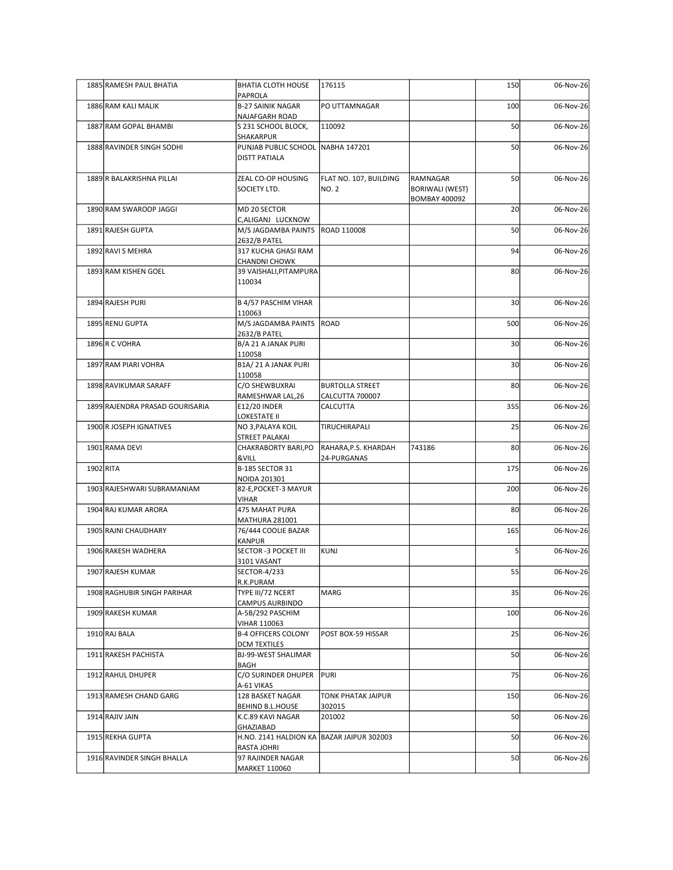| 1885 RAMESH PAUL BHATIA         | <b>BHATIA CLOTH HOUSE</b>                                | 176115                              |                                                     | 150             | 06-Nov-26 |
|---------------------------------|----------------------------------------------------------|-------------------------------------|-----------------------------------------------------|-----------------|-----------|
| 1886 RAM KALI MALIK             | PAPROLA<br><b>B-27 SAINIK NAGAR</b>                      | PO UTTAMNAGAR                       |                                                     | 100             | 06-Nov-26 |
| 1887 RAM GOPAL BHAMBI           | NAJAFGARH ROAD<br>S 231 SCHOOL BLOCK,                    | 110092                              |                                                     | 50              | 06-Nov-26 |
| 1888 RAVINDER SINGH SODHI       | SHAKARPUR<br>PUNJAB PUBLIC SCHOOL NABHA 147201           |                                     |                                                     | 50              | 06-Nov-26 |
|                                 | <b>DISTT PATIALA</b>                                     |                                     |                                                     |                 |           |
| 1889 R BALAKRISHNA PILLAI       | ZEAL CO-OP HOUSING<br>SOCIETY LTD.                       | FLAT NO. 107, BUILDING<br>NO. 2     | RAMNAGAR<br>BORIWALI (WEST)<br><b>BOMBAY 400092</b> | 50              | 06-Nov-26 |
| 1890 RAM SWAROOP JAGGI          | MD 20 SECTOR<br>C, ALIGANJ LUCKNOW                       |                                     |                                                     | 20              | 06-Nov-26 |
| 1891 RAJESH GUPTA               | M/S JAGDAMBA PAINTS   ROAD 110008<br>2632/B PATEL        |                                     |                                                     | 50              | 06-Nov-26 |
| 1892 RAVI S MEHRA               | 317 KUCHA GHASI RAM<br><b>CHANDNI CHOWK</b>              |                                     |                                                     | 94              | 06-Nov-26 |
| 1893 RAM KISHEN GOEL            | 39 VAISHALI, PITAMPURA<br>110034                         |                                     |                                                     | 80              | 06-Nov-26 |
| 1894 RAJESH PURI                | <b>B 4/57 PASCHIM VIHAR</b><br>110063                    |                                     |                                                     | 30              | 06-Nov-26 |
| 1895 RENU GUPTA                 | M/S JAGDAMBA PAINTS ROAD                                 |                                     |                                                     | 500             | 06-Nov-26 |
| 1896 R C VOHRA                  | 2632/B PATEL<br>B/A 21 A JANAK PURI                      |                                     |                                                     | 30 <sup>1</sup> | 06-Nov-26 |
| 1897 RAM PIARI VOHRA            | 110058<br>B1A/21 A JANAK PURI                            |                                     |                                                     | 30 <sup>1</sup> | 06-Nov-26 |
| 1898 RAVIKUMAR SARAFF           | 110058<br>C/O SHEWBUXRAI                                 | <b>BURTOLLA STREET</b>              |                                                     | 80              | 06-Nov-26 |
| 1899 RAJENDRA PRASAD GOURISARIA | RAMESHWAR LAL, 26<br><b>E12/20 INDER</b>                 | CALCUTTA 700007<br><b>CALCUTTA</b>  |                                                     | 355             | 06-Nov-26 |
| 1900 R JOSEPH IGNATIVES         | LOKESTATE II<br>NO 3, PALAYA KOIL                        | TIRUCHIRAPALI                       |                                                     | 25              | 06-Nov-26 |
| 1901 RAMA DEVI                  | STREET PALAKAI<br>CHAKRABORTY BARI, PO                   | RAHARA, P.S. KHARDAH                | 743186                                              | 80 <sup>2</sup> | 06-Nov-26 |
| 1902 RITA                       | &VILL<br><b>B-185 SECTOR 31</b>                          | 24-PURGANAS                         |                                                     | 175             | 06-Nov-26 |
| 1903 RAJESHWARI SUBRAMANIAM     | NOIDA 201301<br>82-E, POCKET-3 MAYUR                     |                                     |                                                     | 200             | 06-Nov-26 |
| 1904 RAJ KUMAR ARORA            | VIHAR<br>475 MAHAT PURA                                  |                                     |                                                     | 80              | 06-Nov-26 |
| 1905 RAJNI CHAUDHARY            | <b>MATHURA 281001</b><br>76/444 COOLIE BAZAR             |                                     |                                                     | 165             | 06-Nov-26 |
| 1906 RAKESH WADHERA             | KANPUR<br>SECTOR -3 POCKET III                           | KUNJ                                |                                                     |                 | 06-Nov-26 |
|                                 | 3101 VASANT                                              |                                     |                                                     | 55              |           |
| 1907 RAJESH KUMAR               | SECTOR-4/233<br>R.K.PURAM                                |                                     |                                                     |                 | 06-Nov-26 |
| 1908 RAGHUBIR SINGH PARIHAR     | TYPE III/72 NCERT<br>CAMPUS AURBINDO                     | MARG                                |                                                     | 35              | 06-Nov-26 |
| 1909 RAKESH KUMAR               | A-5B/292 PASCHIM<br><b>VIHAR 110063</b>                  |                                     |                                                     | 100             | 06-Nov-26 |
| 1910 RAJ BALA                   | <b>B-4 OFFICERS COLONY</b><br><b>DCM TEXTILES</b>        | POST BOX-59 HISSAR                  |                                                     | 25              | 06-Nov-26 |
| 1911 RAKESH PACHISTA            | BJ-99-WEST SHALIMAR<br><b>BAGH</b>                       |                                     |                                                     | 50              | 06-Nov-26 |
| 1912 RAHUL DHUPER               | C/O SURINDER DHUPER<br>A-61 VIKAS                        | PURI                                |                                                     | 75              | 06-Nov-26 |
| 1913 RAMESH CHAND GARG          | 128 BASKET NAGAR<br><b>BEHIND B.L.HOUSE</b>              | <b>TONK PHATAK JAIPUR</b><br>302015 |                                                     | 150             | 06-Nov-26 |
| 1914 RAJIV JAIN                 | K.C.89 KAVI NAGAR<br>GHAZIABAD                           | 201002                              |                                                     | 50              | 06-Nov-26 |
| 1915 REKHA GUPTA                | H.NO. 2141 HALDION KA BAZAR JAIPUR 302003<br>RASTA JOHRI |                                     |                                                     | 50              | 06-Nov-26 |
| 1916 RAVINDER SINGH BHALLA      | 97 RAJINDER NAGAR<br>MARKET 110060                       |                                     |                                                     | 50              | 06-Nov-26 |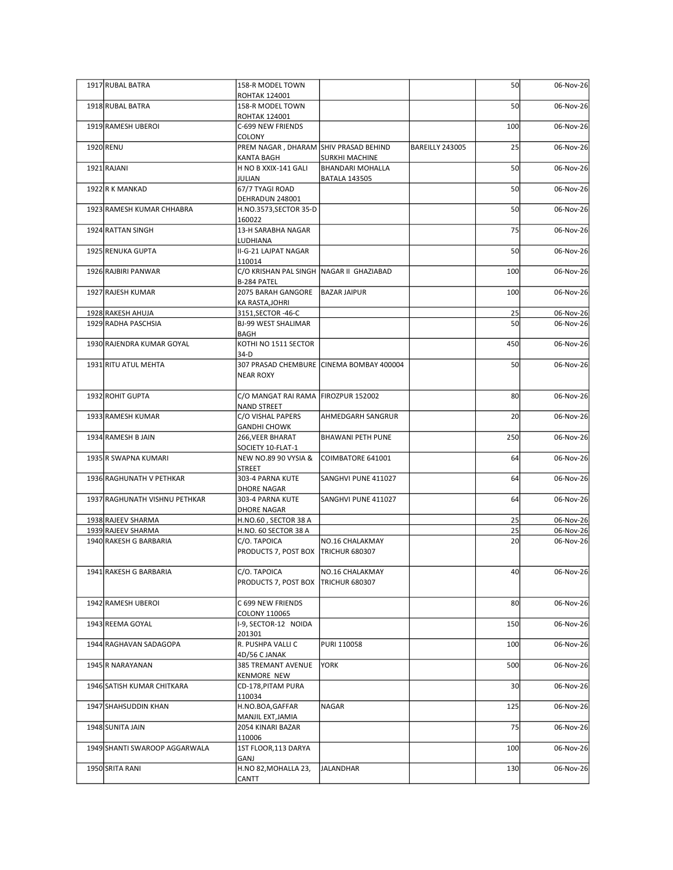| 1917 RUBAL BATRA                         | 158-R MODEL TOWN                                    |                                           |                 |                 | 06-Nov-26              |
|------------------------------------------|-----------------------------------------------------|-------------------------------------------|-----------------|-----------------|------------------------|
|                                          | <b>ROHTAK 124001</b>                                |                                           |                 | 50              |                        |
| 1918 RUBAL BATRA                         | 158-R MODEL TOWN<br><b>ROHTAK 124001</b>            |                                           |                 | 50              | 06-Nov-26              |
| 1919 RAMESH UBEROI                       | C-699 NEW FRIENDS<br><b>COLONY</b>                  |                                           |                 | 100             | 06-Nov-26              |
| 1920 RENU                                | PREM NAGAR, DHARAM SHIV PRASAD BEHIND               |                                           | BAREILLY 243005 | 25              | 06-Nov-26              |
| 1921 RAJANI                              | <b>KANTA BAGH</b><br>H NO B XXIX-141 GALI           | SURKHI MACHINE<br><b>BHANDARI MOHALLA</b> |                 | 50              | 06-Nov-26              |
| 1922 R K MANKAD                          | JULIAN<br>67/7 TYAGI ROAD                           | <b>BATALA 143505</b>                      |                 | 50              | 06-Nov-26              |
|                                          | DEHRADUN 248001                                     |                                           |                 |                 |                        |
| 1923 RAMESH KUMAR CHHABRA                | H.NO.3573, SECTOR 35-D<br>160022                    |                                           |                 | 50              | 06-Nov-26              |
| 1924 RATTAN SINGH                        | 13-H SARABHA NAGAR<br>LUDHIANA                      |                                           |                 | 75              | 06-Nov-26              |
| 1925 RENUKA GUPTA                        | II-G-21 LAJPAT NAGAR                                |                                           |                 | 50              | 06-Nov-26              |
| 1926 RAJBIRI PANWAR                      | 110014<br>C/O KRISHAN PAL SINGH NAGAR II GHAZIABAD  |                                           |                 | 100             | 06-Nov-26              |
| 1927 RAJESH KUMAR                        | B-284 PATEL<br>2075 BARAH GANGORE   BAZAR JAIPUR    |                                           |                 | 100             | 06-Nov-26              |
|                                          | KA RASTA, JOHRI                                     |                                           |                 |                 |                        |
| 1928 RAKESH AHUJA<br>1929 RADHA PASCHSIA | 3151, SECTOR - 46-C<br><b>BJ-99 WEST SHALIMAR</b>   |                                           |                 | 25<br>50        | 06-Nov-26<br>06-Nov-26 |
| 1930 RAJENDRA KUMAR GOYAL                | <b>BAGH</b><br>KOTHI NO 1511 SECTOR                 |                                           |                 | 450             | 06-Nov-26              |
|                                          | $34-D$                                              |                                           |                 |                 |                        |
| 1931 RITU ATUL MEHTA                     | <b>NEAR ROXY</b>                                    | 307 PRASAD CHEMBURE CINEMA BOMBAY 400004  |                 | 50              | 06-Nov-26              |
| 1932 ROHIT GUPTA                         | C/O MANGAT RAI RAMA FIROZPUR 152002                 |                                           |                 | 80              | 06-Nov-26              |
|                                          | <b>NAND STREET</b>                                  |                                           |                 |                 |                        |
| 1933 RAMESH KUMAR                        | C/O VISHAL PAPERS<br><b>GANDHI CHOWK</b>            | AHMEDGARH SANGRUR                         |                 | 20              | 06-Nov-26              |
| 1934 RAMESH B JAIN                       | 266, VEER BHARAT<br>SOCIETY 10-FLAT-1               | <b>BHAWANI PETH PUNE</b>                  |                 | 250             | 06-Nov-26              |
| 1935 R SWAPNA KUMARI                     | NEW NO.89 90 VYSIA &                                | COIMBATORE 641001                         |                 | 64              | 06-Nov-26              |
| 1936 RAGHUNATH V PETHKAR                 | <b>STREET</b><br>303-4 PARNA KUTE                   | SANGHVI PUNE 411027                       |                 | 64              | 06-Nov-26              |
|                                          | <b>DHORE NAGAR</b>                                  |                                           |                 | 64              | 06-Nov-26              |
| 1937 RAGHUNATH VISHNU PETHKAR            | 303-4 PARNA KUTE<br><b>DHORE NAGAR</b>              | SANGHVI PUNE 411027                       |                 |                 |                        |
| 1938 RAJEEV SHARMA<br>1939 RAJEEV SHARMA | H.NO.60, SECTOR 38 A<br>H.NO. 60 SECTOR 38 A        |                                           |                 | 25<br>25        | 06-Nov-26<br>06-Nov-26 |
| 1940 RAKESH G BARBARIA                   | C/O. TAPOICA                                        | NO.16 CHALAKMAY                           |                 | 20              | 06-Nov-26              |
|                                          | PRODUCTS 7, POST BOX TRICHUR 680307                 |                                           |                 |                 |                        |
| 1941 RAKESH G BARBARIA                   | C/O. TAPOICA<br>PRODUCTS 7, POST BOX TRICHUR 680307 | NO.16 CHALAKMAY                           |                 | 40              | 06-Nov-26              |
|                                          |                                                     |                                           |                 |                 |                        |
| 1942 RAMESH UBEROI                       | C 699 NEW FRIENDS<br>COLONY 110065                  |                                           |                 | 80              | 06-Nov-26              |
| 1943 REEMA GOYAL                         | I-9, SECTOR-12 NOIDA<br>201301                      |                                           |                 | 150             | 06-Nov-26              |
| 1944 RAGHAVAN SADAGOPA                   | R. PUSHPA VALLI C                                   | PURI 110058                               |                 | 100             | 06-Nov-26              |
| 1945 R NARAYANAN                         | 4D/56 C JANAK<br>385 TREMANT AVENUE                 | <b>YORK</b>                               |                 | 500             | 06-Nov-26              |
| 1946 SATISH KUMAR CHITKARA               | <b>KENMORE NEW</b><br>CD-178, PITAM PURA            |                                           |                 | 30 <sup>1</sup> | 06-Nov-26              |
|                                          | 110034                                              |                                           |                 |                 |                        |
| 1947 SHAHSUDDIN KHAN                     | H.NO.BOA, GAFFAR<br>MANJIL EXT, JAMIA               | <b>NAGAR</b>                              |                 | 125             | 06-Nov-26              |
| 1948 SUNITA JAIN                         | 2054 KINARI BAZAR<br>110006                         |                                           |                 | 75              | 06-Nov-26              |
| 1949 SHANTI SWAROOP AGGARWALA            | 1ST FLOOR, 113 DARYA                                |                                           |                 | 100             | 06-Nov-26              |
| 1950 SRITA RANI                          | GANJ<br>H.NO 82, MOHALLA 23,                        | JALANDHAR                                 |                 | 130             | 06-Nov-26              |
|                                          | <b>CANTT</b>                                        |                                           |                 |                 |                        |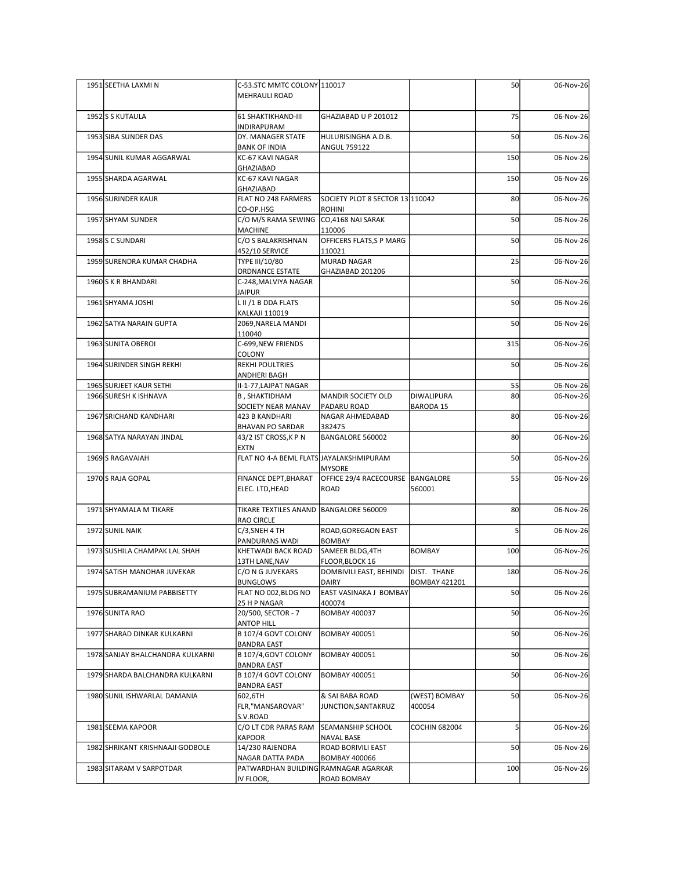| 1951 SEETHA LAXMIN                               | C-53.STC MMTC COLONY 110017                              |                                                  |                      | 50                    | 06-Nov-26              |
|--------------------------------------------------|----------------------------------------------------------|--------------------------------------------------|----------------------|-----------------------|------------------------|
|                                                  | MEHRAULI ROAD                                            |                                                  |                      |                       |                        |
| 1952 S KUTAULA                                   | 61 SHAKTIKHAND-III<br><b>INDIRAPURAM</b>                 | GHAZIABAD U P 201012                             |                      | 75                    | 06-Nov-26              |
| 1953 SIBA SUNDER DAS                             | DY. MANAGER STATE<br><b>BANK OF INDIA</b>                | HULURISINGHA A.D.B.<br><b>ANGUL 759122</b>       |                      | 50                    | 06-Nov-26              |
| 1954 SUNIL KUMAR AGGARWAL                        | KC-67 KAVI NAGAR<br>GHAZIABAD                            |                                                  |                      | 150                   | 06-Nov-26              |
| 1955 SHARDA AGARWAL                              | KC-67 KAVI NAGAR<br>GHAZIABAD                            |                                                  |                      | 150                   | 06-Nov-26              |
| 1956 SURINDER KAUR                               | FLAT NO 248 FARMERS<br>CO-OP.HSG                         | SOCIETY PLOT 8 SECTOR 13 110042<br><b>ROHINI</b> |                      | 80                    | 06-Nov-26              |
| 1957 SHYAM SUNDER                                | C/O M/S RAMA SEWING CO,4168 NAI SARAK<br>MACHINE         | 110006                                           |                      | 50                    | 06-Nov-26              |
| 1958 S C SUNDARI                                 | C/O S BALAKRISHNAN<br>452/10 SERVICE                     | OFFICERS FLATS, SP MARG<br>110021                |                      | 50                    | 06-Nov-26              |
| 1959 SURENDRA KUMAR CHADHA                       | TYPE III/10/80<br>ORDNANCE ESTATE                        | <b>MURAD NAGAR</b><br>GHAZIABAD 201206           |                      | 25                    | 06-Nov-26              |
| 1960 S K R BHANDARI                              | C-248, MALVIYA NAGAR<br><b>JAIPUR</b>                    |                                                  |                      | 50                    | 06-Nov-26              |
| 1961 SHYAMA JOSHI                                | L II /1 B DDA FLATS<br><b>KALKAJI 110019</b>             |                                                  |                      | 50                    | 06-Nov-26              |
| 1962 SATYA NARAIN GUPTA                          | 2069, NARELA MANDI<br>110040                             |                                                  |                      | 50                    | 06-Nov-26              |
| 1963 SUNITA OBEROI                               | C-699, NEW FRIENDS<br>COLONY                             |                                                  |                      | 315                   | 06-Nov-26              |
| 1964 SURINDER SINGH REKHI                        | REKHI POULTRIES<br>ANDHERI BAGH                          |                                                  |                      | 50                    | 06-Nov-26              |
| 1965 SURJEET KAUR SETHI<br>1966 SURESH K ISHNAVA | II-1-77, LAJPAT NAGAR                                    |                                                  | DIWALIPURA           | 55<br>80 <sup>1</sup> | 06-Nov-26<br>06-Nov-26 |
|                                                  | <b>B, SHAKTIDHAM</b><br>SOCIETY NEAR MANAV               | MANDIR SOCIETY OLD<br>PADARU ROAD                | BARODA 15            |                       |                        |
| 1967 SRICHAND KANDHARI                           | 423 B KANDHARI<br><b>BHAVAN PO SARDAR</b>                | NAGAR AHMEDABAD<br>382475                        |                      | 80                    | 06-Nov-26              |
| 1968 SATYA NARAYAN JINDAL                        | 43/2 IST CROSS, KPN<br>EXTN                              | BANGALORE 560002                                 |                      | 80                    | 06-Nov-26              |
| 1969S RAGAVAIAH                                  | FLAT NO 4-A BEML FLATS JAYALAKSHMIPURAM                  | <b>MYSORE</b>                                    |                      | 50                    | 06-Nov-26              |
| 1970 S RAJA GOPAL                                | FINANCE DEPT, BHARAT<br>ELEC. LTD, HEAD                  | OFFICE 29/4 RACECOURSE  BANGALORE<br>ROAD        | 560001               | 55                    | 06-Nov-26              |
| 1971 SHYAMALA M TIKARE                           | TIKARE TEXTILES ANAND   BANGALORE 560009                 |                                                  |                      | 80                    | 06-Nov-26              |
| 1972 SUNIL NAIK                                  | RAO CIRCLE<br>C/3, SNEH 4 TH                             | ROAD, GOREGAON EAST                              |                      |                       | 06-Nov-26              |
| 1973 SUSHILA CHAMPAK LAL SHAH                    | PANDURANS WADI<br>KHETWADI BACK ROAD                     | <b>BOMBAY</b><br>SAMEER BLDG,4TH                 | BOMBAY               | 100                   | 06-Nov-26              |
| 1974 SATISH MANOHAR JUVEKAR                      | 13TH LANE, NAV<br>C/O N G JUVEKARS                       | FLOOR, BLOCK 16<br>DOMBIVILI EAST, BEHINDI       | DIST. THANE          | 180                   | 06-Nov-26              |
| 1975 SUBRAMANIUM PABBISETTY                      | <b>BUNGLOWS</b><br>FLAT NO 002, BLDG NO                  | <b>DAIRY</b><br>EAST VASINAKA J BOMBAY           | <b>BOMBAY 421201</b> | 50                    | 06-Nov-26              |
| 1976 SUNITA RAO                                  | 25 H P NAGAR<br>20/500, SECTOR - 7                       | 400074<br><b>BOMBAY 400037</b>                   |                      | 50                    | 06-Nov-26              |
| 1977 SHARAD DINKAR KULKARNI                      | <b>ANTOP HILL</b><br>B 107/4 GOVT COLONY                 | <b>BOMBAY 400051</b>                             |                      | 50                    | 06-Nov-26              |
| 1978 SANJAY BHALCHANDRA KULKARNI                 | <b>BANDRA EAST</b><br>B 107/4, GOVT COLONY               | <b>BOMBAY 400051</b>                             |                      | 50                    | 06-Nov-26              |
| 1979 SHARDA BALCHANDRA KULKARNI                  | <b>BANDRA EAST</b><br>B 107/4 GOVT COLONY                | <b>BOMBAY 400051</b>                             |                      | 50                    | 06-Nov-26              |
| 1980 SUNIL ISHWARLAL DAMANIA                     | <b>BANDRA EAST</b><br>602,6TH                            | & SAI BABA ROAD                                  | (WEST) BOMBAY        | 50                    | 06-Nov-26              |
|                                                  | FLR,"MANSAROVAR"<br>S.V.ROAD                             | JUNCTION, SANTAKRUZ                              | 400054               |                       |                        |
| 1981 SEEMA KAPOOR                                | C/O LT CDR PARAS RAM<br>KAPOOR                           | <b>SEAMANSHIP SCHOOL</b><br>NAVAL BASE           | <b>COCHIN 682004</b> |                       | 06-Nov-26              |
| 1982 SHRIKANT KRISHNAAJI GODBOLE                 | 14/230 RAJENDRA                                          | ROAD BORIVILI EAST                               |                      | 50                    | 06-Nov-26              |
| 1983 SITARAM V SARPOTDAR                         | NAGAR DATTA PADA<br>PATWARDHAN BUILDING RAMNAGAR AGARKAR | <b>BOMBAY 400066</b><br>ROAD BOMBAY              |                      | 100                   | 06-Nov-26              |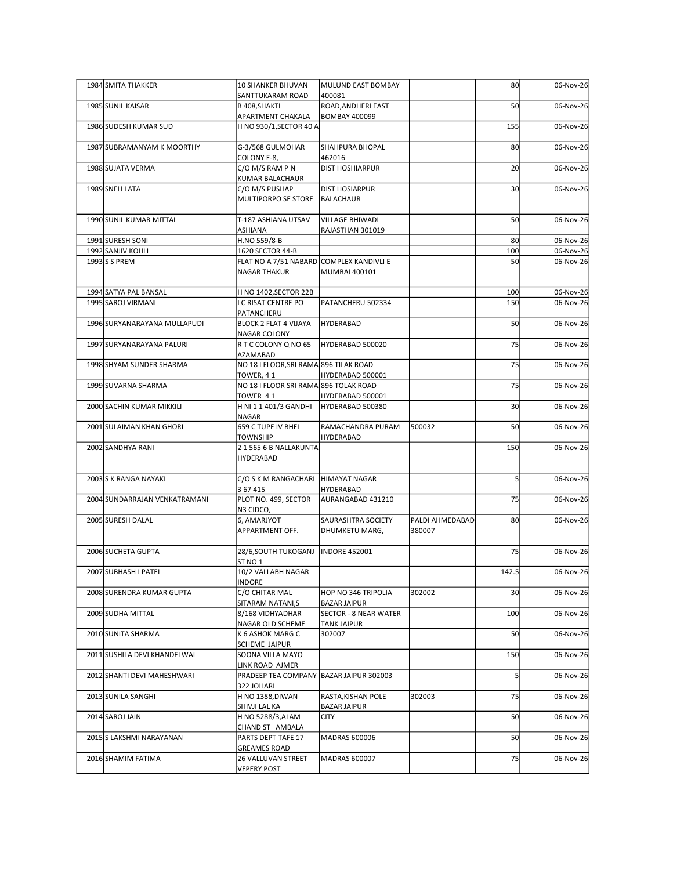| 1984 SMITA THAKKER                          | <b>10 SHANKER BHUVAN</b>                                        | MULUND EAST BOMBAY                          |                 | 80              | 06-Nov-26              |
|---------------------------------------------|-----------------------------------------------------------------|---------------------------------------------|-----------------|-----------------|------------------------|
| 1985 SUNIL KAISAR                           | SANTTUKARAM ROAD<br>B 408, SHAKTI                               | 400081<br>ROAD, ANDHERI EAST                |                 | 50              | 06-Nov-26              |
| 1986 SUDESH KUMAR SUD                       | APARTMENT CHAKALA<br>H NO 930/1, SECTOR 40 A                    | <b>BOMBAY 400099</b>                        |                 | 155             | 06-Nov-26              |
| 1987 SUBRAMANYAM K MOORTHY                  | G-3/568 GULMOHAR<br>COLONY E-8,                                 | SHAHPURA BHOPAL<br>462016                   |                 | 80              | 06-Nov-26              |
| 1988 SUJATA VERMA                           | C/O M/S RAM P N<br>KUMAR BALACHAUR                              | <b>DIST HOSHIARPUR</b>                      |                 | 20              | 06-Nov-26              |
| 1989 SNEH LATA                              | C/O M/S PUSHAP<br>MULTIPORPO SE STORE                           | <b>DIST HOSIARPUR</b><br>BALACHAUR          |                 | 30 <sup>1</sup> | 06-Nov-26              |
| 1990 SUNIL KUMAR MITTAL                     | T-187 ASHIANA UTSAV<br>ASHIANA                                  | VILLAGE BHIWADI<br>RAJASTHAN 301019         |                 | 50              | 06-Nov-26              |
| 1991 SURESH SONI<br>1992 SANJIV KOHLI       | H.NO 559/8-B<br>1620 SECTOR 44-B                                |                                             |                 | 80<br>100       | 06-Nov-26<br>06-Nov-26 |
| 1993 S PREM                                 | FLAT NO A 7/51 NABARD COMPLEX KANDIVLI E<br><b>NAGAR THAKUR</b> | <b>MUMBAI 400101</b>                        |                 | 50              | 06-Nov-26              |
| 1994 SATYA PAL BANSAL<br>1995 SAROJ VIRMANI | H NO 1402, SECTOR 22B<br>I C RISAT CENTRE PO                    | PATANCHERU 502334                           |                 | 100<br>150      | 06-Nov-26<br>06-Nov-26 |
| 1996 SURYANARAYANA MULLAPUDI                | PATANCHERU<br>BLOCK 2 FLAT 4 VIJAYA                             | HYDERABAD                                   |                 | 50              | 06-Nov-26              |
| 1997 SURYANARAYANA PALURI                   | NAGAR COLONY<br>R T C COLONY Q NO 65                            | HYDERABAD 500020                            |                 | 75              | 06-Nov-26              |
| 1998 SHYAM SUNDER SHARMA                    | AZAMABAD<br>NO 18 I FLOOR, SRI RAMA 896 TILAK ROAD              |                                             |                 | 75              | 06-Nov-26              |
| 1999 SUVARNA SHARMA                         | TOWER, 41<br>NO 18 I FLOOR SRI RAMA 896 TOLAK ROAD              | HYDERABAD 500001                            |                 | 75              | 06-Nov-26              |
| 2000 SACHIN KUMAR MIKKILI                   | TOWER 41<br>H NI 1 1 401/3 GANDHI                               | HYDERABAD 500001<br>HYDERABAD 500380        |                 | 30 <sup>1</sup> | 06-Nov-26              |
| 2001 SULAIMAN KHAN GHORI                    | NAGAR<br>659 C TUPE IV BHEL                                     | RAMACHANDRA PURAM                           | 500032          | 50              | 06-Nov-26              |
| 2002 SANDHYA RANI                           | <b>TOWNSHIP</b><br>2 1 565 6 B NALLAKUNTA                       | <b>HYDERABAD</b>                            |                 | 150             | 06-Nov-26              |
| 2003 S K RANGA NAYAKI                       | HYDERABAD<br>C/O S K M RANGACHARI   HIMAYAT NAGAR               |                                             |                 |                 | 06-Nov-26              |
| 2004 SUNDARRAJAN VENKATRAMANI               | 3 67 4 15<br>PLOT NO. 499, SECTOR                               | <b>HYDERABAD</b><br>AURANGABAD 431210       |                 | 75              | 06-Nov-26              |
| 2005 SURESH DALAL                           | N3 CIDCO,<br>6, AMARJYOT                                        | SAURASHTRA SOCIETY                          | PALDI AHMEDABAD | 80              | 06-Nov-26              |
|                                             | APPARTMENT OFF.                                                 | DHUMKETU MARG,                              | 380007          |                 |                        |
| 2006 SUCHETA GUPTA                          | 28/6, SOUTH TUKOGANJ<br>ST <sub>NO</sub> 1                      | <b>INDORE 452001</b>                        |                 | 75              | 06-Nov-26              |
| 2007 SUBHASH I PATEL                        | 10/2 VALLABH NAGAR<br><b>INDORE</b>                             |                                             |                 | 142.5           | 06-Nov-26              |
| 2008 SURENDRA KUMAR GUPTA                   | C/O CHITAR MAL<br>SITARAM NATANI, S                             | HOP NO 346 TRIPOLIA<br><b>BAZAR JAIPUR</b>  | 302002          | 30 <sup>1</sup> | 06-Nov-26              |
| 2009 SUDHA MITTAL                           | 8/168 VIDHYADHAR<br>NAGAR OLD SCHEME                            | SECTOR - 8 NEAR WATER<br><b>TANK JAIPUR</b> |                 | 100             | 06-Nov-26              |
| 2010 SUNITA SHARMA                          | K 6 ASHOK MARG C<br>SCHEME JAIPUR                               | 302007                                      |                 | 50              | 06-Nov-26              |
| 2011 SUSHILA DEVI KHANDELWAL                | SOONA VILLA MAYO<br>LINK ROAD AJMER                             |                                             |                 | 150             | 06-Nov-26              |
| 2012 SHANTI DEVI MAHESHWARI                 | PRADEEP TEA COMPANY BAZAR JAIPUR 302003<br>322 JOHARI           |                                             |                 |                 | 06-Nov-26              |
| 2013 SUNILA SANGHI                          | H NO 1388, DIWAN<br>SHIVJI LAL KA                               | RASTA, KISHAN POLE<br><b>BAZAR JAIPUR</b>   | 302003          | 75              | 06-Nov-26              |
| 2014 SAROJ JAIN                             | H NO 5288/3, ALAM<br>CHAND ST AMBALA                            | <b>CITY</b>                                 |                 | 50              | 06-Nov-26              |
| 2015 S LAKSHMI NARAYANAN                    | PARTS DEPT TAFE 17<br><b>GREAMES ROAD</b>                       | MADRAS 600006                               |                 | 50              | 06-Nov-26              |
| 2016 SHAMIM FATIMA                          | 26 VALLUVAN STREET<br><b>VEPERY POST</b>                        | MADRAS 600007                               |                 | 75              | 06-Nov-26              |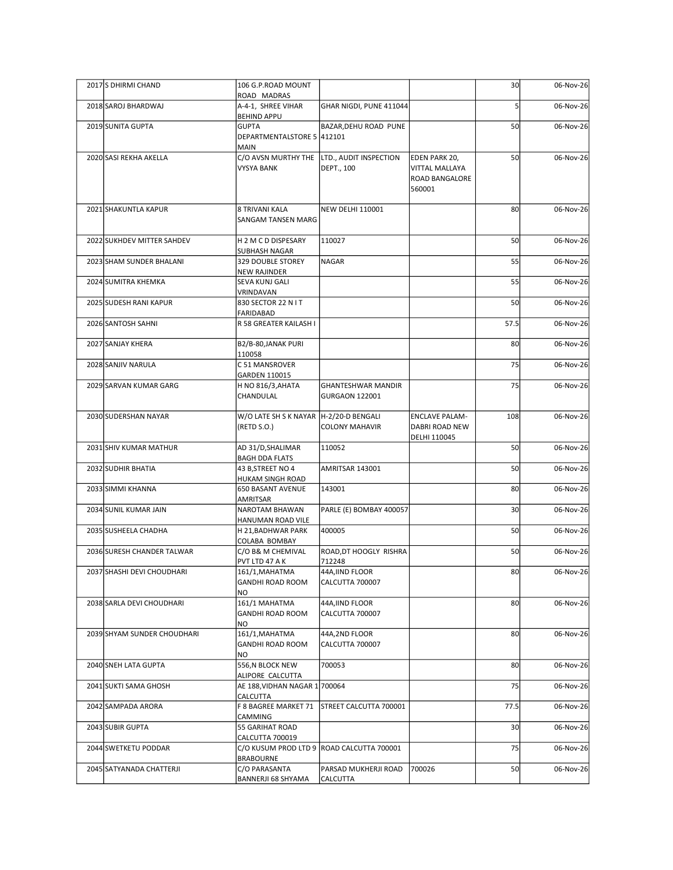| 2017 S DHIRMI CHAND         | 106 G.P.ROAD MOUNT                         |                                            |                                | 30              | 06-Nov-26 |
|-----------------------------|--------------------------------------------|--------------------------------------------|--------------------------------|-----------------|-----------|
|                             | ROAD MADRAS                                |                                            |                                |                 |           |
| 2018 SAROJ BHARDWAJ         | A-4-1, SHREE VIHAR<br><b>BEHIND APPU</b>   | GHAR NIGDI, PUNE 411044                    |                                |                 | 06-Nov-26 |
| 2019 SUNITA GUPTA           | <b>GUPTA</b><br>DEPARTMENTALSTORE 5 412101 | BAZAR, DEHU ROAD PUNE                      |                                | 50              | 06-Nov-26 |
| 2020 SASI REKHA AKELLA      | <b>MAIN</b>                                | C/O AVSN MURTHY THE LTD., AUDIT INSPECTION | EDEN PARK 20,                  | 50              | 06-Nov-26 |
|                             | <b>VYSYA BANK</b>                          | DEPT., 100                                 | <b>VITTAL MALLAYA</b>          |                 |           |
|                             |                                            |                                            | ROAD BANGALORE<br>560001       |                 |           |
| 2021 SHAKUNTLA KAPUR        | 8 TRIVANI KALA                             | <b>NEW DELHI 110001</b>                    |                                | 80              | 06-Nov-26 |
|                             | <b>SANGAM TANSEN MARG</b>                  |                                            |                                |                 |           |
| 2022 SUKHDEV MITTER SAHDEV  | H 2 M C D DISPESARY                        | 110027                                     |                                | 50              | 06-Nov-26 |
| 2023 SHAM SUNDER BHALANI    | SUBHASH NAGAR<br>329 DOUBLE STOREY         | NAGAR                                      |                                | 55              | 06-Nov-26 |
|                             | <b>NEW RAJINDER</b>                        |                                            |                                |                 |           |
| 2024 SUMITRA KHEMKA         | SEVA KUNJ GALI<br>VRINDAVAN                |                                            |                                | 55              | 06-Nov-26 |
| 2025 SUDESH RANI KAPUR      | 830 SECTOR 22 N I T<br>FARIDABAD           |                                            |                                | 50              | 06-Nov-26 |
| 2026 SANTOSH SAHNI          | R 58 GREATER KAILASH I                     |                                            |                                | 57.5            | 06-Nov-26 |
| 2027 SANJAY KHERA           | B2/B-80, JANAK PURI                        |                                            |                                | 80              | 06-Nov-26 |
| 2028 SANJIV NARULA          | 110058<br>C 51 MANSROVER                   |                                            |                                | 75              | 06-Nov-26 |
| 2029 SARVAN KUMAR GARG      | GARDEN 110015<br>H NO 816/3, AHATA         | <b>GHANTESHWAR MANDIR</b>                  |                                | 75              | 06-Nov-26 |
|                             | CHANDULAL                                  | GURGAON 122001                             |                                |                 |           |
| 2030 SUDERSHAN NAYAR        | W/O LATE SH S K NAYAR  H-2/20-D BENGALI    |                                            | <b>ENCLAVE PALAM-</b>          | 108             | 06-Nov-26 |
|                             | (RETD S.O.)                                | <b>COLONY MAHAVIR</b>                      | DABRI ROAD NEW<br>DELHI 110045 |                 |           |
| 2031 SHIV KUMAR MATHUR      | AD 31/D, SHALIMAR                          | 110052                                     |                                | 50              | 06-Nov-26 |
| 2032 SUDHIR BHATIA          | <b>BAGH DDA FLATS</b><br>43 B, STREET NO 4 | AMRITSAR 143001                            |                                | 50              | 06-Nov-26 |
| 2033 SIMMI KHANNA           | HUKAM SINGH ROAD<br>650 BASANT AVENUE      | 143001                                     |                                | 80              | 06-Nov-26 |
|                             | AMRITSAR                                   |                                            |                                |                 |           |
| 2034 SUNIL KUMAR JAIN       | NAROTAM BHAWAN<br>HANUMAN ROAD VILE        | PARLE (E) BOMBAY 400057                    |                                | 30 <sup>1</sup> | 06-Nov-26 |
| 2035 SUSHEELA CHADHA        | H 21, BADHWAR PARK<br>COLABA BOMBAY        | 400005                                     |                                | 50              | 06-Nov-26 |
| 2036 SURESH CHANDER TALWAR  | C/O B& M CHEMIVAL<br>PVT LTD 47 A K        | ROAD, DT HOOGLY RISHRA<br>712248           |                                | 50              | 06-Nov-26 |
| 2037 SHASHI DEVI CHOUDHARI  | 161/1, MAHATMA                             | 44A, IIND FLOOR                            |                                | 80              | 06-Nov-26 |
|                             | GANDHI ROAD ROOM<br><b>NO</b>              | CALCUTTA 700007                            |                                |                 |           |
| 2038 SARLA DEVI CHOUDHARI   | 161/1 MAHATMA<br>GANDHI ROAD ROOM          | 44A, IIND FLOOR<br>CALCUTTA 700007         |                                | 80              | 06-Nov-26 |
|                             | NO                                         |                                            |                                |                 |           |
| 2039 SHYAM SUNDER CHOUDHARI | 161/1, MAHATMA<br><b>GANDHI ROAD ROOM</b>  | 44A,2ND FLOOR<br>CALCUTTA 700007           |                                | 80              | 06-Nov-26 |
| 2040 SNEH LATA GUPTA        | NO<br>556,N BLOCK NEW                      | 700053                                     |                                | 80 <sup>2</sup> | 06-Nov-26 |
|                             | ALIPORE CALCUTTA                           |                                            |                                |                 |           |
| 2041 SUKTI SAMA GHOSH       | AE 188, VIDHAN NAGAR 1 700064<br>CALCUTTA  |                                            |                                | 75              | 06-Nov-26 |
| 2042 SAMPADA ARORA          | F 8 BAGREE MARKET 71<br>CAMMING            | STREET CALCUTTA 700001                     |                                | 77.5            | 06-Nov-26 |
| 2043 SUBIR GUPTA            | 55 GARIHAT ROAD                            |                                            |                                | 30              | 06-Nov-26 |
| 2044 SWETKETU PODDAR        | CALCUTTA 700019                            | C/O KUSUM PROD LTD 9 ROAD CALCUTTA 700001  |                                | 75              | 06-Nov-26 |
| 2045 SATYANADA CHATTERJI    | <b>BRABOURNE</b><br>C/O PARASANTA          | PARSAD MUKHERJI ROAD                       | 700026                         | 50              | 06-Nov-26 |
|                             | BANNERJI 68 SHYAMA                         | <b>CALCUTTA</b>                            |                                |                 |           |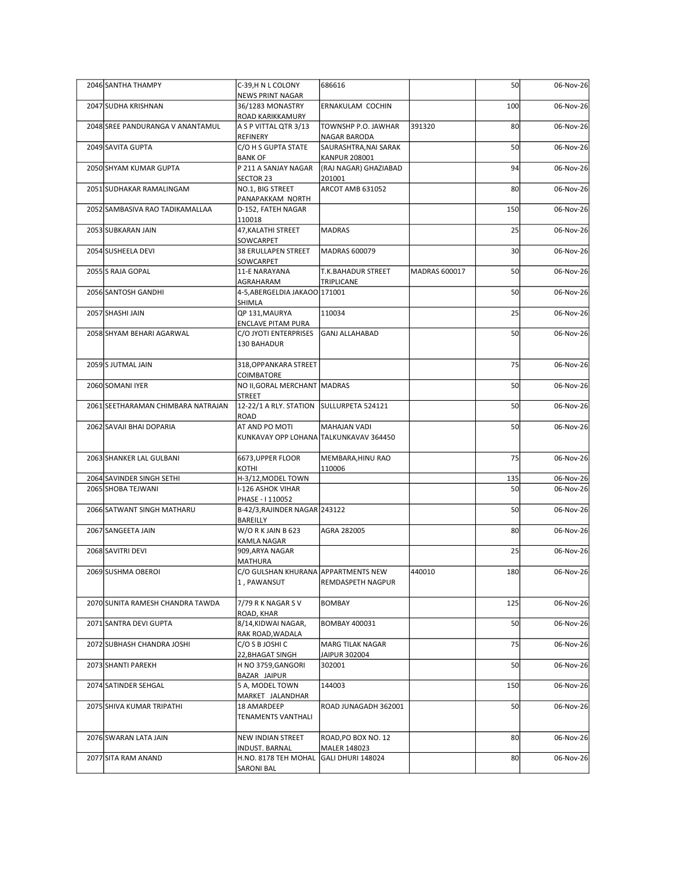| 2046 SANTHA THAMPY                 | C-39, H N L COLONY                                            | 686616                                        |               | 50              | 06-Nov-26 |
|------------------------------------|---------------------------------------------------------------|-----------------------------------------------|---------------|-----------------|-----------|
| 2047 SUDHA KRISHNAN                | NEWS PRINT NAGAR<br>36/1283 MONASTRY                          | ERNAKULAM COCHIN                              |               | 100             | 06-Nov-26 |
|                                    | ROAD KARIKKAMURY                                              |                                               |               |                 | 06-Nov-26 |
| 2048 SREE PANDURANGA V ANANTAMUL   | A S P VITTAL QTR 3/13<br>REFINERY                             | TOWNSHP P.O. JAWHAR<br>NAGAR BARODA           | 391320        | 80              |           |
| 2049 SAVITA GUPTA                  | C/O H S GUPTA STATE<br><b>BANK OF</b>                         | SAURASHTRA, NAI SARAK<br><b>KANPUR 208001</b> |               | 50              | 06-Nov-26 |
| 2050 SHYAM KUMAR GUPTA             | P 211 A SANJAY NAGAR<br>SECTOR 23                             | (RAJ NAGAR) GHAZIABAD<br>201001               |               | 94              | 06-Nov-26 |
| 2051 SUDHAKAR RAMALINGAM           | NO.1, BIG STREET<br>PANAPAKKAM NORTH                          | ARCOT AMB 631052                              |               | 80              | 06-Nov-26 |
| 2052 SAMBASIVA RAO TADIKAMALLAA    | D-152, FATEH NAGAR                                            |                                               |               | 150             | 06-Nov-26 |
| 2053 SUBKARAN JAIN                 | 110018<br>47, KALATHI STREET                                  | <b>MADRAS</b>                                 |               | 25              | 06-Nov-26 |
| 2054 SUSHEELA DEVI                 | SOWCARPET<br>38 ERULLAPEN STREET                              | MADRAS 600079                                 |               | 30 <sup>1</sup> | 06-Nov-26 |
| 2055 S RAJA GOPAL                  | SOWCARPET<br>11-E NARAYANA                                    | T.K.BAHADUR STREET                            | MADRAS 600017 | 50              | 06-Nov-26 |
|                                    | AGRAHARAM                                                     | TRIPLICANE                                    |               |                 |           |
| 2056 SANTOSH GANDHI                | 4-5,ABERGELDIA JAKAOO 171001<br>SHIMLA                        |                                               |               | 50              | 06-Nov-26 |
| 2057 SHASHI JAIN                   | QP 131, MAURYA<br><b>ENCLAVE PITAM PURA</b>                   | 110034                                        |               | 25              | 06-Nov-26 |
| 2058 SHYAM BEHARI AGARWAL          | C/O JYOTI ENTERPRISES<br>130 BAHADUR                          | GANJ ALLAHABAD                                |               | 50              | 06-Nov-26 |
| 2059S JUTMAL JAIN                  | 318, OPPANKARA STREET                                         |                                               |               | 75              | 06-Nov-26 |
| 2060 SOMANI IYER                   | COIMBATORE<br>NO II, GORAL MERCHANT MADRAS                    |                                               |               | 50              | 06-Nov-26 |
| 2061 SEETHARAMAN CHIMBARA NATRAJAN | <b>STREET</b><br>12-22/1 A RLY. STATION SULLURPETA 524121     |                                               |               | 50              | 06-Nov-26 |
| 2062 SAVAJI BHAI DOPARIA           | ROAD<br>AT AND PO MOTI                                        | MAHAJAN VADI                                  |               | 50              | 06-Nov-26 |
|                                    | KUNKAVAY OPP LOHANA TALKUNKAVAV 364450                        |                                               |               |                 |           |
| 2063 SHANKER LAL GULBANI           | 6673, UPPER FLOOR<br>KOTHI                                    | MEMBARA, HINU RAO<br>110006                   |               | 75              | 06-Nov-26 |
| 2064 SAVINDER SINGH SETHI          | H-3/12, MODEL TOWN                                            |                                               |               | 135             | 06-Nov-26 |
| 2065 SHOBA TEJWANI                 | I-126 ASHOK VIHAR<br>PHASE - I 110052                         |                                               |               | 50              | 06-Nov-26 |
| 2066 SATWANT SINGH MATHARU         | B-42/3, RAJINDER NAGAR 243122<br>BAREILLY                     |                                               |               | 50              | 06-Nov-26 |
| 2067 SANGEETA JAIN                 | W/ORKJAINB623                                                 | AGRA 282005                                   |               | 80 <sup>1</sup> | 06-Nov-26 |
| 2068 SAVITRI DEVI                  | KAMLA NAGAR<br>909, ARYA NAGAR                                |                                               |               | 25              | 06-Nov-26 |
| 2069 SUSHMA OBEROI                 | MATHURA<br>C/O GULSHAN KHURANA APPARTMENTS NEW<br>1, PAWANSUT | REMDASPETH NAGPUR                             | 440010        | 180             | 06-Nov-26 |
| 2070 SUNITA RAMESH CHANDRA TAWDA   | 7/79 R K NAGAR S V                                            | <b>BOMBAY</b>                                 |               | 125             | 06-Nov-26 |
|                                    | ROAD, KHAR<br>8/14, KIDWAI NAGAR,                             |                                               |               | 50              |           |
| 2071 SANTRA DEVI GUPTA             | RAK ROAD, WADALA                                              | <b>BOMBAY 400031</b>                          |               |                 | 06-Nov-26 |
| 2072 SUBHASH CHANDRA JOSHI         | C/O S B JOSHI C<br>22, BHAGAT SINGH                           | <b>MARG TILAK NAGAR</b><br>JAIPUR 302004      |               | 75              | 06-Nov-26 |
| 2073 SHANTI PAREKH                 | H NO 3759, GANGORI<br>BAZAR JAIPUR                            | 302001                                        |               | 50              | 06-Nov-26 |
| 2074 SATINDER SEHGAL               | 5 A, MODEL TOWN<br>MARKET JALANDHAR                           | 144003                                        |               | 150             | 06-Nov-26 |
| 2075 SHIVA KUMAR TRIPATHI          | 18 AMARDEEP<br>TENAMENTS VANTHALI                             | ROAD JUNAGADH 362001                          |               | 50              | 06-Nov-26 |
| 2076 SWARAN LATA JAIN              | NEW INDIAN STREET                                             | ROAD, PO BOX NO. 12                           |               | 80              | 06-Nov-26 |
| 2077 SITA RAM ANAND                | INDUST. BARNAL<br>H.NO. 8178 TEH MOHAL                        | MALER 148023<br>GALI DHURI 148024             |               | 80 <sup>1</sup> | 06-Nov-26 |
|                                    |                                                               |                                               |               |                 |           |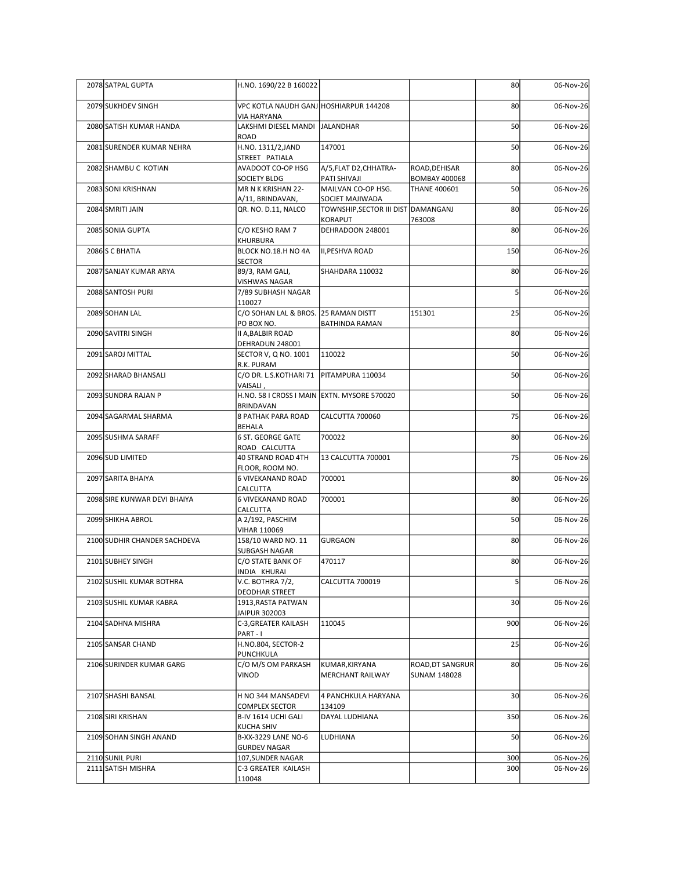| 2078 SATPAL GUPTA            | H.NO. 1690/22 B 160022                                |                                                        |                                         | 80              | 06-Nov-26 |
|------------------------------|-------------------------------------------------------|--------------------------------------------------------|-----------------------------------------|-----------------|-----------|
| 2079 SUKHDEV SINGH           | VPC KOTLA NAUDH GANJ HOSHIARPUR 144208                |                                                        |                                         | 80              | 06-Nov-26 |
| 2080 SATISH KUMAR HANDA      | <b>VIA HARYANA</b><br>LAKSHMI DIESEL MANDI JALANDHAR  |                                                        |                                         | 50              | 06-Nov-26 |
|                              | ROAD                                                  |                                                        |                                         |                 |           |
| 2081 SURENDER KUMAR NEHRA    | H.NO. 1311/2, JAND<br>STREET PATIALA                  | 147001                                                 |                                         | 50              | 06-Nov-26 |
| 2082 SHAMBU C KOTIAN         | AVADOOT CO-OP HSG<br>SOCIETY BLDG                     | A/5, FLAT D2, CHHATRA-<br>PATI SHIVAJI                 | ROAD, DEHISAR<br><b>BOMBAY 400068</b>   | 80              | 06-Nov-26 |
| 2083 SONI KRISHNAN           | MR N K KRISHAN 22-                                    | MAILVAN CO-OP HSG.                                     | <b>THANE 400601</b>                     | 50              | 06-Nov-26 |
| 2084 SMRITI JAIN             | A/11, BRINDAVAN,<br>QR. NO. D.11, NALCO               | SOCIET MAJIWADA<br>TOWNSHIP, SECTOR III DIST DAMANGANJ |                                         | 80              | 06-Nov-26 |
| 2085 SONIA GUPTA             | C/O KESHO RAM 7                                       | KORAPUT<br>DEHRADOON 248001                            | 763008                                  | 80              | 06-Nov-26 |
|                              | KHURBURA                                              |                                                        |                                         |                 |           |
| 2086 S C BHATIA              | BLOCK NO.18.H NO 4A<br><b>SECTOR</b>                  | II, PESHVA ROAD                                        |                                         | 150             | 06-Nov-26 |
| 2087 SANJAY KUMAR ARYA       | 89/3, RAM GALI,<br>VISHWAS NAGAR                      | SHAHDARA 110032                                        |                                         | 80              | 06-Nov-26 |
| 2088 SANTOSH PURI            | 7/89 SUBHASH NAGAR                                    |                                                        |                                         |                 | 06-Nov-26 |
| 2089 SOHAN LAL               | 110027<br>C/O SOHAN LAL & BROS. 25 RAMAN DISTT        |                                                        | 151301                                  | 25              | 06-Nov-26 |
| 2090 SAVITRI SINGH           | PO BOX NO.<br><b>II A, BALBIR ROAD</b>                | <b>BATHINDA RAMAN</b>                                  |                                         | 80              | 06-Nov-26 |
|                              | DEHRADUN 248001                                       |                                                        |                                         |                 |           |
| 2091 SAROJ MITTAL            | SECTOR V, Q NO. 1001<br>R.K. PURAM                    | 110022                                                 |                                         | 50              | 06-Nov-26 |
| 2092 SHARAD BHANSALI         | C/O DR. L.S.KOTHARI 71   PITAMPURA 110034<br>VAISALI, |                                                        |                                         | 50              | 06-Nov-26 |
| 2093 SUNDRA RAJAN P          | H.NO. 58 I CROSS I MAIN EXTN. MYSORE 570020           |                                                        |                                         | 50              | 06-Nov-26 |
| 2094 SAGARMAL SHARMA         | <b>BRINDAVAN</b><br><b>8 PATHAK PARA ROAD</b>         | CALCUTTA 700060                                        |                                         | 75              | 06-Nov-26 |
| 2095 SUSHMA SARAFF           | <b>BEHALA</b><br>6 ST. GEORGE GATE                    | 700022                                                 |                                         | 80              | 06-Nov-26 |
|                              | ROAD CALCUTTA                                         |                                                        |                                         |                 |           |
| 2096 SUD LIMITED             | 40 STRAND ROAD 4TH<br>FLOOR, ROOM NO.                 | 13 CALCUTTA 700001                                     |                                         | 75              | 06-Nov-26 |
| 2097 SARITA BHAIYA           | 6 VIVEKANAND ROAD<br>CALCUTTA                         | 700001                                                 |                                         | 80              | 06-Nov-26 |
| 2098 SIRE KUNWAR DEVI BHAIYA | <b>6 VIVEKANAND ROAD</b>                              | 700001                                                 |                                         | 80              | 06-Nov-26 |
| 2099 SHIKHA ABROL            | CALCUTTA<br>A 2/192, PASCHIM                          |                                                        |                                         | 50              | 06-Nov-26 |
|                              | VIHAR 110069                                          |                                                        |                                         | 80              | 06-Nov-26 |
| 2100 SUDHIR CHANDER SACHDEVA | 158/10 WARD NO. 11<br>SUBGASH NAGAR                   | GURGAON                                                |                                         |                 |           |
| 2101 SUBHEY SINGH            | C/O STATE BANK OF<br>INDIA KHURAI                     | 470117                                                 |                                         | 80              | 06-Nov-26 |
| 2102 SUSHIL KUMAR BOTHRA     | V.C. BOTHRA 7/2,                                      | CALCUTTA 700019                                        |                                         |                 | 06-Nov-26 |
| 2103 SUSHIL KUMAR KABRA      | <b>DEODHAR STREET</b><br>1913, RASTA PATWAN           |                                                        |                                         | 30 <sup>1</sup> | 06-Nov-26 |
| 2104 SADHNA MISHRA           | JAIPUR 302003<br>C-3, GREATER KAILASH                 | 110045                                                 |                                         | 900             | 06-Nov-26 |
|                              | PART-I                                                |                                                        |                                         |                 |           |
| 2105 SANSAR CHAND            | H.NO.804, SECTOR-2<br>PUNCHKULA                       |                                                        |                                         | 25              | 06-Nov-26 |
| 2106 SURINDER KUMAR GARG     | C/O M/S OM PARKASH<br>VINOD                           | KUMAR, KIRYANA<br>MERCHANT RAILWAY                     | ROAD, DT SANGRUR<br><b>SUNAM 148028</b> | 80              | 06-Nov-26 |
|                              |                                                       |                                                        |                                         |                 |           |
| 2107 SHASHI BANSAL           | H NO 344 MANSADEVI<br><b>COMPLEX SECTOR</b>           | 4 PANCHKULA HARYANA<br>134109                          |                                         | 30 <sup>1</sup> | 06-Nov-26 |
| 2108 SIRI KRISHAN            | B-IV 1614 UCHI GALI<br><b>KUCHA SHIV</b>              | DAYAL LUDHIANA                                         |                                         | 350             | 06-Nov-26 |
| 2109 SOHAN SINGH ANAND       | B-XX-3229 LANE NO-6                                   | LUDHIANA                                               |                                         | 50              | 06-Nov-26 |
| 2110 SUNIL PURI              | <b>GURDEV NAGAR</b><br>107, SUNDER NAGAR              |                                                        |                                         | 300             | 06-Nov-26 |
| 2111 SATISH MISHRA           | C-3 GREATER KAILASH<br>110048                         |                                                        |                                         | 300             | 06-Nov-26 |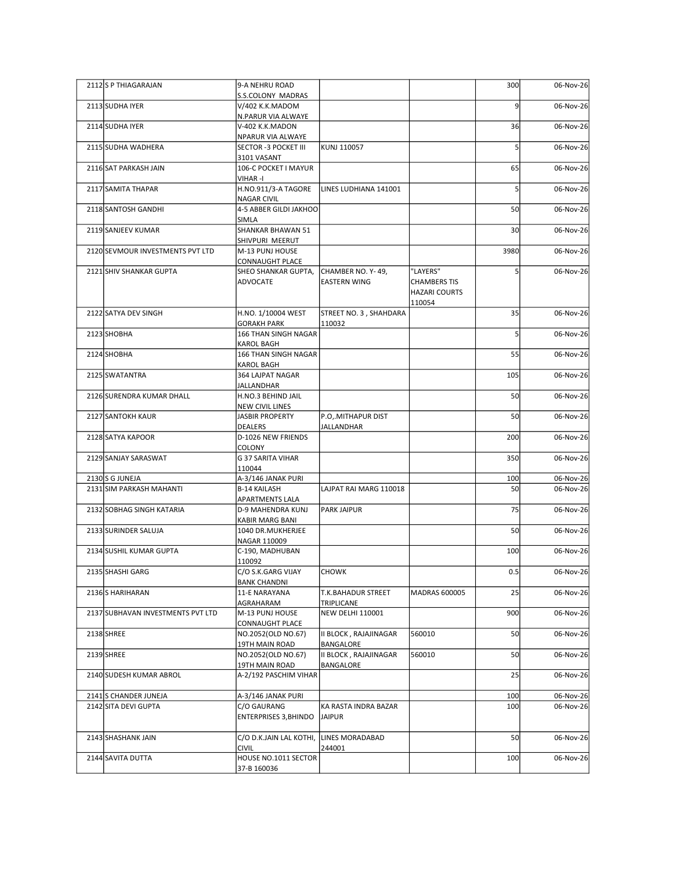| 2112S P THIAGARAJAN               | 9-A NEHRU ROAD                                          |                                          |                                                                   | 300             | 06-Nov-26 |
|-----------------------------------|---------------------------------------------------------|------------------------------------------|-------------------------------------------------------------------|-----------------|-----------|
| 2113 SUDHA IYER                   | S.S.COLONY MADRAS<br>V/402 K.K.MADOM                    |                                          |                                                                   | q               | 06-Nov-26 |
| 2114 SUDHA IYER                   | N.PARUR VIA ALWAYE<br>V-402 K.K.MADON                   |                                          |                                                                   | 36              | 06-Nov-26 |
| 2115 SUDHA WADHERA                | NPARUR VIA ALWAYE<br>SECTOR -3 POCKET III               | KUNJ 110057                              |                                                                   |                 | 06-Nov-26 |
| 2116 SAT PARKASH JAIN             | 3101 VASANT<br>106-C POCKET I MAYUR                     |                                          |                                                                   | 65              | 06-Nov-26 |
|                                   | VIHAR -I                                                |                                          |                                                                   |                 |           |
| 2117 SAMITA THAPAR                | H.NO.911/3-A TAGORE<br><b>NAGAR CIVIL</b>               | LINES LUDHIANA 141001                    |                                                                   |                 | 06-Nov-26 |
| 2118 SANTOSH GANDHI               | 4-5 ABBER GILDI JAKHOO<br>SIMLA                         |                                          |                                                                   | 50              | 06-Nov-26 |
| 2119 SANJEEV KUMAR                | SHANKAR BHAWAN 51<br>SHIVPURI MEERUT                    |                                          |                                                                   | 30 <sup>1</sup> | 06-Nov-26 |
| 2120 SEVMOUR INVESTMENTS PVT LTD  | M-13 PUNJ HOUSE<br><b>CONNAUGHT PLACE</b>               |                                          |                                                                   | 3980            | 06-Nov-26 |
| 2121 SHIV SHANKAR GUPTA           | SHEO SHANKAR GUPTA,<br>ADVOCATE                         | CHAMBER NO. Y-49,<br><b>EASTERN WING</b> | "LAYERS"<br><b>CHAMBERS TIS</b><br><b>HAZARI COURTS</b><br>110054 |                 | 06-Nov-26 |
| 2122 SATYA DEV SINGH              | H.NO. 1/10004 WEST<br><b>GORAKH PARK</b>                | STREET NO. 3, SHAHDARA                   |                                                                   | 35              | 06-Nov-26 |
| 2123 SHOBHA                       | 166 THAN SINGH NAGAR<br>KAROL BAGH                      | 110032                                   |                                                                   |                 | 06-Nov-26 |
| 2124 SHOBHA                       | 166 THAN SINGH NAGAR                                    |                                          |                                                                   | 55              | 06-Nov-26 |
| 2125 SWATANTRA                    | <b>KAROL BAGH</b><br>364 LAJPAT NAGAR                   |                                          |                                                                   | 105             | 06-Nov-26 |
| 2126 SURENDRA KUMAR DHALL         | <b>JALLANDHAR</b><br>H.NO.3 BEHIND JAIL                 |                                          |                                                                   | 50              | 06-Nov-26 |
| 2127 SANTOKH KAUR                 | <b>NEW CIVIL LINES</b><br><b>JASBIR PROPERTY</b>        | P.O. MITHAPUR DIST                       |                                                                   | 50              | 06-Nov-26 |
| 2128 SATYA KAPOOR                 | <b>DEALERS</b><br>D-1026 NEW FRIENDS                    | JALLANDHAR                               |                                                                   | 200             | 06-Nov-26 |
| 2129 SANJAY SARASWAT              | COLONY<br>G 37 SARITA VIHAR                             |                                          |                                                                   | 350             | 06-Nov-26 |
| 2130 S G JUNEJA                   | 110044<br>A-3/146 JANAK PURI                            |                                          |                                                                   | 100             | 06-Nov-26 |
| 2131 SIM PARKASH MAHANTI          | <b>B-14 KAILASH</b><br><b>APARTMENTS LALA</b>           | LAJPAT RAI MARG 110018                   |                                                                   | 50              | 06-Nov-26 |
| 2132 SOBHAG SINGH KATARIA         | D-9 MAHENDRA KUNJ<br>KABIR MARG BANI                    | <b>PARK JAIPUR</b>                       |                                                                   | 75              | 06-Nov-26 |
| 2133 SURINDER SALUJA              | 1040 DR.MUKHERJEE<br>NAGAR 110009                       |                                          |                                                                   | 50              | 06-Nov-26 |
| 2134 SUSHIL KUMAR GUPTA           | C-190, MADHUBAN<br>110092                               |                                          |                                                                   | 100             | 06-Nov-26 |
| 2135 SHASHI GARG                  | C/O S.K.GARG VIJAY                                      | <b>CHOWK</b>                             |                                                                   | 0.5             | 06-Nov-26 |
| 2136 S HARIHARAN                  | <b>BANK CHANDNI</b><br>11-E NARAYANA                    | <b>T.K.BAHADUR STREET</b>                | MADRAS 600005                                                     | 25              | 06-Nov-26 |
| 2137 SUBHAVAN INVESTMENTS PVT LTD | AGRAHARAM<br>M-13 PUNJ HOUSE                            | TRIPLICANE<br>NEW DELHI 110001           |                                                                   | 900             | 06-Nov-26 |
| 2138SHREE                         | <b>CONNAUGHT PLACE</b><br>NO.2052(OLD NO.67)            | II BLOCK, RAJAJINAGAR                    | 560010                                                            | 50              | 06-Nov-26 |
| 2139SHREE                         | 19TH MAIN ROAD<br>NO.2052(OLD NO.67)                    | BANGALORE<br>II BLOCK, RAJAJINAGAR       | 560010                                                            | 50              | 06-Nov-26 |
| 2140 SUDESH KUMAR ABROL           | 19TH MAIN ROAD<br>A-2/192 PASCHIM VIHAR                 | BANGALORE                                |                                                                   | 25              | 06-Nov-26 |
| 2141 S CHANDER JUNEJA             | A-3/146 JANAK PURI                                      |                                          |                                                                   | 100             | 06-Nov-26 |
| 2142 SITA DEVI GUPTA              | C/O GAURANG<br><b>ENTERPRISES 3, BHINDO</b>             | KA RASTA INDRA BAZAR<br>JAIPUR           |                                                                   | 100             | 06-Nov-26 |
| 2143 SHASHANK JAIN                | C/O D.K.JAIN LAL KOTHI, LINES MORADABAD<br><b>CIVIL</b> | 244001                                   |                                                                   | 50              | 06-Nov-26 |
| 2144 SAVITA DUTTA                 | HOUSE NO.1011 SECTOR                                    |                                          |                                                                   | 100             | 06-Nov-26 |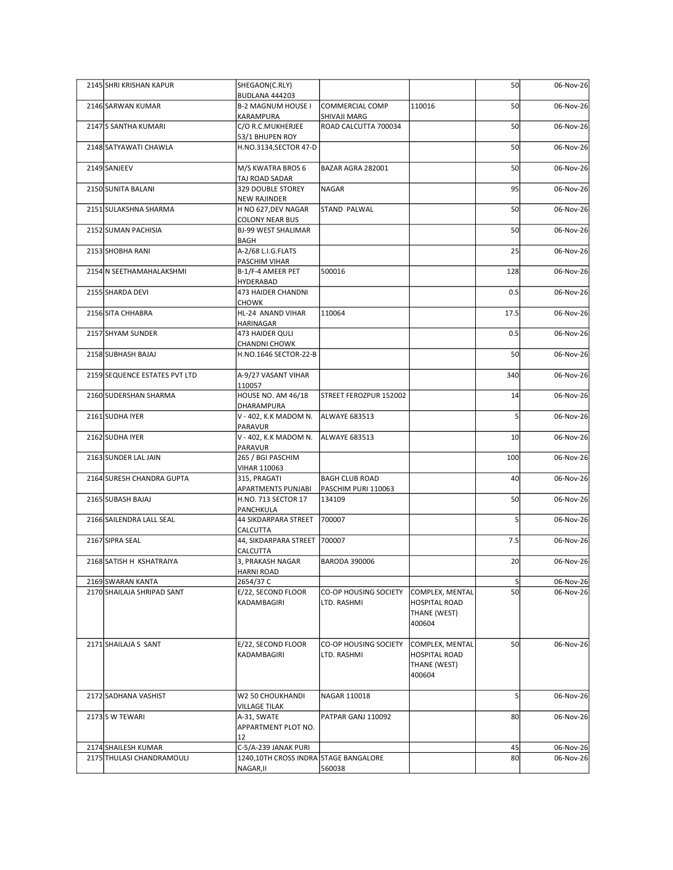| 2145 SHRI KRISHAN KAPUR                          | SHEGAON(C.RLY)                                                             |                                      |                                                                   | 50                    | 06-Nov-26              |
|--------------------------------------------------|----------------------------------------------------------------------------|--------------------------------------|-------------------------------------------------------------------|-----------------------|------------------------|
| 2146 SARWAN KUMAR                                | BUDLANA 444203<br><b>B-2 MAGNUM HOUSE I</b>                                | COMMERCIAL COMP                      | 110016                                                            | 50                    | 06-Nov-26              |
| 2147 S SANTHA KUMARI                             | KARAMPURA<br>C/O R.C.MUKHERJEE                                             | SHIVAJI MARG<br>ROAD CALCUTTA 700034 |                                                                   | 50                    | 06-Nov-26              |
| 2148 SATYAWATI CHAWLA                            | 53/1 BHUPEN ROY<br>H.NO.3134, SECTOR 47-D                                  |                                      |                                                                   | 50                    | 06-Nov-26              |
| 2149 SANJEEV                                     | M/S KWATRA BROS 6                                                          | BAZAR AGRA 282001                    |                                                                   | 50                    | 06-Nov-26              |
| 2150 SUNITA BALANI                               | TAJ ROAD SADAR<br>329 DOUBLE STOREY                                        | NAGAR                                |                                                                   | 95                    | 06-Nov-26              |
| 2151 SULAKSHNA SHARMA                            | NEW RAJINDER<br>H NO 627, DEV NAGAR                                        | STAND PALWAL                         |                                                                   | 50                    | 06-Nov-26              |
| 2152 SUMAN PACHISIA                              | <b>COLONY NEAR BUS</b><br><b>BJ-99 WEST SHALIMAR</b>                       |                                      |                                                                   | 50                    | 06-Nov-26              |
| 2153 SHOBHA RANI                                 | BAGH<br>A-2/68 L.I.G.FLATS                                                 |                                      |                                                                   | 25                    | 06-Nov-26              |
| 2154 N SEETHAMAHALAKSHMI                         | PASCHIM VIHAR<br>B-1/F-4 AMEER PET                                         | 500016                               |                                                                   | 128                   | 06-Nov-26              |
| 2155 SHARDA DEVI                                 | HYDERABAD<br>473 HAIDER CHANDNI                                            |                                      |                                                                   | 0.5                   | 06-Nov-26              |
|                                                  | CHOWK                                                                      |                                      |                                                                   |                       |                        |
| 2156 SITA CHHABRA                                | HL-24 ANAND VIHAR<br>HARINAGAR                                             | 110064                               |                                                                   | 17.5                  | 06-Nov-26              |
| 2157 SHYAM SUNDER                                | 473 HAIDER QULI<br>CHANDNI CHOWK                                           |                                      |                                                                   | 0.5                   | 06-Nov-26              |
| 2158 SUBHASH BAJAJ                               | H.NO.1646 SECTOR-22-B                                                      |                                      |                                                                   | 50                    | 06-Nov-26              |
| 2159 SEQUENCE ESTATES PVT LTD                    | A-9/27 VASANT VIHAR<br>110057                                              |                                      |                                                                   | 340                   | 06-Nov-26              |
| 2160 SUDERSHAN SHARMA                            | HOUSE NO. AM 46/18<br>DHARAMPURA                                           | STREET FEROZPUR 152002               |                                                                   | 14                    | 06-Nov-26              |
| 2161 SUDHA IYER                                  | V - 402, K.K MADOM N.<br>PARAVUR                                           | ALWAYE 683513                        |                                                                   |                       | 06-Nov-26              |
| 2162 SUDHA IYER                                  | V - 402, K.K MADOM N.<br>PARAVUR                                           | ALWAYE 683513                        |                                                                   | 10 <sup>1</sup>       | 06-Nov-26              |
| 2163 SUNDER LAL JAIN                             | 265 / BGI PASCHIM                                                          |                                      |                                                                   | 100                   | 06-Nov-26              |
| 2164 SURESH CHANDRA GUPTA                        | <b>VIHAR 110063</b><br>315, PRAGATI                                        | BAGH CLUB ROAD                       |                                                                   | 40                    | 06-Nov-26              |
| 2165 SUBASH BAJAJ                                | APARTMENTS PUNJABI<br>H.NO. 713 SECTOR 17                                  | PASCHIM PURI 110063<br>134109        |                                                                   | 50                    | 06-Nov-26              |
| 2166 SAILENDRA LALL SEAL                         | PANCHKULA<br>44 SIKDARPARA STREET                                          | 700007                               |                                                                   |                       | 06-Nov-26              |
| 2167 SIPRA SEAL                                  | <b>CALCUTTA</b><br>44, SIKDARPARA STREET   700007                          |                                      |                                                                   | 7.5                   | 06-Nov-26              |
| 2168 SATISH H KSHATRAIYA                         | <b>CALCUTTA</b><br>3, PRAKASH NAGAR                                        | <b>BARODA 390006</b>                 |                                                                   | 20                    | 06-Nov-26              |
| 2169 SWARAN KANTA                                | <b>HARNI ROAD</b><br>2654/37 C                                             |                                      |                                                                   | $\overline{5}$        | 06-Nov-26              |
| 2170 SHAILAJA SHRIPAD SANT                       | E/22, SECOND FLOOR<br>KADAMBAGIRI                                          | CO-OP HOUSING SOCIETY<br>LTD. RASHMI | COMPLEX, MENTAL<br><b>HOSPITAL ROAD</b><br>THANE (WEST)<br>400604 | 50                    | 06-Nov-26              |
| 2171 SHAILAJA S SANT                             | E/22, SECOND FLOOR<br>KADAMBAGIRI                                          | CO-OP HOUSING SOCIETY<br>LTD. RASHMI | COMPLEX, MENTAL<br><b>HOSPITAL ROAD</b><br>THANE (WEST)<br>400604 | 50                    | 06-Nov-26              |
| 2172 SADHANA VASHIST                             | W2 50 CHOUKHANDI                                                           | NAGAR 110018                         |                                                                   |                       | 06-Nov-26              |
| 2173 S W TEWARI                                  | <b>VILLAGE TILAK</b><br>A-31, SWATE                                        | PATPAR GANJ 110092                   |                                                                   | 80                    | 06-Nov-26              |
|                                                  | APPARTMENT PLOT NO.<br>12                                                  |                                      |                                                                   |                       |                        |
| 2174 SHAILESH KUMAR<br>2175 THULASI CHANDRAMOULI | C-5/A-239 JANAK PURI<br>1240,10TH CROSS INDRA STAGE BANGALORE<br>NAGAR, II | 560038                               |                                                                   | 45<br>80 <sup>1</sup> | 06-Nov-26<br>06-Nov-26 |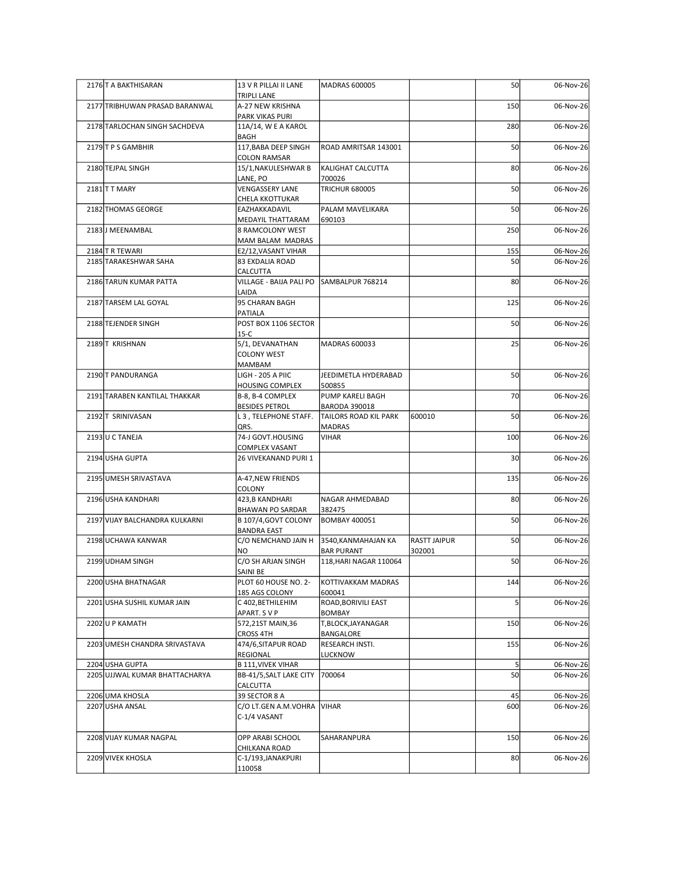| 2176 T A BAKTHISARAN                    | 13 V R PILLAI II LANE                                            | MADRAS 600005                               |                     | 50             | 06-Nov-26              |
|-----------------------------------------|------------------------------------------------------------------|---------------------------------------------|---------------------|----------------|------------------------|
| 2177 TRIBHUWAN PRASAD BARANWAL          | <b>TRIPLI LANE</b><br>A-27 NEW KRISHNA                           |                                             |                     | 150            | 06-Nov-26              |
| 2178 TARLOCHAN SINGH SACHDEVA           | PARK VIKAS PURI<br>11A/14, W E A KAROL                           |                                             |                     | 280            | 06-Nov-26              |
| 2179 T P S GAMBHIR                      | BAGH<br>117, BABA DEEP SINGH                                     | ROAD AMRITSAR 143001                        |                     | 50             | 06-Nov-26              |
| 2180 TEJPAL SINGH                       | <b>COLON RAMSAR</b><br>15/1, NAKULESHWAR B                       | KALIGHAT CALCUTTA                           |                     | 80             | 06-Nov-26              |
| 2181 T MARY                             | LANE, PO<br><b>VENGASSERY LANE</b>                               | 700026<br><b>TRICHUR 680005</b>             |                     | 50             | 06-Nov-26              |
| 2182 THOMAS GEORGE                      | CHELA KKOTTUKAR<br>EAZHAKKADAVIL                                 | PALAM MAVELIKARA                            |                     | 50             | 06-Nov-26              |
| 2183J MEENAMBAL                         | MEDAYIL THATTARAM<br>8 RAMCOLONY WEST                            | 690103                                      |                     | 250            | 06-Nov-26              |
|                                         | MAM BALAM MADRAS                                                 |                                             |                     | 155            |                        |
| 2184 TR TEWARI<br>2185 TARAKESHWAR SAHA | E2/12, VASANT VIHAR<br>83 EXDALIA ROAD                           |                                             |                     | 50             | 06-Nov-26<br>06-Nov-26 |
| 2186 TARUN KUMAR PATTA                  | CALCUTTA<br>VILLAGE - BAIJA PALI PO SAMBALPUR 768214             |                                             |                     | 80             | 06-Nov-26              |
| 2187 TARSEM LAL GOYAL                   | LAIDA<br>95 CHARAN BAGH                                          |                                             |                     | 125            | 06-Nov-26              |
| 2188 TEJENDER SINGH                     | PATIALA<br>POST BOX 1106 SECTOR                                  |                                             |                     | 50             | 06-Nov-26              |
| 2189 T KRISHNAN                         | $15-C$<br>5/1, DEVANATHAN<br><b>COLONY WEST</b><br><b>MAMBAM</b> | MADRAS 600033                               |                     | 25             | 06-Nov-26              |
| 2190 T PANDURANGA                       | LIGH - 205 A PIIC<br><b>HOUSING COMPLEX</b>                      | JEEDIMETLA HYDERABAD<br>500855              |                     | 50             | 06-Nov-26              |
| 2191 TARABEN KANTILAL THAKKAR           | B-8, B-4 COMPLEX<br><b>BESIDES PETROL</b>                        | PUMP KARELI BAGH<br><b>BARODA 390018</b>    |                     | 70             | 06-Nov-26              |
| 2192 T SRINIVASAN                       | L 3, TELEPHONE STAFF.                                            | TAILORS ROAD KIL PARK                       | 600010              | 50             | 06-Nov-26              |
| 2193 U C TANEJA                         | QRS.<br>74-J GOVT.HOUSING                                        | <b>MADRAS</b><br><b>VIHAR</b>               |                     | 100            | 06-Nov-26              |
| 2194 USHA GUPTA                         | <b>COMPLEX VASANT</b><br>26 VIVEKANAND PURI 1                    |                                             |                     | 30             | 06-Nov-26              |
| 2195 UMESH SRIVASTAVA                   | A-47, NEW FRIENDS                                                |                                             |                     | 135            | 06-Nov-26              |
| 2196 USHA KANDHARI                      | COLONY<br>423,B KANDHARI                                         | NAGAR AHMEDABAD                             |                     | 80             | 06-Nov-26              |
| 2197 VIJAY BALCHANDRA KULKARNI          | <b>BHAWAN PO SARDAR</b><br>B 107/4, GOVT COLONY                  | 382475<br><b>BOMBAY 400051</b>              |                     | 50             | 06-Nov-26              |
| 2198 UCHAWA KANWAR                      | <b>BANDRA EAST</b><br>C/O NEMCHAND JAIN H                        | 3540, KANMAHAJAN KA                         | <b>RASTT JAIPUR</b> | 50             | 06-Nov-26              |
| 2199 UDHAM SINGH                        | <b>NO</b><br>C/O SH ARJAN SINGH                                  | <b>BAR PURANT</b><br>118, HARI NAGAR 110064 | 302001              | 50             | 06-Nov-26              |
| 2200 USHA BHATNAGAR                     | SAINI BE<br>PLOT 60 HOUSE NO. 2-                                 | KOTTIVAKKAM MADRAS                          |                     | 144            | 06-Nov-26              |
| 2201 USHA SUSHIL KUMAR JAIN             | 185 AGS COLONY<br>C 402, BETHILEHIM                              | 600041<br>ROAD, BORIVILI EAST               |                     |                | 06-Nov-26              |
| 2202U P KAMATH                          | APART. SVP<br>572,21ST MAIN,36                                   | <b>BOMBAY</b><br>T,BLOCK,JAYANAGAR          |                     | 150            | 06-Nov-26              |
| 2203 UMESH CHANDRA SRIVASTAVA           | <b>CROSS 4TH</b><br>474/6, SITAPUR ROAD                          | BANGALORE<br>RESEARCH INSTI.                |                     | 155            | 06-Nov-26              |
| 2204 USHA GUPTA                         | REGIONAL<br><b>B 111, VIVEK VIHAR</b>                            | <b>LUCKNOW</b>                              |                     | 5 <sup>1</sup> | 06-Nov-26              |
| 2205 UJJWAL KUMAR BHATTACHARYA          | BB-41/5, SALT LAKE CITY<br><b>CALCUTTA</b>                       | 700064                                      |                     | 50             | 06-Nov-26              |
| 2206 UMA KHOSLA<br>2207 USHA ANSAL      | 39 SECTOR 8 A<br>C/O LT.GEN A.M.VOHRA VIHAR                      |                                             |                     | 45<br>600      | 06-Nov-26<br>06-Nov-26 |
|                                         | C-1/4 VASANT                                                     |                                             |                     |                |                        |
| 2208 VIJAY KUMAR NAGPAL                 | OPP ARABI SCHOOL<br>CHILKANA ROAD                                | SAHARANPURA                                 |                     | 150            | 06-Nov-26              |
| 2209 VIVEK KHOSLA                       | C-1/193, JANAKPURI<br>110058                                     |                                             |                     | 80             | 06-Nov-26              |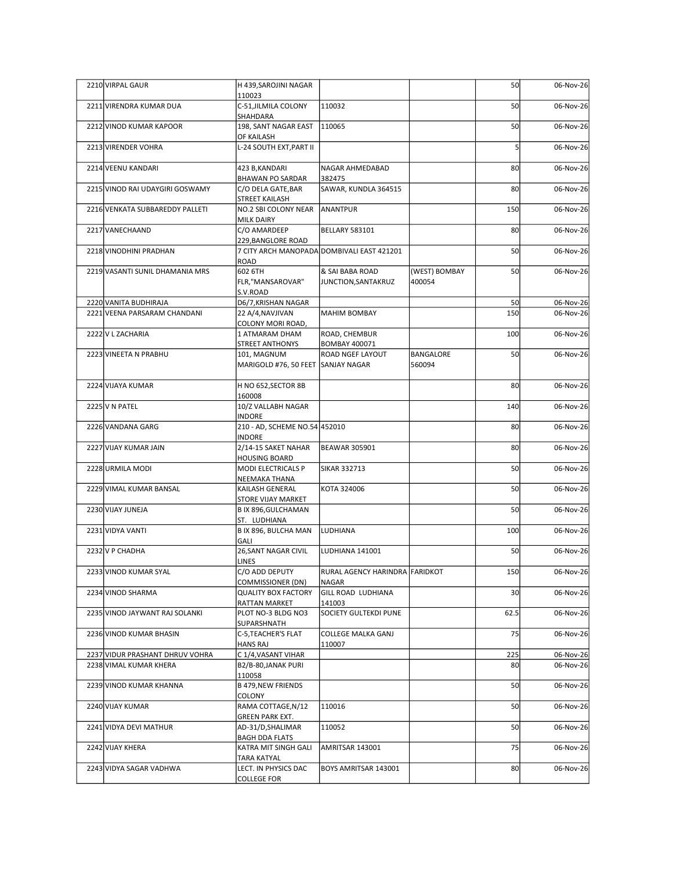| 2210 VIRPAL GAUR                                      | H 439, SAROJINI NAGAR                                     |                                                 |                         | 50              | 06-Nov-26              |
|-------------------------------------------------------|-----------------------------------------------------------|-------------------------------------------------|-------------------------|-----------------|------------------------|
| 2211 VIRENDRA KUMAR DUA                               | 110023<br>C-51, JILMILA COLONY<br>SHAHDARA                | 110032                                          |                         | 50              | 06-Nov-26              |
| 2212 VINOD KUMAR KAPOOR                               | 198, SANT NAGAR EAST<br>OF KAILASH                        | 110065                                          |                         | 50              | 06-Nov-26              |
| 2213 VIRENDER VOHRA                                   | L-24 SOUTH EXT, PART II                                   |                                                 |                         |                 | 06-Nov-26              |
| 2214 VEENU KANDARI                                    | 423 B, KANDARI                                            | NAGAR AHMEDABAD                                 |                         | 80              | 06-Nov-26              |
| 2215 VINOD RAI UDAYGIRI GOSWAMY                       | <b>BHAWAN PO SARDAR</b><br>C/O DELA GATE, BAR             | 382475<br>SAWAR, KUNDLA 364515                  |                         | 80              | 06-Nov-26              |
| 2216 VENKATA SUBBAREDDY PALLETI                       | STREET KAILASH<br>NO.2 SBI COLONY NEAR ANANTPUR           |                                                 |                         | 150             | 06-Nov-26              |
| 2217 VANECHAAND                                       | <b>MILK DAIRY</b><br>C/O AMARDEEP<br>229, BANGLORE ROAD   | <b>BELLARY 583101</b>                           |                         | 80              | 06-Nov-26              |
| 2218 VINODHINI PRADHAN                                | ROAD                                                      | 7 CITY ARCH MANOPADA DOMBIVALI EAST 421201      |                         | 50              | 06-Nov-26              |
| 2219 VASANTI SUNIL DHAMANIA MRS                       | 602 6TH<br>FLR,"MANSAROVAR"<br>S.V.ROAD                   | & SAI BABA ROAD<br>JUNCTION, SANTAKRUZ          | (WEST) BOMBAY<br>400054 | 50              | 06-Nov-26              |
| 2220 VANITA BUDHIRAJA<br>2221 VEENA PARSARAM CHANDANI | D6/7, KRISHAN NAGAR<br>22 A/4, NAVJIVAN                   | MAHIM BOMBAY                                    |                         | 50<br>150       | 06-Nov-26<br>06-Nov-26 |
| 2222 V L ZACHARIA                                     | COLONY MORI ROAD,<br>1 ATMARAM DHAM                       | ROAD, CHEMBUR                                   |                         | 100             | 06-Nov-26              |
| 2223 VINEETA N PRABHU                                 | STREET ANTHONYS<br>101, MAGNUM                            | <b>BOMBAY 400071</b><br><b>ROAD NGEF LAYOUT</b> | BANGALORE               | 50              | 06-Nov-26              |
| 2224 VIJAYA KUMAR                                     | MARIGOLD #76, 50 FEET SANJAY NAGAR<br>H NO 652, SECTOR 8B |                                                 | 560094                  | 80              | 06-Nov-26              |
|                                                       | 160008                                                    |                                                 |                         |                 |                        |
| 2225 V N PATEL                                        | 10/Z VALLABH NAGAR<br><b>INDORE</b>                       |                                                 |                         | 140             | 06-Nov-26              |
| 2226 VANDANA GARG                                     | 210 - AD, SCHEME NO.54 452010<br><b>INDORE</b>            |                                                 |                         | 80              | 06-Nov-26              |
| 2227 VIJAY KUMAR JAIN                                 | 2/14-15 SAKET NAHAR<br><b>HOUSING BOARD</b>               | BEAWAR 305901                                   |                         | 80              | 06-Nov-26              |
| 2228 URMILA MODI                                      | MODI ELECTRICALS P<br>NEEMAKA THANA                       | SIKAR 332713                                    |                         | 50              | 06-Nov-26              |
| 2229 VIMAL KUMAR BANSAL                               | KAILASH GENERAL<br>STORE VIJAY MARKET                     | KOTA 324006                                     |                         | 50              | 06-Nov-26              |
| 2230 VIJAY JUNEJA                                     | B IX 896, GULCHAMAN<br>ST. LUDHIANA                       |                                                 |                         | 50              | 06-Nov-26              |
| 2231 VIDYA VANTI                                      | B IX 896, BULCHA MAN<br>GALI                              | <b>LUDHIANA</b>                                 |                         | 100             | 06-Nov-26              |
| 2232 V P CHADHA                                       | 26, SANT NAGAR CIVIL                                      | LUDHIANA 141001                                 |                         | 50              | 06-Nov-26              |
| 2233 VINOD KUMAR SYAL                                 | LINES<br>C/O ADD DEPUTY                                   | RURAL AGENCY HARINDRA FARIDKOT                  |                         | 150             | 06-Nov-26              |
| 2234 VINOD SHARMA                                     | <b>COMMISSIONER (DN)</b><br><b>QUALITY BOX FACTORY</b>    | NAGAR<br>GILL ROAD LUDHIANA                     |                         | 30 <sup>1</sup> | 06-Nov-26              |
| 2235 VINOD JAYWANT RAJ SOLANKI                        | RATTAN MARKET<br>PLOT NO-3 BLDG NO3                       | 141003<br>SOCIETY GULTEKDI PUNE                 |                         | 62.5            | 06-Nov-26              |
| 2236 VINOD KUMAR BHASIN                               | SUPARSHNATH<br>C-5, TEACHER'S FLAT                        | <b>COLLEGE MALKA GANJ</b>                       |                         | 75              | 06-Nov-26              |
| 2237 VIDUR PRASHANT DHRUV VOHRA                       | <b>HANS RAJ</b><br>C 1/4, VASANT VIHAR                    | 110007                                          |                         | 225             | 06-Nov-26              |
| 2238 VIMAL KUMAR KHERA                                | B2/B-80, JANAK PURI<br>110058                             |                                                 |                         | 80              | 06-Nov-26              |
| 2239 VINOD KUMAR KHANNA                               | B 479, NEW FRIENDS<br>COLONY                              |                                                 |                         | 50              | 06-Nov-26              |
| 2240 VIJAY KUMAR                                      | RAMA COTTAGE, N/12<br><b>GREEN PARK EXT.</b>              | 110016                                          |                         | 50              | 06-Nov-26              |
| 2241 VIDYA DEVI MATHUR                                | AD-31/D, SHALIMAR<br><b>BAGH DDA FLATS</b>                | 110052                                          |                         | 50              | 06-Nov-26              |
| 2242 VIJAY KHERA                                      | KATRA MIT SINGH GALI<br>TARA KATYAL                       | AMRITSAR 143001                                 |                         | 75              | 06-Nov-26              |
| 2243 VIDYA SAGAR VADHWA                               | LECT. IN PHYSICS DAC<br><b>COLLEGE FOR</b>                | BOYS AMRITSAR 143001                            |                         | 80              | 06-Nov-26              |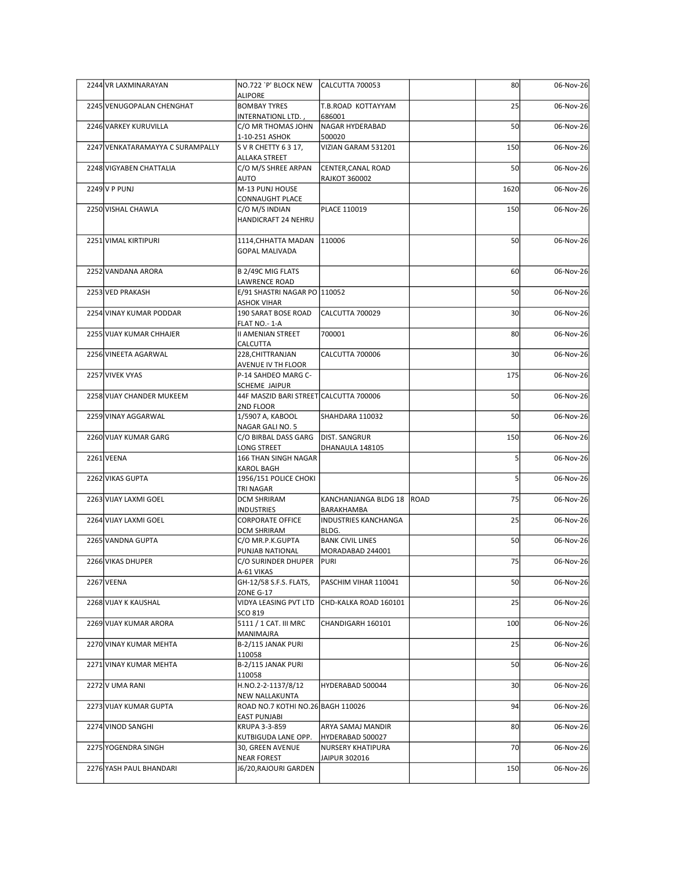| 2244 VR LAXMINARAYAN             | NO.722 `P' BLOCK NEW                                  | CALCUTTA 700053                             |      | 80<br>06-Nov-26              |
|----------------------------------|-------------------------------------------------------|---------------------------------------------|------|------------------------------|
| 2245 VENUGOPALAN CHENGHAT        | ALIPORE<br><b>BOMBAY TYRES</b>                        | T.B.ROAD KOTTAYYAM                          |      | 25<br>06-Nov-26              |
| 2246 VARKEY KURUVILLA            | INTERNATIONL LTD.,<br>C/O MR THOMAS JOHN              | 686001<br>NAGAR HYDERABAD                   |      | 50<br>06-Nov-26              |
|                                  | 1-10-251 ASHOK                                        | 500020                                      |      |                              |
| 2247 VENKATARAMAYYA C SURAMPALLY | S V R CHETTY 63 17,<br>ALLAKA STREET                  | VIZIAN GARAM 531201                         | 150  | 06-Nov-26                    |
| 2248 VIGYABEN CHATTALIA          | C/O M/S SHREE ARPAN<br>AUTO                           | CENTER, CANAL ROAD<br><b>RAJKOT 360002</b>  |      | 50<br>06-Nov-26              |
| $2249$ V P PUNJ                  | M-13 PUNJ HOUSE                                       |                                             | 1620 | 06-Nov-26                    |
| 2250 VISHAL CHAWLA               | CONNAUGHT PLACE<br>C/O M/S INDIAN                     | PLACE 110019                                | 150  | 06-Nov-26                    |
|                                  | HANDICRAFT 24 NEHRU                                   |                                             |      |                              |
| 2251 VIMAL KIRTIPURI             | 1114, CHHATTA MADAN   110006<br><b>GOPAL MALIVADA</b> |                                             |      | 50<br>06-Nov-26              |
| 2252 VANDANA ARORA               | B 2/49C MIG FLATS                                     |                                             |      | 60<br>06-Nov-26              |
| 2253 VED PRAKASH                 | LAWRENCE ROAD<br>E/91 SHASTRI NAGAR PO 110052         |                                             |      | 50<br>06-Nov-26              |
| 2254 VINAY KUMAR PODDAR          | <b>ASHOK VIHAR</b><br>190 SARAT BOSE ROAD             | CALCUTTA 700029                             |      | 30 <sup>1</sup><br>06-Nov-26 |
| 2255 VIJAY KUMAR CHHAJER         | FLAT NO.- 1-A<br><b>II AMENIAN STREET</b>             | 700001                                      |      | 80<br>06-Nov-26              |
|                                  | CALCUTTA                                              |                                             |      |                              |
| 2256 VINEETA AGARWAL             | 228, CHITTRANJAN<br>AVENUE IV TH FLOOR                | CALCUTTA 700006                             |      | 30 <sub>1</sub><br>06-Nov-26 |
| 2257 VIVEK VYAS                  | P-14 SAHDEO MARG C-<br>SCHEME JAIPUR                  |                                             | 175  | 06-Nov-26                    |
| 2258 VIJAY CHANDER MUKEEM        | 44F MASZID BARI STREET CALCUTTA 700006<br>2ND FLOOR   |                                             |      | 50<br>06-Nov-26              |
| 2259 VINAY AGGARWAL              | 1/5907 A, KABOOL                                      | SHAHDARA 110032                             |      | 50<br>06-Nov-26              |
| 2260 VIJAY KUMAR GARG            | NAGAR GALI NO. 5<br>C/O BIRBAL DASS GARG              | <b>DIST. SANGRUR</b>                        | 150  | 06-Nov-26                    |
| $2261$ VEENA                     | LONG STREET<br>166 THAN SINGH NAGAR                   | DHANAULA 148105                             |      | 06-Nov-26                    |
|                                  | KAROL BAGH                                            |                                             |      |                              |
| 2262 VIKAS GUPTA                 | 1956/151 POLICE CHOKI<br>TRI NAGAR                    |                                             |      | 06-Nov-26                    |
| 2263 VIJAY LAXMI GOEL            | <b>DCM SHRIRAM</b><br><b>INDUSTRIES</b>               | KANCHANJANGA BLDG 18  ROAD<br>BARAKHAMBA    |      | 75<br>06-Nov-26              |
| 2264 VIJAY LAXMI GOEL            | <b>CORPORATE OFFICE</b><br><b>DCM SHRIRAM</b>         | <b>INDUSTRIES KANCHANGA</b><br>BLDG.        |      | 25<br>06-Nov-26              |
| 2265 VANDNA GUPTA                | C/O MR.P.K.GUPTA                                      | <b>BANK CIVIL LINES</b>                     |      | 50<br>06-Nov-26              |
| 2266 VIKAS DHUPER                | PUNJAB NATIONAL<br>C/O SURINDER DHUPER                | MORADABAD 244001<br>PURI                    |      | 75<br>06-Nov-26              |
| 2267 VEENA                       | A-61 VIKAS<br>GH-12/58 S.F.S. FLATS,                  | PASCHIM VIHAR 110041                        |      | 50<br>06-Nov-26              |
|                                  | ZONE G-17                                             |                                             |      |                              |
| 2268 VIJAY K KAUSHAL             | SCO 819                                               | VIDYA LEASING PVT LTD CHD-KALKA ROAD 160101 |      | 25<br>06-Nov-26              |
| 2269 VIJAY KUMAR ARORA           | 5111 / 1 CAT. III MRC<br>MANIMAJRA                    | CHANDIGARH 160101                           | 100  | 06-Nov-26                    |
| 2270 VINAY KUMAR MEHTA           | B-2/115 JANAK PURI<br>110058                          |                                             |      | 25<br>06-Nov-26              |
| 2271 VINAY KUMAR MEHTA           | B-2/115 JANAK PURI                                    |                                             |      | 50<br>06-Nov-26              |
| 2272 V UMA RANI                  | 110058<br>H.NO.2-2-1137/8/12                          | HYDERABAD 500044                            |      | 30 <sub>1</sub><br>06-Nov-26 |
| 2273 VIJAY KUMAR GUPTA           | NEW NALLAKUNTA<br>ROAD NO.7 KOTHI NO.26 BAGH 110026   |                                             |      | 94<br>06-Nov-26              |
| 2274 VINOD SANGHI                | <b>EAST PUNJABI</b><br>KRUPA 3-3-859                  |                                             |      | 80<br>06-Nov-26              |
|                                  | KUTBIGUDA LANE OPP.                                   | ARYA SAMAJ MANDIR<br>HYDERABAD 500027       |      |                              |
| 2275 YOGENDRA SINGH              | 30, GREEN AVENUE<br><b>NEAR FOREST</b>                | NURSERY KHATIPURA<br>JAIPUR 302016          |      | 70<br>06-Nov-26              |
| 2276 YASH PAUL BHANDARI          | J6/20, RAJOURI GARDEN                                 |                                             | 150  | 06-Nov-26                    |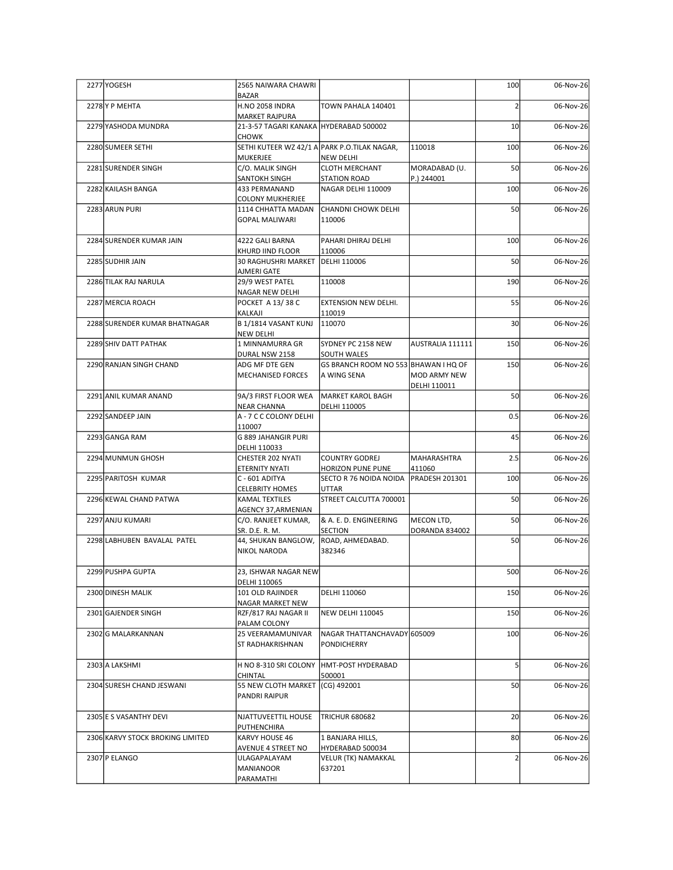| 2277 YOGESH                      | 2565 NAIWARA CHAWRI                                             |                                                            |                              | 100             | 06-Nov-26 |
|----------------------------------|-----------------------------------------------------------------|------------------------------------------------------------|------------------------------|-----------------|-----------|
| 2278 Y P MEHTA                   | <b>BAZAR</b><br><b>H.NO 2058 INDRA</b>                          | TOWN PAHALA 140401                                         |                              |                 | 06-Nov-26 |
| 2279 YASHODA MUNDRA              | <b>MARKET RAJPURA</b><br>21-3-57 TAGARI KANAKA HYDERABAD 500002 |                                                            |                              | 10 <sup>1</sup> | 06-Nov-26 |
| 2280 SUMEER SETHI                | CHOWK<br>SETHI KUTEER WZ 42/1 A PARK P.O.TILAK NAGAR,           |                                                            | 110018                       | 100             | 06-Nov-26 |
| 2281 SURENDER SINGH              | MUKERJEE<br>C/O. MALIK SINGH                                    | NEW DELHI<br><b>CLOTH MERCHANT</b>                         | MORADABAD (U.                | 50              | 06-Nov-26 |
| 2282 KAILASH BANGA               | SANTOKH SINGH<br>433 PERMANAND                                  | <b>STATION ROAD</b><br>NAGAR DELHI 110009                  | P.) 244001                   | 100             | 06-Nov-26 |
| 2283 ARUN PURI                   | <b>COLONY MUKHERJEE</b><br>1114 CHHATTA MADAN                   | <b>CHANDNI CHOWK DELHI</b>                                 |                              | 50              | 06-Nov-26 |
|                                  | <b>GOPAL MALIWARI</b>                                           | 110006                                                     |                              |                 |           |
| 2284 SURENDER KUMAR JAIN         | 4222 GALI BARNA                                                 | PAHARI DHIRAJ DELHI                                        |                              | 100             | 06-Nov-26 |
| 2285 SUDHIR JAIN                 | KHURD IIND FLOOR<br>30 RAGHUSHRI MARKET                         | 110006<br>DELHI 110006                                     |                              | 50              | 06-Nov-26 |
| 2286 TILAK RAJ NARULA            | AJMERI GATE<br>29/9 WEST PATEL                                  | 110008                                                     |                              | 190             | 06-Nov-26 |
| 2287 MERCIA ROACH                | <b>NAGAR NEW DELHI</b><br>POCKET A 13/38 C                      | <b>EXTENSION NEW DELHI.</b>                                |                              | 55              | 06-Nov-26 |
| 2288 SURENDER KUMAR BHATNAGAR    | KALKAJI<br>B 1/1814 VASANT KUNJ                                 | 110019<br>110070                                           |                              | 30 <sup>1</sup> | 06-Nov-26 |
| 2289 SHIV DATT PATHAK            | <b>NEW DELHI</b><br>1 MINNAMURRA GR                             | SYDNEY PC 2158 NEW                                         | AUSTRALIA 111111             | 150             | 06-Nov-26 |
| 2290 RANJAN SINGH CHAND          | DURAL NSW 2158<br>ADG MF DTE GEN                                | <b>SOUTH WALES</b><br>GS BRANCH ROOM NO 553 BHAWAN I HQ OF |                              | 150             | 06-Nov-26 |
|                                  | MECHANISED FORCES                                               | A WING SENA                                                | MOD ARMY NEW<br>DELHI 110011 |                 |           |
| 2291 ANIL KUMAR ANAND            | 9A/3 FIRST FLOOR WEA                                            | MARKET KAROL BAGH                                          |                              | 50              | 06-Nov-26 |
| 2292 SANDEEP JAIN                | <b>NEAR CHANNA</b><br>A - 7 C C COLONY DELHI                    | DELHI 110005                                               |                              | 0.5             | 06-Nov-26 |
| 2293 GANGA RAM                   | 110007<br>G 889 JAHANGIR PURI                                   |                                                            |                              | 45              | 06-Nov-26 |
| 2294 MUNMUN GHOSH                | DELHI 110033<br>CHESTER 202 NYATI                               | <b>COUNTRY GODREJ</b>                                      | MAHARASHTRA                  | 2.5             | 06-Nov-26 |
| 2295 PARITOSH KUMAR              | ETERNITY NYATI<br>C - 601 ADITYA                                | HORIZON PUNE PUNE<br>SECTO R 76 NOIDA NOIDA PRADESH 201301 | 411060                       | 100             | 06-Nov-26 |
| 2296 KEWAL CHAND PATWA           | <b>CELEBRITY HOMES</b><br>KAMAL TEXTILES                        | UTTAR<br>STREET CALCUTTA 700001                            |                              | 50              | 06-Nov-26 |
| 2297 ANJU KUMARI                 | <b>AGENCY 37, ARMENIAN</b><br>C/O. RANJEET KUMAR,               | & A. E. D. ENGINEERING                                     | MECON LTD,                   | 50              | 06-Nov-26 |
|                                  | SR. D.E. R. M.                                                  | <b>SECTION</b>                                             | DORANDA 834002               | 50              |           |
| 2298 LABHUBEN BAVALAL PATEL      | 44, SHUKAN BANGLOW,<br>NIKOL NARODA                             | ROAD, AHMEDABAD.<br>382346                                 |                              |                 | 06-Nov-26 |
| 2299 PUSHPA GUPTA                | 23, ISHWAR NAGAR NEW                                            |                                                            |                              | 500             | 06-Nov-26 |
| 2300 DINESH MALIK                | DELHI 110065<br>101 OLD RAJINDER                                | DELHI 110060                                               |                              | 150             | 06-Nov-26 |
| 2301 GAJENDER SINGH              | NAGAR MARKET NEW<br>RZF/817 RAJ NAGAR II                        | NEW DELHI 110045                                           |                              | 150             | 06-Nov-26 |
| 2302 G MALARKANNAN               | PALAM COLONY<br>25 VEERAMAMUNIVAR                               | NAGAR THATTANCHAVADY 605009                                |                              | 100             | 06-Nov-26 |
|                                  | ST RADHAKRISHNAN                                                | PONDICHERRY                                                |                              |                 |           |
| 2303 A LAKSHMI                   | H NO 8-310 SRI COLONY HMT-POST HYDERABAD<br>CHINTAL             | 500001                                                     |                              |                 | 06-Nov-26 |
| 2304 SURESH CHAND JESWANI        | 55 NEW CLOTH MARKET (CG) 492001<br>PANDRI RAIPUR                |                                                            |                              | <b>50</b>       | 06-Nov-26 |
| 2305 E S VASANTHY DEVI           | NJATTUVEETTIL HOUSE                                             | <b>TRICHUR 680682</b>                                      |                              | 20              | 06-Nov-26 |
| 2306 KARVY STOCK BROKING LIMITED | PUTHENCHIRA<br>KARVY HOUSE 46                                   | 1 BANJARA HILLS,                                           |                              | 80              | 06-Nov-26 |
| 2307 P ELANGO                    | AVENUE 4 STREET NO<br>ULAGAPALAYAM                              | HYDERABAD 500034<br>VELUR (TK) NAMAKKAL                    |                              |                 | 06-Nov-26 |
|                                  | <b>MANIANOOR</b><br>PARAMATHI                                   | 637201                                                     |                              |                 |           |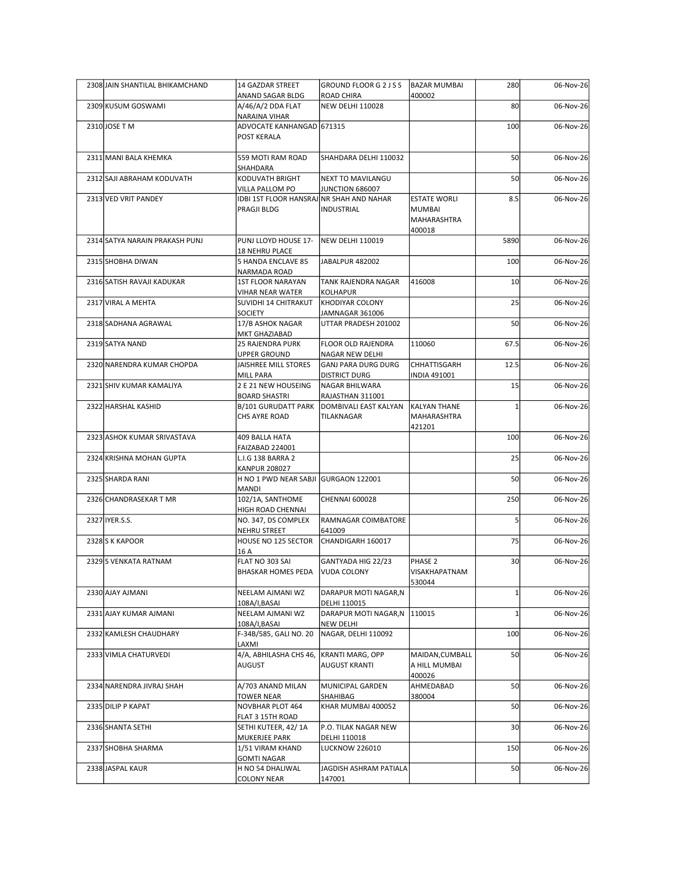| 2308 JAIN SHANTILAL BHIKAMCHAND | 14 GAZDAR STREET                                                  | GROUND FLOOR G 2 J S S                               | <b>BAZAR MUMBAI</b>              | 280             | 06-Nov-26 |
|---------------------------------|-------------------------------------------------------------------|------------------------------------------------------|----------------------------------|-----------------|-----------|
| 2309 KUSUM GOSWAMI              | ANAND SAGAR BLDG<br>A/46/A/2 DDA FLAT                             | ROAD CHIRA<br>NEW DELHI 110028                       | 400002                           | 80              | 06-Nov-26 |
|                                 | NARAINA VIHAR                                                     |                                                      |                                  |                 |           |
| 2310 JOSE T M                   | ADVOCATE KANHANGAD 671315                                         |                                                      |                                  | 100             | 06-Nov-26 |
|                                 | POST KERALA                                                       |                                                      |                                  |                 |           |
| 2311 MANI BALA KHEMKA           | 559 MOTI RAM ROAD                                                 | SHAHDARA DELHI 110032                                |                                  | 50              | 06-Nov-26 |
| 2312 SAJI ABRAHAM KODUVATH      | SHAHDARA<br>KODUVATH BRIGHT                                       | NEXT TO MAVILANGU                                    |                                  | 50              | 06-Nov-26 |
| 2313 VED VRIT PANDEY            | VILLA PALLOM PO<br>IDBI 1ST FLOOR HANSRAJNR SHAH AND NAHAR        | JUNCTION 686007                                      | <b>ESTATE WORLI</b>              | 8.5             | 06-Nov-26 |
|                                 | PRAGJI BLDG                                                       | INDUSTRIAL                                           | <b>MUMBAI</b><br>MAHARASHTRA     |                 |           |
|                                 |                                                                   |                                                      | 400018                           |                 |           |
| 2314 SATYA NARAIN PRAKASH PUNJ  | PUNJ LLOYD HOUSE 17-<br><b>18 NEHRU PLACE</b>                     | NEW DELHI 110019                                     |                                  | 5890            | 06-Nov-26 |
| 2315 SHOBHA DIWAN               | 5 HANDA ENCLAVE 85<br>NARMADA ROAD                                | JABALPUR 482002                                      |                                  | 100             | 06-Nov-26 |
| 2316 SATISH RAVAJI KADUKAR      | <b>1ST FLOOR NARAYAN</b>                                          | TANK RAJENDRA NAGAR                                  | 416008                           | 10              | 06-Nov-26 |
| 2317 VIRAL A MEHTA              | <b>VIHAR NEAR WATER</b><br>SUVIDHI 14 CHITRAKUT   KHODIYAR COLONY | KOLHAPUR                                             |                                  | 25              | 06-Nov-26 |
|                                 | <b>SOCIETY</b>                                                    | JAMNAGAR 361006                                      |                                  |                 |           |
| 2318 SADHANA AGRAWAL            | 17/B ASHOK NAGAR<br>MKT GHAZIABAD                                 | UTTAR PRADESH 201002                                 |                                  | 50              | 06-Nov-26 |
| 2319 SATYA NAND                 | <b>25 RAJENDRA PURK</b>                                           | <b>FLOOR OLD RAJENDRA</b>                            | 110060                           | 67.5            | 06-Nov-26 |
| 2320 NARENDRA KUMAR CHOPDA      | UPPER GROUND<br>JAISHREE MILL STORES                              | <b>NAGAR NEW DELHI</b><br><b>GANJ PARA DURG DURG</b> | CHHATTISGARH                     | 12.5            | 06-Nov-26 |
|                                 | <b>MILL PARA</b>                                                  | <b>DISTRICT DURG</b>                                 | <b>INDIA 491001</b>              |                 |           |
| 2321 SHIV KUMAR KAMALIYA        | 2 E 21 NEW HOUSEING<br><b>BOARD SHASTRI</b>                       | NAGAR BHILWARA<br>RAJASTHAN 311001                   |                                  | 15              | 06-Nov-26 |
| 2322 HARSHAL KASHID             | <b>B/101 GURUDATT PARK</b>                                        | DOMBIVALI EAST KALYAN                                | KALYAN THANE                     |                 | 06-Nov-26 |
|                                 | CHS AYRE ROAD                                                     | TILAKNAGAR                                           | MAHARASHTRA<br>421201            |                 |           |
| 2323 ASHOK KUMAR SRIVASTAVA     | 409 BALLA HATA                                                    |                                                      |                                  | 100             | 06-Nov-26 |
| 2324 KRISHNA MOHAN GUPTA        | FAIZABAD 224001<br>L.I.G 138 BARRA 2                              |                                                      |                                  | 25              | 06-Nov-26 |
|                                 | <b>KANPUR 208027</b>                                              |                                                      |                                  |                 |           |
| 2325 SHARDA RANI                | H NO 1 PWD NEAR SABJI GURGAON 122001<br>MANDI                     |                                                      |                                  | 50              | 06-Nov-26 |
| 2326 CHANDRASEKAR T MR          | 102/1A, SANTHOME                                                  | <b>CHENNAI 600028</b>                                |                                  | 250             | 06-Nov-26 |
| 2327 IYER.S.S.                  | HIGH ROAD CHENNAI<br>NO. 347, DS COMPLEX                          | RAMNAGAR COIMBATORE                                  |                                  |                 | 06-Nov-26 |
|                                 | NEHRU STREET                                                      | 641009                                               |                                  |                 |           |
| 2328 S K KAPOOR                 | HOUSE NO 125 SECTOR                                               | CHANDIGARH 160017                                    |                                  | 75              | 06-Nov-26 |
| 2329 S VENKATA RATNAM           | 16 A<br>FLAT NO 303 SAI                                           | GANTYADA HIG 22/23                                   | PHASE 2                          | 30 <sup>1</sup> | 06-Nov-26 |
|                                 | <b>BHASKAR HOMES PEDA</b>                                         | <b>VUDA COLONY</b>                                   | VISAKHAPATNAM                    |                 |           |
| 2330 AJAY AJMANI                | NEELAM AJMANI WZ                                                  | DARAPUR MOTI NAGAR, N                                | 530044                           |                 | 06-Nov-26 |
|                                 | 108A/I, BASAI                                                     | DELHI 110015                                         |                                  |                 |           |
| 2331 AJAY KUMAR AJMANI          | NEELAM AJMANI WZ<br>108A/I,BASAI                                  | DARAPUR MOTI NAGAR, N 110015<br><b>NEW DELHI</b>     |                                  |                 | 06-Nov-26 |
| 2332 KAMLESH CHAUDHARY          | F-34B/585, GALI NO. 20                                            | NAGAR, DELHI 110092                                  |                                  | 100             | 06-Nov-26 |
| 2333 VIMLA CHATURVEDI           | LAXMI<br>4/A, ABHILASHA CHS 46,<br><b>AUGUST</b>                  | KRANTI MARG, OPP<br><b>AUGUST KRANTI</b>             | MAIDAN, CUMBALL<br>A HILL MUMBAI | 50              | 06-Nov-26 |
|                                 |                                                                   |                                                      | 400026                           | 50              |           |
| 2334 NARENDRA JIVRAJ SHAH       | A/703 ANAND MILAN<br><b>TOWER NEAR</b>                            | MUNICIPAL GARDEN<br>SHAHIBAG                         | AHMEDABAD<br>380004              |                 | 06-Nov-26 |
| 2335 DILIP P KAPAT              | <b>NOVBHAR PLOT 464</b>                                           | KHAR MUMBAI 400052                                   |                                  | 50              | 06-Nov-26 |
| 2336 SHANTA SETHI               | FLAT 3 15TH ROAD<br>SETHI KUTEER, 42/1A                           | P.O. TILAK NAGAR NEW                                 |                                  | 30 <sup>1</sup> | 06-Nov-26 |
| 2337 SHOBHA SHARMA              | MUKERJEE PARK<br>1/51 VIRAM KHAND                                 | DELHI 110018<br><b>LUCKNOW 226010</b>                |                                  | 150             |           |
|                                 | <b>GOMTI NAGAR</b>                                                |                                                      |                                  |                 | 06-Nov-26 |
| 2338 JASPAL KAUR                | H NO 54 DHALIWAL<br><b>COLONY NEAR</b>                            | JAGDISH ASHRAM PATIALA<br>147001                     |                                  | 50              | 06-Nov-26 |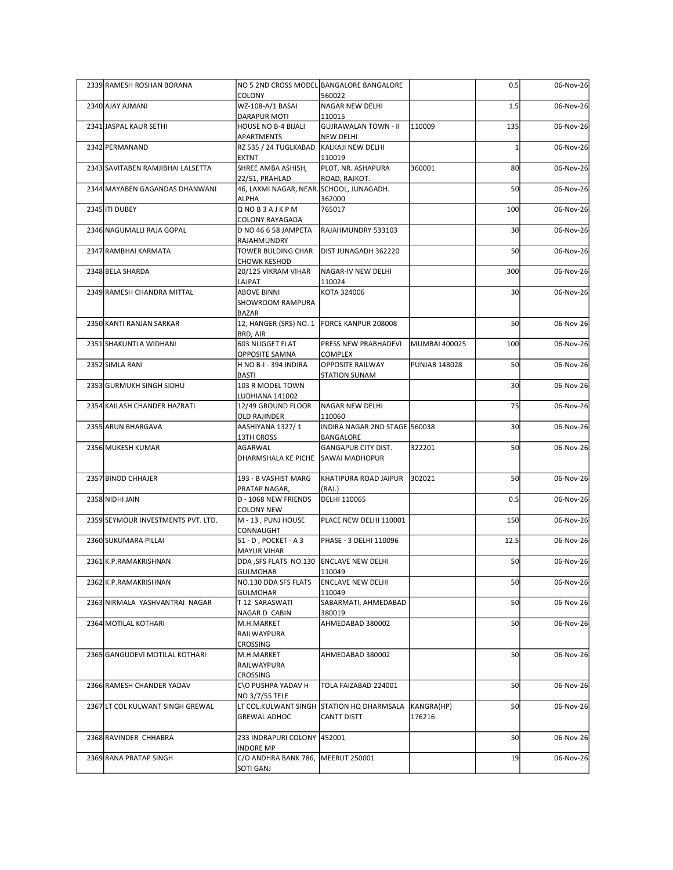| 2339 RAMESH ROSHAN BORANA          |                                                                  | NO 5 2ND CROSS MODEL BANGALORE BANGALORE                 |                      | 0.5             | 06-Nov-26 |
|------------------------------------|------------------------------------------------------------------|----------------------------------------------------------|----------------------|-----------------|-----------|
| 2340 AJAY AJMANI                   | COLONY<br>WZ-108-A/1 BASAI                                       | 560022<br>NAGAR NEW DELHI                                |                      | 1.5             | 06-Nov-26 |
| 2341 JASPAL KAUR SETHI             | <b>DARAPUR MOTI</b><br><b>HOUSE NO B-4 BIJALI</b>                | 110015<br>GUJRAWALAN TOWN - II                           | 110009               | 135             | 06-Nov-26 |
| 2342 PERMANAND                     | APARTMENTS<br>RZ 535 / 24 TUGLKABAD KALKAJI NEW DELHI            | NEW DELHI                                                |                      |                 | 06-Nov-26 |
| 2343 SAVITABEN RAMJIBHAI LALSETTA  | <b>EXTNT</b><br>SHREE AMBA ASHISH,                               | 110019<br>PLOT, NR. ASHAPURA                             | 360001               | 80              | 06-Nov-26 |
| 2344 MAYABEN GAGANDAS DHANWANI     | 22/51, PRAHLAD<br>46, LAXMI NAGAR, NEAR. SCHOOL, JUNAGADH.       | ROAD, RAJKOT.                                            |                      | 50              | 06-Nov-26 |
| 2345 ITI DUBEY                     | <b>ALPHA</b><br>QNOB3AJKPM                                       | 362000<br>765017                                         |                      | 100             | 06-Nov-26 |
| 2346 NAGUMALLI RAJA GOPAL          | COLONY RAYAGADA<br>D NO 46 6 58 JAMPETA                          | RAJAHMUNDRY 533103                                       |                      | 30 <sup>1</sup> | 06-Nov-26 |
| 2347 RAMBHAI KARMATA               | RAJAHMUNDRY<br>TOWER BULDING CHAR                                | DIST JUNAGADH 362220                                     |                      | 50              | 06-Nov-26 |
| 2348 BELA SHARDA                   | <b>CHOWK KESHOD</b><br>20/125 VIKRAM VIHAR                       | NAGAR-IV NEW DELHI                                       |                      | 300             | 06-Nov-26 |
| 2349 RAMESH CHANDRA MITTAL         | LAJPAT<br><b>ABOVE BINNI</b><br>SHOWROOM RAMPURA<br><b>BAZAR</b> | 110024<br>KOTA 324006                                    |                      | 30 <sub>l</sub> | 06-Nov-26 |
| 2350 KANTI RANJAN SARKAR           | 12, HANGER (SRS) NO. 1 FORCE KANPUR 208008<br>BRD, AIR           |                                                          |                      | 50              | 06-Nov-26 |
| 2351 SHAKUNTLA WIDHANI             | 603 NUGGET FLAT<br><b>OPPOSITE SAMNA</b>                         | <b>PRESS NEW PRABHADEVI</b><br><b>COMPLEX</b>            | MUMBAI 400025        | 100             | 06-Nov-26 |
| 2352 SIMLA RANI                    | H NO B-I - 394 INDIRA<br><b>BASTI</b>                            | <b>OPPOSITE RAILWAY</b><br><b>STATION SUNAM</b>          | <b>PUNJAB 148028</b> | 50              | 06-Nov-26 |
| 2353 GURMUKH SINGH SIDHU           | 103 R MODEL TOWN<br>LUDHIANA 141002                              |                                                          |                      | 30 <sup>1</sup> | 06-Nov-26 |
| 2354 KAILASH CHANDER HAZRATI       | 12/49 GROUND FLOOR<br><b>OLD RAJINDER</b>                        | NAGAR NEW DELHI<br>110060                                |                      | 75              | 06-Nov-26 |
| 2355 ARUN BHARGAVA                 | AASHIYANA 1327/1<br>13TH CROSS                                   | INDIRA NAGAR 2ND STAGE 560038<br>BANGALORE               |                      | 30 <sup>1</sup> | 06-Nov-26 |
| 2356 MUKESH KUMAR                  | AGARWAL<br>DHARMSHALA KE PICHE SAWAI MADHOPUR                    | <b>GANGAPUR CITY DIST.</b>                               | 322201               | <b>50</b>       | 06-Nov-26 |
| 2357 BINOD CHHAJER                 | 193 - B VASHIST MARG<br>PRATAP NAGAR,                            | KHATIPURA ROAD JAIPUR<br>(RAJ.)                          | 302021               | 50              | 06-Nov-26 |
| 2358 NIDHI JAIN                    | D - 1068 NEW FRIENDS<br><b>COLONY NEW</b>                        | DELHI 110065                                             |                      | 0.5             | 06-Nov-26 |
| 2359 SEYMOUR INVESTMENTS PVT. LTD. | M - 13, PUNJ HOUSE<br>CONNAUGHT                                  | PLACE NEW DELHI 110001                                   |                      | 150             | 06-Nov-26 |
| 2360 SUKUMARA PILLAI               | 51 - D, POCKET - A 3<br><b>MAYUR VIHAR</b>                       | PHASE - 3 DELHI 110096                                   |                      | 12.5            | 06-Nov-26 |
| 2361 K.P.RAMAKRISHNAN              | DDA , SFS FLATS NO.130 ENCLAVE NEW DELHI<br><b>GULMOHAR</b>      | 110049                                                   |                      | 50              | 06-Nov-26 |
| 2362 K.P.RAMAKRISHNAN              | NO.130 DDA SFS FLATS<br><b>GULMOHAR</b>                          | <b>ENCLAVE NEW DELHI</b><br>110049                       |                      | 50              | 06-Nov-26 |
| 2363 NIRMALA YASHVANTRAI NAGAR     | T12 SARASWATI<br>NAGAR D CABIN                                   | SABARMATI, AHMEDABAD<br>380019                           |                      | 50              | 06-Nov-26 |
| 2364 MOTILAL KOTHARI               | M.H.MARKET<br>RAILWAYPURA<br>CROSSING                            | AHMEDABAD 380002                                         |                      | 50              | 06-Nov-26 |
| 2365 GANGUDEVI MOTILAL KOTHARI     | M.H.MARKET<br>RAILWAYPURA<br><b>CROSSING</b>                     | AHMEDABAD 380002                                         |                      | 50              | 06-Nov-26 |
| 2366 RAMESH CHANDER YADAV          | C\O PUSHPA YADAV H<br>NO 3/7/55 TELE                             | TOLA FAIZABAD 224001                                     |                      | 50              | 06-Nov-26 |
| 2367 LT COL KULWANT SINGH GREWAL   | <b>GREWAL ADHOC</b>                                              | LT COL.KULWANT SINGH STATION HQ DHARMSALA<br>CANTT DISTT | KANGRA(HP)<br>176216 | 50              | 06-Nov-26 |
| 2368 RAVINDER CHHABRA              | 233 INDRAPURI COLONY 452001<br><b>INDORE MP</b>                  |                                                          |                      | 50              | 06-Nov-26 |
| 2369 RANA PRATAP SINGH             |                                                                  | C/O ANDHRA BANK 786, MEERUT 250001                       |                      | 19              | 06-Nov-26 |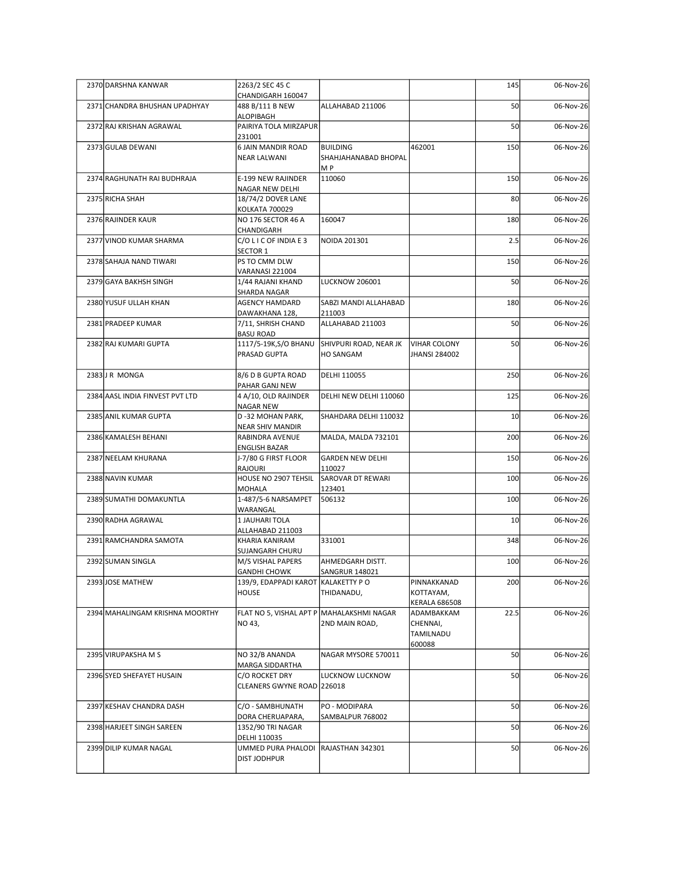| 2263/2 SEC 45 C<br>145<br>06-Nov-26<br>2370 DARSHNA KANWAR<br>CHANDIGARH 160047<br>50<br>2371 CHANDRA BHUSHAN UPADHYAY<br>488 B/111 B NEW<br>ALLAHABAD 211006<br>06-Nov-26<br>ALOPIBAGH<br>2372 RAJ KRISHAN AGRAWAL<br>PAIRIYA TOLA MIRZAPUR<br>50<br>06-Nov-26<br>231001<br>2373 GULAB DEWANI<br><b>6 JAIN MANDIR ROAD</b><br>BUILDING<br>462001<br>150<br>06-Nov-26<br><b>NEAR LALWANI</b><br>SHAHJAHANABAD BHOPAL<br>M P<br>150<br>2374 RAGHUNATH RAI BUDHRAJA<br>E-199 NEW RAJINDER<br>110060<br>06-Nov-26<br>NAGAR NEW DELHI<br>2375 RICHA SHAH<br>18/74/2 DOVER LANE<br>80<br>06-Nov-26<br>KOLKATA 700029<br>2376 RAJINDER KAUR<br>NO 176 SECTOR 46 A<br>160047<br>180<br>06-Nov-26<br>CHANDIGARH<br>C/OLICOFINDIAE3<br>2.5<br>2377 VINOD KUMAR SHARMA<br>06-Nov-26<br>NOIDA 201301<br>SECTOR 1<br>150<br>2378 SAHAJA NAND TIWARI<br>PS TO CMM DLW<br>06-Nov-26<br>VARANASI 221004<br>50<br>2379 GAYA BAKHSH SINGH<br>1/44 RAJANI KHAND<br>06-Nov-26<br>LUCKNOW 206001<br>SHARDA NAGAR<br>2380 YUSUF ULLAH KHAN<br>SABZI MANDI ALLAHABAD<br>AGENCY HAMDARD<br>06-Nov-26<br>180<br>DAWAKHANA 128,<br>211003<br>ALLAHABAD 211003<br>50<br>2381 PRADEEP KUMAR<br>7/11, SHRISH CHAND<br>06-Nov-26<br><b>BASU ROAD</b><br>50<br>2382 RAJ KUMARI GUPTA<br>1117/5-19K, S/O BHANU<br>SHIVPURI ROAD, NEAR JK<br><b>VIHAR COLONY</b><br>06-Nov-26<br>PRASAD GUPTA<br>JHANSI 284002<br>HO SANGAM<br>2383J R MONGA<br>8/6 D B GUPTA ROAD<br>250<br>06-Nov-26<br>DELHI 110055<br>PAHAR GANJ NEW<br>125<br>2384 AASL INDIA FINVEST PVT LTD<br>DELHI NEW DELHI 110060<br>06-Nov-26<br>4 A/10, OLD RAJINDER<br>NAGAR NEW<br>2385 ANIL KUMAR GUPTA<br>D-32 MOHAN PARK,<br>10 <sup>1</sup><br>SHAHDARA DELHI 110032<br>06-Nov-26<br><b>NEAR SHIV MANDIR</b><br>2386 KAMALESH BEHANI<br>MALDA, MALDA 732101<br>200<br>06-Nov-26<br>RABINDRA AVENUE<br>ENGLISH BAZAR<br>J-7/80 G FIRST FLOOR<br>2387 NEELAM KHURANA<br><b>GARDEN NEW DELHI</b><br>150<br>06-Nov-26<br>RAJOURI<br>110027<br>HOUSE NO 2907 TEHSIL<br>SAROVAR DT REWARI<br>100<br>2388 NAVIN KUMAR<br>06-Nov-26<br>123401<br>MOHALA<br>2389 SUMATHI DOMAKUNTLA<br>1-487/5-6 NARSAMPET<br>506132<br>100<br>06-Nov-26<br>WARANGAL<br>1 JAUHARI TOLA<br>10 <sup>1</sup><br>06-Nov-26<br>2390 RADHA AGRAWAL<br>ALLAHABAD 211003<br>2391 RAMCHANDRA SAMOTA<br>348<br>06-Nov-26<br>KHARIA KANIRAM<br>331001<br>SUJANGARH CHURU<br>2392 SUMAN SINGLA<br>M/S VISHAL PAPERS<br>AHMEDGARH DISTT.<br>100<br>06-Nov-26<br><b>GANDHI CHOWK</b><br><b>SANGRUR 148021</b><br>2393JOSE MATHEW<br>PINNAKKANAD<br>200<br>06-Nov-26<br>139/9, EDAPPADI KAROT KALAKETTY PO<br>HOUSE<br>KOTTAYAM,<br>THIDANADU,<br><b>KERALA 686508</b><br>22.5<br>FLAT NO 5, VISHAL APT P MAHALAKSHMI NAGAR<br>ADAMBAKKAM<br>06-Nov-26<br>2394 MAHALINGAM KRISHNA MOORTHY<br>NO 43,<br>2ND MAIN ROAD,<br>CHENNAI,<br>TAMILNADU<br>600088<br>50<br>2395 VIRUPAKSHA M S<br>NO 32/B ANANDA<br>NAGAR MYSORE 570011<br>06-Nov-26<br>MARGA SIDDARTHA<br>50<br>2396 SYED SHEFAYET HUSAIN<br>C/O ROCKET DRY<br>06-Nov-26<br>LUCKNOW LUCKNOW<br>CLEANERS GWYNE ROAD 226018<br>50<br>2397 KESHAV CHANDRA DASH<br>C/O - SAMBHUNATH<br>PO - MODIPARA<br>06-Nov-26<br>DORA CHERUAPARA,<br>SAMBALPUR 768002<br>50<br>2398 HARJEET SINGH SAREEN<br>1352/90 TRI NAGAR<br>06-Nov-26<br>DELHI 110035<br>50<br>2399 DILIP KUMAR NAGAL<br>UMMED PURA PHALODI RAJASTHAN 342301<br>06-Nov-26 |  |              |  |  |
|-----------------------------------------------------------------------------------------------------------------------------------------------------------------------------------------------------------------------------------------------------------------------------------------------------------------------------------------------------------------------------------------------------------------------------------------------------------------------------------------------------------------------------------------------------------------------------------------------------------------------------------------------------------------------------------------------------------------------------------------------------------------------------------------------------------------------------------------------------------------------------------------------------------------------------------------------------------------------------------------------------------------------------------------------------------------------------------------------------------------------------------------------------------------------------------------------------------------------------------------------------------------------------------------------------------------------------------------------------------------------------------------------------------------------------------------------------------------------------------------------------------------------------------------------------------------------------------------------------------------------------------------------------------------------------------------------------------------------------------------------------------------------------------------------------------------------------------------------------------------------------------------------------------------------------------------------------------------------------------------------------------------------------------------------------------------------------------------------------------------------------------------------------------------------------------------------------------------------------------------------------------------------------------------------------------------------------------------------------------------------------------------------------------------------------------------------------------------------------------------------------------------------------------------------------------------------------------------------------------------------------------------------------------------------------------------------------------------------------------------------------------------------------------------------------------------------------------------------------------------------------------------------------------------------------------------------------------------------------------------------------------------------------------------------------------------------------------------------------------------------------------------------------------------------------------------------------------------------------------------------------------------------------------------------------------------------------------------------------------------------------------|--|--------------|--|--|
|                                                                                                                                                                                                                                                                                                                                                                                                                                                                                                                                                                                                                                                                                                                                                                                                                                                                                                                                                                                                                                                                                                                                                                                                                                                                                                                                                                                                                                                                                                                                                                                                                                                                                                                                                                                                                                                                                                                                                                                                                                                                                                                                                                                                                                                                                                                                                                                                                                                                                                                                                                                                                                                                                                                                                                                                                                                                                                                                                                                                                                                                                                                                                                                                                                                                                                                                                                                   |  |              |  |  |
|                                                                                                                                                                                                                                                                                                                                                                                                                                                                                                                                                                                                                                                                                                                                                                                                                                                                                                                                                                                                                                                                                                                                                                                                                                                                                                                                                                                                                                                                                                                                                                                                                                                                                                                                                                                                                                                                                                                                                                                                                                                                                                                                                                                                                                                                                                                                                                                                                                                                                                                                                                                                                                                                                                                                                                                                                                                                                                                                                                                                                                                                                                                                                                                                                                                                                                                                                                                   |  |              |  |  |
|                                                                                                                                                                                                                                                                                                                                                                                                                                                                                                                                                                                                                                                                                                                                                                                                                                                                                                                                                                                                                                                                                                                                                                                                                                                                                                                                                                                                                                                                                                                                                                                                                                                                                                                                                                                                                                                                                                                                                                                                                                                                                                                                                                                                                                                                                                                                                                                                                                                                                                                                                                                                                                                                                                                                                                                                                                                                                                                                                                                                                                                                                                                                                                                                                                                                                                                                                                                   |  |              |  |  |
|                                                                                                                                                                                                                                                                                                                                                                                                                                                                                                                                                                                                                                                                                                                                                                                                                                                                                                                                                                                                                                                                                                                                                                                                                                                                                                                                                                                                                                                                                                                                                                                                                                                                                                                                                                                                                                                                                                                                                                                                                                                                                                                                                                                                                                                                                                                                                                                                                                                                                                                                                                                                                                                                                                                                                                                                                                                                                                                                                                                                                                                                                                                                                                                                                                                                                                                                                                                   |  |              |  |  |
|                                                                                                                                                                                                                                                                                                                                                                                                                                                                                                                                                                                                                                                                                                                                                                                                                                                                                                                                                                                                                                                                                                                                                                                                                                                                                                                                                                                                                                                                                                                                                                                                                                                                                                                                                                                                                                                                                                                                                                                                                                                                                                                                                                                                                                                                                                                                                                                                                                                                                                                                                                                                                                                                                                                                                                                                                                                                                                                                                                                                                                                                                                                                                                                                                                                                                                                                                                                   |  |              |  |  |
|                                                                                                                                                                                                                                                                                                                                                                                                                                                                                                                                                                                                                                                                                                                                                                                                                                                                                                                                                                                                                                                                                                                                                                                                                                                                                                                                                                                                                                                                                                                                                                                                                                                                                                                                                                                                                                                                                                                                                                                                                                                                                                                                                                                                                                                                                                                                                                                                                                                                                                                                                                                                                                                                                                                                                                                                                                                                                                                                                                                                                                                                                                                                                                                                                                                                                                                                                                                   |  |              |  |  |
|                                                                                                                                                                                                                                                                                                                                                                                                                                                                                                                                                                                                                                                                                                                                                                                                                                                                                                                                                                                                                                                                                                                                                                                                                                                                                                                                                                                                                                                                                                                                                                                                                                                                                                                                                                                                                                                                                                                                                                                                                                                                                                                                                                                                                                                                                                                                                                                                                                                                                                                                                                                                                                                                                                                                                                                                                                                                                                                                                                                                                                                                                                                                                                                                                                                                                                                                                                                   |  |              |  |  |
|                                                                                                                                                                                                                                                                                                                                                                                                                                                                                                                                                                                                                                                                                                                                                                                                                                                                                                                                                                                                                                                                                                                                                                                                                                                                                                                                                                                                                                                                                                                                                                                                                                                                                                                                                                                                                                                                                                                                                                                                                                                                                                                                                                                                                                                                                                                                                                                                                                                                                                                                                                                                                                                                                                                                                                                                                                                                                                                                                                                                                                                                                                                                                                                                                                                                                                                                                                                   |  |              |  |  |
|                                                                                                                                                                                                                                                                                                                                                                                                                                                                                                                                                                                                                                                                                                                                                                                                                                                                                                                                                                                                                                                                                                                                                                                                                                                                                                                                                                                                                                                                                                                                                                                                                                                                                                                                                                                                                                                                                                                                                                                                                                                                                                                                                                                                                                                                                                                                                                                                                                                                                                                                                                                                                                                                                                                                                                                                                                                                                                                                                                                                                                                                                                                                                                                                                                                                                                                                                                                   |  |              |  |  |
|                                                                                                                                                                                                                                                                                                                                                                                                                                                                                                                                                                                                                                                                                                                                                                                                                                                                                                                                                                                                                                                                                                                                                                                                                                                                                                                                                                                                                                                                                                                                                                                                                                                                                                                                                                                                                                                                                                                                                                                                                                                                                                                                                                                                                                                                                                                                                                                                                                                                                                                                                                                                                                                                                                                                                                                                                                                                                                                                                                                                                                                                                                                                                                                                                                                                                                                                                                                   |  |              |  |  |
|                                                                                                                                                                                                                                                                                                                                                                                                                                                                                                                                                                                                                                                                                                                                                                                                                                                                                                                                                                                                                                                                                                                                                                                                                                                                                                                                                                                                                                                                                                                                                                                                                                                                                                                                                                                                                                                                                                                                                                                                                                                                                                                                                                                                                                                                                                                                                                                                                                                                                                                                                                                                                                                                                                                                                                                                                                                                                                                                                                                                                                                                                                                                                                                                                                                                                                                                                                                   |  |              |  |  |
|                                                                                                                                                                                                                                                                                                                                                                                                                                                                                                                                                                                                                                                                                                                                                                                                                                                                                                                                                                                                                                                                                                                                                                                                                                                                                                                                                                                                                                                                                                                                                                                                                                                                                                                                                                                                                                                                                                                                                                                                                                                                                                                                                                                                                                                                                                                                                                                                                                                                                                                                                                                                                                                                                                                                                                                                                                                                                                                                                                                                                                                                                                                                                                                                                                                                                                                                                                                   |  |              |  |  |
|                                                                                                                                                                                                                                                                                                                                                                                                                                                                                                                                                                                                                                                                                                                                                                                                                                                                                                                                                                                                                                                                                                                                                                                                                                                                                                                                                                                                                                                                                                                                                                                                                                                                                                                                                                                                                                                                                                                                                                                                                                                                                                                                                                                                                                                                                                                                                                                                                                                                                                                                                                                                                                                                                                                                                                                                                                                                                                                                                                                                                                                                                                                                                                                                                                                                                                                                                                                   |  |              |  |  |
|                                                                                                                                                                                                                                                                                                                                                                                                                                                                                                                                                                                                                                                                                                                                                                                                                                                                                                                                                                                                                                                                                                                                                                                                                                                                                                                                                                                                                                                                                                                                                                                                                                                                                                                                                                                                                                                                                                                                                                                                                                                                                                                                                                                                                                                                                                                                                                                                                                                                                                                                                                                                                                                                                                                                                                                                                                                                                                                                                                                                                                                                                                                                                                                                                                                                                                                                                                                   |  |              |  |  |
|                                                                                                                                                                                                                                                                                                                                                                                                                                                                                                                                                                                                                                                                                                                                                                                                                                                                                                                                                                                                                                                                                                                                                                                                                                                                                                                                                                                                                                                                                                                                                                                                                                                                                                                                                                                                                                                                                                                                                                                                                                                                                                                                                                                                                                                                                                                                                                                                                                                                                                                                                                                                                                                                                                                                                                                                                                                                                                                                                                                                                                                                                                                                                                                                                                                                                                                                                                                   |  |              |  |  |
|                                                                                                                                                                                                                                                                                                                                                                                                                                                                                                                                                                                                                                                                                                                                                                                                                                                                                                                                                                                                                                                                                                                                                                                                                                                                                                                                                                                                                                                                                                                                                                                                                                                                                                                                                                                                                                                                                                                                                                                                                                                                                                                                                                                                                                                                                                                                                                                                                                                                                                                                                                                                                                                                                                                                                                                                                                                                                                                                                                                                                                                                                                                                                                                                                                                                                                                                                                                   |  |              |  |  |
|                                                                                                                                                                                                                                                                                                                                                                                                                                                                                                                                                                                                                                                                                                                                                                                                                                                                                                                                                                                                                                                                                                                                                                                                                                                                                                                                                                                                                                                                                                                                                                                                                                                                                                                                                                                                                                                                                                                                                                                                                                                                                                                                                                                                                                                                                                                                                                                                                                                                                                                                                                                                                                                                                                                                                                                                                                                                                                                                                                                                                                                                                                                                                                                                                                                                                                                                                                                   |  |              |  |  |
|                                                                                                                                                                                                                                                                                                                                                                                                                                                                                                                                                                                                                                                                                                                                                                                                                                                                                                                                                                                                                                                                                                                                                                                                                                                                                                                                                                                                                                                                                                                                                                                                                                                                                                                                                                                                                                                                                                                                                                                                                                                                                                                                                                                                                                                                                                                                                                                                                                                                                                                                                                                                                                                                                                                                                                                                                                                                                                                                                                                                                                                                                                                                                                                                                                                                                                                                                                                   |  |              |  |  |
|                                                                                                                                                                                                                                                                                                                                                                                                                                                                                                                                                                                                                                                                                                                                                                                                                                                                                                                                                                                                                                                                                                                                                                                                                                                                                                                                                                                                                                                                                                                                                                                                                                                                                                                                                                                                                                                                                                                                                                                                                                                                                                                                                                                                                                                                                                                                                                                                                                                                                                                                                                                                                                                                                                                                                                                                                                                                                                                                                                                                                                                                                                                                                                                                                                                                                                                                                                                   |  |              |  |  |
|                                                                                                                                                                                                                                                                                                                                                                                                                                                                                                                                                                                                                                                                                                                                                                                                                                                                                                                                                                                                                                                                                                                                                                                                                                                                                                                                                                                                                                                                                                                                                                                                                                                                                                                                                                                                                                                                                                                                                                                                                                                                                                                                                                                                                                                                                                                                                                                                                                                                                                                                                                                                                                                                                                                                                                                                                                                                                                                                                                                                                                                                                                                                                                                                                                                                                                                                                                                   |  |              |  |  |
|                                                                                                                                                                                                                                                                                                                                                                                                                                                                                                                                                                                                                                                                                                                                                                                                                                                                                                                                                                                                                                                                                                                                                                                                                                                                                                                                                                                                                                                                                                                                                                                                                                                                                                                                                                                                                                                                                                                                                                                                                                                                                                                                                                                                                                                                                                                                                                                                                                                                                                                                                                                                                                                                                                                                                                                                                                                                                                                                                                                                                                                                                                                                                                                                                                                                                                                                                                                   |  |              |  |  |
|                                                                                                                                                                                                                                                                                                                                                                                                                                                                                                                                                                                                                                                                                                                                                                                                                                                                                                                                                                                                                                                                                                                                                                                                                                                                                                                                                                                                                                                                                                                                                                                                                                                                                                                                                                                                                                                                                                                                                                                                                                                                                                                                                                                                                                                                                                                                                                                                                                                                                                                                                                                                                                                                                                                                                                                                                                                                                                                                                                                                                                                                                                                                                                                                                                                                                                                                                                                   |  |              |  |  |
|                                                                                                                                                                                                                                                                                                                                                                                                                                                                                                                                                                                                                                                                                                                                                                                                                                                                                                                                                                                                                                                                                                                                                                                                                                                                                                                                                                                                                                                                                                                                                                                                                                                                                                                                                                                                                                                                                                                                                                                                                                                                                                                                                                                                                                                                                                                                                                                                                                                                                                                                                                                                                                                                                                                                                                                                                                                                                                                                                                                                                                                                                                                                                                                                                                                                                                                                                                                   |  |              |  |  |
|                                                                                                                                                                                                                                                                                                                                                                                                                                                                                                                                                                                                                                                                                                                                                                                                                                                                                                                                                                                                                                                                                                                                                                                                                                                                                                                                                                                                                                                                                                                                                                                                                                                                                                                                                                                                                                                                                                                                                                                                                                                                                                                                                                                                                                                                                                                                                                                                                                                                                                                                                                                                                                                                                                                                                                                                                                                                                                                                                                                                                                                                                                                                                                                                                                                                                                                                                                                   |  |              |  |  |
|                                                                                                                                                                                                                                                                                                                                                                                                                                                                                                                                                                                                                                                                                                                                                                                                                                                                                                                                                                                                                                                                                                                                                                                                                                                                                                                                                                                                                                                                                                                                                                                                                                                                                                                                                                                                                                                                                                                                                                                                                                                                                                                                                                                                                                                                                                                                                                                                                                                                                                                                                                                                                                                                                                                                                                                                                                                                                                                                                                                                                                                                                                                                                                                                                                                                                                                                                                                   |  |              |  |  |
|                                                                                                                                                                                                                                                                                                                                                                                                                                                                                                                                                                                                                                                                                                                                                                                                                                                                                                                                                                                                                                                                                                                                                                                                                                                                                                                                                                                                                                                                                                                                                                                                                                                                                                                                                                                                                                                                                                                                                                                                                                                                                                                                                                                                                                                                                                                                                                                                                                                                                                                                                                                                                                                                                                                                                                                                                                                                                                                                                                                                                                                                                                                                                                                                                                                                                                                                                                                   |  |              |  |  |
|                                                                                                                                                                                                                                                                                                                                                                                                                                                                                                                                                                                                                                                                                                                                                                                                                                                                                                                                                                                                                                                                                                                                                                                                                                                                                                                                                                                                                                                                                                                                                                                                                                                                                                                                                                                                                                                                                                                                                                                                                                                                                                                                                                                                                                                                                                                                                                                                                                                                                                                                                                                                                                                                                                                                                                                                                                                                                                                                                                                                                                                                                                                                                                                                                                                                                                                                                                                   |  |              |  |  |
|                                                                                                                                                                                                                                                                                                                                                                                                                                                                                                                                                                                                                                                                                                                                                                                                                                                                                                                                                                                                                                                                                                                                                                                                                                                                                                                                                                                                                                                                                                                                                                                                                                                                                                                                                                                                                                                                                                                                                                                                                                                                                                                                                                                                                                                                                                                                                                                                                                                                                                                                                                                                                                                                                                                                                                                                                                                                                                                                                                                                                                                                                                                                                                                                                                                                                                                                                                                   |  |              |  |  |
|                                                                                                                                                                                                                                                                                                                                                                                                                                                                                                                                                                                                                                                                                                                                                                                                                                                                                                                                                                                                                                                                                                                                                                                                                                                                                                                                                                                                                                                                                                                                                                                                                                                                                                                                                                                                                                                                                                                                                                                                                                                                                                                                                                                                                                                                                                                                                                                                                                                                                                                                                                                                                                                                                                                                                                                                                                                                                                                                                                                                                                                                                                                                                                                                                                                                                                                                                                                   |  |              |  |  |
|                                                                                                                                                                                                                                                                                                                                                                                                                                                                                                                                                                                                                                                                                                                                                                                                                                                                                                                                                                                                                                                                                                                                                                                                                                                                                                                                                                                                                                                                                                                                                                                                                                                                                                                                                                                                                                                                                                                                                                                                                                                                                                                                                                                                                                                                                                                                                                                                                                                                                                                                                                                                                                                                                                                                                                                                                                                                                                                                                                                                                                                                                                                                                                                                                                                                                                                                                                                   |  |              |  |  |
|                                                                                                                                                                                                                                                                                                                                                                                                                                                                                                                                                                                                                                                                                                                                                                                                                                                                                                                                                                                                                                                                                                                                                                                                                                                                                                                                                                                                                                                                                                                                                                                                                                                                                                                                                                                                                                                                                                                                                                                                                                                                                                                                                                                                                                                                                                                                                                                                                                                                                                                                                                                                                                                                                                                                                                                                                                                                                                                                                                                                                                                                                                                                                                                                                                                                                                                                                                                   |  |              |  |  |
|                                                                                                                                                                                                                                                                                                                                                                                                                                                                                                                                                                                                                                                                                                                                                                                                                                                                                                                                                                                                                                                                                                                                                                                                                                                                                                                                                                                                                                                                                                                                                                                                                                                                                                                                                                                                                                                                                                                                                                                                                                                                                                                                                                                                                                                                                                                                                                                                                                                                                                                                                                                                                                                                                                                                                                                                                                                                                                                                                                                                                                                                                                                                                                                                                                                                                                                                                                                   |  |              |  |  |
|                                                                                                                                                                                                                                                                                                                                                                                                                                                                                                                                                                                                                                                                                                                                                                                                                                                                                                                                                                                                                                                                                                                                                                                                                                                                                                                                                                                                                                                                                                                                                                                                                                                                                                                                                                                                                                                                                                                                                                                                                                                                                                                                                                                                                                                                                                                                                                                                                                                                                                                                                                                                                                                                                                                                                                                                                                                                                                                                                                                                                                                                                                                                                                                                                                                                                                                                                                                   |  |              |  |  |
|                                                                                                                                                                                                                                                                                                                                                                                                                                                                                                                                                                                                                                                                                                                                                                                                                                                                                                                                                                                                                                                                                                                                                                                                                                                                                                                                                                                                                                                                                                                                                                                                                                                                                                                                                                                                                                                                                                                                                                                                                                                                                                                                                                                                                                                                                                                                                                                                                                                                                                                                                                                                                                                                                                                                                                                                                                                                                                                                                                                                                                                                                                                                                                                                                                                                                                                                                                                   |  |              |  |  |
|                                                                                                                                                                                                                                                                                                                                                                                                                                                                                                                                                                                                                                                                                                                                                                                                                                                                                                                                                                                                                                                                                                                                                                                                                                                                                                                                                                                                                                                                                                                                                                                                                                                                                                                                                                                                                                                                                                                                                                                                                                                                                                                                                                                                                                                                                                                                                                                                                                                                                                                                                                                                                                                                                                                                                                                                                                                                                                                                                                                                                                                                                                                                                                                                                                                                                                                                                                                   |  |              |  |  |
|                                                                                                                                                                                                                                                                                                                                                                                                                                                                                                                                                                                                                                                                                                                                                                                                                                                                                                                                                                                                                                                                                                                                                                                                                                                                                                                                                                                                                                                                                                                                                                                                                                                                                                                                                                                                                                                                                                                                                                                                                                                                                                                                                                                                                                                                                                                                                                                                                                                                                                                                                                                                                                                                                                                                                                                                                                                                                                                                                                                                                                                                                                                                                                                                                                                                                                                                                                                   |  |              |  |  |
|                                                                                                                                                                                                                                                                                                                                                                                                                                                                                                                                                                                                                                                                                                                                                                                                                                                                                                                                                                                                                                                                                                                                                                                                                                                                                                                                                                                                                                                                                                                                                                                                                                                                                                                                                                                                                                                                                                                                                                                                                                                                                                                                                                                                                                                                                                                                                                                                                                                                                                                                                                                                                                                                                                                                                                                                                                                                                                                                                                                                                                                                                                                                                                                                                                                                                                                                                                                   |  |              |  |  |
|                                                                                                                                                                                                                                                                                                                                                                                                                                                                                                                                                                                                                                                                                                                                                                                                                                                                                                                                                                                                                                                                                                                                                                                                                                                                                                                                                                                                                                                                                                                                                                                                                                                                                                                                                                                                                                                                                                                                                                                                                                                                                                                                                                                                                                                                                                                                                                                                                                                                                                                                                                                                                                                                                                                                                                                                                                                                                                                                                                                                                                                                                                                                                                                                                                                                                                                                                                                   |  |              |  |  |
|                                                                                                                                                                                                                                                                                                                                                                                                                                                                                                                                                                                                                                                                                                                                                                                                                                                                                                                                                                                                                                                                                                                                                                                                                                                                                                                                                                                                                                                                                                                                                                                                                                                                                                                                                                                                                                                                                                                                                                                                                                                                                                                                                                                                                                                                                                                                                                                                                                                                                                                                                                                                                                                                                                                                                                                                                                                                                                                                                                                                                                                                                                                                                                                                                                                                                                                                                                                   |  |              |  |  |
|                                                                                                                                                                                                                                                                                                                                                                                                                                                                                                                                                                                                                                                                                                                                                                                                                                                                                                                                                                                                                                                                                                                                                                                                                                                                                                                                                                                                                                                                                                                                                                                                                                                                                                                                                                                                                                                                                                                                                                                                                                                                                                                                                                                                                                                                                                                                                                                                                                                                                                                                                                                                                                                                                                                                                                                                                                                                                                                                                                                                                                                                                                                                                                                                                                                                                                                                                                                   |  |              |  |  |
|                                                                                                                                                                                                                                                                                                                                                                                                                                                                                                                                                                                                                                                                                                                                                                                                                                                                                                                                                                                                                                                                                                                                                                                                                                                                                                                                                                                                                                                                                                                                                                                                                                                                                                                                                                                                                                                                                                                                                                                                                                                                                                                                                                                                                                                                                                                                                                                                                                                                                                                                                                                                                                                                                                                                                                                                                                                                                                                                                                                                                                                                                                                                                                                                                                                                                                                                                                                   |  | DIST JODHPUR |  |  |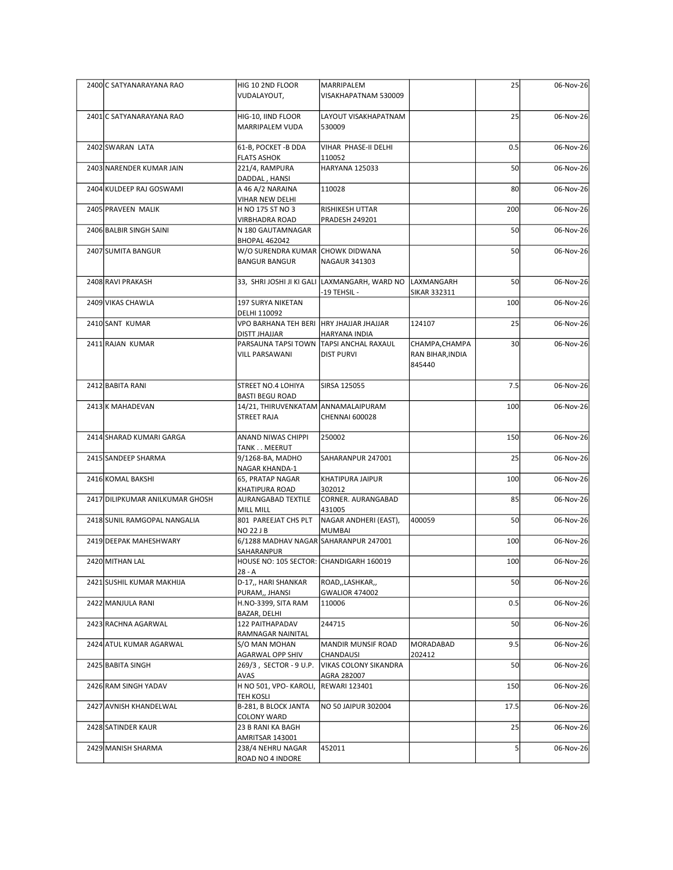| 2400 C SATYANARAYANA RAO<br>2401 C SATYANARAYANA RAO<br>2402 SWARAN LATA | HIG 10 2ND FLOOR                                                 |                                                          |                            |                 |           |
|--------------------------------------------------------------------------|------------------------------------------------------------------|----------------------------------------------------------|----------------------------|-----------------|-----------|
|                                                                          |                                                                  |                                                          |                            |                 |           |
|                                                                          |                                                                  |                                                          |                            |                 |           |
|                                                                          |                                                                  |                                                          |                            |                 |           |
|                                                                          |                                                                  |                                                          |                            |                 |           |
|                                                                          |                                                                  |                                                          |                            |                 |           |
|                                                                          |                                                                  |                                                          |                            |                 |           |
|                                                                          |                                                                  |                                                          |                            |                 |           |
|                                                                          |                                                                  |                                                          |                            |                 |           |
|                                                                          |                                                                  |                                                          |                            |                 |           |
|                                                                          |                                                                  |                                                          |                            |                 |           |
|                                                                          |                                                                  | MARRIPALEM                                               |                            | 25              | 06-Nov-26 |
|                                                                          | VUDALAYOUT,                                                      | VISAKHAPATNAM 530009                                     |                            |                 |           |
|                                                                          | HIG-10, IIND FLOOR                                               | LAYOUT VISAKHAPATNAM                                     |                            | 25              | 06-Nov-26 |
|                                                                          | MARRIPALEM VUDA                                                  | 530009                                                   |                            |                 |           |
|                                                                          | 61-B, POCKET - B DDA                                             | VIHAR PHASE-II DELHI                                     |                            | 0.5             | 06-Nov-26 |
| 2403 NARENDER KUMAR JAIN                                                 | <b>FLATS ASHOK</b><br>221/4, RAMPURA                             | 110052<br>HARYANA 125033                                 |                            | 50              | 06-Nov-26 |
| 2404 KULDEEP RAJ GOSWAMI                                                 | DADDAL, HANSI<br>A 46 A/2 NARAINA                                | 110028                                                   |                            | 80              | 06-Nov-26 |
|                                                                          | VIHAR NEW DELHI                                                  |                                                          |                            |                 |           |
| 2405 PRAVEEN MALIK                                                       | H NO 175 ST NO 3<br>VIRBHADRA ROAD                               | RISHIKESH UTTAR<br><b>PRADESH 249201</b>                 |                            | 200             | 06-Nov-26 |
| 2406 BALBIR SINGH SAINI                                                  | N 180 GAUTAMNAGAR                                                |                                                          |                            | 50              | 06-Nov-26 |
| 2407 SUMITA BANGUR                                                       | <b>BHOPAL 462042</b><br>W/O SURENDRA KUMAR CHOWK DIDWANA         |                                                          |                            | 50              | 06-Nov-26 |
|                                                                          | <b>BANGUR BANGUR</b>                                             | <b>NAGAUR 341303</b>                                     |                            |                 |           |
| 2408 RAVI PRAKASH                                                        |                                                                  | 33, SHRI JOSHI JI KI GALI LAXMANGARH, WARD NO LAXMANGARH |                            | 50              | 06-Nov-26 |
| 2409 VIKAS CHAWLA                                                        | 197 SURYA NIKETAN                                                | -19 TEHSIL -                                             | <b>SIKAR 332311</b>        | 100             | 06-Nov-26 |
|                                                                          | DELHI 110092                                                     |                                                          |                            |                 |           |
| 2410 SANT KUMAR                                                          | VPO BARHANA TEH BERI HRY JHAJJAR JHAJJAR<br><b>DISTT JHAJJAR</b> | HARYANA INDIA                                            | 124107                     | 25              | 06-Nov-26 |
| 2411 RAJAN KUMAR                                                         |                                                                  | PARSAUNA TAPSI TOWN TAPSI ANCHAL RAXAUL                  | CHAMPA, CHAMPA             | 30 <sup>l</sup> | 06-Nov-26 |
|                                                                          | <b>VILL PARSAWANI</b>                                            | <b>DIST PURVI</b>                                        | RAN BIHAR, INDIA<br>845440 |                 |           |
| 2412 BABITA RANI                                                         | STREET NO.4 LOHIYA                                               | SIRSA 125055                                             |                            | 7.5             | 06-Nov-26 |
|                                                                          | <b>BASTI BEGU ROAD</b>                                           |                                                          |                            |                 |           |
| 2413 K MAHADEVAN                                                         | 14/21, THIRUVENKATAM ANNAMALAIPURAM<br><b>STREET RAJA</b>        | CHENNAI 600028                                           |                            | 100             | 06-Nov-26 |
|                                                                          |                                                                  |                                                          |                            |                 |           |
| 2414 SHARAD KUMARI GARGA                                                 | ANAND NIWAS CHIPPI<br>TANK MEERUT                                | 250002                                                   |                            | 150             | 06-Nov-26 |
| 2415 SANDEEP SHARMA                                                      | 9/1268-BA, MADHO                                                 | SAHARANPUR 247001                                        |                            | 25              | 06-Nov-26 |
| 2416 KOMAL BAKSHI                                                        | NAGAR KHANDA-1<br>65, PRATAP NAGAR                               | KHATIPURA JAIPUR                                         |                            | 100             | 06-Nov-26 |
|                                                                          | KHATIPURA ROAD                                                   | 302012                                                   |                            |                 |           |
| 2417 DILIPKUMAR ANILKUMAR GHOSH                                          | AURANGABAD TEXTILE<br>MILL MILL                                  | CORNER. AURANGABAD<br>431005                             |                            | 85              | 06-Nov-26 |
| 2418 SUNIL RAMGOPAL NANGALIA                                             | 801 PAREEJAT CHS PLT<br><b>NO 22 J B</b>                         | NAGAR ANDHERI (EAST),<br><b>MUMBAI</b>                   | 400059                     | 50              | 06-Nov-26 |
| 2419 DEEPAK MAHESHWARY                                                   | 6/1288 MADHAV NAGAR SAHARANPUR 247001                            |                                                          |                            | 100             | 06-Nov-26 |
| 2420 MITHAN LAL                                                          | SAHARANPUR<br>HOUSE NO: 105 SECTOR: CHANDIGARH 160019            |                                                          |                            | 100             | 06-Nov-26 |
|                                                                          | $28 - A$                                                         |                                                          |                            |                 |           |
| 2421 SUSHIL KUMAR MAKHIJA                                                | D-17,, HARI SHANKAR<br>PURAM,, JHANSI                            | ROAD,,LASHKAR,,<br>GWALIOR 474002                        |                            | 50              | 06-Nov-26 |
| 2422 MANJULA RANI                                                        | H.NO-3399, SITA RAM                                              | 110006                                                   |                            | 0.5             | 06-Nov-26 |
| 2423 RACHNA AGARWAL                                                      | BAZAR, DELHI<br>122 PAITHAPADAV                                  | 244715                                                   |                            | 50              | 06-Nov-26 |
| 2424 ATUL KUMAR AGARWAL                                                  | RAMNAGAR NAINITAL                                                |                                                          | MORADABAD                  | 9.5             | 06-Nov-26 |
|                                                                          | S/O MAN MOHAN<br>AGARWAL OPP SHIV                                | <b>MANDIR MUNSIF ROAD</b><br>CHANDAUSI                   | 202412                     |                 |           |
| 2425 BABITA SINGH                                                        | 269/3, SECTOR - 9 U.P.<br>AVAS                                   | <b>VIKAS COLONY SIKANDRA</b><br>AGRA 282007              |                            | 50              | 06-Nov-26 |
| 2426 RAM SINGH YADAV                                                     | H NO 501, VPO- KAROLI,                                           | <b>REWARI 123401</b>                                     |                            | 150             | 06-Nov-26 |
| 2427 AVNISH KHANDELWAL                                                   | <b>TEH KOSLI</b><br>B-281, B BLOCK JANTA                         | NO 50 JAIPUR 302004                                      |                            | 17.5            | 06-Nov-26 |
|                                                                          | COLONY WARD                                                      |                                                          |                            |                 |           |
| 2428 SATINDER KAUR                                                       | 23 B RANI KA BAGH<br>AMRITSAR 143001                             |                                                          |                            | 25              | 06-Nov-26 |
| 2429 MANISH SHARMA                                                       | 238/4 NEHRU NAGAR<br>ROAD NO 4 INDORE                            | 452011                                                   |                            |                 | 06-Nov-26 |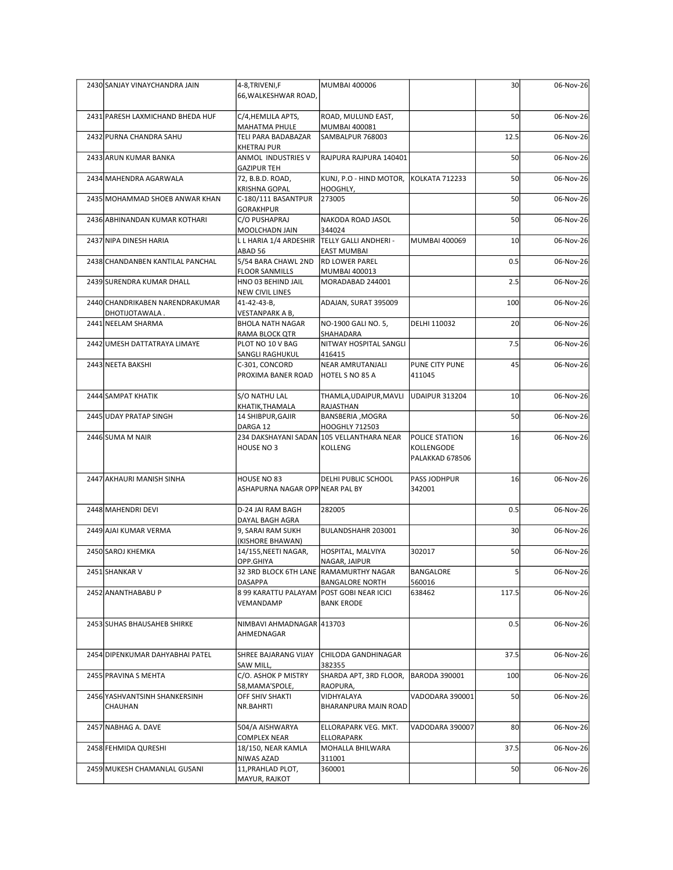| 2430 SANJAY VINAYCHANDRA JAIN    | 4-8, TRIVENI, F                                                  | MUMBAI 400006                                                      |                       | 30              | 06-Nov-26 |
|----------------------------------|------------------------------------------------------------------|--------------------------------------------------------------------|-----------------------|-----------------|-----------|
|                                  | 66, WALKESHWAR ROAD,                                             |                                                                    |                       |                 |           |
| 2431 PARESH LAXMICHAND BHEDA HUF | C/4, HEMLILA APTS,                                               | ROAD, MULUND EAST,                                                 |                       | 50              | 06-Nov-26 |
|                                  | MAHATMA PHULE                                                    | MUMBAI 400081                                                      |                       |                 |           |
| 2432 PURNA CHANDRA SAHU          | TELI PARA BADABAZAR<br><b>KHETRAJ PUR</b>                        | SAMBALPUR 768003                                                   |                       | 12.5            | 06-Nov-26 |
| 2433 ARUN KUMAR BANKA            | ANMOL INDUSTRIES V                                               | RAJPURA RAJPURA 140401                                             |                       | 50              | 06-Nov-26 |
| 2434 MAHENDRA AGARWALA           | <b>GAZIPUR TEH</b><br>72, B.B.D. ROAD,                           | KUNJ, P.O - HIND MOTOR, KOLKATA 712233                             |                       | 50              | 06-Nov-26 |
|                                  | <b>KRISHNA GOPAL</b>                                             | HOOGHLY,                                                           |                       |                 |           |
| 2435 MOHAMMAD SHOEB ANWAR KHAN   | C-180/111 BASANTPUR<br><b>GORAKHPUR</b>                          | 273005                                                             |                       | 50              | 06-Nov-26 |
| 2436 ABHINANDAN KUMAR KOTHARI    | C/O PUSHAPRAJ                                                    | NAKODA ROAD JASOL                                                  |                       | 50              | 06-Nov-26 |
| 2437 NIPA DINESH HARIA           | MOOLCHADN JAIN<br>L L HARIA 1/4 ARDESHIR   TELLY GALLI ANDHERI - | 344024                                                             | <b>MUMBAI 400069</b>  | 10              | 06-Nov-26 |
|                                  | ABAD 56                                                          | EAST MUMBAI                                                        |                       |                 |           |
| 2438 CHANDANBEN KANTILAL PANCHAL | 5/54 BARA CHAWL 2ND<br><b>FLOOR SANMILLS</b>                     | <b>RD LOWER PAREL</b><br>MUMBAI 400013                             |                       | 0.5             | 06-Nov-26 |
| 2439 SURENDRA KUMAR DHALL        | HNO 03 BEHIND JAIL                                               | MORADABAD 244001                                                   |                       | 2.5             | 06-Nov-26 |
| 2440 CHANDRIKABEN NARENDRAKUMAR  | <b>NEW CIVIL LINES</b><br>41-42-43-B,                            | ADAJAN, SURAT 395009                                               |                       | 100             | 06-Nov-26 |
| DHOTIJOTAWALA.                   | <b>VESTANPARK A B,</b>                                           |                                                                    |                       |                 |           |
| 2441 NEELAM SHARMA               | <b>BHOLA NATH NAGAR</b><br>RAMA BLOCK QTR                        | NO-1900 GALI NO. 5,<br>SHAHADARA                                   | DELHI 110032          | 20              | 06-Nov-26 |
| 2442 UMESH DATTATRAYA LIMAYE     | PLOT NO 10 V BAG                                                 | NITWAY HOSPITAL SANGLI                                             |                       | 7.5             | 06-Nov-26 |
| 2443 NEETA BAKSHI                | SANGLI RAGHUKUL<br>C-301, CONCORD                                | 416415<br>NEAR AMRUTANJALI                                         | PUNE CITY PUNE        | 45              | 06-Nov-26 |
|                                  | PROXIMA BANER ROAD                                               | HOTEL S NO 85 A                                                    | 411045                |                 |           |
| 2444 SAMPAT KHATIK               | S/O NATHU LAL                                                    |                                                                    | <b>UDAIPUR 313204</b> | 10 <sup>1</sup> | 06-Nov-26 |
|                                  | KHATIK, THAMALA                                                  | THAMLA, UDAIPUR, MAVLI<br>RAJASTHAN                                |                       |                 |           |
| 2445 UDAY PRATAP SINGH           | 14 SHIBPUR, GAJIR                                                | BANSBERIA , MOGRA                                                  |                       | 50              | 06-Nov-26 |
| 2446 SUMA M NAIR                 | DARGA 12                                                         | <b>HOOGHLY 712503</b><br>234 DAKSHAYANI SADAN 105 VELLANTHARA NEAR | POLICE STATION        | 16              | 06-Nov-26 |
|                                  | HOUSE NO 3                                                       | KOLLENG                                                            | KOLLENGODE            |                 |           |
|                                  |                                                                  |                                                                    | PALAKKAD 678506       |                 |           |
| 2447 AKHAURI MANISH SINHA        | HOUSE NO 83                                                      | <b>DELHI PUBLIC SCHOOL</b>                                         | PASS JODHPUR          | 16              | 06-Nov-26 |
|                                  | ASHAPURNA NAGAR OPP NEAR PAL BY                                  |                                                                    | 342001                |                 |           |
| 2448 MAHENDRI DEVI               | D-24 JAI RAM BAGH                                                | 282005                                                             |                       | 0.5             | 06-Nov-26 |
| 2449 AJAI KUMAR VERMA            | DAYAL BAGH AGRA<br>9, SARAI RAM SUKH                             | BULANDSHAHR 203001                                                 |                       | 30 <sup>1</sup> | 06-Nov-26 |
|                                  | (KISHORE BHAWAN)                                                 |                                                                    |                       |                 |           |
| 2450 SAROJ KHEMKA                | 14/155, NEETI NAGAR,<br>OPP.GHIYA                                | HOSPITAL, MALVIYA<br>NAGAR, JAIPUR                                 | 302017                | 50              | 06-Nov-26 |
| 2451 SHANKAR V                   | 32 3RD BLOCK 6TH LANE RAMAMURTHY NAGAR                           |                                                                    | BANGALORE             |                 | 06-Nov-26 |
| 2452 ANANTHABABU P               | <b>DASAPPA</b><br>8 99 KARATTU PALAYAM POST GOBI NEAR ICICI      | <b>BANGALORE NORTH</b>                                             | 560016<br>638462      | 117.5           | 06-Nov-26 |
|                                  | VEMANDAMP                                                        | <b>BANK ERODE</b>                                                  |                       |                 |           |
| 2453 SUHAS BHAUSAHEB SHIRKE      | NIMBAVI AHMADNAGAR 413703                                        |                                                                    |                       | 0.5             | 06-Nov-26 |
|                                  | AHMEDNAGAR                                                       |                                                                    |                       |                 |           |
| 2454 DIPENKUMAR DAHYABHAI PATEL  | SHREE BAJARANG VIJAY                                             | CHILODA GANDHINAGAR                                                |                       | 37.5            | 06-Nov-26 |
|                                  | SAW MILL,                                                        | 382355                                                             |                       |                 |           |
| 2455 PRAVINA S MEHTA             | C/O. ASHOK P MISTRY<br>58, MAMA'SPOLE,                           | SHARDA APT, 3RD FLOOR,<br>RAOPURA,                                 | BARODA 390001         | 100             | 06-Nov-26 |
| 2456 YASHVANTSINH SHANKERSINH    | OFF SHIV SHAKTI                                                  | VIDHYALAYA                                                         | VADODARA 390001       | 50              | 06-Nov-26 |
| CHAUHAN                          | NR.BAHRTI                                                        | BHARANPURA MAIN ROAD                                               |                       |                 |           |
| 2457 NABHAG A. DAVE              | 504/A AISHWARYA                                                  | ELLORAPARK VEG. MKT.                                               | VADODARA 390007       | 80              | 06-Nov-26 |
| 2458 FEHMIDA QURESHI             | COMPLEX NEAR<br>18/150, NEAR KAMLA                               | ELLORAPARK<br>MOHALLA BHILWARA                                     |                       | 37.5            | 06-Nov-26 |
|                                  | NIWAS AZAD                                                       | 311001                                                             |                       |                 |           |
| 2459 MUKESH CHAMANLAL GUSANI     | 11, PRAHLAD PLOT,                                                | 360001                                                             |                       | 50              |           |